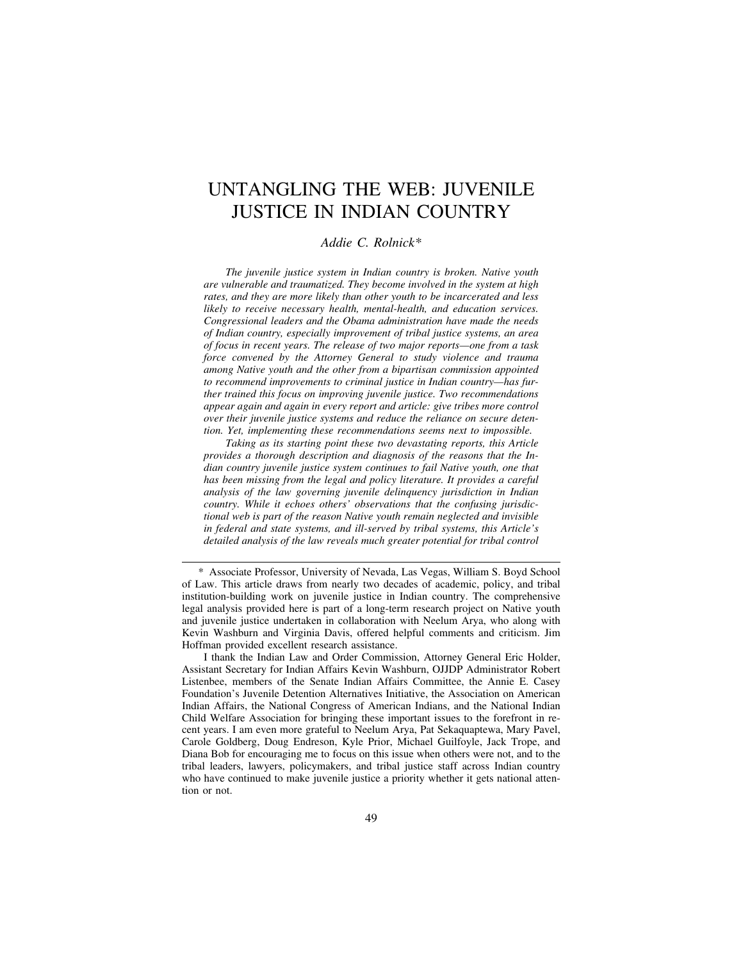# UNTANGLING THE WEB: JUVENILE JUSTICE IN INDIAN COUNTRY

# *Addie C. Rolnick\**

*The juvenile justice system in Indian country is broken. Native youth are vulnerable and traumatized. They become involved in the system at high rates, and they are more likely than other youth to be incarcerated and less likely to receive necessary health, mental-health, and education services. Congressional leaders and the Obama administration have made the needs of Indian country, especially improvement of tribal justice systems, an area of focus in recent years. The release of two major reports—one from a task force convened by the Attorney General to study violence and trauma among Native youth and the other from a bipartisan commission appointed to recommend improvements to criminal justice in Indian country—has further trained this focus on improving juvenile justice. Two recommendations appear again and again in every report and article: give tribes more control over their juvenile justice systems and reduce the reliance on secure detention. Yet, implementing these recommendations seems next to impossible.*

*Taking as its starting point these two devastating reports, this Article provides a thorough description and diagnosis of the reasons that the Indian country juvenile justice system continues to fail Native youth, one that has been missing from the legal and policy literature. It provides a careful analysis of the law governing juvenile delinquency jurisdiction in Indian country. While it echoes others' observations that the confusing jurisdictional web is part of the reason Native youth remain neglected and invisible in federal and state systems, and ill-served by tribal systems, this Article's detailed analysis of the law reveals much greater potential for tribal control*

<sup>\*</sup> Associate Professor, University of Nevada, Las Vegas, William S. Boyd School of Law. This article draws from nearly two decades of academic, policy, and tribal institution-building work on juvenile justice in Indian country. The comprehensive legal analysis provided here is part of a long-term research project on Native youth and juvenile justice undertaken in collaboration with Neelum Arya, who along with Kevin Washburn and Virginia Davis, offered helpful comments and criticism. Jim Hoffman provided excellent research assistance.

I thank the Indian Law and Order Commission, Attorney General Eric Holder, Assistant Secretary for Indian Affairs Kevin Washburn, OJJDP Administrator Robert Listenbee, members of the Senate Indian Affairs Committee, the Annie E. Casey Foundation's Juvenile Detention Alternatives Initiative, the Association on American Indian Affairs, the National Congress of American Indians, and the National Indian Child Welfare Association for bringing these important issues to the forefront in recent years. I am even more grateful to Neelum Arya, Pat Sekaquaptewa, Mary Pavel, Carole Goldberg, Doug Endreson, Kyle Prior, Michael Guilfoyle, Jack Trope, and Diana Bob for encouraging me to focus on this issue when others were not, and to the tribal leaders, lawyers, policymakers, and tribal justice staff across Indian country who have continued to make juvenile justice a priority whether it gets national attention or not.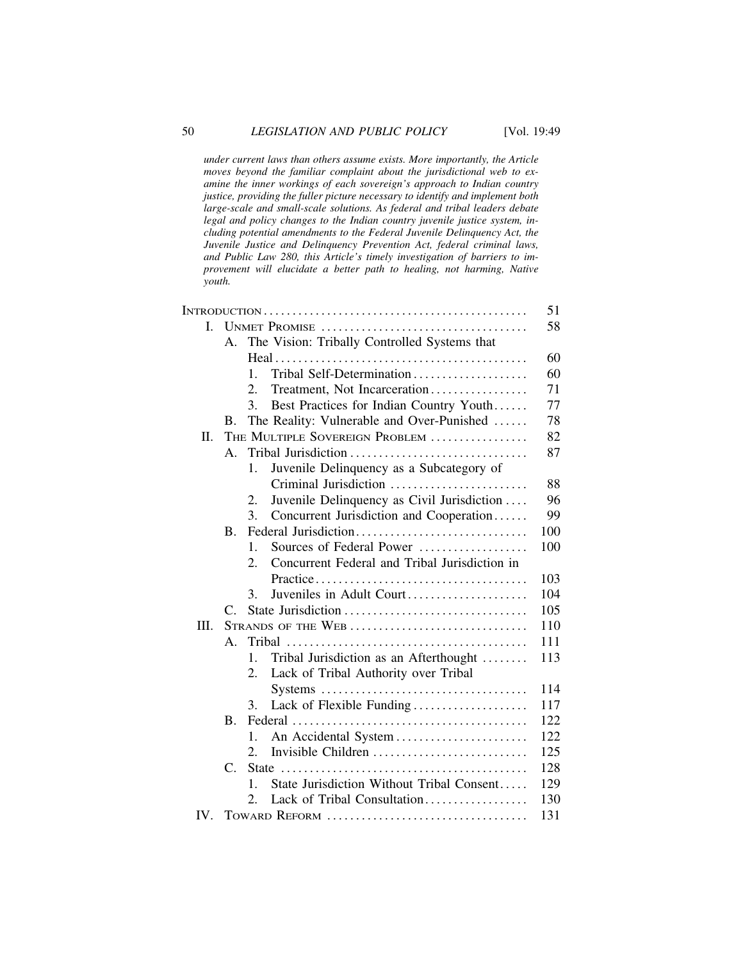*under current laws than others assume exists. More importantly, the Article moves beyond the familiar complaint about the jurisdictional web to examine the inner workings of each sovereign's approach to Indian country justice, providing the fuller picture necessary to identify and implement both large-scale and small-scale solutions. As federal and tribal leaders debate legal and policy changes to the Indian country juvenile justice system, including potential amendments to the Federal Juvenile Delinquency Act, the Juvenile Justice and Delinquency Prevention Act, federal criminal laws, and Public Law 280, this Article's timely investigation of barriers to improvement will elucidate a better path to healing, not harming, Native youth.*

|          |                                       |                                                                                   | 51  |
|----------|---------------------------------------|-----------------------------------------------------------------------------------|-----|
| L        |                                       |                                                                                   |     |
|          | $\mathsf{A}$ .                        | The Vision: Tribally Controlled Systems that                                      |     |
|          |                                       |                                                                                   | 60  |
|          |                                       | Tribal Self-Determination<br>1.                                                   | 60  |
|          |                                       | 2.<br>Treatment, Not Incarceration                                                | 71  |
|          |                                       | 3.<br>Best Practices for Indian Country Youth                                     | 77  |
|          | B.                                    | The Reality: Vulnerable and Over-Punished                                         | 78  |
| П.       |                                       | THE MULTIPLE SOVEREIGN PROBLEM                                                    | 82  |
|          | Tribal Jurisdiction<br>$\mathsf{A}$ . |                                                                                   |     |
|          |                                       | Juvenile Delinquency as a Subcategory of<br>1.                                    |     |
|          |                                       | Criminal Jurisdiction                                                             | 88  |
|          |                                       | Juvenile Delinquency as Civil Jurisdiction<br>2.                                  | 96  |
|          |                                       | $\mathcal{E}$<br>Concurrent Jurisdiction and Cooperation                          | 99  |
|          | B.                                    | Federal Jurisdiction                                                              | 100 |
|          |                                       | Sources of Federal Power<br>1.                                                    | 100 |
|          |                                       | Concurrent Federal and Tribal Jurisdiction in<br>2.                               |     |
|          |                                       |                                                                                   | 103 |
|          |                                       | Juveniles in Adult Court<br>3.                                                    | 104 |
|          | $\mathcal{C}$                         |                                                                                   | 105 |
| III.     | 110<br>STRANDS OF THE WEB             |                                                                                   |     |
|          | $\mathsf{A}$ .                        |                                                                                   | 111 |
|          |                                       | $\mathbf{1}$ .<br>Tribal Jurisdiction as an Afterthought                          | 113 |
|          |                                       | Lack of Tribal Authority over Tribal<br>2.                                        |     |
|          |                                       | $Systems \dots \dots \dots \dots \dots \dots \dots \dots \dots \dots \dots \dots$ | 114 |
|          |                                       | Lack of Flexible Funding<br>3.                                                    | 117 |
|          | $\bf{B}$ .                            |                                                                                   | 122 |
|          |                                       | An Accidental System<br>1.                                                        | 122 |
|          |                                       | Invisible Children<br>2.                                                          | 125 |
|          | C.                                    |                                                                                   | 128 |
|          |                                       | State Jurisdiction Without Tribal Consent<br>$\mathbf{1}$                         | 129 |
|          |                                       | Lack of Tribal Consultation<br>2.                                                 | 130 |
| $IV_{-}$ |                                       |                                                                                   | 131 |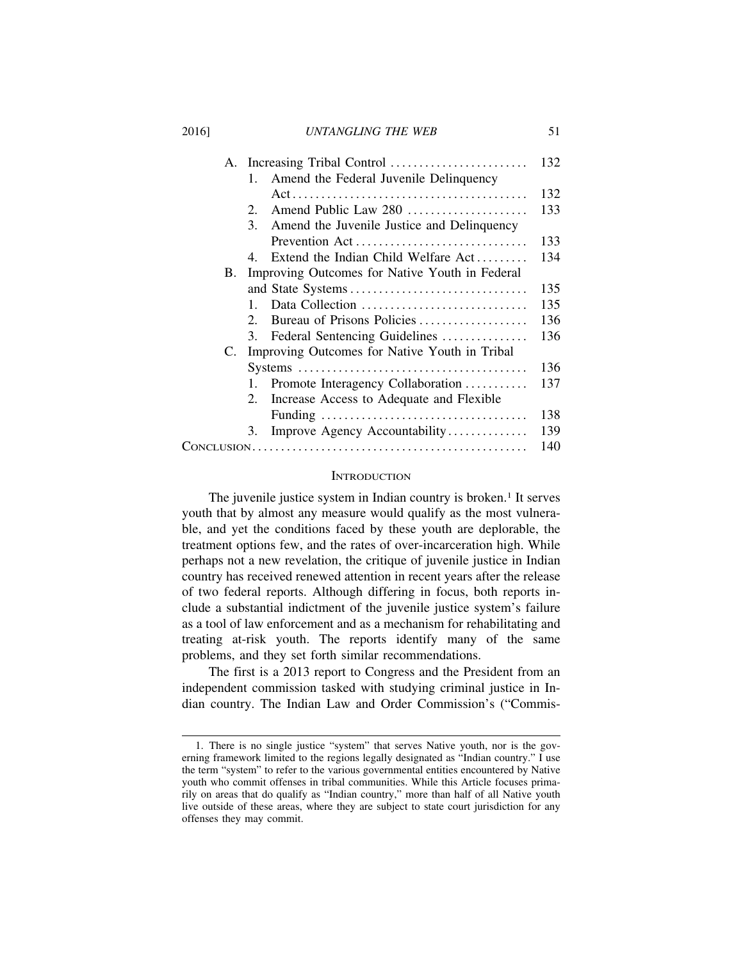|    |                                                  | 132 |
|----|--------------------------------------------------|-----|
|    | Amend the Federal Juvenile Delinquency<br>1.     |     |
|    |                                                  | 132 |
|    | 2.                                               | 133 |
|    | 3.<br>Amend the Juvenile Justice and Delinquency |     |
|    | Prevention Act                                   | 133 |
|    | Extend the Indian Child Welfare Act<br>4         | 134 |
| В. | Improving Outcomes for Native Youth in Federal   |     |
|    |                                                  | 135 |
|    | Data Collection<br>$\mathbf{1}$                  | 135 |
|    | Bureau of Prisons Policies<br>2.                 | 136 |
|    | Federal Sentencing Guidelines<br>3.              | 136 |
| C. | Improving Outcomes for Native Youth in Tribal    |     |
|    |                                                  | 136 |
|    | Promote Interagency Collaboration                | 137 |
|    | Increase Access to Adequate and Flexible<br>2.   |     |
|    |                                                  | 138 |
|    | Improve Agency Accountability<br>3.              | 139 |
|    |                                                  | 140 |
|    |                                                  |     |

#### **INTRODUCTION**

The juvenile justice system in Indian country is broken.<sup>1</sup> It serves youth that by almost any measure would qualify as the most vulnerable, and yet the conditions faced by these youth are deplorable, the treatment options few, and the rates of over-incarceration high. While perhaps not a new revelation, the critique of juvenile justice in Indian country has received renewed attention in recent years after the release of two federal reports. Although differing in focus, both reports include a substantial indictment of the juvenile justice system's failure as a tool of law enforcement and as a mechanism for rehabilitating and treating at-risk youth. The reports identify many of the same problems, and they set forth similar recommendations.

The first is a 2013 report to Congress and the President from an independent commission tasked with studying criminal justice in Indian country. The Indian Law and Order Commission's ("Commis-

<sup>1.</sup> There is no single justice "system" that serves Native youth, nor is the governing framework limited to the regions legally designated as "Indian country." I use the term "system" to refer to the various governmental entities encountered by Native youth who commit offenses in tribal communities. While this Article focuses primarily on areas that do qualify as "Indian country," more than half of all Native youth live outside of these areas, where they are subject to state court jurisdiction for any offenses they may commit.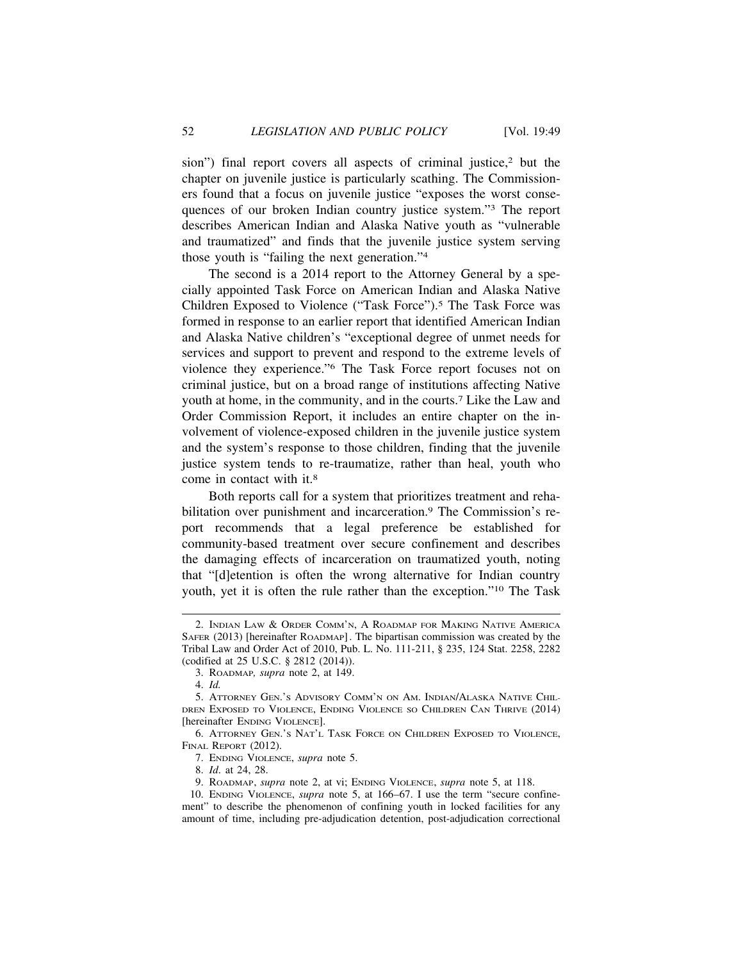sion") final report covers all aspects of criminal justice,<sup>2</sup> but the chapter on juvenile justice is particularly scathing. The Commissioners found that a focus on juvenile justice "exposes the worst consequences of our broken Indian country justice system."3 The report describes American Indian and Alaska Native youth as "vulnerable and traumatized" and finds that the juvenile justice system serving those youth is "failing the next generation."4

The second is a 2014 report to the Attorney General by a specially appointed Task Force on American Indian and Alaska Native Children Exposed to Violence ("Task Force").5 The Task Force was formed in response to an earlier report that identified American Indian and Alaska Native children's "exceptional degree of unmet needs for services and support to prevent and respond to the extreme levels of violence they experience."6 The Task Force report focuses not on criminal justice, but on a broad range of institutions affecting Native youth at home, in the community, and in the courts.7 Like the Law and Order Commission Report, it includes an entire chapter on the involvement of violence-exposed children in the juvenile justice system and the system's response to those children, finding that the juvenile justice system tends to re-traumatize, rather than heal, youth who come in contact with it.8

Both reports call for a system that prioritizes treatment and rehabilitation over punishment and incarceration.9 The Commission's report recommends that a legal preference be established for community-based treatment over secure confinement and describes the damaging effects of incarceration on traumatized youth, noting that "[d]etention is often the wrong alternative for Indian country youth, yet it is often the rule rather than the exception."10 The Task

8. *Id*. at 24, 28.

<sup>2.</sup> INDIAN LAW & ORDER COMM'N, A ROADMAP FOR MAKING NATIVE AMERICA SAFER (2013) [hereinafter ROADMAP]. The bipartisan commission was created by the Tribal Law and Order Act of 2010, Pub. L. No. 111-211, § 235, 124 Stat. 2258, 2282 (codified at 25 U.S.C. § 2812 (2014)).

<sup>3.</sup> ROADMAP*, supra* note 2, at 149.

<sup>4.</sup> *Id.*

<sup>5.</sup> ATTORNEY GEN.'S ADVISORY COMM'N ON AM. INDIAN/ALASKA NATIVE CHIL-DREN EXPOSED TO VIOLENCE, ENDING VIOLENCE SO CHILDREN CAN THRIVE (2014) [hereinafter ENDING VIOLENCE].

<sup>6.</sup> ATTORNEY GEN.'S NAT'L TASK FORCE ON CHILDREN EXPOSED TO VIOLENCE, FINAL REPORT (2012).

<sup>7.</sup> ENDING VIOLENCE, *supra* note 5.

<sup>9.</sup> ROADMAP, *supra* note 2, at vi; ENDING VIOLENCE, *supra* note 5, at 118.

<sup>10.</sup> ENDING VIOLENCE, *supra* note 5, at 166–67. I use the term "secure confinement" to describe the phenomenon of confining youth in locked facilities for any amount of time, including pre-adjudication detention, post-adjudication correctional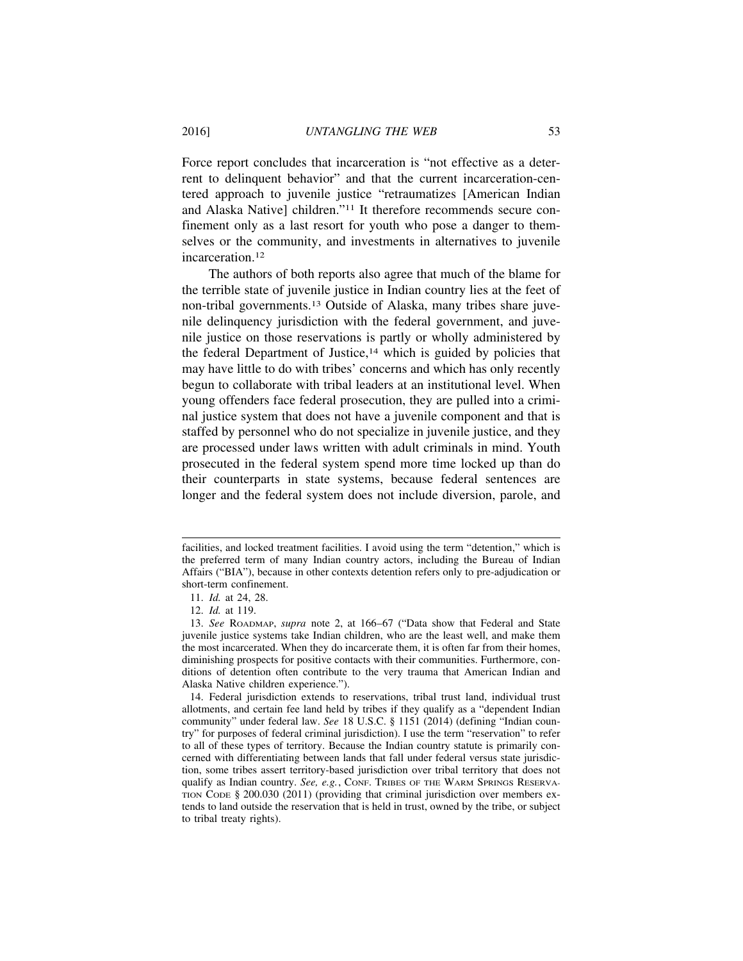Force report concludes that incarceration is "not effective as a deterrent to delinquent behavior" and that the current incarceration-centered approach to juvenile justice "retraumatizes [American Indian and Alaska Native] children."11 It therefore recommends secure confinement only as a last resort for youth who pose a danger to themselves or the community, and investments in alternatives to juvenile incarceration.12

The authors of both reports also agree that much of the blame for the terrible state of juvenile justice in Indian country lies at the feet of non-tribal governments.13 Outside of Alaska, many tribes share juvenile delinquency jurisdiction with the federal government, and juvenile justice on those reservations is partly or wholly administered by the federal Department of Justice,<sup>14</sup> which is guided by policies that may have little to do with tribes' concerns and which has only recently begun to collaborate with tribal leaders at an institutional level. When young offenders face federal prosecution, they are pulled into a criminal justice system that does not have a juvenile component and that is staffed by personnel who do not specialize in juvenile justice, and they are processed under laws written with adult criminals in mind. Youth prosecuted in the federal system spend more time locked up than do their counterparts in state systems, because federal sentences are longer and the federal system does not include diversion, parole, and

facilities, and locked treatment facilities. I avoid using the term "detention," which is the preferred term of many Indian country actors, including the Bureau of Indian Affairs ("BIA"), because in other contexts detention refers only to pre-adjudication or short-term confinement.

<sup>11.</sup> *Id.* at 24, 28.

<sup>12.</sup> *Id.* at 119.

<sup>13.</sup> *See* ROADMAP, *supra* note 2, at 166–67 ("Data show that Federal and State juvenile justice systems take Indian children, who are the least well, and make them the most incarcerated. When they do incarcerate them, it is often far from their homes, diminishing prospects for positive contacts with their communities. Furthermore, conditions of detention often contribute to the very trauma that American Indian and Alaska Native children experience.").

<sup>14.</sup> Federal jurisdiction extends to reservations, tribal trust land, individual trust allotments, and certain fee land held by tribes if they qualify as a "dependent Indian community" under federal law. *See* 18 U.S.C. § 1151 (2014) (defining "Indian country" for purposes of federal criminal jurisdiction). I use the term "reservation" to refer to all of these types of territory. Because the Indian country statute is primarily concerned with differentiating between lands that fall under federal versus state jurisdiction, some tribes assert territory-based jurisdiction over tribal territory that does not qualify as Indian country. *See, e.g.*, CONF. TRIBES OF THE WARM SPRINGS RESERVA-TION CODE § 200.030 (2011) (providing that criminal jurisdiction over members extends to land outside the reservation that is held in trust, owned by the tribe, or subject to tribal treaty rights).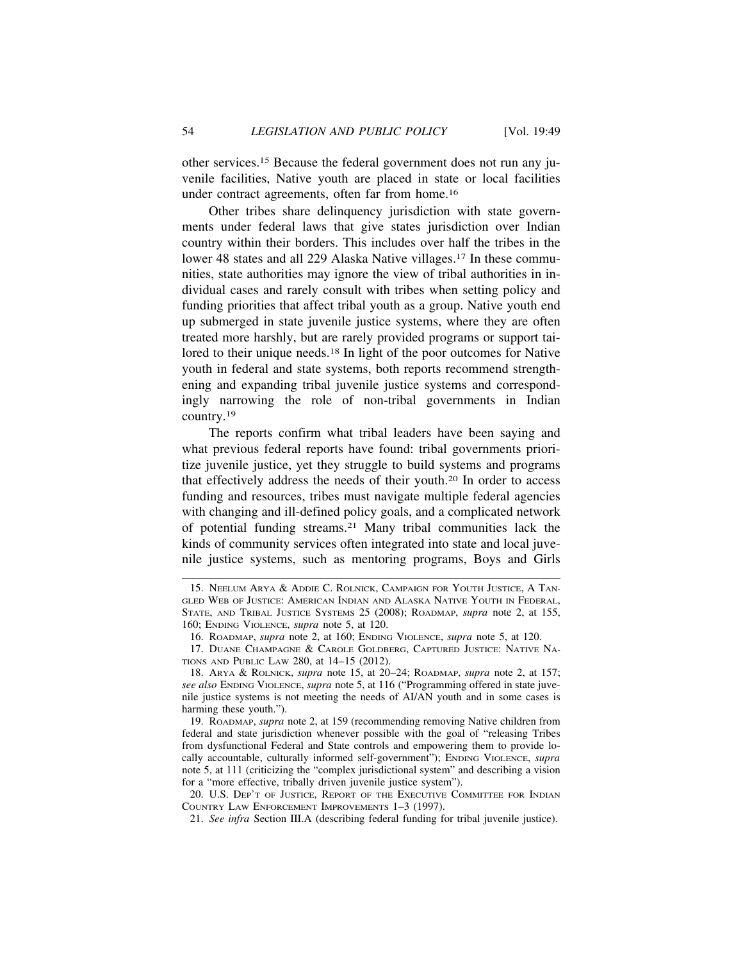other services.15 Because the federal government does not run any juvenile facilities, Native youth are placed in state or local facilities under contract agreements, often far from home.16

Other tribes share delinquency jurisdiction with state governments under federal laws that give states jurisdiction over Indian country within their borders. This includes over half the tribes in the lower 48 states and all 229 Alaska Native villages.17 In these communities, state authorities may ignore the view of tribal authorities in individual cases and rarely consult with tribes when setting policy and funding priorities that affect tribal youth as a group. Native youth end up submerged in state juvenile justice systems, where they are often treated more harshly, but are rarely provided programs or support tailored to their unique needs.<sup>18</sup> In light of the poor outcomes for Native youth in federal and state systems, both reports recommend strengthening and expanding tribal juvenile justice systems and correspondingly narrowing the role of non-tribal governments in Indian country.19

The reports confirm what tribal leaders have been saying and what previous federal reports have found: tribal governments prioritize juvenile justice, yet they struggle to build systems and programs that effectively address the needs of their youth.20 In order to access funding and resources, tribes must navigate multiple federal agencies with changing and ill-defined policy goals, and a complicated network of potential funding streams.21 Many tribal communities lack the kinds of community services often integrated into state and local juvenile justice systems, such as mentoring programs, Boys and Girls

21. *See infra* Section III.A (describing federal funding for tribal juvenile justice).

<sup>15.</sup> NEELUM ARYA & ADDIE C. ROLNICK, CAMPAIGN FOR YOUTH JUSTICE, A TAN-GLED WEB OF JUSTICE: AMERICAN INDIAN AND ALASKA NATIVE YOUTH IN FEDERAL, STATE, AND TRIBAL JUSTICE SYSTEMS 25 (2008); ROADMAP, *supra* note 2, at 155, 160; ENDING VIOLENCE, *supra* note 5, at 120.

<sup>16.</sup> ROADMAP, *supra* note 2, at 160; ENDING VIOLENCE, *supra* note 5, at 120.

<sup>17.</sup> DUANE CHAMPAGNE & CAROLE GOLDBERG, CAPTURED JUSTICE: NATIVE NA-TIONS AND PUBLIC LAW 280, at 14–15 (2012).

<sup>18.</sup> ARYA & ROLNICK, *supra* note 15, at 20–24; ROADMAP, *supra* note 2, at 157; *see also* ENDING VIOLENCE, *supra* note 5, at 116 ("Programming offered in state juvenile justice systems is not meeting the needs of AI/AN youth and in some cases is harming these youth.").

<sup>19.</sup> ROADMAP, *supra* note 2, at 159 (recommending removing Native children from federal and state jurisdiction whenever possible with the goal of "releasing Tribes from dysfunctional Federal and State controls and empowering them to provide locally accountable, culturally informed self-government"); ENDING VIOLENCE, *supra* note 5, at 111 (criticizing the "complex jurisdictional system" and describing a vision for a "more effective, tribally driven juvenile justice system").

<sup>20.</sup> U.S. DEP'T OF JUSTICE, REPORT OF THE EXECUTIVE COMMITTEE FOR INDIAN COUNTRY LAW ENFORCEMENT IMPROVEMENTS 1–3 (1997).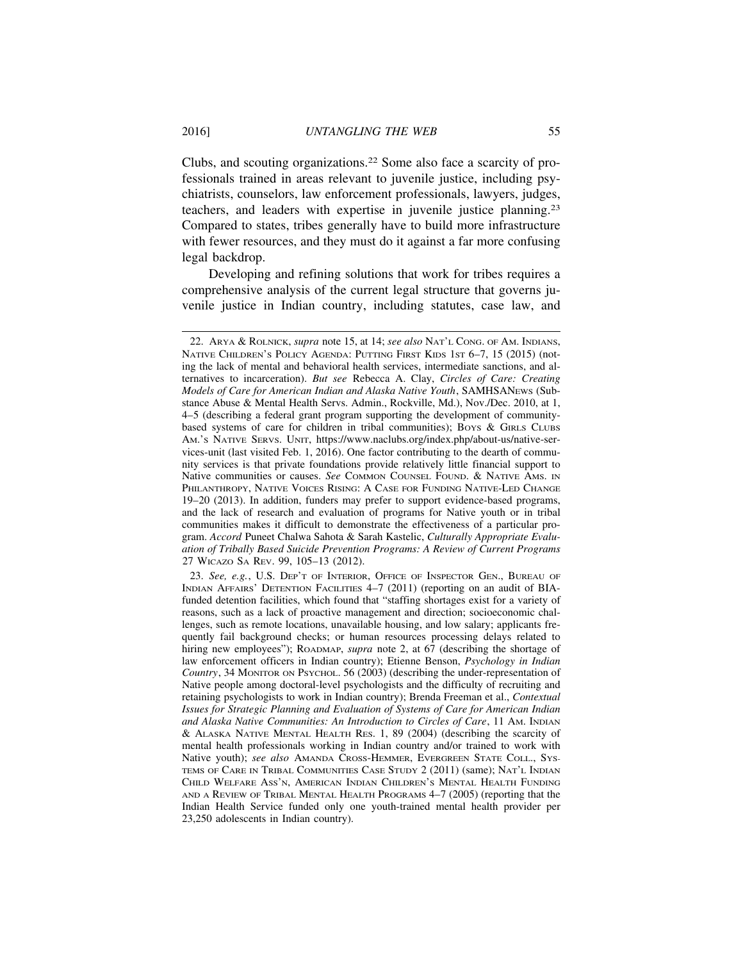Clubs, and scouting organizations.22 Some also face a scarcity of professionals trained in areas relevant to juvenile justice, including psychiatrists, counselors, law enforcement professionals, lawyers, judges, teachers, and leaders with expertise in juvenile justice planning.23 Compared to states, tribes generally have to build more infrastructure with fewer resources, and they must do it against a far more confusing legal backdrop.

Developing and refining solutions that work for tribes requires a comprehensive analysis of the current legal structure that governs juvenile justice in Indian country, including statutes, case law, and

23. *See, e.g.*, U.S. DEP'T OF INTERIOR, OFFICE OF INSPECTOR GEN., BUREAU OF INDIAN AFFAIRS' DETENTION FACILITIES 4–7 (2011) (reporting on an audit of BIAfunded detention facilities, which found that "staffing shortages exist for a variety of reasons, such as a lack of proactive management and direction; socioeconomic challenges, such as remote locations, unavailable housing, and low salary; applicants frequently fail background checks; or human resources processing delays related to hiring new employees"); ROADMAP, *supra* note 2, at 67 (describing the shortage of law enforcement officers in Indian country); Etienne Benson, *Psychology in Indian Country*, 34 MONITOR ON PSYCHOL. 56 (2003) (describing the under-representation of Native people among doctoral-level psychologists and the difficulty of recruiting and retaining psychologists to work in Indian country); Brenda Freeman et al., *Contextual Issues for Strategic Planning and Evaluation of Systems of Care for American Indian and Alaska Native Communities: An Introduction to Circles of Care*, 11 AM. INDIAN & ALASKA NATIVE MENTAL HEALTH RES. 1, 89 (2004) (describing the scarcity of mental health professionals working in Indian country and/or trained to work with Native youth); *see also* AMANDA CROSS-HEMMER, EVERGREEN STATE COLL., SYS-TEMS OF CARE IN TRIBAL COMMUNITIES CASE STUDY 2 (2011) (same); NAT'L INDIAN CHILD WELFARE ASS'N, AMERICAN INDIAN CHILDREN'S MENTAL HEALTH FUNDING AND A REVIEW OF TRIBAL MENTAL HEALTH PROGRAMS 4–7 (2005) (reporting that the Indian Health Service funded only one youth-trained mental health provider per 23,250 adolescents in Indian country).

<sup>22.</sup> ARYA & ROLNICK, *supra* note 15, at 14; *see also* NAT'L CONG. OF AM. INDIANS, NATIVE CHILDREN'S POLICY AGENDA: PUTTING FIRST KIDS 1ST 6–7, 15 (2015) (noting the lack of mental and behavioral health services, intermediate sanctions, and alternatives to incarceration). *But see* Rebecca A. Clay, *Circles of Care: Creating Models of Care for American Indian and Alaska Native Youth*, SAMHSANEWS (Substance Abuse & Mental Health Servs. Admin., Rockville, Md.), Nov./Dec. 2010, at 1, 4–5 (describing a federal grant program supporting the development of communitybased systems of care for children in tribal communities); Boys & GIRLS CLUBS AM.'S NATIVE SERVS. UNIT, https://www.naclubs.org/index.php/about-us/native-services-unit (last visited Feb. 1, 2016). One factor contributing to the dearth of community services is that private foundations provide relatively little financial support to Native communities or causes. See COMMON COUNSEL FOUND. & NATIVE AMS. IN PHILANTHROPY, NATIVE VOICES RISING: A CASE FOR FUNDING NATIVE-LED CHANGE 19–20 (2013). In addition, funders may prefer to support evidence-based programs, and the lack of research and evaluation of programs for Native youth or in tribal communities makes it difficult to demonstrate the effectiveness of a particular program. *Accord* Puneet Chalwa Sahota & Sarah Kastelic, *Culturally Appropriate Evaluation of Tribally Based Suicide Prevention Programs: A Review of Current Programs* 27 WICAZO SA REV. 99, 105–13 (2012).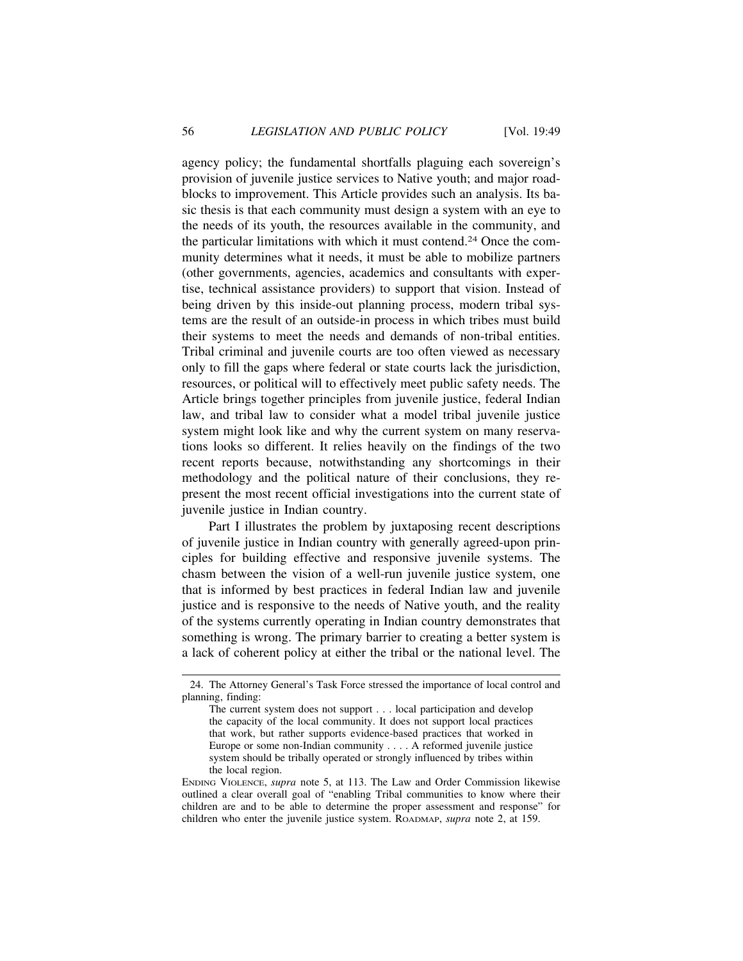agency policy; the fundamental shortfalls plaguing each sovereign's provision of juvenile justice services to Native youth; and major roadblocks to improvement. This Article provides such an analysis. Its basic thesis is that each community must design a system with an eye to the needs of its youth, the resources available in the community, and the particular limitations with which it must contend.24 Once the community determines what it needs, it must be able to mobilize partners (other governments, agencies, academics and consultants with expertise, technical assistance providers) to support that vision. Instead of being driven by this inside-out planning process, modern tribal systems are the result of an outside-in process in which tribes must build their systems to meet the needs and demands of non-tribal entities. Tribal criminal and juvenile courts are too often viewed as necessary only to fill the gaps where federal or state courts lack the jurisdiction, resources, or political will to effectively meet public safety needs. The Article brings together principles from juvenile justice, federal Indian law, and tribal law to consider what a model tribal juvenile justice system might look like and why the current system on many reservations looks so different. It relies heavily on the findings of the two recent reports because, notwithstanding any shortcomings in their methodology and the political nature of their conclusions, they represent the most recent official investigations into the current state of juvenile justice in Indian country.

Part I illustrates the problem by juxtaposing recent descriptions of juvenile justice in Indian country with generally agreed-upon principles for building effective and responsive juvenile systems. The chasm between the vision of a well-run juvenile justice system, one that is informed by best practices in federal Indian law and juvenile justice and is responsive to the needs of Native youth, and the reality of the systems currently operating in Indian country demonstrates that something is wrong. The primary barrier to creating a better system is a lack of coherent policy at either the tribal or the national level. The

<sup>24.</sup> The Attorney General's Task Force stressed the importance of local control and planning, finding:

The current system does not support . . . local participation and develop the capacity of the local community. It does not support local practices that work, but rather supports evidence-based practices that worked in Europe or some non-Indian community . . . . A reformed juvenile justice system should be tribally operated or strongly influenced by tribes within the local region.

ENDING VIOLENCE, *supra* note 5, at 113. The Law and Order Commission likewise outlined a clear overall goal of "enabling Tribal communities to know where their children are and to be able to determine the proper assessment and response" for children who enter the juvenile justice system. ROADMAP, *supra* note 2, at 159.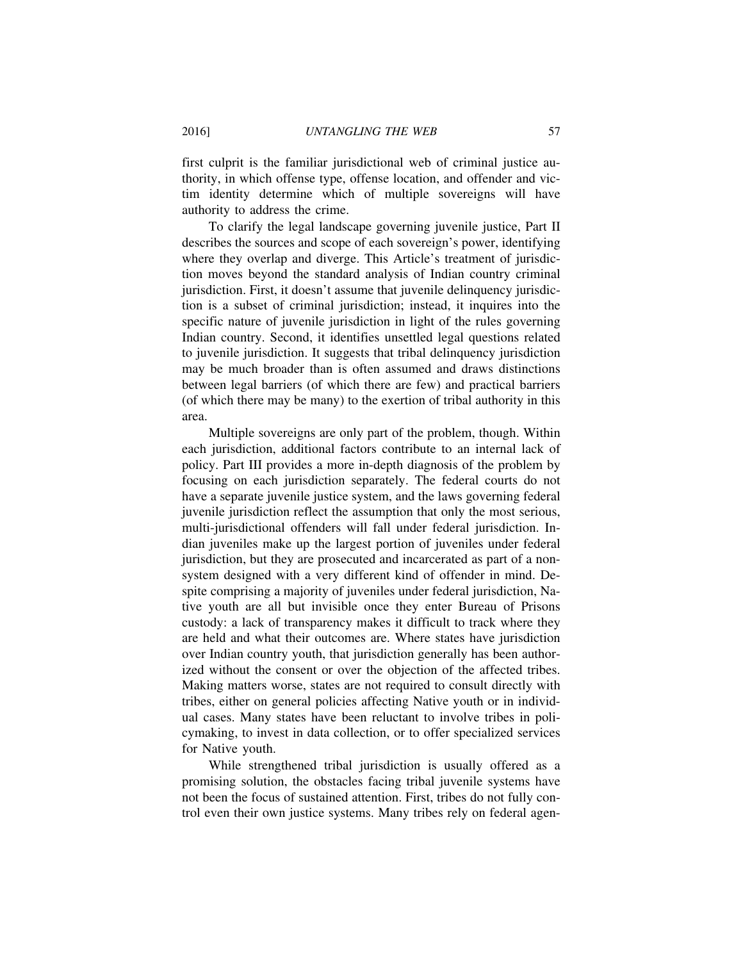first culprit is the familiar jurisdictional web of criminal justice authority, in which offense type, offense location, and offender and victim identity determine which of multiple sovereigns will have authority to address the crime.

To clarify the legal landscape governing juvenile justice, Part II describes the sources and scope of each sovereign's power, identifying where they overlap and diverge. This Article's treatment of jurisdiction moves beyond the standard analysis of Indian country criminal jurisdiction. First, it doesn't assume that juvenile delinquency jurisdiction is a subset of criminal jurisdiction; instead, it inquires into the specific nature of juvenile jurisdiction in light of the rules governing Indian country. Second, it identifies unsettled legal questions related to juvenile jurisdiction. It suggests that tribal delinquency jurisdiction may be much broader than is often assumed and draws distinctions between legal barriers (of which there are few) and practical barriers (of which there may be many) to the exertion of tribal authority in this area.

Multiple sovereigns are only part of the problem, though. Within each jurisdiction, additional factors contribute to an internal lack of policy. Part III provides a more in-depth diagnosis of the problem by focusing on each jurisdiction separately. The federal courts do not have a separate juvenile justice system, and the laws governing federal juvenile jurisdiction reflect the assumption that only the most serious, multi-jurisdictional offenders will fall under federal jurisdiction. Indian juveniles make up the largest portion of juveniles under federal jurisdiction, but they are prosecuted and incarcerated as part of a nonsystem designed with a very different kind of offender in mind. Despite comprising a majority of juveniles under federal jurisdiction, Native youth are all but invisible once they enter Bureau of Prisons custody: a lack of transparency makes it difficult to track where they are held and what their outcomes are. Where states have jurisdiction over Indian country youth, that jurisdiction generally has been authorized without the consent or over the objection of the affected tribes. Making matters worse, states are not required to consult directly with tribes, either on general policies affecting Native youth or in individual cases. Many states have been reluctant to involve tribes in policymaking, to invest in data collection, or to offer specialized services for Native youth.

While strengthened tribal jurisdiction is usually offered as a promising solution, the obstacles facing tribal juvenile systems have not been the focus of sustained attention. First, tribes do not fully control even their own justice systems. Many tribes rely on federal agen-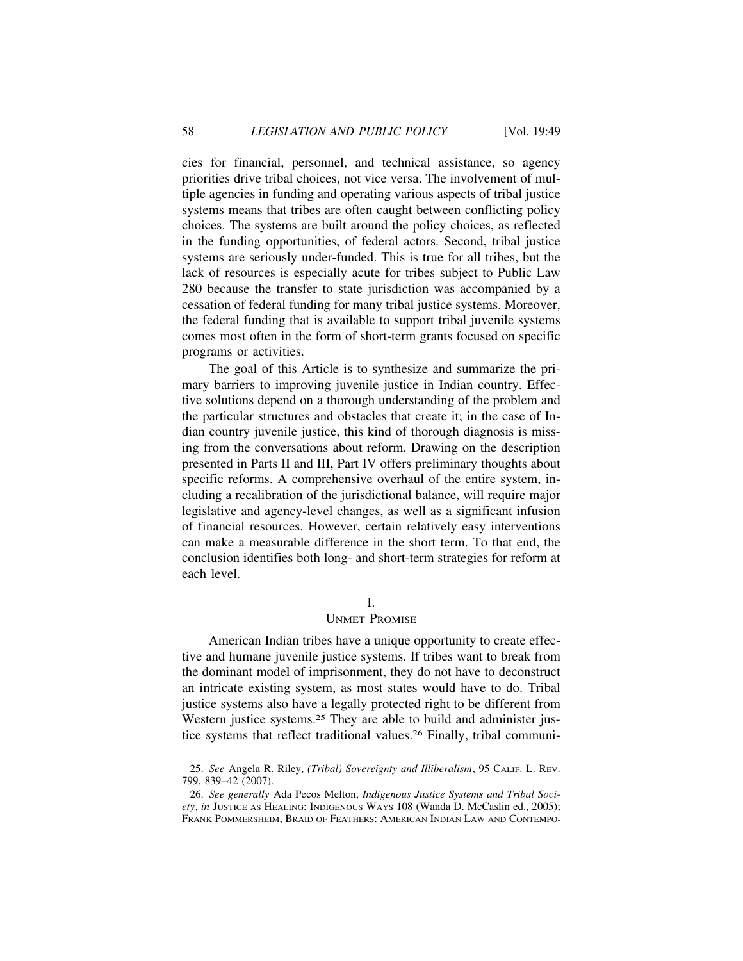cies for financial, personnel, and technical assistance, so agency priorities drive tribal choices, not vice versa. The involvement of multiple agencies in funding and operating various aspects of tribal justice systems means that tribes are often caught between conflicting policy choices. The systems are built around the policy choices, as reflected in the funding opportunities, of federal actors. Second, tribal justice systems are seriously under-funded. This is true for all tribes, but the lack of resources is especially acute for tribes subject to Public Law 280 because the transfer to state jurisdiction was accompanied by a cessation of federal funding for many tribal justice systems. Moreover, the federal funding that is available to support tribal juvenile systems comes most often in the form of short-term grants focused on specific programs or activities.

The goal of this Article is to synthesize and summarize the primary barriers to improving juvenile justice in Indian country. Effective solutions depend on a thorough understanding of the problem and the particular structures and obstacles that create it; in the case of Indian country juvenile justice, this kind of thorough diagnosis is missing from the conversations about reform. Drawing on the description presented in Parts II and III, Part IV offers preliminary thoughts about specific reforms. A comprehensive overhaul of the entire system, including a recalibration of the jurisdictional balance, will require major legislative and agency-level changes, as well as a significant infusion of financial resources. However, certain relatively easy interventions can make a measurable difference in the short term. To that end, the conclusion identifies both long- and short-term strategies for reform at each level.

# I.

## UNMET PROMISE

American Indian tribes have a unique opportunity to create effective and humane juvenile justice systems. If tribes want to break from the dominant model of imprisonment, they do not have to deconstruct an intricate existing system, as most states would have to do. Tribal justice systems also have a legally protected right to be different from Western justice systems.25 They are able to build and administer justice systems that reflect traditional values.26 Finally, tribal communi-

<sup>25.</sup> *See* Angela R. Riley, *(Tribal) Sovereignty and Illiberalism*, 95 CALIF. L. REV. 799, 839–42 (2007).

<sup>26.</sup> *See generally* Ada Pecos Melton, *Indigenous Justice Systems and Tribal Society*, *in* JUSTICE AS HEALING: INDIGENOUS WAYS 108 (Wanda D. McCaslin ed., 2005); FRANK POMMERSHEIM, BRAID OF FEATHERS: AMERICAN INDIAN LAW AND CONTEMPO-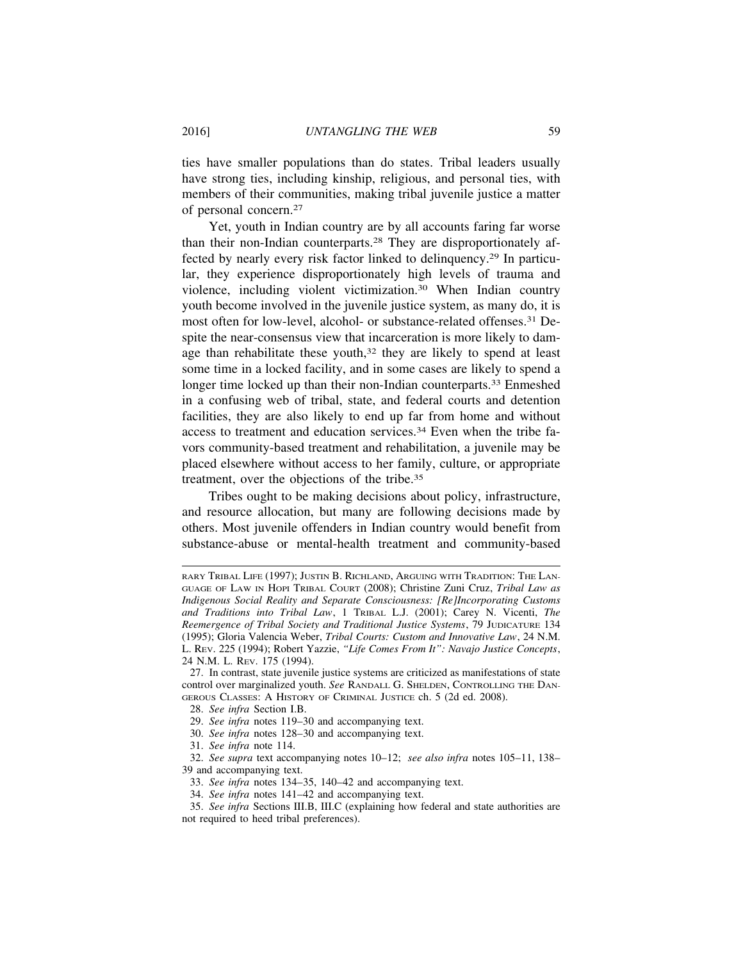ties have smaller populations than do states. Tribal leaders usually have strong ties, including kinship, religious, and personal ties, with members of their communities, making tribal juvenile justice a matter of personal concern.27

Yet, youth in Indian country are by all accounts faring far worse than their non-Indian counterparts.28 They are disproportionately affected by nearly every risk factor linked to delinquency.29 In particular, they experience disproportionately high levels of trauma and violence, including violent victimization.30 When Indian country youth become involved in the juvenile justice system, as many do, it is most often for low-level, alcohol- or substance-related offenses.31 Despite the near-consensus view that incarceration is more likely to damage than rehabilitate these youth,<sup>32</sup> they are likely to spend at least some time in a locked facility, and in some cases are likely to spend a longer time locked up than their non-Indian counterparts.<sup>33</sup> Enmeshed in a confusing web of tribal, state, and federal courts and detention facilities, they are also likely to end up far from home and without access to treatment and education services.34 Even when the tribe favors community-based treatment and rehabilitation, a juvenile may be placed elsewhere without access to her family, culture, or appropriate treatment, over the objections of the tribe.35

Tribes ought to be making decisions about policy, infrastructure, and resource allocation, but many are following decisions made by others. Most juvenile offenders in Indian country would benefit from substance-abuse or mental-health treatment and community-based

28. *See infra* Section I.B.

29. *See infra* notes 119–30 and accompanying text.

30. *See infra* notes 128–30 and accompanying text.

31. *See infra* note 114.

RARY TRIBAL LIFE (1997); JUSTIN B. RICHLAND, ARGUING WITH TRADITION: THE LAN-GUAGE OF LAW IN HOPI TRIBAL COURT (2008); Christine Zuni Cruz, *Tribal Law as Indigenous Social Reality and Separate Consciousness: [Re]Incorporating Customs and Traditions into Tribal Law*, 1 TRIBAL L.J. (2001); Carey N. Vicenti, *The Reemergence of Tribal Society and Traditional Justice Systems*, 79 JUDICATURE 134 (1995); Gloria Valencia Weber, *Tribal Courts: Custom and Innovative Law*, 24 N.M. L. REV. 225 (1994); Robert Yazzie, *"Life Comes From It": Navajo Justice Concepts*, 24 N.M. L. REV. 175 (1994).

<sup>27.</sup> In contrast, state juvenile justice systems are criticized as manifestations of state control over marginalized youth. *See* RANDALL G. SHELDEN, CONTROLLING THE DAN-GEROUS CLASSES: A HISTORY OF CRIMINAL JUSTICE ch. 5 (2d ed. 2008).

<sup>32.</sup> *See supra* text accompanying notes 10–12; *see also infra* notes 105–11, 138– 39 and accompanying text.

<sup>33.</sup> *See infra* notes 134–35, 140–42 and accompanying text.

<sup>34.</sup> *See infra* notes 141–42 and accompanying text.

<sup>35.</sup> *See infra* Sections III.B, III.C (explaining how federal and state authorities are not required to heed tribal preferences).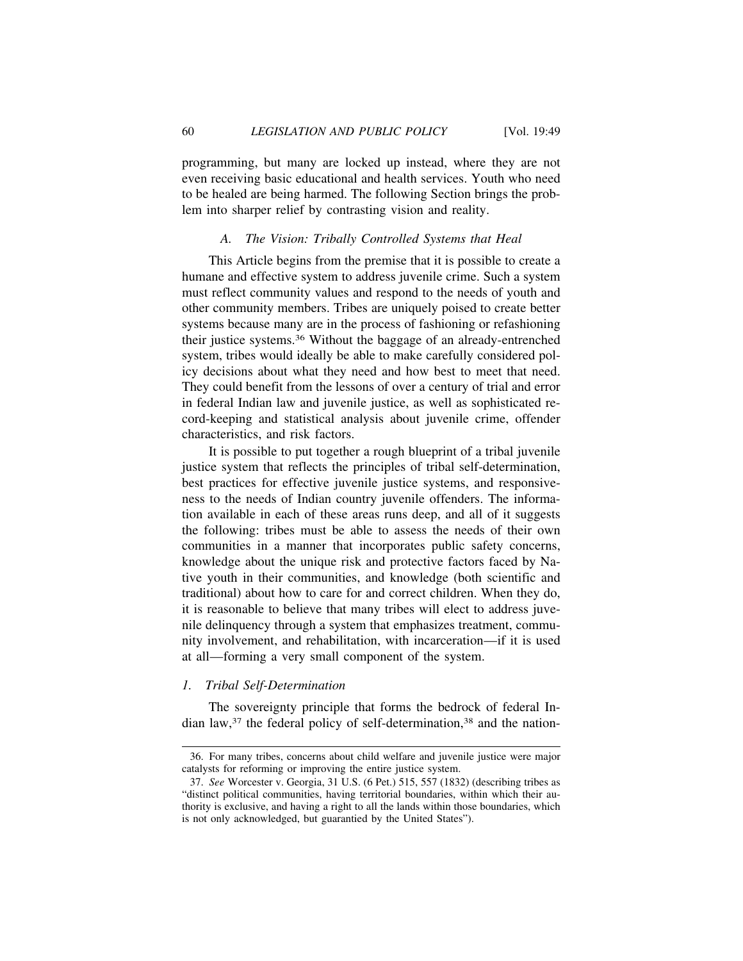programming, but many are locked up instead, where they are not even receiving basic educational and health services. Youth who need to be healed are being harmed. The following Section brings the problem into sharper relief by contrasting vision and reality.

## *A. The Vision: Tribally Controlled Systems that Heal*

This Article begins from the premise that it is possible to create a humane and effective system to address juvenile crime. Such a system must reflect community values and respond to the needs of youth and other community members. Tribes are uniquely poised to create better systems because many are in the process of fashioning or refashioning their justice systems.36 Without the baggage of an already-entrenched system, tribes would ideally be able to make carefully considered policy decisions about what they need and how best to meet that need. They could benefit from the lessons of over a century of trial and error in federal Indian law and juvenile justice, as well as sophisticated record-keeping and statistical analysis about juvenile crime, offender characteristics, and risk factors.

It is possible to put together a rough blueprint of a tribal juvenile justice system that reflects the principles of tribal self-determination, best practices for effective juvenile justice systems, and responsiveness to the needs of Indian country juvenile offenders. The information available in each of these areas runs deep, and all of it suggests the following: tribes must be able to assess the needs of their own communities in a manner that incorporates public safety concerns, knowledge about the unique risk and protective factors faced by Native youth in their communities, and knowledge (both scientific and traditional) about how to care for and correct children. When they do, it is reasonable to believe that many tribes will elect to address juvenile delinquency through a system that emphasizes treatment, community involvement, and rehabilitation, with incarceration—if it is used at all—forming a very small component of the system.

## *1. Tribal Self-Determination*

The sovereignty principle that forms the bedrock of federal Indian law,<sup>37</sup> the federal policy of self-determination,<sup>38</sup> and the nation-

<sup>36.</sup> For many tribes, concerns about child welfare and juvenile justice were major catalysts for reforming or improving the entire justice system.

<sup>37.</sup> *See* Worcester v. Georgia, 31 U.S. (6 Pet.) 515, 557 (1832) (describing tribes as "distinct political communities, having territorial boundaries, within which their authority is exclusive, and having a right to all the lands within those boundaries, which is not only acknowledged, but guarantied by the United States").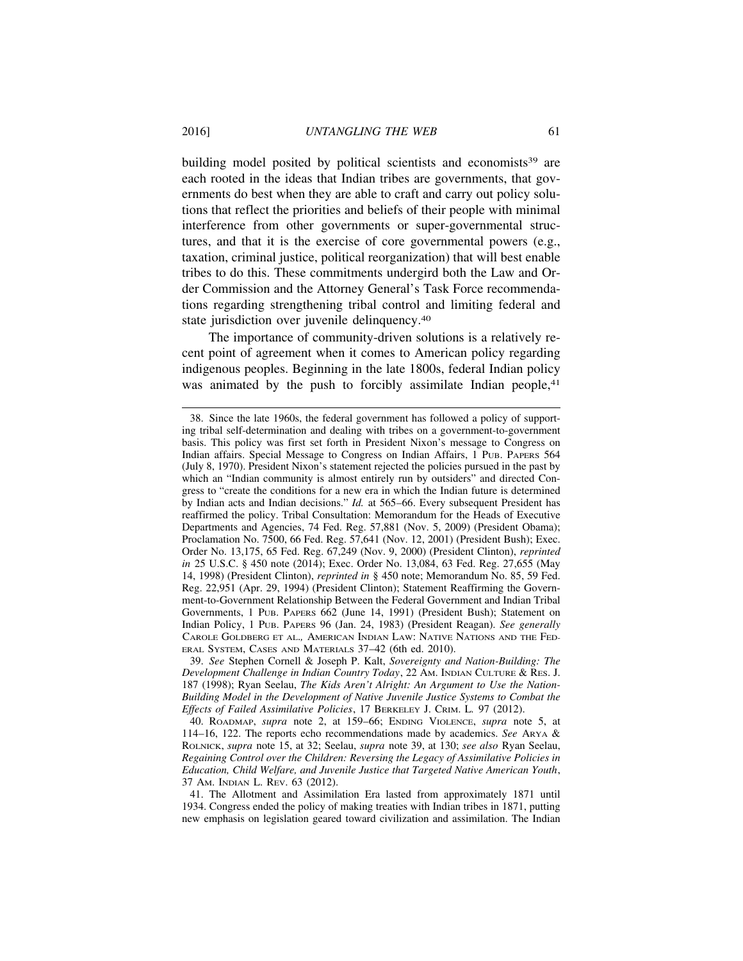building model posited by political scientists and economists<sup>39</sup> are each rooted in the ideas that Indian tribes are governments, that governments do best when they are able to craft and carry out policy solutions that reflect the priorities and beliefs of their people with minimal interference from other governments or super-governmental structures, and that it is the exercise of core governmental powers (e.g., taxation, criminal justice, political reorganization) that will best enable tribes to do this. These commitments undergird both the Law and Order Commission and the Attorney General's Task Force recommendations regarding strengthening tribal control and limiting federal and state jurisdiction over juvenile delinquency.40

The importance of community-driven solutions is a relatively recent point of agreement when it comes to American policy regarding indigenous peoples. Beginning in the late 1800s, federal Indian policy was animated by the push to forcibly assimilate Indian people,<sup>41</sup>

39. *See* Stephen Cornell & Joseph P. Kalt, *Sovereignty and Nation-Building: The Development Challenge in Indian Country Today*, 22 AM. INDIAN CULTURE & RES. J. 187 (1998); Ryan Seelau, *The Kids Aren't Alright: An Argument to Use the Nation-Building Model in the Development of Native Juvenile Justice Systems to Combat the Effects of Failed Assimilative Policies*, 17 BERKELEY J. CRIM. L*.* 97 (2012).

<sup>38.</sup> Since the late 1960s, the federal government has followed a policy of supporting tribal self-determination and dealing with tribes on a government-to-government basis. This policy was first set forth in President Nixon's message to Congress on Indian affairs. Special Message to Congress on Indian Affairs, 1 PUB. PAPERS 564 (July 8, 1970). President Nixon's statement rejected the policies pursued in the past by which an "Indian community is almost entirely run by outsiders" and directed Congress to "create the conditions for a new era in which the Indian future is determined by Indian acts and Indian decisions." *Id.* at 565–66. Every subsequent President has reaffirmed the policy. Tribal Consultation: Memorandum for the Heads of Executive Departments and Agencies, 74 Fed. Reg. 57,881 (Nov. 5, 2009) (President Obama); Proclamation No. 7500, 66 Fed. Reg. 57,641 (Nov. 12, 2001) (President Bush); Exec. Order No. 13,175, 65 Fed. Reg. 67,249 (Nov. 9, 2000) (President Clinton), *reprinted in* 25 U.S.C. § 450 note (2014); Exec. Order No. 13,084, 63 Fed. Reg. 27,655 (May 14, 1998) (President Clinton), *reprinted in* § 450 note; Memorandum No. 85, 59 Fed. Reg. 22,951 (Apr. 29, 1994) (President Clinton); Statement Reaffirming the Government-to-Government Relationship Between the Federal Government and Indian Tribal Governments, 1 PUB. PAPERS 662 (June 14, 1991) (President Bush); Statement on Indian Policy, 1 PUB. PAPERS 96 (Jan. 24, 1983) (President Reagan). *See generally* CAROLE GOLDBERG ET AL.*,* AMERICAN INDIAN LAW: NATIVE NATIONS AND THE FED-ERAL SYSTEM, CASES AND MATERIALS 37–42 (6th ed. 2010).

<sup>40.</sup> ROADMAP, *supra* note 2, at 159–66; ENDING VIOLENCE, *supra* note 5, at 114–16, 122. The reports echo recommendations made by academics. *See* ARYA & ROLNICK, *supra* note 15, at 32; Seelau, *supra* note 39, at 130; *see also* Ryan Seelau, *Regaining Control over the Children: Reversing the Legacy of Assimilative Policies in Education, Child Welfare, and Juvenile Justice that Targeted Native American Youth*, 37 AM. INDIAN L. REV. 63 (2012).

<sup>41.</sup> The Allotment and Assimilation Era lasted from approximately 1871 until 1934. Congress ended the policy of making treaties with Indian tribes in 1871, putting new emphasis on legislation geared toward civilization and assimilation. The Indian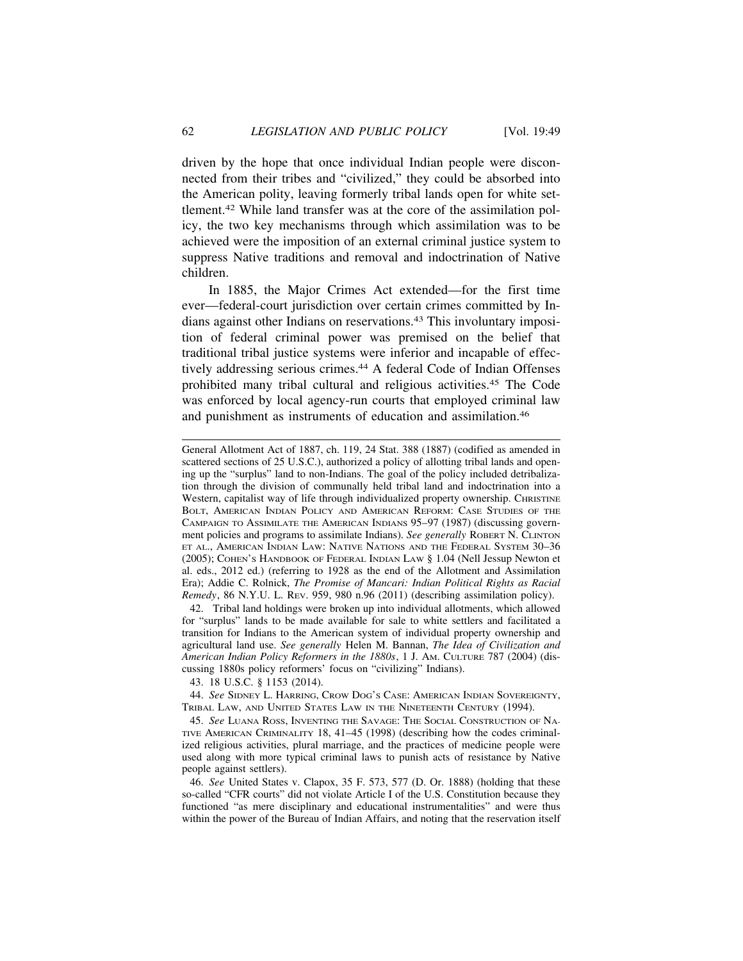driven by the hope that once individual Indian people were disconnected from their tribes and "civilized," they could be absorbed into the American polity, leaving formerly tribal lands open for white settlement.42 While land transfer was at the core of the assimilation policy, the two key mechanisms through which assimilation was to be achieved were the imposition of an external criminal justice system to suppress Native traditions and removal and indoctrination of Native children.

In 1885, the Major Crimes Act extended—for the first time ever—federal-court jurisdiction over certain crimes committed by Indians against other Indians on reservations.43 This involuntary imposition of federal criminal power was premised on the belief that traditional tribal justice systems were inferior and incapable of effectively addressing serious crimes.44 A federal Code of Indian Offenses prohibited many tribal cultural and religious activities.45 The Code was enforced by local agency-run courts that employed criminal law and punishment as instruments of education and assimilation.46

General Allotment Act of 1887, ch. 119, 24 Stat. 388 (1887) (codified as amended in scattered sections of 25 U.S.C.), authorized a policy of allotting tribal lands and opening up the "surplus" land to non-Indians. The goal of the policy included detribalization through the division of communally held tribal land and indoctrination into a Western, capitalist way of life through individualized property ownership. CHRISTINE BOLT, AMERICAN INDIAN POLICY AND AMERICAN REFORM: CASE STUDIES OF THE CAMPAIGN TO ASSIMILATE THE AMERICAN INDIANS 95–97 (1987) (discussing government policies and programs to assimilate Indians). *See generally* ROBERT N. CLINTON ET AL., AMERICAN INDIAN LAW: NATIVE NATIONS AND THE FEDERAL SYSTEM 30–36 (2005); COHEN'S HANDBOOK OF FEDERAL INDIAN LAW § 1.04 (Nell Jessup Newton et al. eds., 2012 ed.) (referring to 1928 as the end of the Allotment and Assimilation Era); Addie C. Rolnick, *The Promise of Mancari: Indian Political Rights as Racial Remedy*, 86 N.Y.U. L. REV. 959, 980 n.96 (2011) (describing assimilation policy).

42. Tribal land holdings were broken up into individual allotments, which allowed for "surplus" lands to be made available for sale to white settlers and facilitated a transition for Indians to the American system of individual property ownership and agricultural land use. *See generally* Helen M. Bannan, *The Idea of Civilization and American Indian Policy Reformers in the 1880s*, 1 J. AM. CULTURE 787 (2004) (discussing 1880s policy reformers' focus on "civilizing" Indians).

43. 18 U.S.C. § 1153 (2014).

44. *See* SIDNEY L. HARRING, CROW DOG'S CASE: AMERICAN INDIAN SOVEREIGNTY, TRIBAL LAW, AND UNITED STATES LAW IN THE NINETEENTH CENTURY (1994).

45. *See* LUANA ROSS, INVENTING THE SAVAGE: THE SOCIAL CONSTRUCTION OF NA-TIVE AMERICAN CRIMINALITY 18, 41–45 (1998) (describing how the codes criminalized religious activities, plural marriage, and the practices of medicine people were used along with more typical criminal laws to punish acts of resistance by Native people against settlers).

46. *See* United States v. Clapox, 35 F. 573, 577 (D. Or. 1888) (holding that these so-called "CFR courts" did not violate Article I of the U.S. Constitution because they functioned "as mere disciplinary and educational instrumentalities" and were thus within the power of the Bureau of Indian Affairs, and noting that the reservation itself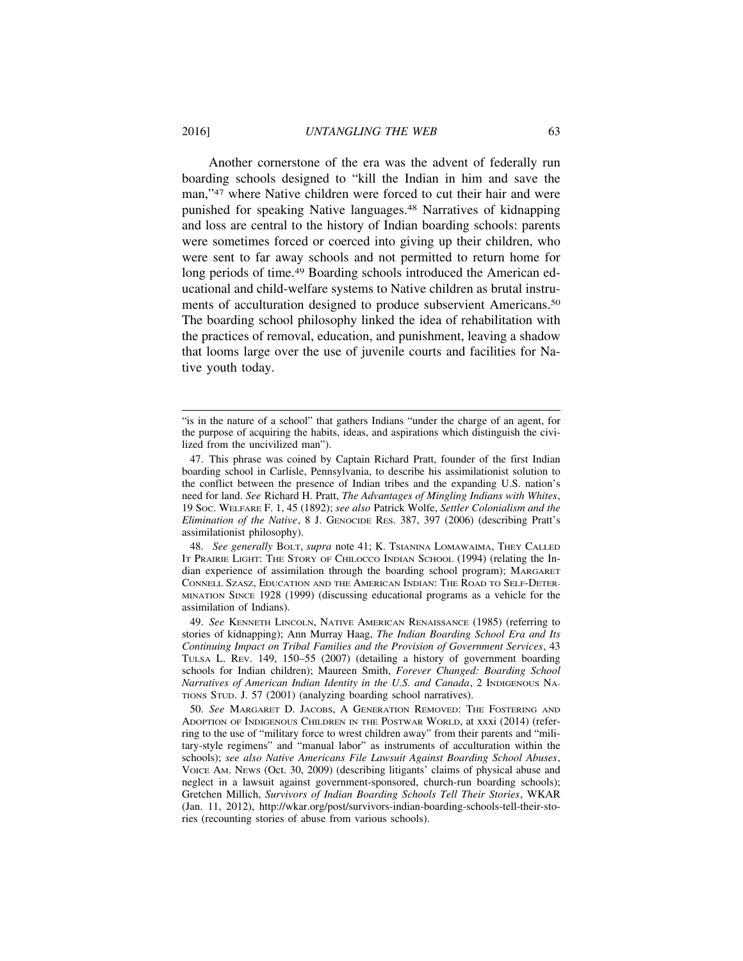Another cornerstone of the era was the advent of federally run boarding schools designed to "kill the Indian in him and save the man,"47 where Native children were forced to cut their hair and were punished for speaking Native languages.48 Narratives of kidnapping and loss are central to the history of Indian boarding schools: parents were sometimes forced or coerced into giving up their children, who were sent to far away schools and not permitted to return home for long periods of time.<sup>49</sup> Boarding schools introduced the American educational and child-welfare systems to Native children as brutal instruments of acculturation designed to produce subservient Americans.50 The boarding school philosophy linked the idea of rehabilitation with the practices of removal, education, and punishment, leaving a shadow that looms large over the use of juvenile courts and facilities for Native youth today.

48. *See generally* BOLT, *supra* note 41; K. TSIANINA LOMAWAIMA, THEY CALLED IT PRAIRIE LIGHT: THE STORY OF CHILOCCO INDIAN SCHOOL (1994) (relating the Indian experience of assimilation through the boarding school program); MARGARET CONNELL SZASZ, EDUCATION AND THE AMERICAN INDIAN: THE ROAD TO SELF-DETER-MINATION SINCE 1928 (1999) (discussing educational programs as a vehicle for the assimilation of Indians).

49. *See* KENNETH LINCOLN, NATIVE AMERICAN RENAISSANCE (1985) (referring to stories of kidnapping); Ann Murray Haag, *The Indian Boarding School Era and Its Continuing Impact on Tribal Families and the Provision of Government Services*, 43 TULSA L. REV. 149, 150–55 (2007) (detailing a history of government boarding schools for Indian children); Maureen Smith, *Forever Changed: Boarding School Narratives of American Indian Identity in the U.S. and Canada, 2 INDIGENOUS NA-*TIONS STUD. J. 57 (2001) (analyzing boarding school narratives).

50. *See* MARGARET D. JACOBS, A GENERATION REMOVED: THE FOSTERING AND ADOPTION OF INDIGENOUS CHILDREN IN THE POSTWAR WORLD, at xxxi (2014) (referring to the use of "military force to wrest children away" from their parents and "military-style regimens" and "manual labor" as instruments of acculturation within the schools); *see also Native Americans File Lawsuit Against Boarding School Abuses*, VOICE AM. NEWS (Oct. 30, 2009) (describing litigants' claims of physical abuse and neglect in a lawsuit against government-sponsored, church-run boarding schools); Gretchen Millich, *Survivors of Indian Boarding Schools Tell Their Stories*, WKAR (Jan. 11, 2012), http://wkar.org/post/survivors-indian-boarding-schools-tell-their-stories (recounting stories of abuse from various schools).

<sup>&</sup>quot;is in the nature of a school" that gathers Indians "under the charge of an agent, for the purpose of acquiring the habits, ideas, and aspirations which distinguish the civilized from the uncivilized man").

<sup>47.</sup> This phrase was coined by Captain Richard Pratt, founder of the first Indian boarding school in Carlisle, Pennsylvania, to describe his assimilationist solution to the conflict between the presence of Indian tribes and the expanding U.S. nation's need for land. *See* Richard H. Pratt, *The Advantages of Mingling Indians with Whites*, 19 SOC. WELFARE F. 1, 45 (1892); *see also* Patrick Wolfe, *Settler Colonialism and the Elimination of the Native*, 8 J. GENOCIDE RES. 387, 397 (2006) (describing Pratt's assimilationist philosophy).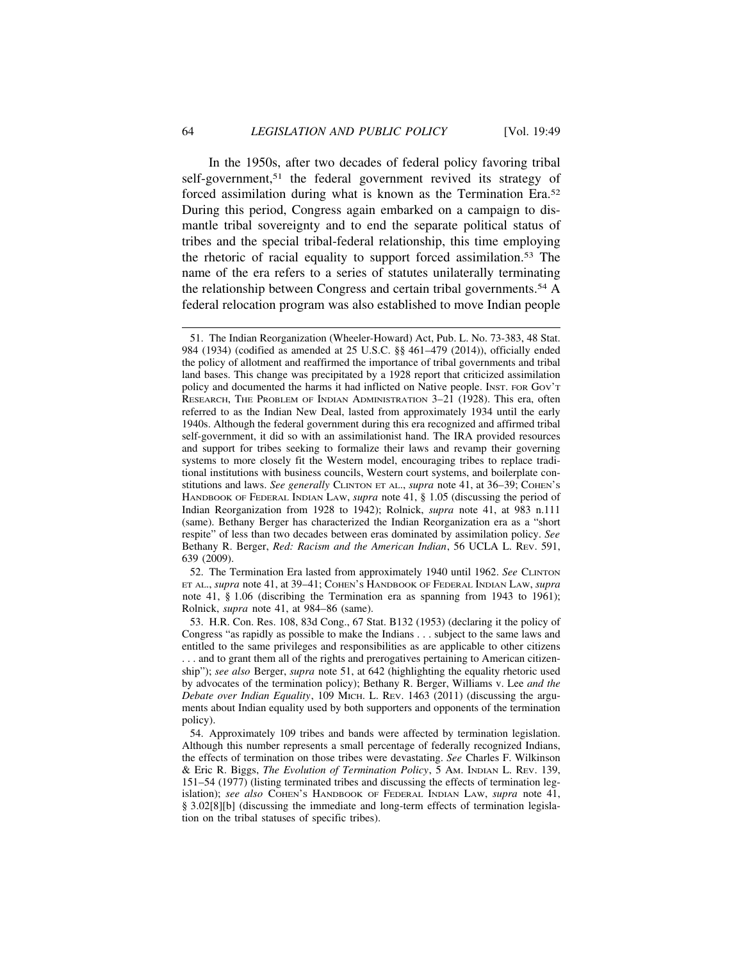In the 1950s, after two decades of federal policy favoring tribal self-government,<sup>51</sup> the federal government revived its strategy of forced assimilation during what is known as the Termination Era.<sup>52</sup> During this period, Congress again embarked on a campaign to dismantle tribal sovereignty and to end the separate political status of tribes and the special tribal-federal relationship, this time employing the rhetoric of racial equality to support forced assimilation.53 The name of the era refers to a series of statutes unilaterally terminating the relationship between Congress and certain tribal governments.54 A federal relocation program was also established to move Indian people

51. The Indian Reorganization (Wheeler-Howard) Act, Pub. L. No. 73-383, 48 Stat. 984 (1934) (codified as amended at 25 U.S.C. §§ 461–479 (2014)), officially ended the policy of allotment and reaffirmed the importance of tribal governments and tribal land bases. This change was precipitated by a 1928 report that criticized assimilation policy and documented the harms it had inflicted on Native people. INST. FOR GOV'T RESEARCH, THE PROBLEM OF INDIAN ADMINISTRATION 3–21 (1928). This era, often referred to as the Indian New Deal, lasted from approximately 1934 until the early 1940s. Although the federal government during this era recognized and affirmed tribal self-government, it did so with an assimilationist hand. The IRA provided resources and support for tribes seeking to formalize their laws and revamp their governing systems to more closely fit the Western model, encouraging tribes to replace traditional institutions with business councils, Western court systems, and boilerplate constitutions and laws. *See generally* CLINTON ET AL., *supra* note 41, at 36–39; COHEN'S HANDBOOK OF FEDERAL INDIAN LAW, *supra* note 41, § 1.05 (discussing the period of Indian Reorganization from 1928 to 1942); Rolnick, *supra* note 41, at 983 n.111 (same). Bethany Berger has characterized the Indian Reorganization era as a "short respite" of less than two decades between eras dominated by assimilation policy. *See* Bethany R. Berger, *Red: Racism and the American Indian*, 56 UCLA L. REV. 591, 639 (2009).

52. The Termination Era lasted from approximately 1940 until 1962. *See* CLINTON ET AL., *supra* note 41, at 39–41; COHEN'S HANDBOOK OF FEDERAL INDIAN LAW, *supra* note 41, § 1.06 (discribing the Termination era as spanning from 1943 to 1961); Rolnick, *supra* note 41, at 984–86 (same).

53. H.R. Con. Res. 108, 83d Cong., 67 Stat. B132 (1953) (declaring it the policy of Congress "as rapidly as possible to make the Indians . . . subject to the same laws and entitled to the same privileges and responsibilities as are applicable to other citizens . . . and to grant them all of the rights and prerogatives pertaining to American citizenship"); *see also* Berger, *supra* note 51, at 642 (highlighting the equality rhetoric used by advocates of the termination policy); Bethany R. Berger, Williams v. Lee *and the Debate over Indian Equality*, 109 MICH. L. REV. 1463 (2011) (discussing the arguments about Indian equality used by both supporters and opponents of the termination policy).

54. Approximately 109 tribes and bands were affected by termination legislation. Although this number represents a small percentage of federally recognized Indians, the effects of termination on those tribes were devastating. *See* Charles F. Wilkinson & Eric R. Biggs, *The Evolution of Termination Policy*, 5 AM. INDIAN L. REV. 139, 151–54 (1977) (listing terminated tribes and discussing the effects of termination legislation); *see also* COHEN'S HANDBOOK OF FEDERAL INDIAN LAW, *supra* note 41, § 3.02[8][b] (discussing the immediate and long-term effects of termination legislation on the tribal statuses of specific tribes).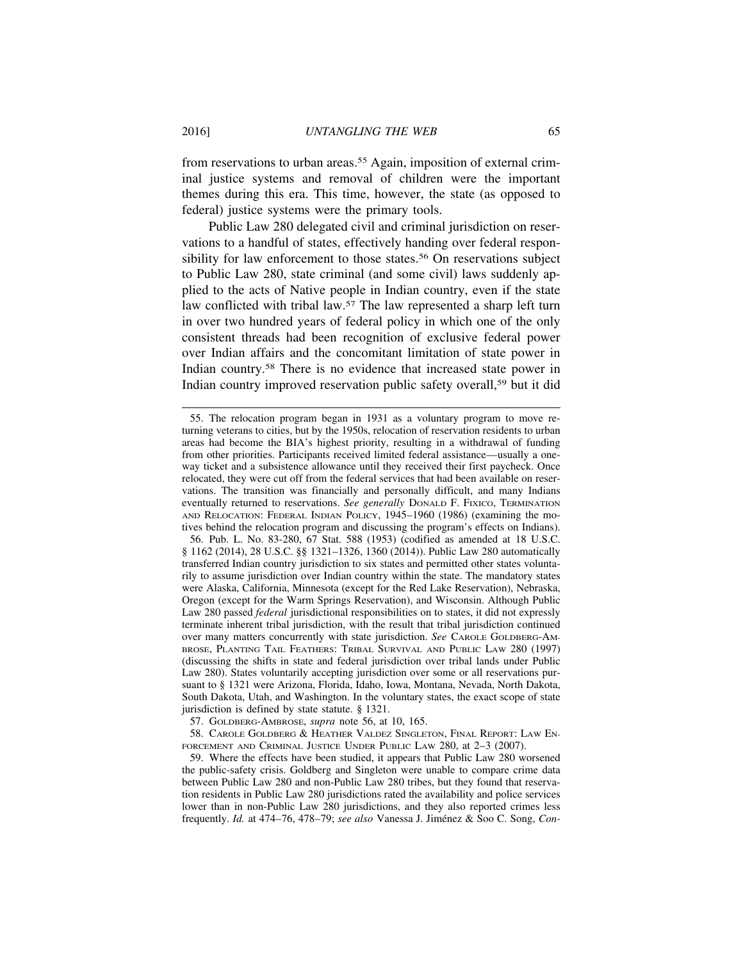from reservations to urban areas.55 Again, imposition of external criminal justice systems and removal of children were the important themes during this era. This time, however, the state (as opposed to federal) justice systems were the primary tools.

Public Law 280 delegated civil and criminal jurisdiction on reservations to a handful of states, effectively handing over federal responsibility for law enforcement to those states.<sup>56</sup> On reservations subject to Public Law 280, state criminal (and some civil) laws suddenly applied to the acts of Native people in Indian country, even if the state law conflicted with tribal law.57 The law represented a sharp left turn in over two hundred years of federal policy in which one of the only consistent threads had been recognition of exclusive federal power over Indian affairs and the concomitant limitation of state power in Indian country.58 There is no evidence that increased state power in Indian country improved reservation public safety overall,59 but it did

56. Pub. L. No. 83-280, 67 Stat. 588 (1953) (codified as amended at 18 U.S.C. § 1162 (2014), 28 U.S.C. §§ 1321–1326, 1360 (2014)). Public Law 280 automatically transferred Indian country jurisdiction to six states and permitted other states voluntarily to assume jurisdiction over Indian country within the state. The mandatory states were Alaska, California, Minnesota (except for the Red Lake Reservation), Nebraska, Oregon (except for the Warm Springs Reservation), and Wisconsin. Although Public Law 280 passed *federal* jurisdictional responsibilities on to states, it did not expressly terminate inherent tribal jurisdiction, with the result that tribal jurisdiction continued over many matters concurrently with state jurisdiction. *See* CAROLE GOLDBERG-AM-BROSE, PLANTING TAIL FEATHERS: TRIBAL SURVIVAL AND PUBLIC LAW 280 (1997) (discussing the shifts in state and federal jurisdiction over tribal lands under Public Law 280). States voluntarily accepting jurisdiction over some or all reservations pursuant to § 1321 were Arizona, Florida, Idaho, Iowa, Montana, Nevada, North Dakota, South Dakota, Utah, and Washington. In the voluntary states, the exact scope of state jurisdiction is defined by state statute. § 1321.

57. GOLDBERG-AMBROSE, *supra* note 56, at 10, 165.

58. CAROLE GOLDBERG & HEATHER VALDEZ SINGLETON, FINAL REPORT: LAW EN-FORCEMENT AND CRIMINAL JUSTICE UNDER PUBLIC LAW 280, at 2-3 (2007).

59. Where the effects have been studied, it appears that Public Law 280 worsened the public-safety crisis. Goldberg and Singleton were unable to compare crime data between Public Law 280 and non-Public Law 280 tribes, but they found that reservation residents in Public Law 280 jurisdictions rated the availability and police services lower than in non-Public Law 280 jurisdictions, and they also reported crimes less frequently. *Id.* at 474–76, 478–79; see also Vanessa J. Jiménez & Soo C. Song, *Con-*

<sup>55.</sup> The relocation program began in 1931 as a voluntary program to move returning veterans to cities, but by the 1950s, relocation of reservation residents to urban areas had become the BIA's highest priority, resulting in a withdrawal of funding from other priorities. Participants received limited federal assistance—usually a oneway ticket and a subsistence allowance until they received their first paycheck. Once relocated, they were cut off from the federal services that had been available on reservations. The transition was financially and personally difficult, and many Indians eventually returned to reservations. *See generally* DONALD F. FIXICO, TERMINATION AND RELOCATION: FEDERAL INDIAN POLICY, 1945–1960 (1986) (examining the motives behind the relocation program and discussing the program's effects on Indians).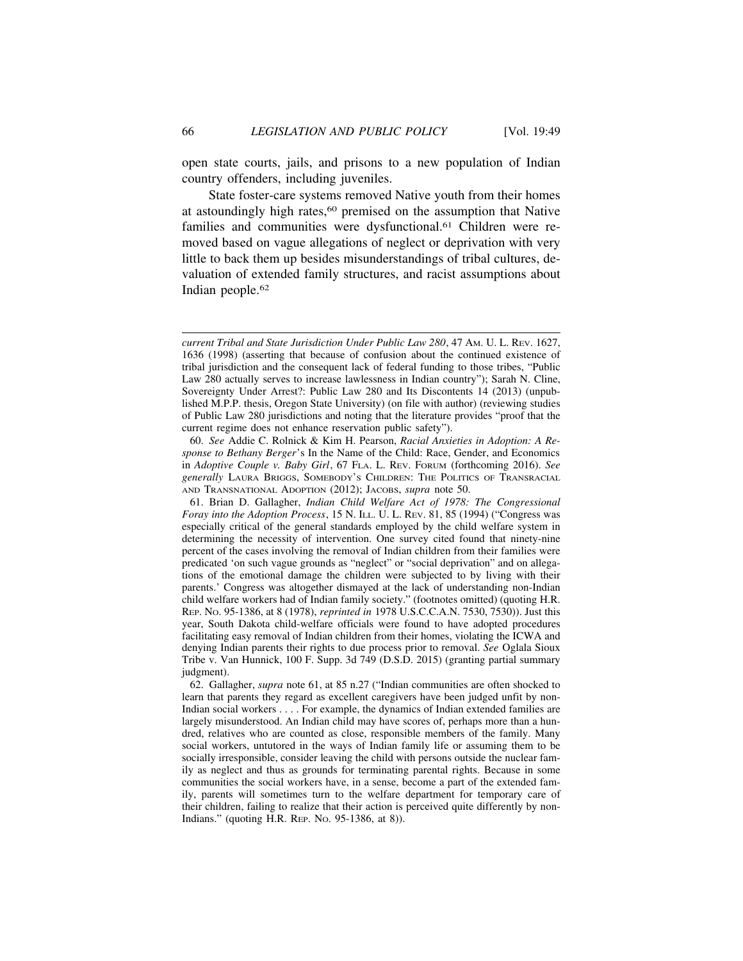open state courts, jails, and prisons to a new population of Indian country offenders, including juveniles.

State foster-care systems removed Native youth from their homes at astoundingly high rates,<sup>60</sup> premised on the assumption that Native families and communities were dysfunctional.<sup>61</sup> Children were removed based on vague allegations of neglect or deprivation with very little to back them up besides misunderstandings of tribal cultures, devaluation of extended family structures, and racist assumptions about Indian people.62

60. *See* Addie C. Rolnick & Kim H. Pearson, *Racial Anxieties in Adoption: A Response to Bethany Berger*'s In the Name of the Child: Race, Gender, and Economics in *Adoptive Couple v. Baby Girl*, 67 FLA. L. REV. FORUM (forthcoming 2016). *See generally* LAURA BRIGGS, SOMEBODY'S CHILDREN: THE POLITICS OF TRANSRACIAL AND TRANSNATIONAL ADOPTION (2012); JACOBS, *supra* note 50.

61. Brian D. Gallagher, *Indian Child Welfare Act of 1978: The Congressional Foray into the Adoption Process*, 15 N. ILL. U. L. REV. 81, 85 (1994) ("Congress was especially critical of the general standards employed by the child welfare system in determining the necessity of intervention. One survey cited found that ninety-nine percent of the cases involving the removal of Indian children from their families were predicated 'on such vague grounds as "neglect" or "social deprivation" and on allegations of the emotional damage the children were subjected to by living with their parents.' Congress was altogether dismayed at the lack of understanding non-Indian child welfare workers had of Indian family society." (footnotes omitted) (quoting H.R. REP. NO. 95-1386, at 8 (1978), *reprinted in* 1978 U.S.C.C.A.N. 7530, 7530)). Just this year, South Dakota child-welfare officials were found to have adopted procedures facilitating easy removal of Indian children from their homes, violating the ICWA and denying Indian parents their rights to due process prior to removal. *See* Oglala Sioux Tribe v. Van Hunnick, 100 F. Supp. 3d 749 (D.S.D. 2015) (granting partial summary judgment).

62. Gallagher, *supra* note 61, at 85 n.27 ("Indian communities are often shocked to learn that parents they regard as excellent caregivers have been judged unfit by non-Indian social workers . . . . For example, the dynamics of Indian extended families are largely misunderstood. An Indian child may have scores of, perhaps more than a hundred, relatives who are counted as close, responsible members of the family. Many social workers, untutored in the ways of Indian family life or assuming them to be socially irresponsible, consider leaving the child with persons outside the nuclear family as neglect and thus as grounds for terminating parental rights. Because in some communities the social workers have, in a sense, become a part of the extended family, parents will sometimes turn to the welfare department for temporary care of their children, failing to realize that their action is perceived quite differently by non-Indians." (quoting H.R. REP. NO. 95-1386, at 8)).

*current Tribal and State Jurisdiction Under Public Law 280*, 47 AM. U. L. REV. 1627, 1636 (1998) (asserting that because of confusion about the continued existence of tribal jurisdiction and the consequent lack of federal funding to those tribes, "Public Law 280 actually serves to increase lawlessness in Indian country"); Sarah N. Cline, Sovereignty Under Arrest?: Public Law 280 and Its Discontents 14 (2013) (unpublished M.P.P. thesis, Oregon State University) (on file with author) (reviewing studies of Public Law 280 jurisdictions and noting that the literature provides "proof that the current regime does not enhance reservation public safety").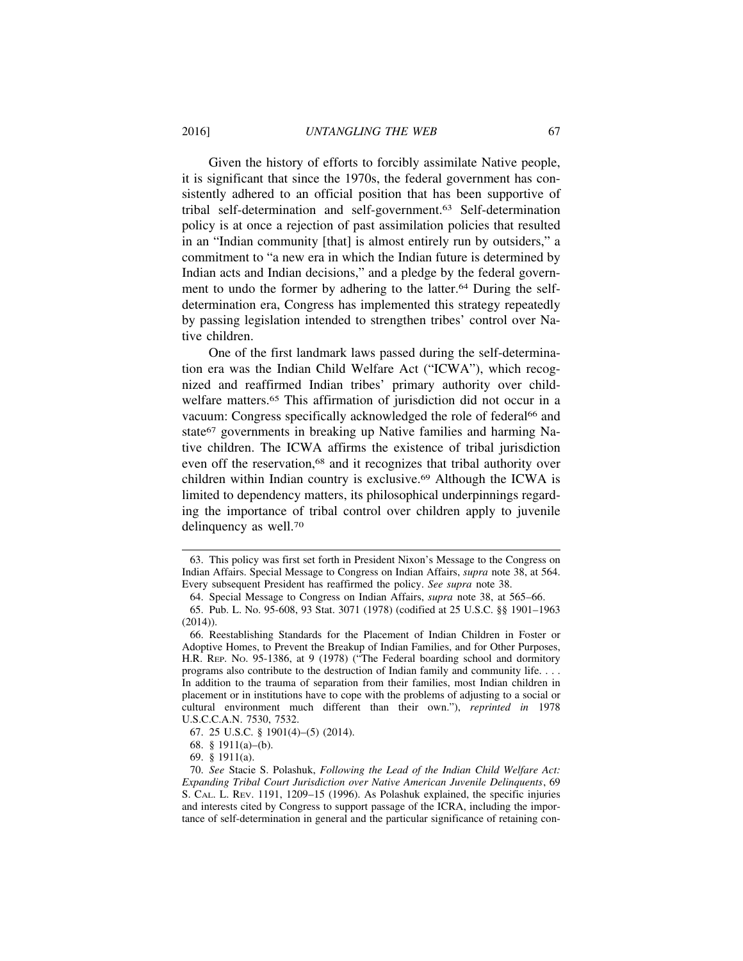Given the history of efforts to forcibly assimilate Native people, it is significant that since the 1970s, the federal government has consistently adhered to an official position that has been supportive of tribal self-determination and self-government.63 Self-determination policy is at once a rejection of past assimilation policies that resulted in an "Indian community [that] is almost entirely run by outsiders," a commitment to "a new era in which the Indian future is determined by Indian acts and Indian decisions," and a pledge by the federal government to undo the former by adhering to the latter.<sup>64</sup> During the selfdetermination era, Congress has implemented this strategy repeatedly by passing legislation intended to strengthen tribes' control over Native children.

One of the first landmark laws passed during the self-determination era was the Indian Child Welfare Act ("ICWA"), which recognized and reaffirmed Indian tribes' primary authority over childwelfare matters.<sup>65</sup> This affirmation of jurisdiction did not occur in a vacuum: Congress specifically acknowledged the role of federal<sup>66</sup> and state<sup>67</sup> governments in breaking up Native families and harming Native children. The ICWA affirms the existence of tribal jurisdiction even off the reservation,<sup>68</sup> and it recognizes that tribal authority over children within Indian country is exclusive.69 Although the ICWA is limited to dependency matters, its philosophical underpinnings regarding the importance of tribal control over children apply to juvenile delinquency as well.70

67. 25 U.S.C. § 1901(4)–(5) (2014).

68. § 1911(a)–(b).

69. § 1911(a).

<sup>63.</sup> This policy was first set forth in President Nixon's Message to the Congress on Indian Affairs. Special Message to Congress on Indian Affairs, *supra* note 38, at 564. Every subsequent President has reaffirmed the policy. *See supra* note 38.

<sup>64.</sup> Special Message to Congress on Indian Affairs, *supra* note 38, at 565–66.

<sup>65.</sup> Pub. L. No. 95-608, 93 Stat. 3071 (1978) (codified at 25 U.S.C. §§ 1901–1963 (2014)).

<sup>66.</sup> Reestablishing Standards for the Placement of Indian Children in Foster or Adoptive Homes, to Prevent the Breakup of Indian Families, and for Other Purposes, H.R. REP. NO. 95-1386, at 9 (1978) ("The Federal boarding school and dormitory programs also contribute to the destruction of Indian family and community life. . . . In addition to the trauma of separation from their families, most Indian children in placement or in institutions have to cope with the problems of adjusting to a social or cultural environment much different than their own."), *reprinted in* 1978 U.S.C.C.A.N. 7530, 7532.

<sup>70.</sup> *See* Stacie S. Polashuk, *Following the Lead of the Indian Child Welfare Act: Expanding Tribal Court Jurisdiction over Native American Juvenile Delinquents*, 69 S. CAL. L. REV. 1191, 1209–15 (1996). As Polashuk explained, the specific injuries and interests cited by Congress to support passage of the ICRA, including the importance of self-determination in general and the particular significance of retaining con-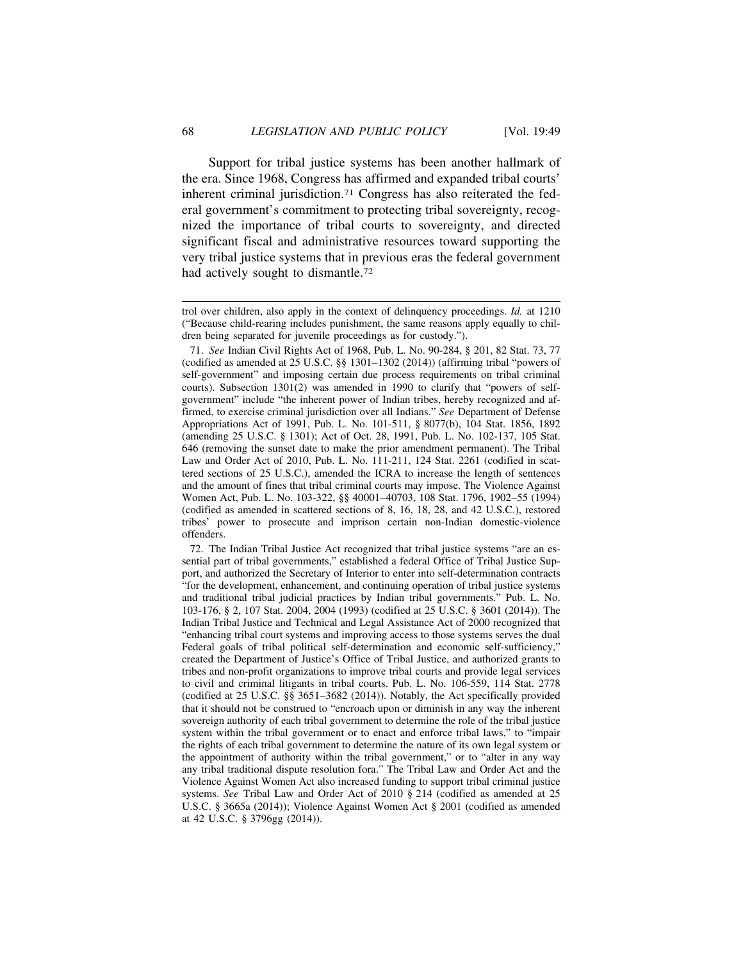Support for tribal justice systems has been another hallmark of the era. Since 1968, Congress has affirmed and expanded tribal courts' inherent criminal jurisdiction.71 Congress has also reiterated the federal government's commitment to protecting tribal sovereignty, recognized the importance of tribal courts to sovereignty, and directed significant fiscal and administrative resources toward supporting the very tribal justice systems that in previous eras the federal government had actively sought to dismantle.<sup>72</sup>

72. The Indian Tribal Justice Act recognized that tribal justice systems "are an essential part of tribal governments," established a federal Office of Tribal Justice Support, and authorized the Secretary of Interior to enter into self-determination contracts "for the development, enhancement, and continuing operation of tribal justice systems and traditional tribal judicial practices by Indian tribal governments." Pub. L. No. 103-176, § 2, 107 Stat. 2004, 2004 (1993) (codified at 25 U.S.C. § 3601 (2014)). The Indian Tribal Justice and Technical and Legal Assistance Act of 2000 recognized that "enhancing tribal court systems and improving access to those systems serves the dual Federal goals of tribal political self-determination and economic self-sufficiency," created the Department of Justice's Office of Tribal Justice, and authorized grants to tribes and non-profit organizations to improve tribal courts and provide legal services to civil and criminal litigants in tribal courts. Pub. L. No. 106-559, 114 Stat. 2778 (codified at 25 U.S.C. §§ 3651–3682 (2014)). Notably, the Act specifically provided that it should not be construed to "encroach upon or diminish in any way the inherent sovereign authority of each tribal government to determine the role of the tribal justice system within the tribal government or to enact and enforce tribal laws," to "impair the rights of each tribal government to determine the nature of its own legal system or the appointment of authority within the tribal government," or to "alter in any way any tribal traditional dispute resolution fora." The Tribal Law and Order Act and the Violence Against Women Act also increased funding to support tribal criminal justice systems. *See* Tribal Law and Order Act of 2010 § 214 (codified as amended at 25 U.S.C. § 3665a (2014)); Violence Against Women Act § 2001 (codified as amended at 42 U.S.C. § 3796gg (2014)).

trol over children, also apply in the context of delinquency proceedings. *Id.* at 1210 ("Because child-rearing includes punishment, the same reasons apply equally to children being separated for juvenile proceedings as for custody.").

<sup>71.</sup> *See* Indian Civil Rights Act of 1968, Pub. L. No. 90-284, § 201, 82 Stat. 73, 77 (codified as amended at 25 U.S.C. §§ 1301–1302 (2014)) (affirming tribal "powers of self-government" and imposing certain due process requirements on tribal criminal courts). Subsection 1301(2) was amended in 1990 to clarify that "powers of selfgovernment" include "the inherent power of Indian tribes, hereby recognized and affirmed, to exercise criminal jurisdiction over all Indians." *See* Department of Defense Appropriations Act of 1991, Pub. L. No. 101-511, § 8077(b), 104 Stat. 1856, 1892 (amending 25 U.S.C. § 1301); Act of Oct. 28, 1991, Pub. L. No. 102-137, 105 Stat. 646 (removing the sunset date to make the prior amendment permanent). The Tribal Law and Order Act of 2010, Pub. L. No. 111-211, 124 Stat. 2261 (codified in scattered sections of 25 U.S.C.), amended the ICRA to increase the length of sentences and the amount of fines that tribal criminal courts may impose. The Violence Against Women Act, Pub. L. No. 103-322, §§ 40001–40703, 108 Stat. 1796, 1902–55 (1994) (codified as amended in scattered sections of 8, 16, 18, 28, and 42 U.S.C.), restored tribes' power to prosecute and imprison certain non-Indian domestic-violence offenders.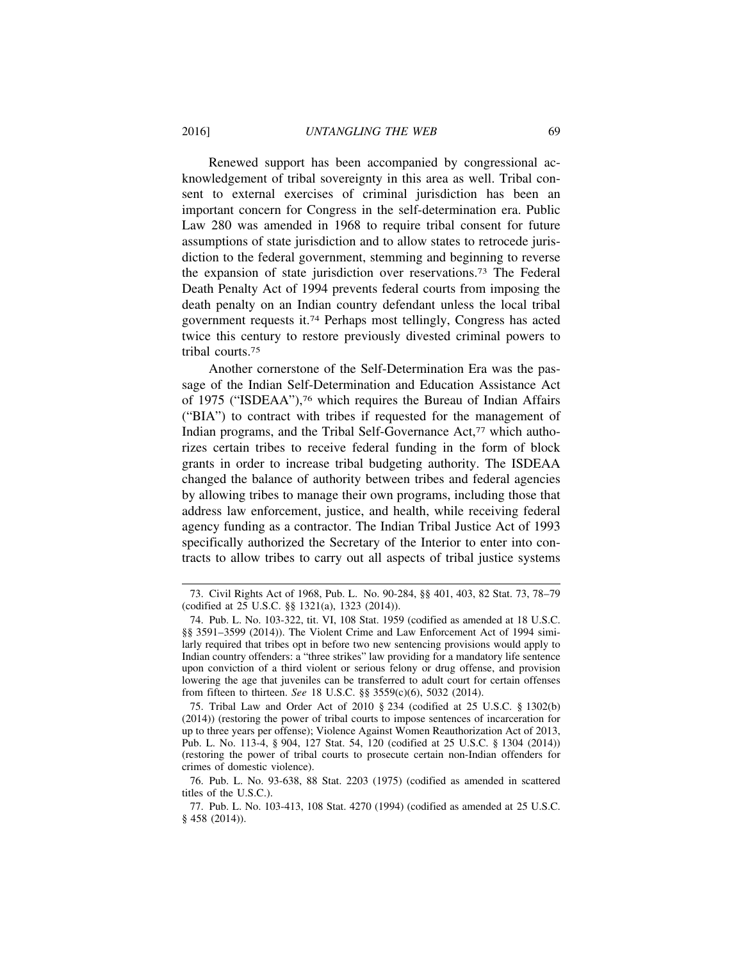Renewed support has been accompanied by congressional acknowledgement of tribal sovereignty in this area as well. Tribal consent to external exercises of criminal jurisdiction has been an important concern for Congress in the self-determination era. Public Law 280 was amended in 1968 to require tribal consent for future assumptions of state jurisdiction and to allow states to retrocede jurisdiction to the federal government, stemming and beginning to reverse the expansion of state jurisdiction over reservations.73 The Federal Death Penalty Act of 1994 prevents federal courts from imposing the death penalty on an Indian country defendant unless the local tribal government requests it.74 Perhaps most tellingly, Congress has acted twice this century to restore previously divested criminal powers to tribal courts.75

Another cornerstone of the Self-Determination Era was the passage of the Indian Self-Determination and Education Assistance Act of 1975 ("ISDEAA"),76 which requires the Bureau of Indian Affairs ("BIA") to contract with tribes if requested for the management of Indian programs, and the Tribal Self-Governance Act,<sup>77</sup> which authorizes certain tribes to receive federal funding in the form of block grants in order to increase tribal budgeting authority. The ISDEAA changed the balance of authority between tribes and federal agencies by allowing tribes to manage their own programs, including those that address law enforcement, justice, and health, while receiving federal agency funding as a contractor. The Indian Tribal Justice Act of 1993 specifically authorized the Secretary of the Interior to enter into contracts to allow tribes to carry out all aspects of tribal justice systems

<sup>73.</sup> Civil Rights Act of 1968, Pub. L. No. 90-284, §§ 401, 403, 82 Stat. 73, 78–79 (codified at 25 U.S.C. §§ 1321(a), 1323 (2014)).

<sup>74.</sup> Pub. L. No. 103-322, tit. VI, 108 Stat. 1959 (codified as amended at 18 U.S.C. §§ 3591–3599 (2014)). The Violent Crime and Law Enforcement Act of 1994 similarly required that tribes opt in before two new sentencing provisions would apply to Indian country offenders: a "three strikes" law providing for a mandatory life sentence upon conviction of a third violent or serious felony or drug offense, and provision lowering the age that juveniles can be transferred to adult court for certain offenses from fifteen to thirteen. *See* 18 U.S.C. §§ 3559(c)(6), 5032 (2014).

<sup>75.</sup> Tribal Law and Order Act of 2010 § 234 (codified at 25 U.S.C. § 1302(b) (2014)) (restoring the power of tribal courts to impose sentences of incarceration for up to three years per offense); Violence Against Women Reauthorization Act of 2013, Pub. L. No. 113-4, § 904, 127 Stat. 54, 120 (codified at 25 U.S.C. § 1304 (2014)) (restoring the power of tribal courts to prosecute certain non-Indian offenders for crimes of domestic violence).

<sup>76.</sup> Pub. L. No. 93-638, 88 Stat. 2203 (1975) (codified as amended in scattered titles of the U.S.C.).

<sup>77.</sup> Pub. L. No. 103-413, 108 Stat. 4270 (1994) (codified as amended at 25 U.S.C. § 458 (2014)).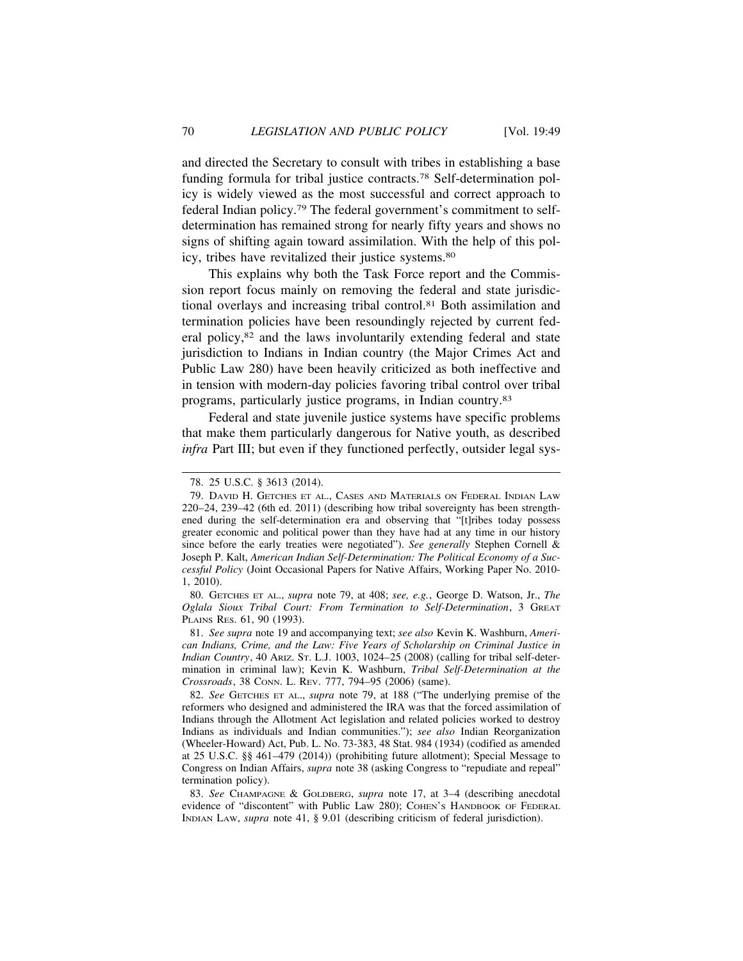and directed the Secretary to consult with tribes in establishing a base funding formula for tribal justice contracts.78 Self-determination policy is widely viewed as the most successful and correct approach to federal Indian policy.79 The federal government's commitment to selfdetermination has remained strong for nearly fifty years and shows no signs of shifting again toward assimilation. With the help of this policy, tribes have revitalized their justice systems.80

This explains why both the Task Force report and the Commission report focus mainly on removing the federal and state jurisdictional overlays and increasing tribal control.81 Both assimilation and termination policies have been resoundingly rejected by current federal policy,82 and the laws involuntarily extending federal and state jurisdiction to Indians in Indian country (the Major Crimes Act and Public Law 280) have been heavily criticized as both ineffective and in tension with modern-day policies favoring tribal control over tribal programs, particularly justice programs, in Indian country.83

Federal and state juvenile justice systems have specific problems that make them particularly dangerous for Native youth, as described *infra* Part III; but even if they functioned perfectly, outsider legal sys-

80. GETCHES ET AL., *supra* note 79, at 408; *see, e.g.*, George D. Watson, Jr., *The Oglala Sioux Tribal Court: From Termination to Self-Determination*, 3 GREAT PLAINS RES. 61, 90 (1993).

81. *See supra* note 19 and accompanying text; *see also* Kevin K. Washburn, *American Indians, Crime, and the Law: Five Years of Scholarship on Criminal Justice in Indian Country*, 40 ARIZ. ST. L.J. 1003, 1024–25 (2008) (calling for tribal self-determination in criminal law); Kevin K. Washburn, *Tribal Self-Determination at the Crossroads*, 38 CONN. L. REV. 777, 794–95 (2006) (same).

82. *See* GETCHES ET AL., *supra* note 79, at 188 ("The underlying premise of the reformers who designed and administered the IRA was that the forced assimilation of Indians through the Allotment Act legislation and related policies worked to destroy Indians as individuals and Indian communities."); *see also* Indian Reorganization (Wheeler-Howard) Act, Pub. L. No. 73-383, 48 Stat. 984 (1934) (codified as amended at 25 U.S.C. §§ 461–479 (2014)) (prohibiting future allotment); Special Message to Congress on Indian Affairs, *supra* note 38 (asking Congress to "repudiate and repeal" termination policy).

83. *See* CHAMPAGNE & GOLDBERG, *supra* note 17, at 3–4 (describing anecdotal evidence of "discontent" with Public Law 280); COHEN's HANDBOOK OF FEDERAL INDIAN LAW, *supra* note 41, § 9.01 (describing criticism of federal jurisdiction).

<sup>78. 25</sup> U.S.C. § 3613 (2014).

<sup>79.</sup> DAVID H. GETCHES ET AL., CASES AND MATERIALS ON FEDERAL INDIAN LAW 220–24, 239–42 (6th ed. 2011) (describing how tribal sovereignty has been strengthened during the self-determination era and observing that "[t]ribes today possess greater economic and political power than they have had at any time in our history since before the early treaties were negotiated"). *See generally* Stephen Cornell & Joseph P. Kalt, *American Indian Self-Determination: The Political Economy of a Successful Policy* (Joint Occasional Papers for Native Affairs, Working Paper No. 2010- 1, 2010).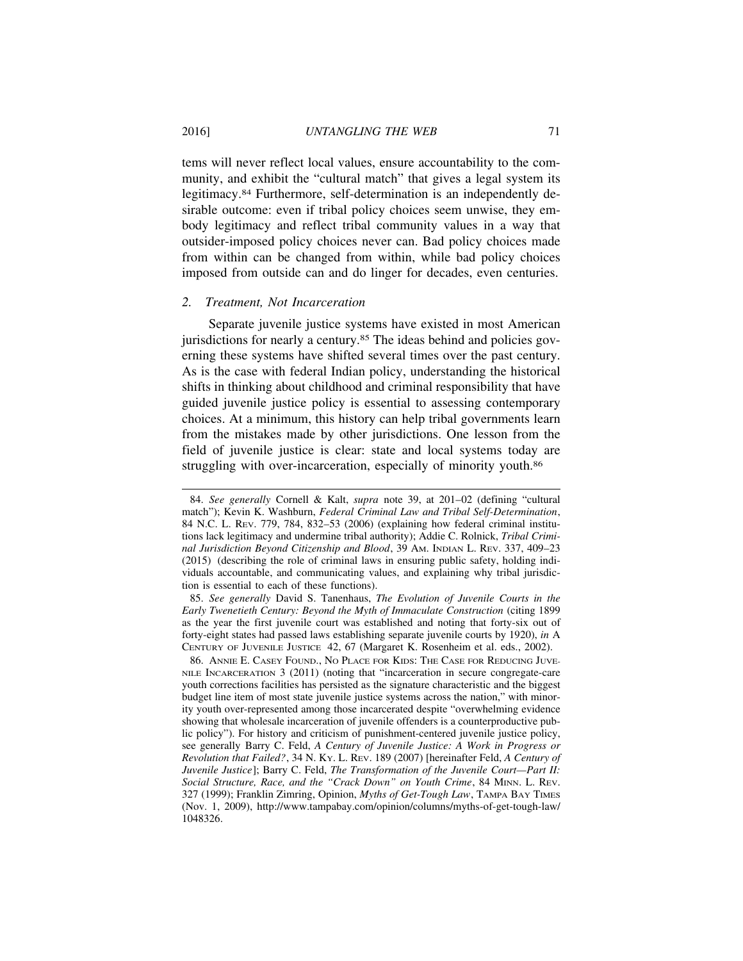tems will never reflect local values, ensure accountability to the community, and exhibit the "cultural match" that gives a legal system its legitimacy.84 Furthermore, self-determination is an independently desirable outcome: even if tribal policy choices seem unwise, they embody legitimacy and reflect tribal community values in a way that outsider-imposed policy choices never can. Bad policy choices made from within can be changed from within, while bad policy choices imposed from outside can and do linger for decades, even centuries.

## *2. Treatment, Not Incarceration*

Separate juvenile justice systems have existed in most American jurisdictions for nearly a century.<sup>85</sup> The ideas behind and policies governing these systems have shifted several times over the past century. As is the case with federal Indian policy, understanding the historical shifts in thinking about childhood and criminal responsibility that have guided juvenile justice policy is essential to assessing contemporary choices. At a minimum, this history can help tribal governments learn from the mistakes made by other jurisdictions. One lesson from the field of juvenile justice is clear: state and local systems today are struggling with over-incarceration, especially of minority youth.<sup>86</sup>

86. ANNIE E. CASEY FOUND., NO PLACE FOR KIDS: THE CASE FOR REDUCING JUVE-NILE INCARCERATION 3 (2011) (noting that "incarceration in secure congregate-care youth corrections facilities has persisted as the signature characteristic and the biggest budget line item of most state juvenile justice systems across the nation," with minority youth over-represented among those incarcerated despite "overwhelming evidence showing that wholesale incarceration of juvenile offenders is a counterproductive public policy"). For history and criticism of punishment-centered juvenile justice policy, see generally Barry C. Feld, *A Century of Juvenile Justice: A Work in Progress or Revolution that Failed?*, 34 N. KY. L. REV. 189 (2007) [hereinafter Feld, *A Century of Juvenile Justice*]; Barry C. Feld, *The Transformation of the Juvenile Court—Part II: Social Structure, Race, and the "Crack Down" on Youth Crime*, 84 MINN. L. REV. 327 (1999); Franklin Zimring, Opinion, *Myths of Get-Tough Law*, TAMPA BAY TIMES (Nov. 1, 2009), http://www.tampabay.com/opinion/columns/myths-of-get-tough-law/ 1048326.

<sup>84.</sup> *See generally* Cornell & Kalt, *supra* note 39, at 201–02 (defining "cultural match"); Kevin K. Washburn, *Federal Criminal Law and Tribal Self-Determination*, 84 N.C. L. REV. 779, 784, 832–53 (2006) (explaining how federal criminal institutions lack legitimacy and undermine tribal authority); Addie C. Rolnick, *Tribal Criminal Jurisdiction Beyond Citizenship and Blood*, 39 AM. INDIAN L. REV. 337, 409–23 (2015) (describing the role of criminal laws in ensuring public safety, holding individuals accountable, and communicating values, and explaining why tribal jurisdiction is essential to each of these functions).

<sup>85.</sup> *See generally* David S. Tanenhaus, *The Evolution of Juvenile Courts in the Early Twenetieth Century: Beyond the Myth of Immaculate Construction* (citing 1899 as the year the first juvenile court was established and noting that forty-six out of forty-eight states had passed laws establishing separate juvenile courts by 1920), *in* A CENTURY OF JUVENILE JUSTICE 42, 67 (Margaret K. Rosenheim et al. eds., 2002).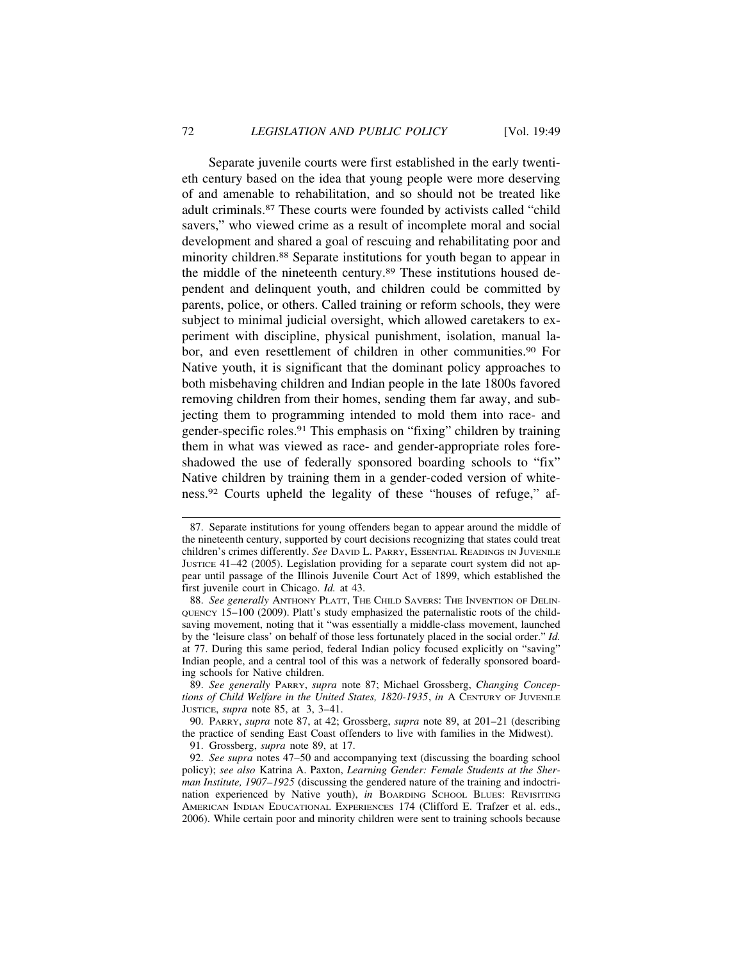Separate juvenile courts were first established in the early twentieth century based on the idea that young people were more deserving of and amenable to rehabilitation, and so should not be treated like adult criminals.87 These courts were founded by activists called "child savers," who viewed crime as a result of incomplete moral and social development and shared a goal of rescuing and rehabilitating poor and minority children.88 Separate institutions for youth began to appear in the middle of the nineteenth century.89 These institutions housed dependent and delinquent youth, and children could be committed by parents, police, or others. Called training or reform schools, they were subject to minimal judicial oversight, which allowed caretakers to experiment with discipline, physical punishment, isolation, manual labor, and even resettlement of children in other communities.<sup>90</sup> For Native youth, it is significant that the dominant policy approaches to both misbehaving children and Indian people in the late 1800s favored removing children from their homes, sending them far away, and subjecting them to programming intended to mold them into race- and gender-specific roles.91 This emphasis on "fixing" children by training them in what was viewed as race- and gender-appropriate roles foreshadowed the use of federally sponsored boarding schools to "fix" Native children by training them in a gender-coded version of whiteness.92 Courts upheld the legality of these "houses of refuge," af-

89. *See generally* PARRY, *supra* note 87; Michael Grossberg, *Changing Conceptions of Child Welfare in the United States, 1820-1935*, *in* A CENTURY OF JUVENILE JUSTICE, *supra* note 85, at 3, 3–41.

90. PARRY, *supra* note 87, at 42; Grossberg, *supra* note 89, at 201–21 (describing the practice of sending East Coast offenders to live with families in the Midwest).

91. Grossberg, *supra* note 89, at 17.

<sup>87.</sup> Separate institutions for young offenders began to appear around the middle of the nineteenth century, supported by court decisions recognizing that states could treat children's crimes differently. *See* DAVID L. PARRY, ESSENTIAL READINGS IN JUVENILE JUSTICE 41–42 (2005). Legislation providing for a separate court system did not appear until passage of the Illinois Juvenile Court Act of 1899, which established the first juvenile court in Chicago. *Id.* at 43.

<sup>88.</sup> *See generally* ANTHONY PLATT, THE CHILD SAVERS: THE INVENTION OF DELIN-QUENCY 15–100 (2009). Platt's study emphasized the paternalistic roots of the childsaving movement, noting that it "was essentially a middle-class movement, launched by the 'leisure class' on behalf of those less fortunately placed in the social order." *Id.* at 77. During this same period, federal Indian policy focused explicitly on "saving" Indian people, and a central tool of this was a network of federally sponsored boarding schools for Native children.

<sup>92.</sup> *See supra* notes 47–50 and accompanying text (discussing the boarding school policy); *see also* Katrina A. Paxton, *Learning Gender: Female Students at the Sherman Institute, 1907–1925* (discussing the gendered nature of the training and indoctrination experienced by Native youth), *in* BOARDING SCHOOL BLUES: REVISITING AMERICAN INDIAN EDUCATIONAL EXPERIENCES 174 (Clifford E. Trafzer et al. eds., 2006). While certain poor and minority children were sent to training schools because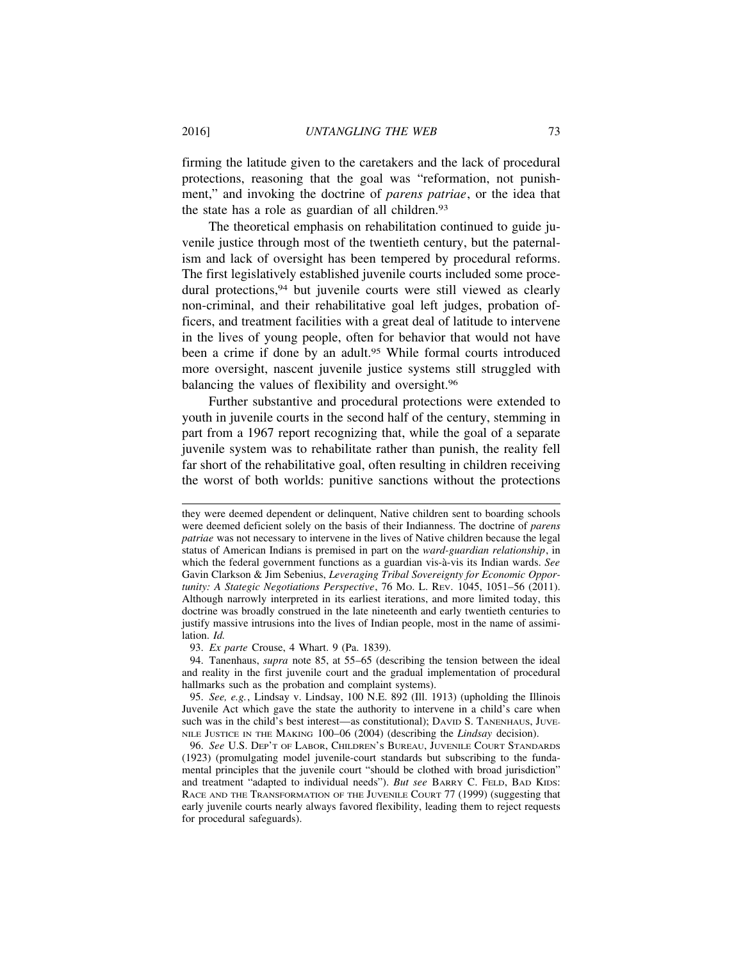firming the latitude given to the caretakers and the lack of procedural protections, reasoning that the goal was "reformation, not punishment," and invoking the doctrine of *parens patriae*, or the idea that the state has a role as guardian of all children.<sup>93</sup>

The theoretical emphasis on rehabilitation continued to guide juvenile justice through most of the twentieth century, but the paternalism and lack of oversight has been tempered by procedural reforms. The first legislatively established juvenile courts included some procedural protections, <sup>94</sup> but juvenile courts were still viewed as clearly non-criminal, and their rehabilitative goal left judges, probation officers, and treatment facilities with a great deal of latitude to intervene in the lives of young people, often for behavior that would not have been a crime if done by an adult.<sup>95</sup> While formal courts introduced more oversight, nascent juvenile justice systems still struggled with balancing the values of flexibility and oversight.96

Further substantive and procedural protections were extended to youth in juvenile courts in the second half of the century, stemming in part from a 1967 report recognizing that, while the goal of a separate juvenile system was to rehabilitate rather than punish, the reality fell far short of the rehabilitative goal, often resulting in children receiving the worst of both worlds: punitive sanctions without the protections

93. *Ex parte* Crouse, 4 Whart. 9 (Pa. 1839).

they were deemed dependent or delinquent, Native children sent to boarding schools were deemed deficient solely on the basis of their Indianness. The doctrine of *parens patriae* was not necessary to intervene in the lives of Native children because the legal status of American Indians is premised in part on the *ward-guardian relationship*, in which the federal government functions as a guardian vis-à-vis its Indian wards. See Gavin Clarkson & Jim Sebenius, *Leveraging Tribal Sovereignty for Economic Opportunity: A Stategic Negotiations Perspective*, 76 MO. L. REV. 1045, 1051–56 (2011). Although narrowly interpreted in its earliest iterations, and more limited today, this doctrine was broadly construed in the late nineteenth and early twentieth centuries to justify massive intrusions into the lives of Indian people, most in the name of assimilation. *Id.*

<sup>94.</sup> Tanenhaus, *supra* note 85, at 55–65 (describing the tension between the ideal and reality in the first juvenile court and the gradual implementation of procedural hallmarks such as the probation and complaint systems).

<sup>95.</sup> *See, e.g.*, Lindsay v. Lindsay, 100 N.E. 892 (Ill. 1913) (upholding the Illinois Juvenile Act which gave the state the authority to intervene in a child's care when such was in the child's best interest—as constitutional); DAVID S. TANENHAUS, JUVE-NILE JUSTICE IN THE MAKING 100–06 (2004) (describing the *Lindsay* decision).

<sup>96.</sup> *See* U.S. DEP'T OF LABOR, CHILDREN'S BUREAU, JUVENILE COURT STANDARDS (1923) (promulgating model juvenile-court standards but subscribing to the fundamental principles that the juvenile court "should be clothed with broad jurisdiction" and treatment "adapted to individual needs"). *But see* BARRY C. FELD, BAD KIDS: RACE AND THE TRANSFORMATION OF THE JUVENILE COURT 77 (1999) (suggesting that early juvenile courts nearly always favored flexibility, leading them to reject requests for procedural safeguards).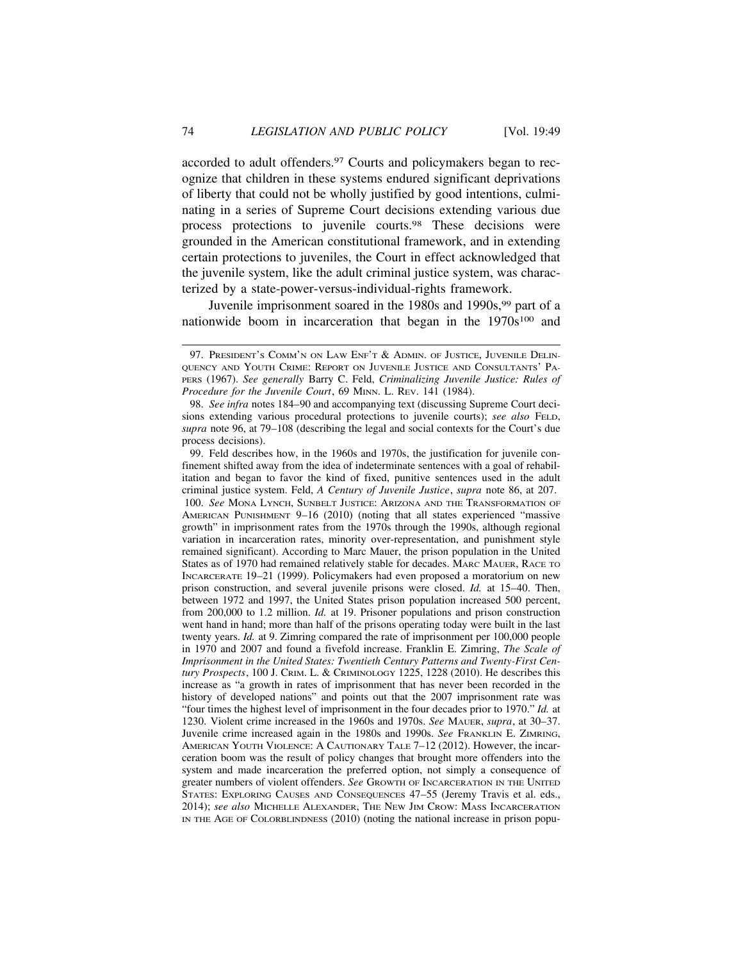accorded to adult offenders.<sup>97</sup> Courts and policymakers began to recognize that children in these systems endured significant deprivations of liberty that could not be wholly justified by good intentions, culminating in a series of Supreme Court decisions extending various due process protections to juvenile courts.98 These decisions were grounded in the American constitutional framework, and in extending certain protections to juveniles, the Court in effect acknowledged that the juvenile system, like the adult criminal justice system, was characterized by a state-power-versus-individual-rights framework.

Juvenile imprisonment soared in the 1980s and 1990s, <sup>99</sup> part of a nationwide boom in incarceration that began in the 1970s<sup>100</sup> and

AMERICAN PUNISHMENT 9–16 (2010) (noting that all states experienced "massive growth" in imprisonment rates from the 1970s through the 1990s, although regional variation in incarceration rates, minority over-representation, and punishment style remained significant). According to Marc Mauer, the prison population in the United States as of 1970 had remained relatively stable for decades. MARC MAUER, RACE TO INCARCERATE 19–21 (1999). Policymakers had even proposed a moratorium on new prison construction, and several juvenile prisons were closed. *Id.* at 15–40. Then, between 1972 and 1997, the United States prison population increased 500 percent, from 200,000 to 1.2 million. *Id.* at 19. Prisoner populations and prison construction went hand in hand; more than half of the prisons operating today were built in the last twenty years. *Id.* at 9. Zimring compared the rate of imprisonment per 100,000 people in 1970 and 2007 and found a fivefold increase. Franklin E. Zimring, *The Scale of Imprisonment in the United States: Twentieth Century Patterns and Twenty-First Century Prospects*, 100 J. CRIM. L. & CRIMINOLOGY 1225, 1228 (2010). He describes this increase as "a growth in rates of imprisonment that has never been recorded in the history of developed nations" and points out that the 2007 imprisonment rate was "four times the highest level of imprisonment in the four decades prior to 1970." *Id.* at 1230. Violent crime increased in the 1960s and 1970s. *See* MAUER, *supra*, at 30–37. Juvenile crime increased again in the 1980s and 1990s. *See* FRANKLIN E. ZIMRING, AMERICAN YOUTH VIOLENCE: A CAUTIONARY TALE 7–12 (2012). However, the incarceration boom was the result of policy changes that brought more offenders into the system and made incarceration the preferred option, not simply a consequence of greater numbers of violent offenders. *See* GROWTH OF INCARCERATION IN THE UNITED STATES: EXPLORING CAUSES AND CONSEQUENCES 47–55 (Jeremy Travis et al. eds., 2014); *see also* MICHELLE ALEXANDER, THE NEW JIM CROW: MASS INCARCERATION IN THE AGE OF COLORBLINDNESS (2010) (noting the national increase in prison popu-

<sup>97.</sup> PRESIDENT'S COMM'N ON LAW ENF'T & ADMIN. OF JUSTICE, JUVENILE DELIN-QUENCY AND YOUTH CRIME: REPORT ON JUVENILE JUSTICE AND CONSULTANTS' PA-PERS (1967). *See generally* Barry C. Feld, *Criminalizing Juvenile Justice: Rules of Procedure for the Juvenile Court*, 69 MINN. L. REV. 141 (1984).

<sup>98.</sup> *See infra* notes 184–90 and accompanying text (discussing Supreme Court decisions extending various procedural protections to juvenile courts); *see also* FELD, *supra* note 96, at 79–108 (describing the legal and social contexts for the Court's due process decisions).

<sup>99.</sup> Feld describes how, in the 1960s and 1970s, the justification for juvenile confinement shifted away from the idea of indeterminate sentences with a goal of rehabilitation and began to favor the kind of fixed, punitive sentences used in the adult criminal justice system. Feld, *A Century of Juvenile Justice*, *supra* note 86, at 207. 100. *See* MONA LYNCH, SUNBELT JUSTICE: ARIZONA AND THE TRANSFORMATION OF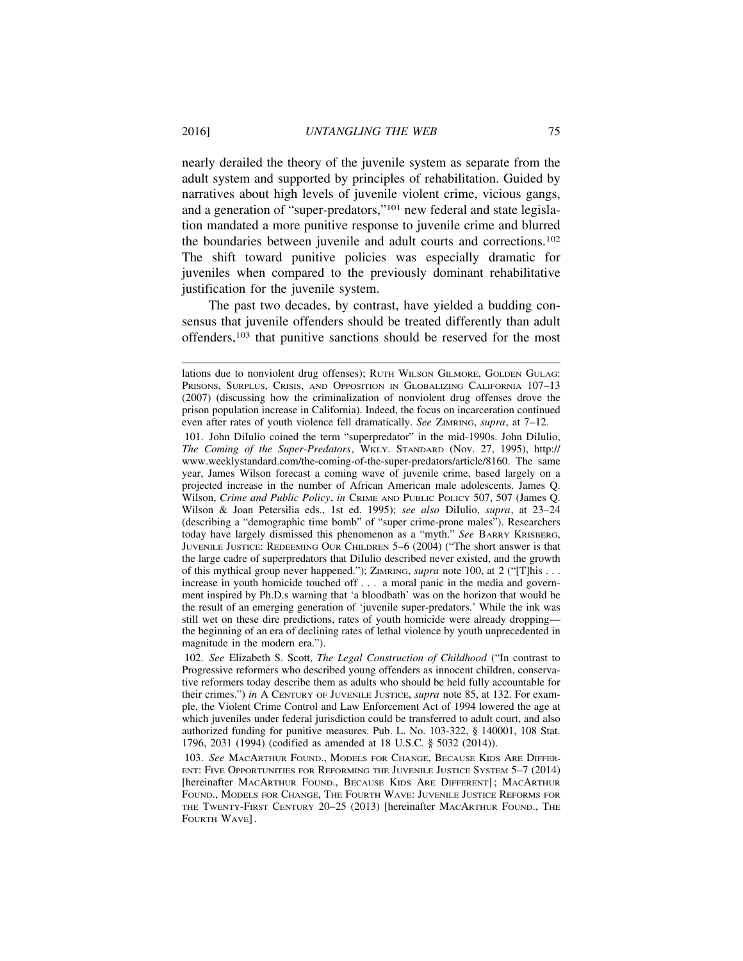nearly derailed the theory of the juvenile system as separate from the adult system and supported by principles of rehabilitation. Guided by narratives about high levels of juvenile violent crime, vicious gangs, and a generation of "super-predators,"101 new federal and state legislation mandated a more punitive response to juvenile crime and blurred the boundaries between juvenile and adult courts and corrections.102 The shift toward punitive policies was especially dramatic for juveniles when compared to the previously dominant rehabilitative justification for the juvenile system.

The past two decades, by contrast, have yielded a budding consensus that juvenile offenders should be treated differently than adult offenders,103 that punitive sanctions should be reserved for the most

lations due to nonviolent drug offenses); RUTH WILSON GILMORE, GOLDEN GULAG: PRISONS, SURPLUS, CRISIS, AND OPPOSITION IN GLOBALIZING CALIFORNIA 107-13 (2007) (discussing how the criminalization of nonviolent drug offenses drove the prison population increase in California). Indeed, the focus on incarceration continued even after rates of youth violence fell dramatically. *See* ZIMRING, *supra*, at 7–12.

<sup>101.</sup> John DiIulio coined the term "superpredator" in the mid-1990s. John DiIulio, *The Coming of the Super-Predators*, WKLY. STANDARD (Nov. 27, 1995), http:// www.weeklystandard.com/the-coming-of-the-super-predators/article/8160. The same year, James Wilson forecast a coming wave of juvenile crime, based largely on a projected increase in the number of African American male adolescents. James Q. Wilson, *Crime and Public Policy*, *in* CRIME AND PUBLIC POLICY 507, 507 (James Q. Wilson & Joan Petersilia eds., 1st ed. 1995); *see also* DiIulio, *supra*, at 23–24 (describing a "demographic time bomb" of "super crime-prone males"). Researchers today have largely dismissed this phenomenon as a "myth." *See* BARRY KRISBERG, JUVENILE JUSTICE: REDEEMING OUR CHILDREN 5–6 (2004) ("The short answer is that the large cadre of superpredators that DiIulio described never existed, and the growth of this mythical group never happened."); ZIMRING, *supra* note 100, at 2 ("[T]his . . . increase in youth homicide touched off . . . a moral panic in the media and government inspired by Ph.D.s warning that 'a bloodbath' was on the horizon that would be the result of an emerging generation of 'juvenile super-predators.' While the ink was still wet on these dire predictions, rates of youth homicide were already dropping the beginning of an era of declining rates of lethal violence by youth unprecedented in magnitude in the modern era.").

<sup>102.</sup> *See* Elizabeth S. Scott, *The Legal Construction of Childhood* ("In contrast to Progressive reformers who described young offenders as innocent children, conservative reformers today describe them as adults who should be held fully accountable for their crimes.") *in* A CENTURY OF JUVENILE JUSTICE, *supra* note 85, at 132. For example, the Violent Crime Control and Law Enforcement Act of 1994 lowered the age at which juveniles under federal jurisdiction could be transferred to adult court, and also authorized funding for punitive measures. Pub. L. No. 103-322, § 140001, 108 Stat. 1796, 2031 (1994) (codified as amended at 18 U.S.C. § 5032 (2014)).

<sup>103.</sup> *See* MACARTHUR FOUND., MODELS FOR CHANGE, BECAUSE KIDS ARE DIFFER-ENT: FIVE OPPORTUNITIES FOR REFORMING THE JUVENILE JUSTICE SYSTEM 5–7 (2014) [hereinafter MACARTHUR FOUND., BECAUSE KIDS ARE DIFFERENT]; MACARTHUR FOUND., MODELS FOR CHANGE, THE FOURTH WAVE: JUVENILE JUSTICE REFORMS FOR THE TWENTY-FIRST CENTURY 20–25 (2013) [hereinafter MACARTHUR FOUND., THE FOURTH WAVE].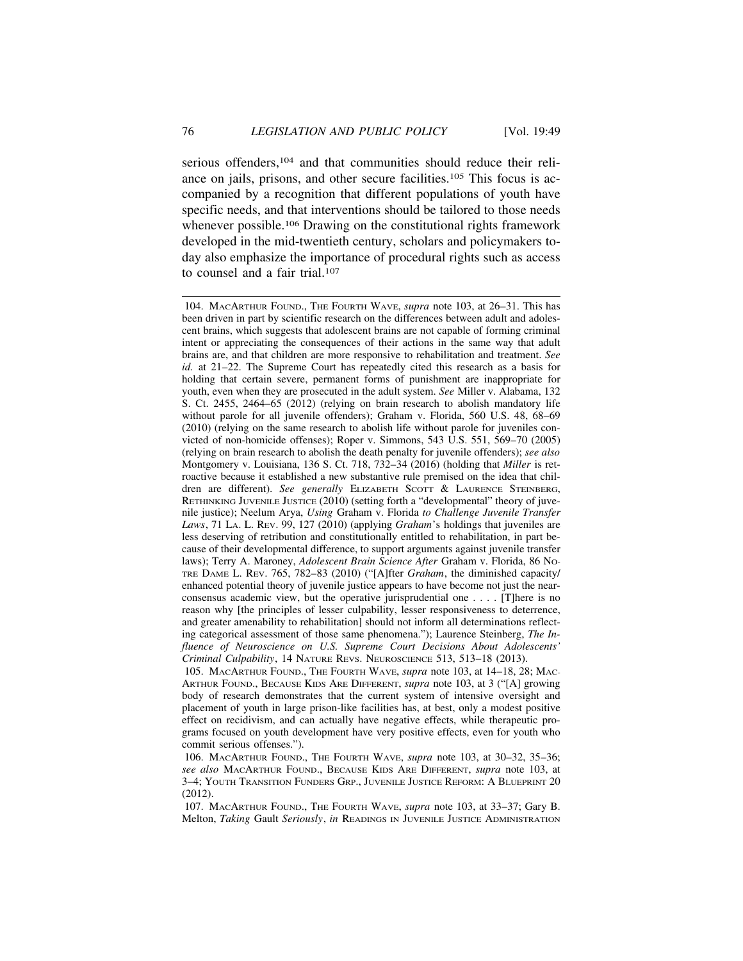serious offenders,<sup>104</sup> and that communities should reduce their reliance on jails, prisons, and other secure facilities.105 This focus is accompanied by a recognition that different populations of youth have specific needs, and that interventions should be tailored to those needs whenever possible.<sup>106</sup> Drawing on the constitutional rights framework developed in the mid-twentieth century, scholars and policymakers today also emphasize the importance of procedural rights such as access to counsel and a fair trial.107

<sup>104.</sup> MACARTHUR FOUND., THE FOURTH WAVE, *supra* note 103, at 26–31. This has been driven in part by scientific research on the differences between adult and adolescent brains, which suggests that adolescent brains are not capable of forming criminal intent or appreciating the consequences of their actions in the same way that adult brains are, and that children are more responsive to rehabilitation and treatment. *See id.* at 21–22. The Supreme Court has repeatedly cited this research as a basis for holding that certain severe, permanent forms of punishment are inappropriate for youth, even when they are prosecuted in the adult system. *See* Miller v. Alabama, 132 S. Ct. 2455, 2464–65 (2012) (relying on brain research to abolish mandatory life without parole for all juvenile offenders); Graham v. Florida, 560 U.S. 48, 68–69 (2010) (relying on the same research to abolish life without parole for juveniles convicted of non-homicide offenses); Roper v. Simmons, 543 U.S. 551, 569–70 (2005) (relying on brain research to abolish the death penalty for juvenile offenders); *see also* Montgomery v. Louisiana, 136 S. Ct. 718, 732–34 (2016) (holding that *Miller* is retroactive because it established a new substantive rule premised on the idea that children are different). *See generally* ELIZABETH SCOTT & LAURENCE STEINBERG, RETHINKING JUVENILE JUSTICE (2010) (setting forth a "developmental" theory of juvenile justice); Neelum Arya, *Using* Graham v. Florida *to Challenge Juvenile Transfer Laws*, 71 LA. L. REV. 99, 127 (2010) (applying *Graham*'s holdings that juveniles are less deserving of retribution and constitutionally entitled to rehabilitation, in part because of their developmental difference, to support arguments against juvenile transfer laws); Terry A. Maroney, *Adolescent Brain Science After* Graham v. Florida, 86 NO-TRE DAME L. REV. 765, 782–83 (2010) ("[A]fter *Graham*, the diminished capacity/ enhanced potential theory of juvenile justice appears to have become not just the nearconsensus academic view, but the operative jurisprudential one . . . . [T]here is no reason why [the principles of lesser culpability, lesser responsiveness to deterrence, and greater amenability to rehabilitation] should not inform all determinations reflecting categorical assessment of those same phenomena."); Laurence Steinberg, *The Influence of Neuroscience on U.S. Supreme Court Decisions About Adolescents' Criminal Culpability*, 14 NATURE REVS. NEUROSCIENCE 513, 513–18 (2013).

<sup>105.</sup> MACARTHUR FOUND., THE FOURTH WAVE, *supra* note 103, at 14–18, 28; MAC-ARTHUR FOUND., BECAUSE KIDS ARE DIFFERENT, *supra* note 103, at 3 ("[A] growing body of research demonstrates that the current system of intensive oversight and placement of youth in large prison-like facilities has, at best, only a modest positive effect on recidivism, and can actually have negative effects, while therapeutic programs focused on youth development have very positive effects, even for youth who commit serious offenses.").

<sup>106.</sup> MACARTHUR FOUND., THE FOURTH WAVE, *supra* note 103, at 30–32, 35–36; *see also* MACARTHUR FOUND., BECAUSE KIDS ARE DIFFERENT, *supra* note 103, at 3–4; YOUTH TRANSITION FUNDERS GRP., JUVENILE JUSTICE REFORM: A BLUEPRINT 20 (2012).

<sup>107.</sup> MACARTHUR FOUND., THE FOURTH WAVE, *supra* note 103, at 33–37; Gary B. Melton, *Taking* Gault *Seriously*, *in* READINGS IN JUVENILE JUSTICE ADMINISTRATION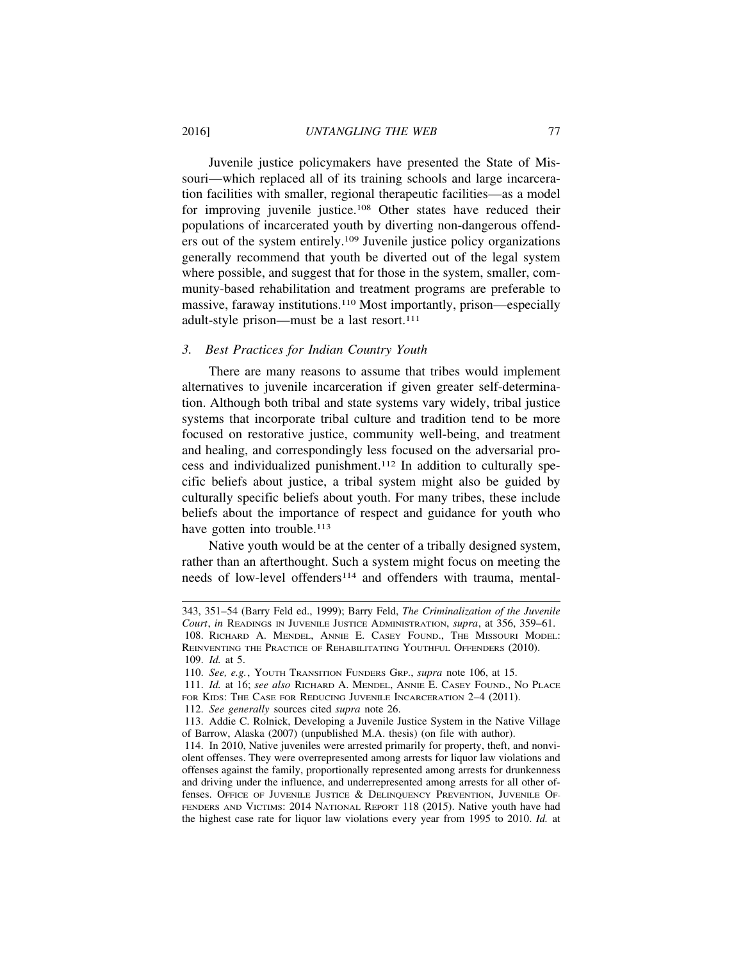Juvenile justice policymakers have presented the State of Missouri—which replaced all of its training schools and large incarceration facilities with smaller, regional therapeutic facilities—as a model for improving juvenile justice.108 Other states have reduced their populations of incarcerated youth by diverting non-dangerous offenders out of the system entirely.109 Juvenile justice policy organizations generally recommend that youth be diverted out of the legal system where possible, and suggest that for those in the system, smaller, community-based rehabilitation and treatment programs are preferable to massive, faraway institutions.110 Most importantly, prison—especially adult-style prison—must be a last resort.111

#### *3. Best Practices for Indian Country Youth*

There are many reasons to assume that tribes would implement alternatives to juvenile incarceration if given greater self-determination. Although both tribal and state systems vary widely, tribal justice systems that incorporate tribal culture and tradition tend to be more focused on restorative justice, community well-being, and treatment and healing, and correspondingly less focused on the adversarial process and individualized punishment.112 In addition to culturally specific beliefs about justice, a tribal system might also be guided by culturally specific beliefs about youth. For many tribes, these include beliefs about the importance of respect and guidance for youth who have gotten into trouble.<sup>113</sup>

Native youth would be at the center of a tribally designed system, rather than an afterthought. Such a system might focus on meeting the needs of low-level offenders<sup>114</sup> and offenders with trauma, mental-

111. *Id.* at 16; *see also* RICHARD A. MENDEL, ANNIE E. CASEY FOUND., NO PLACE FOR KIDS: THE CASE FOR REDUCING JUVENILE INCARCERATION 2-4 (2011).

112. *See generally* sources cited *supra* note 26.

<sup>343, 351–54 (</sup>Barry Feld ed., 1999); Barry Feld, *The Criminalization of the Juvenile Court*, *in* READINGS IN JUVENILE JUSTICE ADMINISTRATION, *supra*, at 356, 359–61.

<sup>108.</sup> RICHARD A. MENDEL, ANNIE E. CASEY FOUND., THE MISSOURI MODEL: REINVENTING THE PRACTICE OF REHABILITATING YOUTHFUL OFFENDERS (2010). 109. *Id.* at 5.

<sup>110.</sup> *See, e.g.*, YOUTH TRANSITION FUNDERS GRP., *supra* note 106, at 15.

<sup>113.</sup> Addie C. Rolnick, Developing a Juvenile Justice System in the Native Village of Barrow, Alaska (2007) (unpublished M.A. thesis) (on file with author).

<sup>114.</sup> In 2010, Native juveniles were arrested primarily for property, theft, and nonviolent offenses. They were overrepresented among arrests for liquor law violations and offenses against the family, proportionally represented among arrests for drunkenness and driving under the influence, and underrepresented among arrests for all other offenses. OFFICE OF JUVENILE JUSTICE & DELINQUENCY PREVENTION, JUVENILE OF-FENDERS AND VICTIMS: 2014 NATIONAL REPORT 118 (2015). Native youth have had the highest case rate for liquor law violations every year from 1995 to 2010. *Id.* at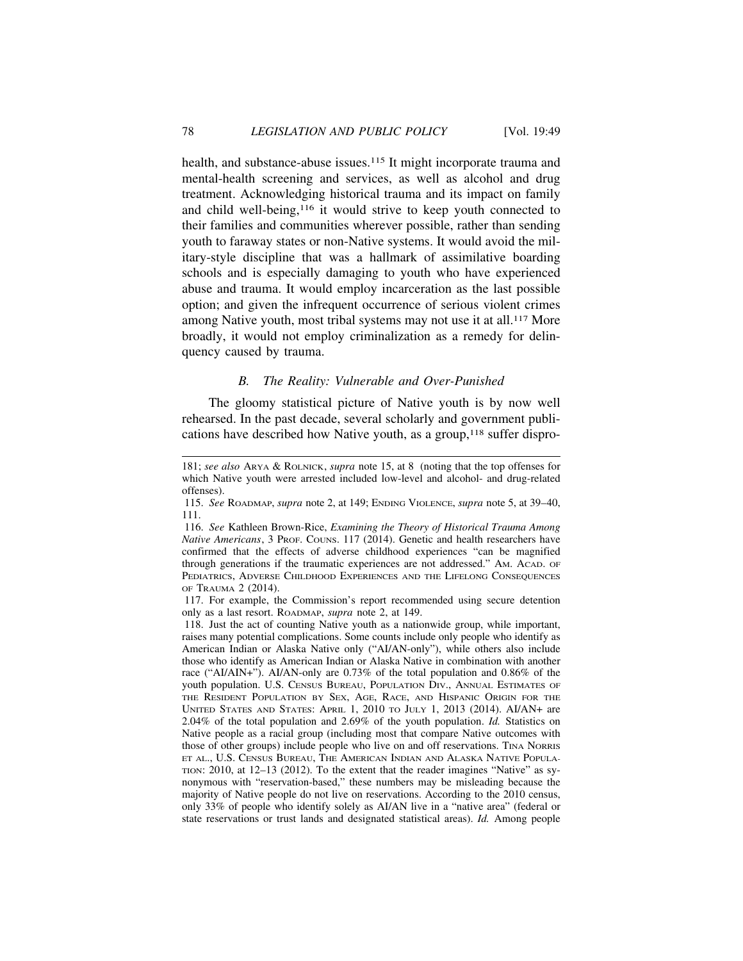health, and substance-abuse issues.<sup>115</sup> It might incorporate trauma and mental-health screening and services, as well as alcohol and drug treatment. Acknowledging historical trauma and its impact on family and child well-being,116 it would strive to keep youth connected to their families and communities wherever possible, rather than sending youth to faraway states or non-Native systems. It would avoid the military-style discipline that was a hallmark of assimilative boarding schools and is especially damaging to youth who have experienced abuse and trauma. It would employ incarceration as the last possible option; and given the infrequent occurrence of serious violent crimes among Native youth, most tribal systems may not use it at all.<sup>117</sup> More broadly, it would not employ criminalization as a remedy for delinquency caused by trauma.

## *B. The Reality: Vulnerable and Over-Punished*

The gloomy statistical picture of Native youth is by now well rehearsed. In the past decade, several scholarly and government publications have described how Native youth, as a group, $118$  suffer dispro-

<sup>181;</sup> *see also* ARYA & ROLNICK, *supra* note 15, at 8 (noting that the top offenses for which Native youth were arrested included low-level and alcohol- and drug-related offenses).

<sup>115.</sup> *See* ROADMAP, *supra* note 2, at 149; ENDING VIOLENCE, *supra* note 5, at 39–40, 111.

<sup>116.</sup> *See* Kathleen Brown-Rice, *Examining the Theory of Historical Trauma Among Native Americans*, 3 PROF. COUNS. 117 (2014). Genetic and health researchers have confirmed that the effects of adverse childhood experiences "can be magnified through generations if the traumatic experiences are not addressed." AM. ACAD. OF PEDIATRICS, ADVERSE CHILDHOOD EXPERIENCES AND THE LIFELONG CONSEQUENCES OF TRAUMA 2 (2014).

<sup>117.</sup> For example, the Commission's report recommended using secure detention only as a last resort. ROADMAP, *supra* note 2, at 149.

<sup>118.</sup> Just the act of counting Native youth as a nationwide group, while important, raises many potential complications. Some counts include only people who identify as American Indian or Alaska Native only ("AI/AN-only"), while others also include those who identify as American Indian or Alaska Native in combination with another race ("AI/AIN+"). AI/AN-only are 0.73% of the total population and 0.86% of the youth population. U.S. CENSUS BUREAU, POPULATION DIV., ANNUAL ESTIMATES OF THE RESIDENT POPULATION BY SEX, AGE, RACE, AND HISPANIC ORIGIN FOR THE UNITED STATES AND STATES: APRIL 1, 2010 TO JULY 1, 2013 (2014). AI/AN+ are 2.04% of the total population and 2.69% of the youth population. *Id.* Statistics on Native people as a racial group (including most that compare Native outcomes with those of other groups) include people who live on and off reservations. TINA NORRIS ET AL., U.S. CENSUS BUREAU, THE AMERICAN INDIAN AND ALASKA NATIVE POPULA-TION: 2010, at 12–13 (2012). To the extent that the reader imagines "Native" as synonymous with "reservation-based," these numbers may be misleading because the majority of Native people do not live on reservations. According to the 2010 census, only 33% of people who identify solely as AI/AN live in a "native area" (federal or state reservations or trust lands and designated statistical areas). *Id.* Among people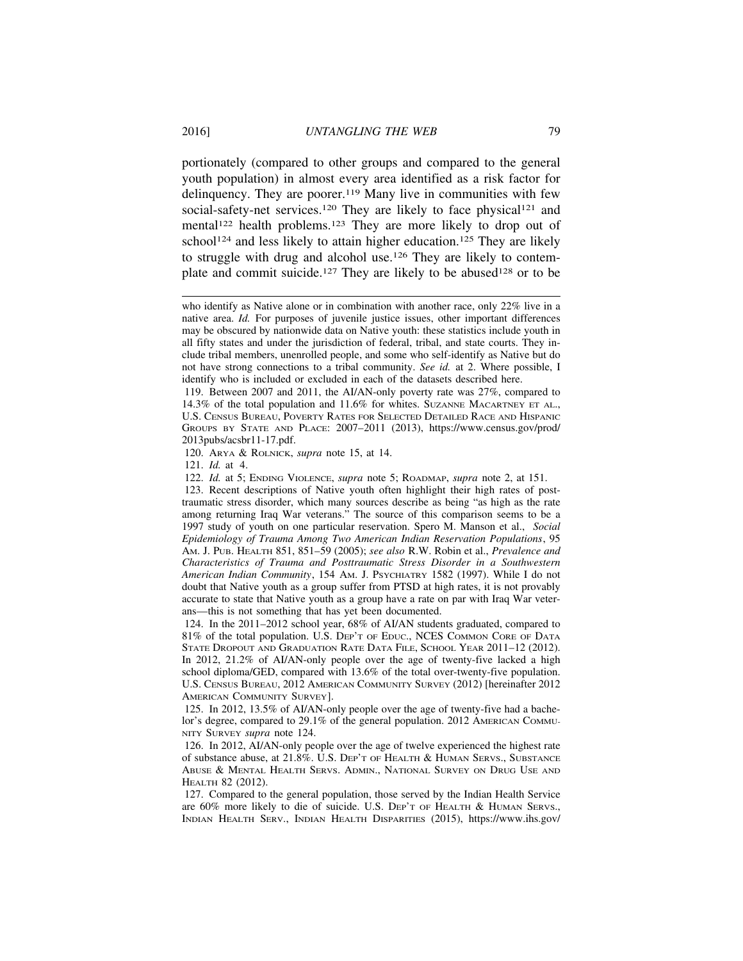portionately (compared to other groups and compared to the general youth population) in almost every area identified as a risk factor for delinquency. They are poorer.<sup>119</sup> Many live in communities with few social-safety-net services.<sup>120</sup> They are likely to face physical<sup>121</sup> and mental<sup>122</sup> health problems.<sup>123</sup> They are more likely to drop out of school<sup>124</sup> and less likely to attain higher education.<sup>125</sup> They are likely to struggle with drug and alcohol use.126 They are likely to contemplate and commit suicide.<sup>127</sup> They are likely to be abused<sup>128</sup> or to be

120. ARYA & ROLNICK, *supra* note 15, at 14.

121. *Id.* at 4.

122. *Id.* at 5; ENDING VIOLENCE, *supra* note 5; ROADMAP, *supra* note 2, at 151.

who identify as Native alone or in combination with another race, only 22% live in a native area. *Id.* For purposes of juvenile justice issues, other important differences may be obscured by nationwide data on Native youth: these statistics include youth in all fifty states and under the jurisdiction of federal, tribal, and state courts. They include tribal members, unenrolled people, and some who self-identify as Native but do not have strong connections to a tribal community. *See id.* at 2. Where possible, I identify who is included or excluded in each of the datasets described here.

<sup>119.</sup> Between 2007 and 2011, the AI/AN-only poverty rate was 27%, compared to 14.3% of the total population and 11.6% for whites. SUZANNE MACARTNEY ET AL., U.S. CENSUS BUREAU, POVERTY RATES FOR SELECTED DETAILED RACE AND HISPANIC GROUPS BY STATE AND PLACE: 2007–2011 (2013), https://www.census.gov/prod/ 2013pubs/acsbr11-17.pdf.

<sup>123.</sup> Recent descriptions of Native youth often highlight their high rates of posttraumatic stress disorder, which many sources describe as being "as high as the rate among returning Iraq War veterans." The source of this comparison seems to be a 1997 study of youth on one particular reservation. Spero M. Manson et al., *Social Epidemiology of Trauma Among Two American Indian Reservation Populations*, 95 AM. J. PUB. HEALTH 851, 851–59 (2005); *see also* R.W. Robin et al., *Prevalence and Characteristics of Trauma and Posttraumatic Stress Disorder in a Southwestern American Indian Community*, 154 AM. J. PSYCHIATRY 1582 (1997). While I do not doubt that Native youth as a group suffer from PTSD at high rates, it is not provably accurate to state that Native youth as a group have a rate on par with Iraq War veterans—this is not something that has yet been documented.

<sup>124.</sup> In the 2011–2012 school year, 68% of AI/AN students graduated, compared to 81% of the total population. U.S. DEP'T OF EDUC., NCES COMMON CORE OF DATA STATE DROPOUT AND GRADUATION RATE DATA FILE, SCHOOL YEAR 2011–12 (2012). In 2012, 21.2% of AI/AN-only people over the age of twenty-five lacked a high school diploma/GED, compared with 13.6% of the total over-twenty-five population. U.S. CENSUS BUREAU, 2012 AMERICAN COMMUNITY SURVEY (2012) [hereinafter 2012 AMERICAN COMMUNITY SURVEY].

<sup>125.</sup> In 2012, 13.5% of AI/AN-only people over the age of twenty-five had a bachelor's degree, compared to 29.1% of the general population. 2012 AMERICAN COMMU-NITY SURVEY *supra* note 124.

<sup>126.</sup> In 2012, AI/AN-only people over the age of twelve experienced the highest rate of substance abuse, at 21.8%. U.S. DEP'T OF HEALTH & HUMAN SERVS., SUBSTANCE ABUSE & MENTAL HEALTH SERVS. ADMIN., NATIONAL SURVEY ON DRUG USE AND HEALTH 82 (2012).

<sup>127.</sup> Compared to the general population, those served by the Indian Health Service are 60% more likely to die of suicide. U.S. DEP'T OF HEALTH & HUMAN SERVS., INDIAN HEALTH SERV., INDIAN HEALTH DISPARITIES (2015), https://www.ihs.gov/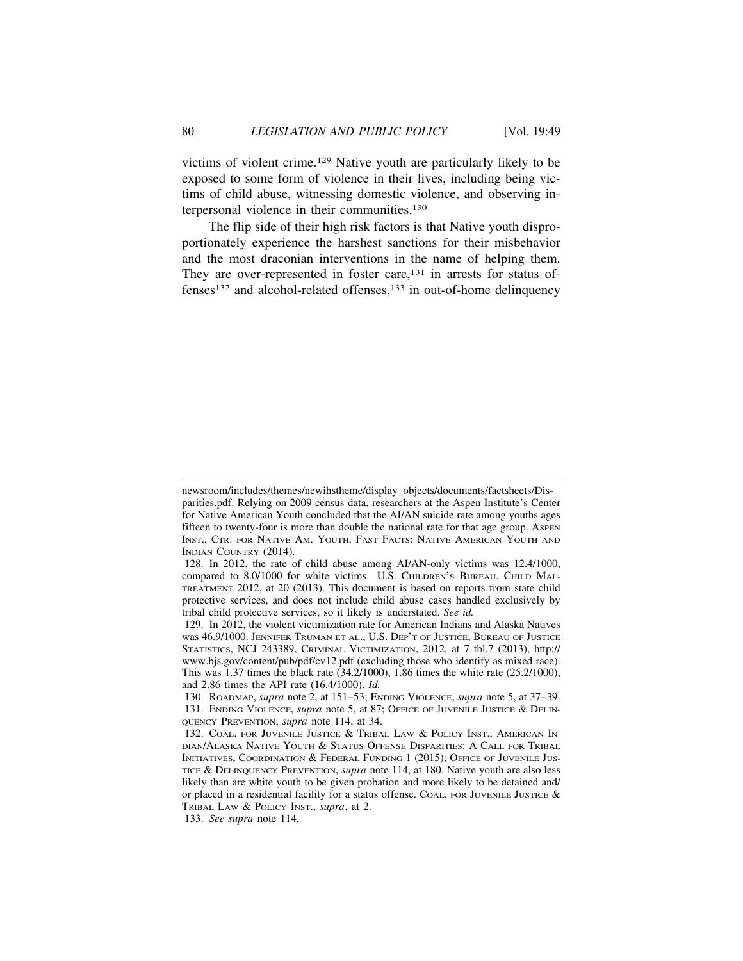victims of violent crime.129 Native youth are particularly likely to be exposed to some form of violence in their lives, including being victims of child abuse, witnessing domestic violence, and observing interpersonal violence in their communities.<sup>130</sup>

The flip side of their high risk factors is that Native youth disproportionately experience the harshest sanctions for their misbehavior and the most draconian interventions in the name of helping them. They are over-represented in foster care,<sup>131</sup> in arrests for status offenses132 and alcohol-related offenses,133 in out-of-home delinquency

newsroom/includes/themes/newihstheme/display\_objects/documents/factsheets/Disparities.pdf. Relying on 2009 census data, researchers at the Aspen Institute's Center for Native American Youth concluded that the AI/AN suicide rate among youths ages fifteen to twenty-four is more than double the national rate for that age group. ASPEN INST., CTR. FOR NATIVE AM. YOUTH, FAST FACTS: NATIVE AMERICAN YOUTH AND INDIAN COUNTRY (2014).

<sup>128.</sup> In 2012, the rate of child abuse among AI/AN-only victims was 12.4/1000, compared to 8.0/1000 for white victims. U.S. CHILDREN'S BUREAU, CHILD MAL-TREATMENT 2012, at 20 (2013). This document is based on reports from state child protective services, and does not include child abuse cases handled exclusively by tribal child protective services, so it likely is understated. *See id.*

<sup>129.</sup> In 2012, the violent victimization rate for American Indians and Alaska Natives was 46.9/1000. JENNIFER TRUMAN ET AL., U.S. DEP'T OF JUSTICE, BUREAU OF JUSTICE STATISTICS, NCJ 243389, CRIMINAL VICTIMIZATION, 2012, at 7 tbl.7 (2013), http:// www.bjs.gov/content/pub/pdf/cv12.pdf (excluding those who identify as mixed race). This was 1.37 times the black rate (34.2/1000), 1.86 times the white rate (25.2/1000), and 2.86 times the API rate (16.4/1000). *Id.*

<sup>130.</sup> ROADMAP, *supra* note 2, at 151–53; ENDING VIOLENCE, *supra* note 5, at 37–39. 131. ENDING VIOLENCE, *supra* note 5, at 87; OFFICE OF JUVENILE JUSTICE & DELIN-QUENCY PREVENTION, *supra* note 114, at 34.

<sup>132.</sup> COAL. FOR JUVENILE JUSTICE & TRIBAL LAW & POLICY INST., AMERICAN IN-DIAN/ALASKA NATIVE YOUTH & STATUS OFFENSE DISPARITIES: A CALL FOR TRIBAL INITIATIVES, COORDINATION & FEDERAL FUNDING 1 (2015); OFFICE OF JUVENILE JUS-TICE & DELINQUENCY PREVENTION, *supra* note 114, at 180. Native youth are also less likely than are white youth to be given probation and more likely to be detained and/ or placed in a residential facility for a status offense. COAL. FOR JUVENILE JUSTICE  $\&$ TRIBAL LAW & POLICY INST., *supra*, at 2.

<sup>133.</sup> *See supra* note 114.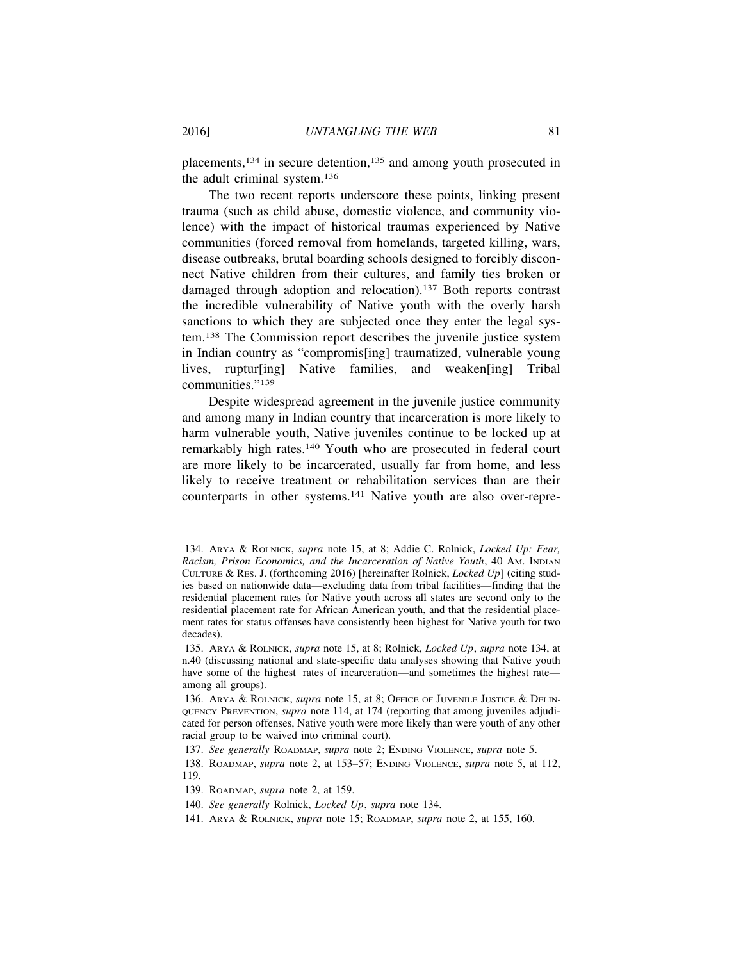placements,134 in secure detention,135 and among youth prosecuted in the adult criminal system.136

The two recent reports underscore these points, linking present trauma (such as child abuse, domestic violence, and community violence) with the impact of historical traumas experienced by Native communities (forced removal from homelands, targeted killing, wars, disease outbreaks, brutal boarding schools designed to forcibly disconnect Native children from their cultures, and family ties broken or damaged through adoption and relocation).137 Both reports contrast the incredible vulnerability of Native youth with the overly harsh sanctions to which they are subjected once they enter the legal system.138 The Commission report describes the juvenile justice system in Indian country as "compromis[ing] traumatized, vulnerable young lives, ruptur[ing] Native families, and weaken[ing] Tribal communities."139

Despite widespread agreement in the juvenile justice community and among many in Indian country that incarceration is more likely to harm vulnerable youth, Native juveniles continue to be locked up at remarkably high rates.140 Youth who are prosecuted in federal court are more likely to be incarcerated, usually far from home, and less likely to receive treatment or rehabilitation services than are their counterparts in other systems.141 Native youth are also over-repre-

<sup>134.</sup> ARYA & ROLNICK, *supra* note 15, at 8; Addie C. Rolnick, *Locked Up: Fear, Racism, Prison Economics, and the Incarceration of Native Youth*, 40 AM. INDIAN CULTURE & RES. J. (forthcoming 2016) [hereinafter Rolnick, *Locked Up*] (citing studies based on nationwide data—excluding data from tribal facilities—finding that the residential placement rates for Native youth across all states are second only to the residential placement rate for African American youth, and that the residential placement rates for status offenses have consistently been highest for Native youth for two decades).

<sup>135.</sup> ARYA & ROLNICK, *supra* note 15, at 8; Rolnick, *Locked Up*, *supra* note 134, at n.40 (discussing national and state-specific data analyses showing that Native youth have some of the highest rates of incarceration—and sometimes the highest rate among all groups).

<sup>136.</sup> ARYA & ROLNICK, *supra* note 15, at 8; OFFICE OF JUVENILE JUSTICE & DELIN-QUENCY PREVENTION, *supra* note 114, at 174 (reporting that among juveniles adjudicated for person offenses, Native youth were more likely than were youth of any other racial group to be waived into criminal court).

<sup>137.</sup> *See generally* ROADMAP, *supra* note 2; ENDING VIOLENCE, *supra* note 5.

<sup>138.</sup> ROADMAP, *supra* note 2, at 153–57; ENDING VIOLENCE, *supra* note 5, at 112, 119.

<sup>139.</sup> ROADMAP, *supra* note 2, at 159.

<sup>140.</sup> *See generally* Rolnick, *Locked Up*, *supra* note 134.

<sup>141.</sup> ARYA & ROLNICK, *supra* note 15; ROADMAP, *supra* note 2, at 155, 160.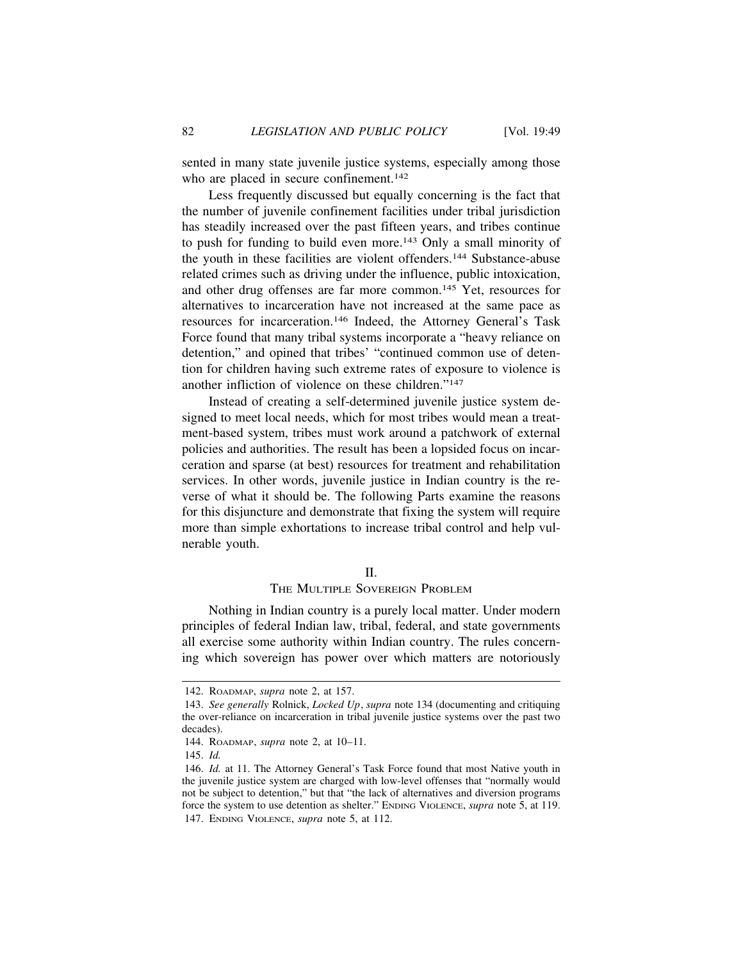sented in many state juvenile justice systems, especially among those who are placed in secure confinement.<sup>142</sup>

Less frequently discussed but equally concerning is the fact that the number of juvenile confinement facilities under tribal jurisdiction has steadily increased over the past fifteen years, and tribes continue to push for funding to build even more.143 Only a small minority of the youth in these facilities are violent offenders.144 Substance-abuse related crimes such as driving under the influence, public intoxication, and other drug offenses are far more common.145 Yet, resources for alternatives to incarceration have not increased at the same pace as resources for incarceration.146 Indeed, the Attorney General's Task Force found that many tribal systems incorporate a "heavy reliance on detention," and opined that tribes' "continued common use of detention for children having such extreme rates of exposure to violence is another infliction of violence on these children."147

Instead of creating a self-determined juvenile justice system designed to meet local needs, which for most tribes would mean a treatment-based system, tribes must work around a patchwork of external policies and authorities. The result has been a lopsided focus on incarceration and sparse (at best) resources for treatment and rehabilitation services. In other words, juvenile justice in Indian country is the reverse of what it should be. The following Parts examine the reasons for this disjuncture and demonstrate that fixing the system will require more than simple exhortations to increase tribal control and help vulnerable youth.

#### II.

# THE MULTIPLE SOVEREIGN PROBLEM

Nothing in Indian country is a purely local matter. Under modern principles of federal Indian law, tribal, federal, and state governments all exercise some authority within Indian country. The rules concerning which sovereign has power over which matters are notoriously

<sup>142.</sup> ROADMAP, *supra* note 2, at 157.

<sup>143.</sup> *See generally* Rolnick, *Locked Up*, *supra* note 134 (documenting and critiquing the over-reliance on incarceration in tribal juvenile justice systems over the past two decades).

<sup>144.</sup> ROADMAP, *supra* note 2, at 10–11.

<sup>145.</sup> *Id.*

<sup>146.</sup> *Id.* at 11. The Attorney General's Task Force found that most Native youth in the juvenile justice system are charged with low-level offenses that "normally would not be subject to detention," but that "the lack of alternatives and diversion programs force the system to use detention as shelter." ENDING VIOLENCE, *supra* note 5, at 119. 147. ENDING VIOLENCE, *supra* note 5, at 112.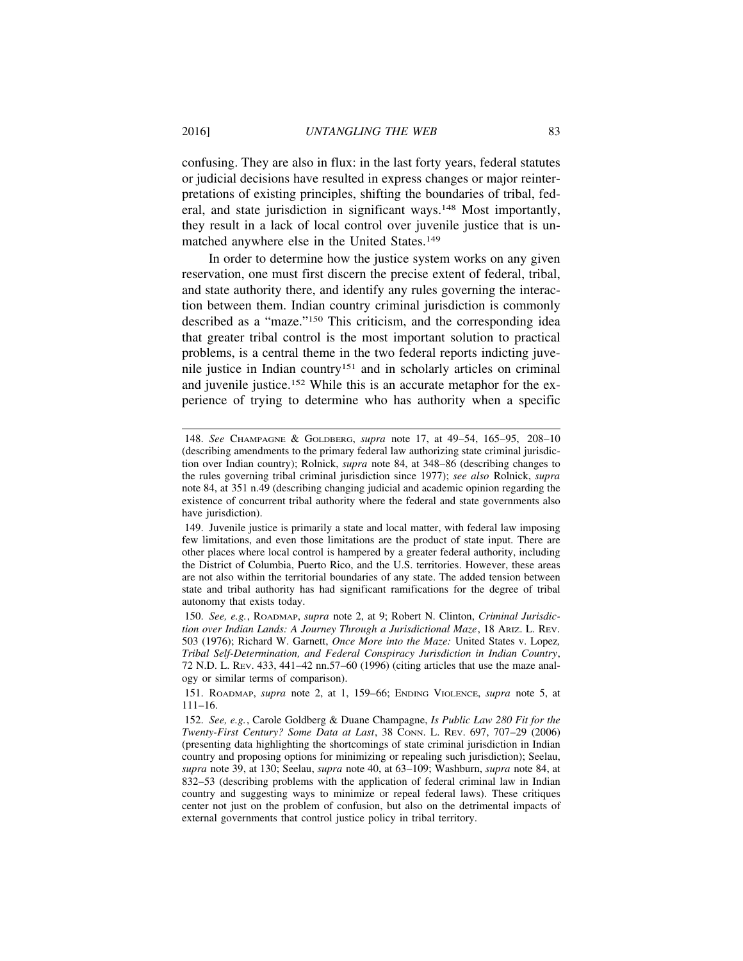confusing. They are also in flux: in the last forty years, federal statutes or judicial decisions have resulted in express changes or major reinterpretations of existing principles, shifting the boundaries of tribal, federal, and state jurisdiction in significant ways.148 Most importantly, they result in a lack of local control over juvenile justice that is unmatched anywhere else in the United States.149

In order to determine how the justice system works on any given reservation, one must first discern the precise extent of federal, tribal, and state authority there, and identify any rules governing the interaction between them. Indian country criminal jurisdiction is commonly described as a "maze."150 This criticism, and the corresponding idea that greater tribal control is the most important solution to practical problems, is a central theme in the two federal reports indicting juvenile justice in Indian country151 and in scholarly articles on criminal and juvenile justice.152 While this is an accurate metaphor for the experience of trying to determine who has authority when a specific

<sup>148.</sup> *See* CHAMPAGNE & GOLDBERG, *supra* note 17, at 49–54, 165–95, 208–10 (describing amendments to the primary federal law authorizing state criminal jurisdiction over Indian country); Rolnick, *supra* note 84, at 348–86 (describing changes to the rules governing tribal criminal jurisdiction since 1977); *see also* Rolnick, *supra* note 84, at 351 n.49 (describing changing judicial and academic opinion regarding the existence of concurrent tribal authority where the federal and state governments also have jurisdiction).

<sup>149.</sup> Juvenile justice is primarily a state and local matter, with federal law imposing few limitations, and even those limitations are the product of state input. There are other places where local control is hampered by a greater federal authority, including the District of Columbia, Puerto Rico, and the U.S. territories. However, these areas are not also within the territorial boundaries of any state. The added tension between state and tribal authority has had significant ramifications for the degree of tribal autonomy that exists today.

<sup>150.</sup> *See, e.g.*, ROADMAP, *supra* note 2, at 9; Robert N. Clinton, *Criminal Jurisdiction over Indian Lands: A Journey Through a Jurisdictional Maze*, 18 ARIZ. L. REV. 503 (1976); Richard W. Garnett, *Once More into the Maze:* United States v. Lopez*, Tribal Self-Determination, and Federal Conspiracy Jurisdiction in Indian Country*, 72 N.D. L. REV. 433, 441–42 nn.57–60 (1996) (citing articles that use the maze analogy or similar terms of comparison).

<sup>151.</sup> ROADMAP, *supra* note 2, at 1, 159–66; ENDING VIOLENCE, *supra* note 5, at 111–16.

<sup>152.</sup> *See, e.g.*, Carole Goldberg & Duane Champagne, *Is Public Law 280 Fit for the Twenty-First Century? Some Data at Last*, 38 CONN. L. REV. 697, 707–29 (2006) (presenting data highlighting the shortcomings of state criminal jurisdiction in Indian country and proposing options for minimizing or repealing such jurisdiction); Seelau, *supra* note 39, at 130; Seelau, *supra* note 40, at 63–109; Washburn, *supra* note 84, at 832–53 (describing problems with the application of federal criminal law in Indian country and suggesting ways to minimize or repeal federal laws). These critiques center not just on the problem of confusion, but also on the detrimental impacts of external governments that control justice policy in tribal territory.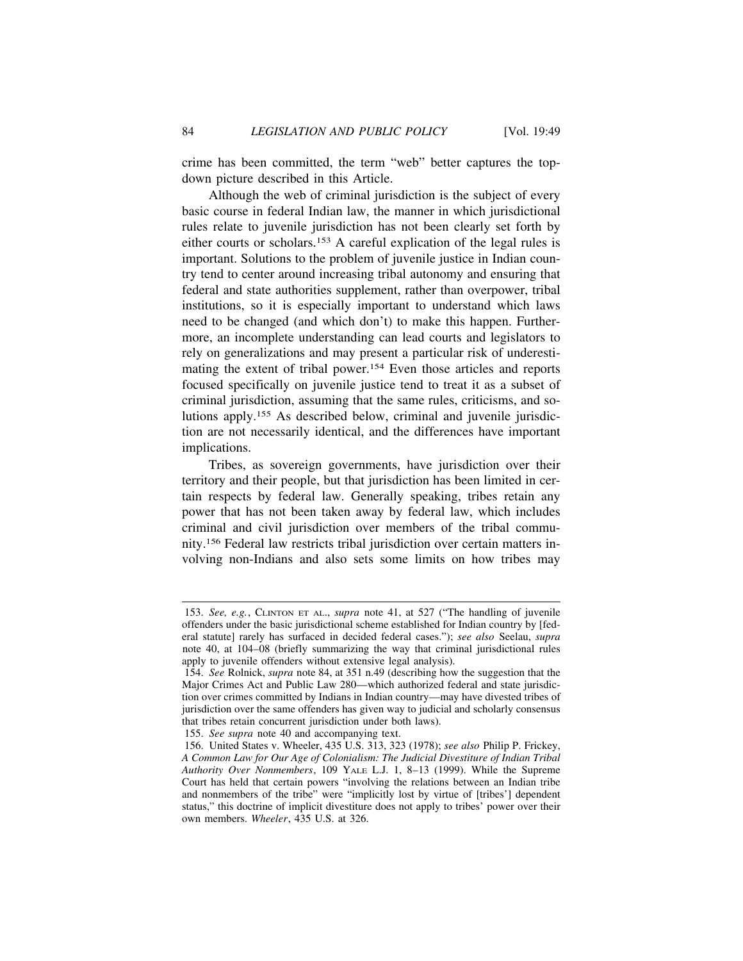crime has been committed, the term "web" better captures the topdown picture described in this Article.

Although the web of criminal jurisdiction is the subject of every basic course in federal Indian law, the manner in which jurisdictional rules relate to juvenile jurisdiction has not been clearly set forth by either courts or scholars.153 A careful explication of the legal rules is important. Solutions to the problem of juvenile justice in Indian country tend to center around increasing tribal autonomy and ensuring that federal and state authorities supplement, rather than overpower, tribal institutions, so it is especially important to understand which laws need to be changed (and which don't) to make this happen. Furthermore, an incomplete understanding can lead courts and legislators to rely on generalizations and may present a particular risk of underestimating the extent of tribal power.154 Even those articles and reports focused specifically on juvenile justice tend to treat it as a subset of criminal jurisdiction, assuming that the same rules, criticisms, and solutions apply.155 As described below, criminal and juvenile jurisdiction are not necessarily identical, and the differences have important implications.

Tribes, as sovereign governments, have jurisdiction over their territory and their people, but that jurisdiction has been limited in certain respects by federal law. Generally speaking, tribes retain any power that has not been taken away by federal law, which includes criminal and civil jurisdiction over members of the tribal community.156 Federal law restricts tribal jurisdiction over certain matters involving non-Indians and also sets some limits on how tribes may

155. *See supra* note 40 and accompanying text.

<sup>153.</sup> *See, e.g.*, CLINTON ET AL., *supra* note 41, at 527 ("The handling of juvenile offenders under the basic jurisdictional scheme established for Indian country by [federal statute] rarely has surfaced in decided federal cases."); *see also* Seelau, *supra* note 40, at 104–08 (briefly summarizing the way that criminal jurisdictional rules apply to juvenile offenders without extensive legal analysis).

<sup>154.</sup> *See* Rolnick, *supra* note 84, at 351 n.49 (describing how the suggestion that the Major Crimes Act and Public Law 280—which authorized federal and state jurisdiction over crimes committed by Indians in Indian country—may have divested tribes of jurisdiction over the same offenders has given way to judicial and scholarly consensus that tribes retain concurrent jurisdiction under both laws).

<sup>156.</sup> United States v. Wheeler, 435 U.S. 313, 323 (1978); *see also* Philip P. Frickey, *A Common Law for Our Age of Colonialism: The Judicial Divestiture of Indian Tribal Authority Over Nonmembers*, 109 YALE L.J. 1, 8–13 (1999). While the Supreme Court has held that certain powers "involving the relations between an Indian tribe and nonmembers of the tribe" were "implicitly lost by virtue of [tribes'] dependent status," this doctrine of implicit divestiture does not apply to tribes' power over their own members. *Wheeler*, 435 U.S. at 326.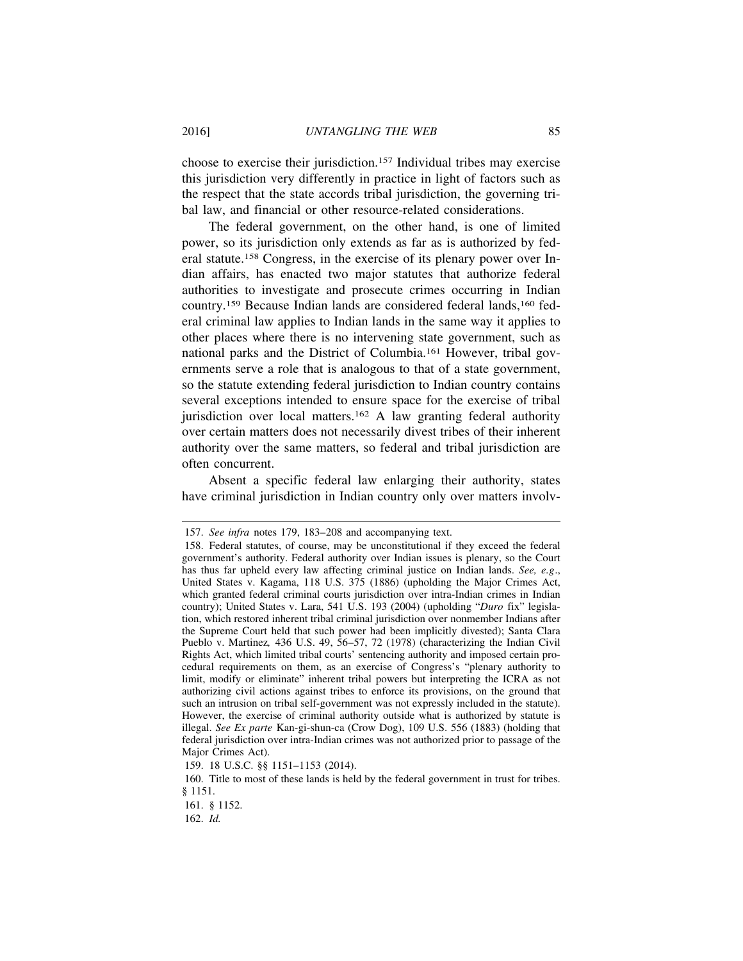choose to exercise their jurisdiction.157 Individual tribes may exercise this jurisdiction very differently in practice in light of factors such as the respect that the state accords tribal jurisdiction, the governing tribal law, and financial or other resource-related considerations.

The federal government, on the other hand, is one of limited power, so its jurisdiction only extends as far as is authorized by federal statute.158 Congress, in the exercise of its plenary power over Indian affairs, has enacted two major statutes that authorize federal authorities to investigate and prosecute crimes occurring in Indian country.159 Because Indian lands are considered federal lands,160 federal criminal law applies to Indian lands in the same way it applies to other places where there is no intervening state government, such as national parks and the District of Columbia.161 However, tribal governments serve a role that is analogous to that of a state government, so the statute extending federal jurisdiction to Indian country contains several exceptions intended to ensure space for the exercise of tribal jurisdiction over local matters.<sup>162</sup> A law granting federal authority over certain matters does not necessarily divest tribes of their inherent authority over the same matters, so federal and tribal jurisdiction are often concurrent.

Absent a specific federal law enlarging their authority, states have criminal jurisdiction in Indian country only over matters involv-

<sup>157.</sup> *See infra* notes 179, 183–208 and accompanying text.

<sup>158.</sup> Federal statutes, of course, may be unconstitutional if they exceed the federal government's authority. Federal authority over Indian issues is plenary, so the Court has thus far upheld every law affecting criminal justice on Indian lands. *See, e.g*., United States v. Kagama, 118 U.S. 375 (1886) (upholding the Major Crimes Act, which granted federal criminal courts jurisdiction over intra-Indian crimes in Indian country); United States v. Lara, 541 U.S. 193 (2004) (upholding "*Duro* fix" legislation, which restored inherent tribal criminal jurisdiction over nonmember Indians after the Supreme Court held that such power had been implicitly divested); Santa Clara Pueblo v. Martinez*,* 436 U.S. 49, 56–57, 72 (1978) (characterizing the Indian Civil Rights Act, which limited tribal courts' sentencing authority and imposed certain procedural requirements on them, as an exercise of Congress's "plenary authority to limit, modify or eliminate" inherent tribal powers but interpreting the ICRA as not authorizing civil actions against tribes to enforce its provisions, on the ground that such an intrusion on tribal self-government was not expressly included in the statute). However, the exercise of criminal authority outside what is authorized by statute is illegal. *See Ex parte* Kan-gi-shun-ca (Crow Dog), 109 U.S. 556 (1883) (holding that federal jurisdiction over intra-Indian crimes was not authorized prior to passage of the Major Crimes Act).

<sup>159. 18</sup> U.S.C. §§ 1151–1153 (2014).

<sup>160.</sup> Title to most of these lands is held by the federal government in trust for tribes. § 1151.

<sup>161. § 1152.</sup>

<sup>162.</sup> *Id.*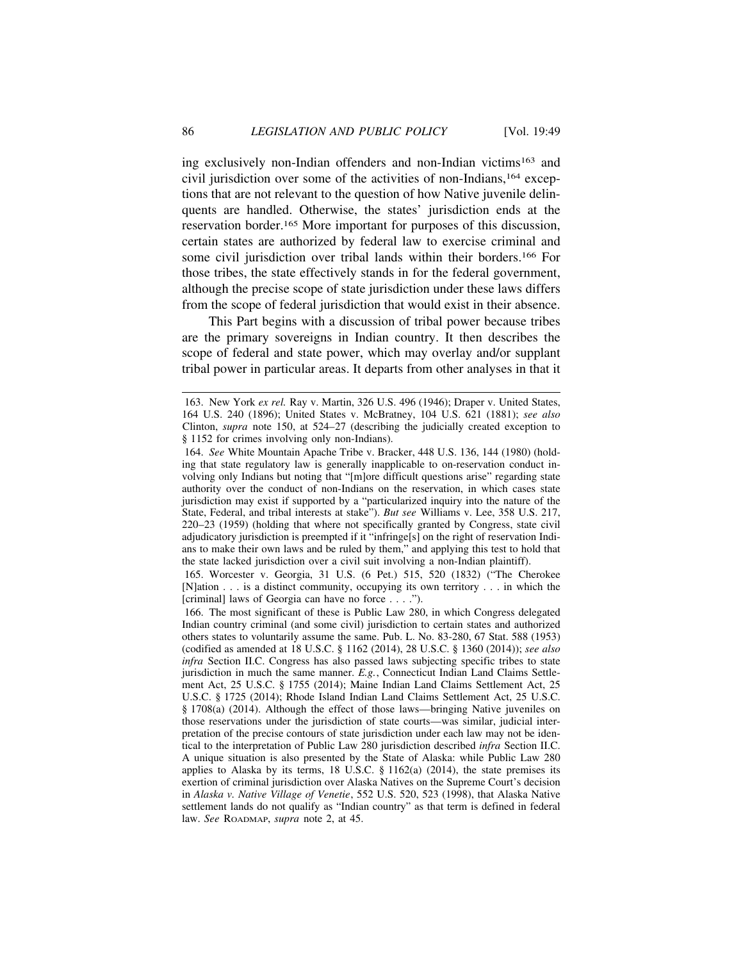ing exclusively non-Indian offenders and non-Indian victims163 and civil jurisdiction over some of the activities of non-Indians,164 exceptions that are not relevant to the question of how Native juvenile delinquents are handled. Otherwise, the states' jurisdiction ends at the reservation border.165 More important for purposes of this discussion, certain states are authorized by federal law to exercise criminal and some civil jurisdiction over tribal lands within their borders.166 For those tribes, the state effectively stands in for the federal government, although the precise scope of state jurisdiction under these laws differs from the scope of federal jurisdiction that would exist in their absence.

This Part begins with a discussion of tribal power because tribes are the primary sovereigns in Indian country. It then describes the scope of federal and state power, which may overlay and/or supplant tribal power in particular areas. It departs from other analyses in that it

165. Worcester v. Georgia, 31 U.S. (6 Pet.) 515, 520 (1832) ("The Cherokee [N]ation . . . is a distinct community, occupying its own territory . . . in which the [criminal] laws of Georgia can have no force . . . .").

166. The most significant of these is Public Law 280, in which Congress delegated Indian country criminal (and some civil) jurisdiction to certain states and authorized others states to voluntarily assume the same. Pub. L. No. 83-280, 67 Stat. 588 (1953) (codified as amended at 18 U.S.C. § 1162 (2014), 28 U.S.C. § 1360 (2014)); *see also infra* Section II.C. Congress has also passed laws subjecting specific tribes to state jurisdiction in much the same manner. *E.g.*, Connecticut Indian Land Claims Settlement Act, 25 U.S.C. § 1755 (2014); Maine Indian Land Claims Settlement Act, 25 U.S.C. § 1725 (2014); Rhode Island Indian Land Claims Settlement Act, 25 U.S.C. § 1708(a) (2014). Although the effect of those laws—bringing Native juveniles on those reservations under the jurisdiction of state courts—was similar, judicial interpretation of the precise contours of state jurisdiction under each law may not be identical to the interpretation of Public Law 280 jurisdiction described *infra* Section II.C. A unique situation is also presented by the State of Alaska: while Public Law 280 applies to Alaska by its terms, 18 U.S.C.  $\S$  1162(a) (2014), the state premises its exertion of criminal jurisdiction over Alaska Natives on the Supreme Court's decision in *Alaska v. Native Village of Venetie*, 552 U.S. 520, 523 (1998), that Alaska Native settlement lands do not qualify as "Indian country" as that term is defined in federal law. *See* ROADMAP, *supra* note 2, at 45.

<sup>163.</sup> New York *ex rel.* Ray v. Martin, 326 U.S. 496 (1946); Draper v. United States, 164 U.S. 240 (1896); United States v. McBratney, 104 U.S. 621 (1881); *see also* Clinton, *supra* note 150, at 524–27 (describing the judicially created exception to § 1152 for crimes involving only non-Indians).

<sup>164.</sup> *See* White Mountain Apache Tribe v. Bracker, 448 U.S. 136, 144 (1980) (holding that state regulatory law is generally inapplicable to on-reservation conduct involving only Indians but noting that "[m]ore difficult questions arise" regarding state authority over the conduct of non-Indians on the reservation, in which cases state jurisdiction may exist if supported by a "particularized inquiry into the nature of the State, Federal, and tribal interests at stake"). *But see* Williams v. Lee, 358 U.S. 217, 220–23 (1959) (holding that where not specifically granted by Congress, state civil adjudicatory jurisdiction is preempted if it "infringe[s] on the right of reservation Indians to make their own laws and be ruled by them," and applying this test to hold that the state lacked jurisdiction over a civil suit involving a non-Indian plaintiff).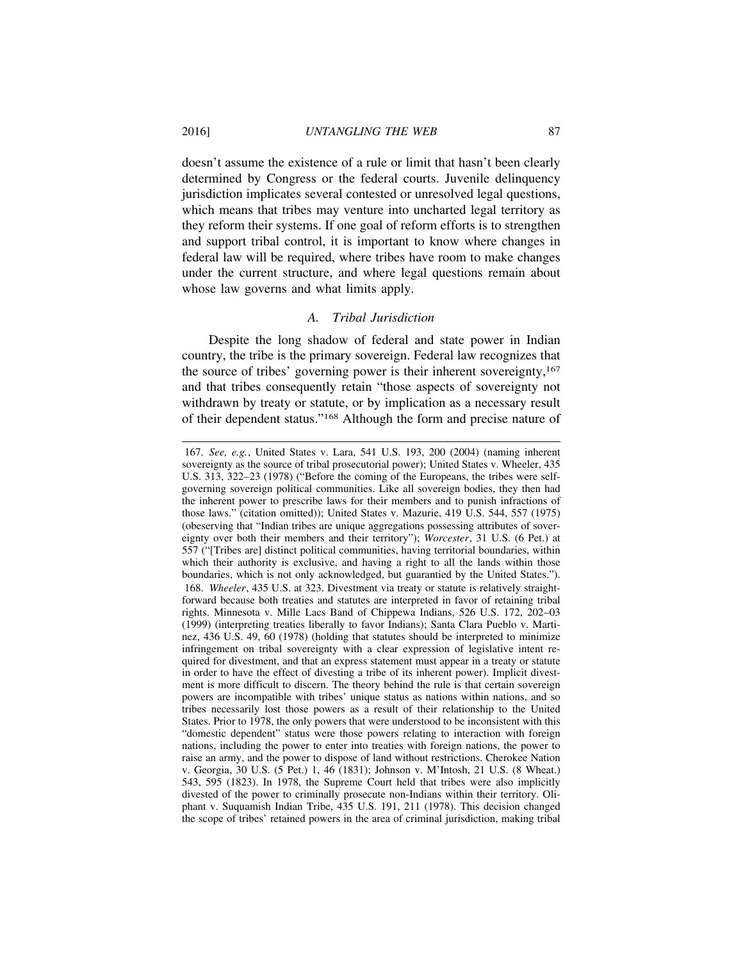doesn't assume the existence of a rule or limit that hasn't been clearly determined by Congress or the federal courts. Juvenile delinquency jurisdiction implicates several contested or unresolved legal questions, which means that tribes may venture into uncharted legal territory as they reform their systems. If one goal of reform efforts is to strengthen and support tribal control, it is important to know where changes in federal law will be required, where tribes have room to make changes under the current structure, and where legal questions remain about whose law governs and what limits apply.

#### *A. Tribal Jurisdiction*

Despite the long shadow of federal and state power in Indian country, the tribe is the primary sovereign. Federal law recognizes that the source of tribes' governing power is their inherent sovereignty,<sup>167</sup> and that tribes consequently retain "those aspects of sovereignty not withdrawn by treaty or statute, or by implication as a necessary result of their dependent status."168 Although the form and precise nature of

<sup>167.</sup> *See, e.g.*, United States v. Lara, 541 U.S. 193, 200 (2004) (naming inherent sovereignty as the source of tribal prosecutorial power); United States v. Wheeler, 435 U.S. 313, 322–23 (1978) ("Before the coming of the Europeans, the tribes were selfgoverning sovereign political communities. Like all sovereign bodies, they then had the inherent power to prescribe laws for their members and to punish infractions of those laws." (citation omitted)); United States v. Mazurie, 419 U.S. 544, 557 (1975) (obeserving that "Indian tribes are unique aggregations possessing attributes of sovereignty over both their members and their territory"); *Worcester*, 31 U.S. (6 Pet.) at 557 ("[Tribes are] distinct political communities, having territorial boundaries, within which their authority is exclusive, and having a right to all the lands within those boundaries, which is not only acknowledged, but guarantied by the United States."). 168. *Wheeler*, 435 U.S. at 323. Divestment via treaty or statute is relatively straightforward because both treaties and statutes are interpreted in favor of retaining tribal rights. Minnesota v. Mille Lacs Band of Chippewa Indians, 526 U.S. 172, 202–03 (1999) (interpreting treaties liberally to favor Indians); Santa Clara Pueblo v. Martinez, 436 U.S. 49, 60 (1978) (holding that statutes should be interpreted to minimize infringement on tribal sovereignty with a clear expression of legislative intent required for divestment, and that an express statement must appear in a treaty or statute in order to have the effect of divesting a tribe of its inherent power). Implicit divestment is more difficult to discern. The theory behind the rule is that certain sovereign powers are incompatible with tribes' unique status as nations within nations, and so tribes necessarily lost those powers as a result of their relationship to the United States. Prior to 1978, the only powers that were understood to be inconsistent with this "domestic dependent" status were those powers relating to interaction with foreign nations, including the power to enter into treaties with foreign nations, the power to raise an army, and the power to dispose of land without restrictions. Cherokee Nation v. Georgia, 30 U.S. (5 Pet.) 1, 46 (1831); Johnson v. M'Intosh, 21 U.S. (8 Wheat.) 543, 595 (1823). In 1978, the Supreme Court held that tribes were also implicitly divested of the power to criminally prosecute non-Indians within their territory. Oliphant v. Suquamish Indian Tribe, 435 U.S. 191, 211 (1978). This decision changed the scope of tribes' retained powers in the area of criminal jurisdiction, making tribal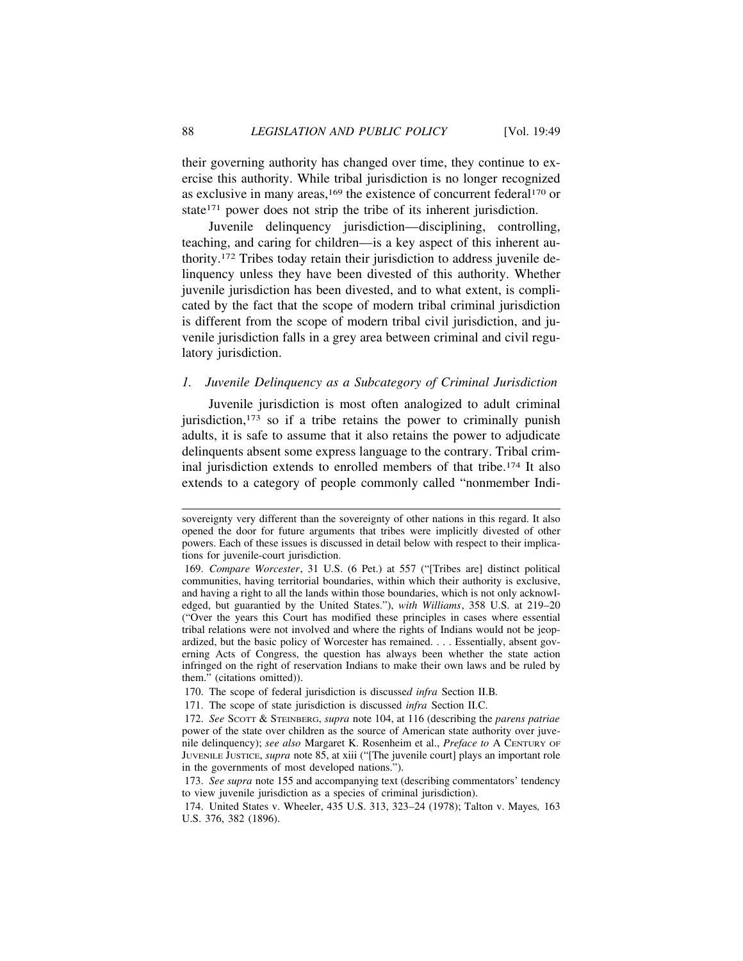their governing authority has changed over time, they continue to exercise this authority. While tribal jurisdiction is no longer recognized as exclusive in many areas,<sup>169</sup> the existence of concurrent federal<sup>170</sup> or state<sup>171</sup> power does not strip the tribe of its inherent jurisdiction.

Juvenile delinquency jurisdiction—disciplining, controlling, teaching, and caring for children—is a key aspect of this inherent authority.172 Tribes today retain their jurisdiction to address juvenile delinquency unless they have been divested of this authority. Whether juvenile jurisdiction has been divested, and to what extent, is complicated by the fact that the scope of modern tribal criminal jurisdiction is different from the scope of modern tribal civil jurisdiction, and juvenile jurisdiction falls in a grey area between criminal and civil regulatory jurisdiction.

# *1. Juvenile Delinquency as a Subcategory of Criminal Jurisdiction*

Juvenile jurisdiction is most often analogized to adult criminal jurisdiction,<sup>173</sup> so if a tribe retains the power to criminally punish adults, it is safe to assume that it also retains the power to adjudicate delinquents absent some express language to the contrary. Tribal criminal jurisdiction extends to enrolled members of that tribe.174 It also extends to a category of people commonly called "nonmember Indi-

sovereignty very different than the sovereignty of other nations in this regard. It also opened the door for future arguments that tribes were implicitly divested of other powers. Each of these issues is discussed in detail below with respect to their implications for juvenile-court jurisdiction.

<sup>169.</sup> *Compare Worcester*, 31 U.S. (6 Pet.) at 557 ("[Tribes are] distinct political communities, having territorial boundaries, within which their authority is exclusive, and having a right to all the lands within those boundaries, which is not only acknowledged, but guarantied by the United States."), *with Williams*, 358 U.S. at 219–20 ("Over the years this Court has modified these principles in cases where essential tribal relations were not involved and where the rights of Indians would not be jeopardized, but the basic policy of Worcester has remained. . . . Essentially, absent governing Acts of Congress, the question has always been whether the state action infringed on the right of reservation Indians to make their own laws and be ruled by them." (citations omitted)).

<sup>170.</sup> The scope of federal jurisdiction is discusse*d infra* Section II.B*.*

<sup>171.</sup> The scope of state jurisdiction is discussed *infra* Section II.C.

<sup>172.</sup> *See* SCOTT & STEINBERG, *supra* note 104, at 116 (describing the *parens patriae* power of the state over children as the source of American state authority over juvenile delinquency); *see also* Margaret K. Rosenheim et al., *Preface to* A CENTURY OF JUVENILE JUSTICE, *supra* note 85, at xiii ("[The juvenile court] plays an important role in the governments of most developed nations.").

<sup>173.</sup> *See supra* note 155 and accompanying text (describing commentators' tendency to view juvenile jurisdiction as a species of criminal jurisdiction).

<sup>174.</sup> United States v. Wheeler, 435 U.S. 313, 323–24 (1978); Talton v. Mayes*,* 163 U.S. 376, 382 (1896).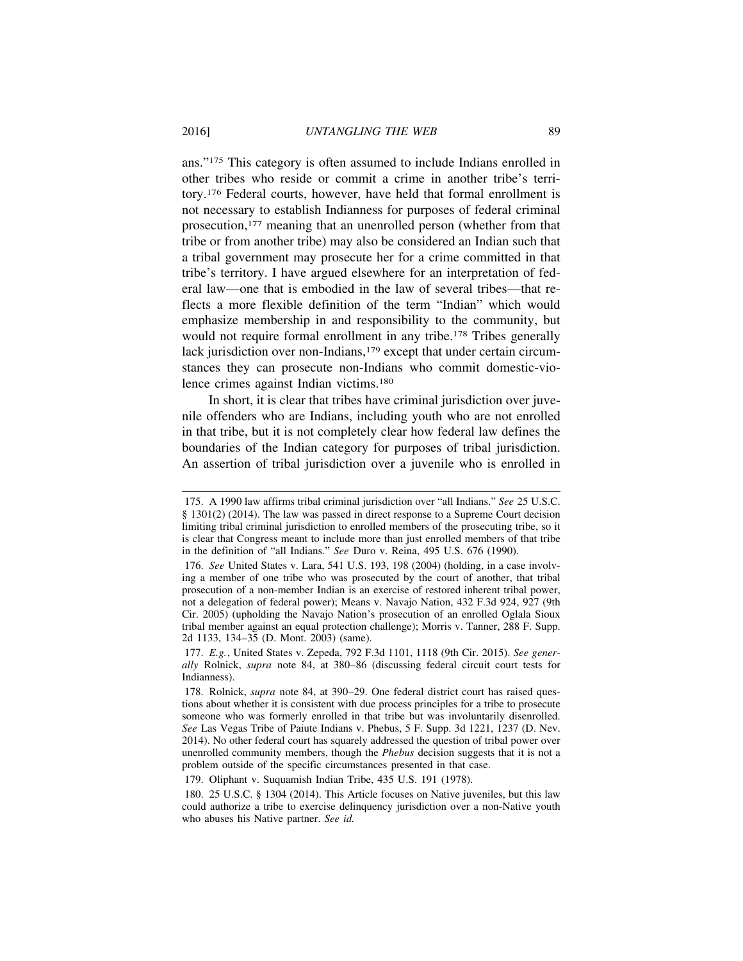ans."175 This category is often assumed to include Indians enrolled in other tribes who reside or commit a crime in another tribe's territory.176 Federal courts, however, have held that formal enrollment is not necessary to establish Indianness for purposes of federal criminal prosecution,177 meaning that an unenrolled person (whether from that tribe or from another tribe) may also be considered an Indian such that a tribal government may prosecute her for a crime committed in that tribe's territory. I have argued elsewhere for an interpretation of federal law—one that is embodied in the law of several tribes—that reflects a more flexible definition of the term "Indian" which would emphasize membership in and responsibility to the community, but would not require formal enrollment in any tribe.<sup>178</sup> Tribes generally lack jurisdiction over non-Indians,<sup>179</sup> except that under certain circumstances they can prosecute non-Indians who commit domestic-violence crimes against Indian victims.180

In short, it is clear that tribes have criminal jurisdiction over juvenile offenders who are Indians, including youth who are not enrolled in that tribe, but it is not completely clear how federal law defines the boundaries of the Indian category for purposes of tribal jurisdiction. An assertion of tribal jurisdiction over a juvenile who is enrolled in

<sup>175.</sup> A 1990 law affirms tribal criminal jurisdiction over "all Indians." *See* 25 U.S.C. § 1301(2) (2014). The law was passed in direct response to a Supreme Court decision limiting tribal criminal jurisdiction to enrolled members of the prosecuting tribe, so it is clear that Congress meant to include more than just enrolled members of that tribe in the definition of "all Indians." *See* Duro v. Reina, 495 U.S. 676 (1990).

<sup>176.</sup> *See* United States v. Lara, 541 U.S. 193, 198 (2004) (holding, in a case involving a member of one tribe who was prosecuted by the court of another, that tribal prosecution of a non-member Indian is an exercise of restored inherent tribal power, not a delegation of federal power); Means v. Navajo Nation, 432 F.3d 924, 927 (9th Cir. 2005) (upholding the Navajo Nation's prosecution of an enrolled Oglala Sioux tribal member against an equal protection challenge); Morris v. Tanner, 288 F. Supp. 2d 1133, 134–35 (D. Mont. 2003) (same).

<sup>177.</sup> *E.g.*, United States v. Zepeda, 792 F.3d 1101, 1118 (9th Cir. 2015). *See generally* Rolnick, *supra* note 84, at 380–86 (discussing federal circuit court tests for Indianness).

<sup>178.</sup> Rolnick, *supra* note 84, at 390–29. One federal district court has raised questions about whether it is consistent with due process principles for a tribe to prosecute someone who was formerly enrolled in that tribe but was involuntarily disenrolled. *See* Las Vegas Tribe of Paiute Indians v. Phebus, 5 F. Supp. 3d 1221, 1237 (D. Nev. 2014). No other federal court has squarely addressed the question of tribal power over unenrolled community members, though the *Phebus* decision suggests that it is not a problem outside of the specific circumstances presented in that case.

<sup>179.</sup> Oliphant v. Suquamish Indian Tribe, 435 U.S. 191 (1978).

<sup>180. 25</sup> U.S.C. § 1304 (2014). This Article focuses on Native juveniles, but this law could authorize a tribe to exercise delinquency jurisdiction over a non-Native youth who abuses his Native partner. *See id.*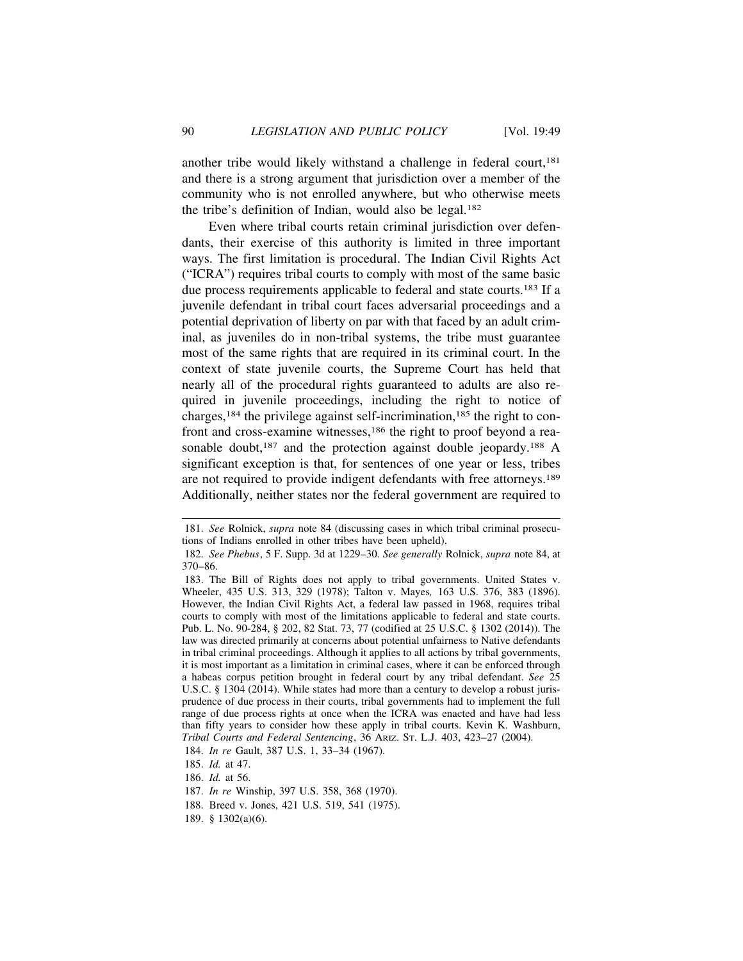another tribe would likely withstand a challenge in federal court.<sup>181</sup> and there is a strong argument that jurisdiction over a member of the community who is not enrolled anywhere, but who otherwise meets the tribe's definition of Indian, would also be legal.182

Even where tribal courts retain criminal jurisdiction over defendants, their exercise of this authority is limited in three important ways. The first limitation is procedural. The Indian Civil Rights Act ("ICRA") requires tribal courts to comply with most of the same basic due process requirements applicable to federal and state courts.183 If a juvenile defendant in tribal court faces adversarial proceedings and a potential deprivation of liberty on par with that faced by an adult criminal, as juveniles do in non-tribal systems, the tribe must guarantee most of the same rights that are required in its criminal court. In the context of state juvenile courts, the Supreme Court has held that nearly all of the procedural rights guaranteed to adults are also required in juvenile proceedings, including the right to notice of charges,184 the privilege against self-incrimination,185 the right to confront and cross-examine witnesses,<sup>186</sup> the right to proof beyond a reasonable doubt,<sup>187</sup> and the protection against double jeopardy.<sup>188</sup> A significant exception is that, for sentences of one year or less, tribes are not required to provide indigent defendants with free attorneys.189 Additionally, neither states nor the federal government are required to

- 187. *In re* Winship, 397 U.S. 358, 368 (1970).
- 188. Breed v. Jones, 421 U.S. 519, 541 (1975).
- 189. § 1302(a)(6).

<sup>181.</sup> *See* Rolnick, *supra* note 84 (discussing cases in which tribal criminal prosecutions of Indians enrolled in other tribes have been upheld).

<sup>182.</sup> *See Phebus*, 5 F. Supp. 3d at 1229–30. *See generally* Rolnick, *supra* note 84, at 370–86.

<sup>183.</sup> The Bill of Rights does not apply to tribal governments. United States v. Wheeler, 435 U.S. 313, 329 (1978); Talton v. Mayes*,* 163 U.S. 376, 383 (1896). However, the Indian Civil Rights Act, a federal law passed in 1968, requires tribal courts to comply with most of the limitations applicable to federal and state courts. Pub. L. No. 90-284, § 202, 82 Stat. 73, 77 (codified at 25 U.S.C. § 1302 (2014)). The law was directed primarily at concerns about potential unfairness to Native defendants in tribal criminal proceedings. Although it applies to all actions by tribal governments, it is most important as a limitation in criminal cases, where it can be enforced through a habeas corpus petition brought in federal court by any tribal defendant. *See* 25 U.S.C. § 1304 (2014). While states had more than a century to develop a robust jurisprudence of due process in their courts, tribal governments had to implement the full range of due process rights at once when the ICRA was enacted and have had less than fifty years to consider how these apply in tribal courts. Kevin K. Washburn, *Tribal Courts and Federal Sentencing*, 36 ARIZ. ST. L.J. 403, 423–27 (2004).

<sup>184.</sup> *In re* Gault, 387 U.S. 1, 33–34 (1967).

<sup>185.</sup> *Id.* at 47.

<sup>186.</sup> *Id.* at 56.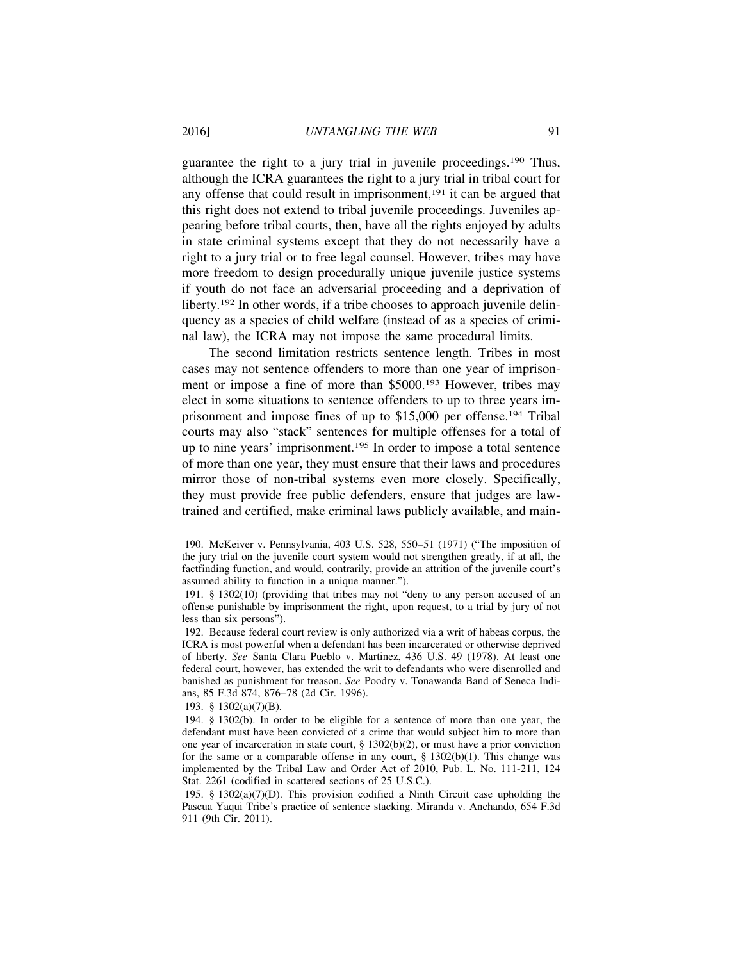guarantee the right to a jury trial in juvenile proceedings.190 Thus, although the ICRA guarantees the right to a jury trial in tribal court for any offense that could result in imprisonment,<sup>191</sup> it can be argued that this right does not extend to tribal juvenile proceedings. Juveniles appearing before tribal courts, then, have all the rights enjoyed by adults in state criminal systems except that they do not necessarily have a right to a jury trial or to free legal counsel. However, tribes may have more freedom to design procedurally unique juvenile justice systems if youth do not face an adversarial proceeding and a deprivation of liberty.<sup>192</sup> In other words, if a tribe chooses to approach juvenile delinquency as a species of child welfare (instead of as a species of criminal law), the ICRA may not impose the same procedural limits.

The second limitation restricts sentence length. Tribes in most cases may not sentence offenders to more than one year of imprisonment or impose a fine of more than \$5000.193 However, tribes may elect in some situations to sentence offenders to up to three years imprisonment and impose fines of up to \$15,000 per offense.194 Tribal courts may also "stack" sentences for multiple offenses for a total of up to nine years' imprisonment.195 In order to impose a total sentence of more than one year, they must ensure that their laws and procedures mirror those of non-tribal systems even more closely. Specifically, they must provide free public defenders, ensure that judges are lawtrained and certified, make criminal laws publicly available, and main-

193. § 1302(a)(7)(B).

<sup>190.</sup> McKeiver v. Pennsylvania, 403 U.S. 528, 550–51 (1971) ("The imposition of the jury trial on the juvenile court system would not strengthen greatly, if at all, the factfinding function, and would, contrarily, provide an attrition of the juvenile court's assumed ability to function in a unique manner.").

<sup>191. § 1302(10) (</sup>providing that tribes may not "deny to any person accused of an offense punishable by imprisonment the right, upon request, to a trial by jury of not less than six persons").

<sup>192.</sup> Because federal court review is only authorized via a writ of habeas corpus, the ICRA is most powerful when a defendant has been incarcerated or otherwise deprived of liberty. *See* Santa Clara Pueblo v. Martinez, 436 U.S. 49 (1978). At least one federal court, however, has extended the writ to defendants who were disenrolled and banished as punishment for treason. *See* Poodry v. Tonawanda Band of Seneca Indians, 85 F.3d 874, 876–78 (2d Cir. 1996).

<sup>194. § 1302(</sup>b). In order to be eligible for a sentence of more than one year, the defendant must have been convicted of a crime that would subject him to more than one year of incarceration in state court, § 1302(b)(2), or must have a prior conviction for the same or a comparable offense in any court,  $\S$  1302(b)(1). This change was implemented by the Tribal Law and Order Act of 2010, Pub. L. No. 111-211, 124 Stat. 2261 (codified in scattered sections of 25 U.S.C.).

<sup>195. § 1302(</sup>a)(7)(D). This provision codified a Ninth Circuit case upholding the Pascua Yaqui Tribe's practice of sentence stacking. Miranda v. Anchando, 654 F.3d 911 (9th Cir. 2011).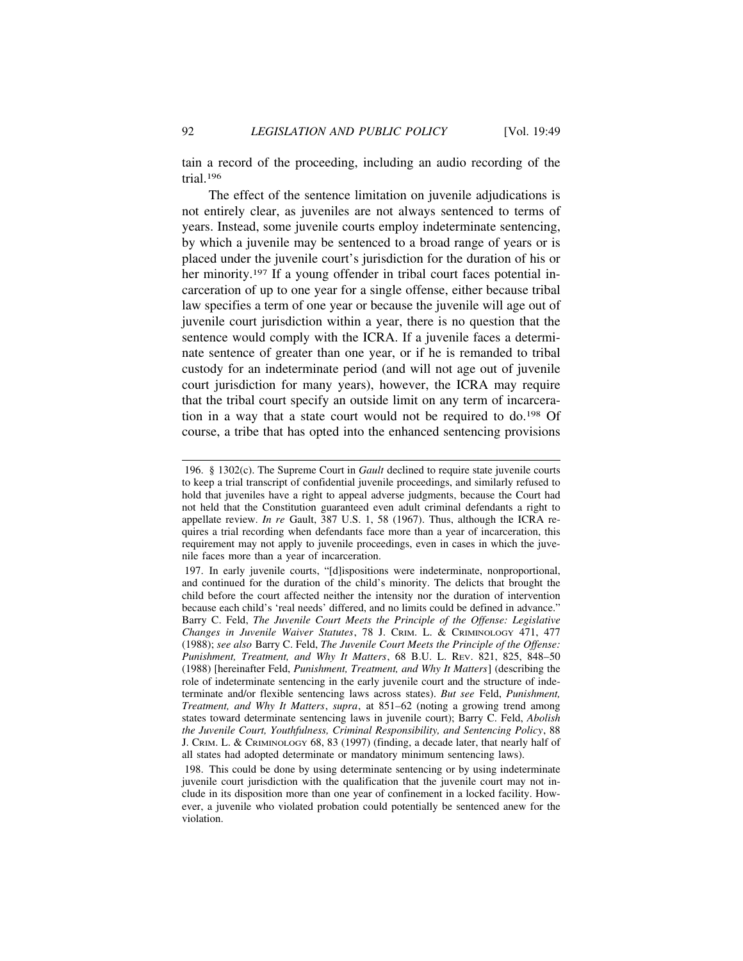tain a record of the proceeding, including an audio recording of the trial.196

The effect of the sentence limitation on juvenile adjudications is not entirely clear, as juveniles are not always sentenced to terms of years. Instead, some juvenile courts employ indeterminate sentencing, by which a juvenile may be sentenced to a broad range of years or is placed under the juvenile court's jurisdiction for the duration of his or her minority.<sup>197</sup> If a young offender in tribal court faces potential incarceration of up to one year for a single offense, either because tribal law specifies a term of one year or because the juvenile will age out of juvenile court jurisdiction within a year, there is no question that the sentence would comply with the ICRA. If a juvenile faces a determinate sentence of greater than one year, or if he is remanded to tribal custody for an indeterminate period (and will not age out of juvenile court jurisdiction for many years), however, the ICRA may require that the tribal court specify an outside limit on any term of incarceration in a way that a state court would not be required to do.198 Of course, a tribe that has opted into the enhanced sentencing provisions

<sup>196. § 1302(</sup>c). The Supreme Court in *Gault* declined to require state juvenile courts to keep a trial transcript of confidential juvenile proceedings, and similarly refused to hold that juveniles have a right to appeal adverse judgments, because the Court had not held that the Constitution guaranteed even adult criminal defendants a right to appellate review. *In re* Gault, 387 U.S. 1, 58 (1967). Thus, although the ICRA requires a trial recording when defendants face more than a year of incarceration, this requirement may not apply to juvenile proceedings, even in cases in which the juvenile faces more than a year of incarceration.

<sup>197.</sup> In early juvenile courts, "[d]ispositions were indeterminate, nonproportional, and continued for the duration of the child's minority. The delicts that brought the child before the court affected neither the intensity nor the duration of intervention because each child's 'real needs' differed, and no limits could be defined in advance." Barry C. Feld, *The Juvenile Court Meets the Principle of the Offense: Legislative Changes in Juvenile Waiver Statutes*, 78 J. CRIM. L. & CRIMINOLOGY 471, 477 (1988); *see also* Barry C. Feld, *The Juvenile Court Meets the Principle of the Offense: Punishment, Treatment, and Why It Matters*, 68 B.U. L. REV. 821, 825, 848–50 (1988) [hereinafter Feld, *Punishment, Treatment, and Why It Matters*] (describing the role of indeterminate sentencing in the early juvenile court and the structure of indeterminate and/or flexible sentencing laws across states). *But see* Feld, *Punishment, Treatment, and Why It Matters*, *supra*, at 851–62 (noting a growing trend among states toward determinate sentencing laws in juvenile court); Barry C. Feld, *Abolish the Juvenile Court, Youthfulness, Criminal Responsibility, and Sentencing Policy*, 88 J. CRIM. L. & CRIMINOLOGY 68, 83 (1997) (finding, a decade later, that nearly half of all states had adopted determinate or mandatory minimum sentencing laws).

<sup>198.</sup> This could be done by using determinate sentencing or by using indeterminate juvenile court jurisdiction with the qualification that the juvenile court may not include in its disposition more than one year of confinement in a locked facility. However, a juvenile who violated probation could potentially be sentenced anew for the violation.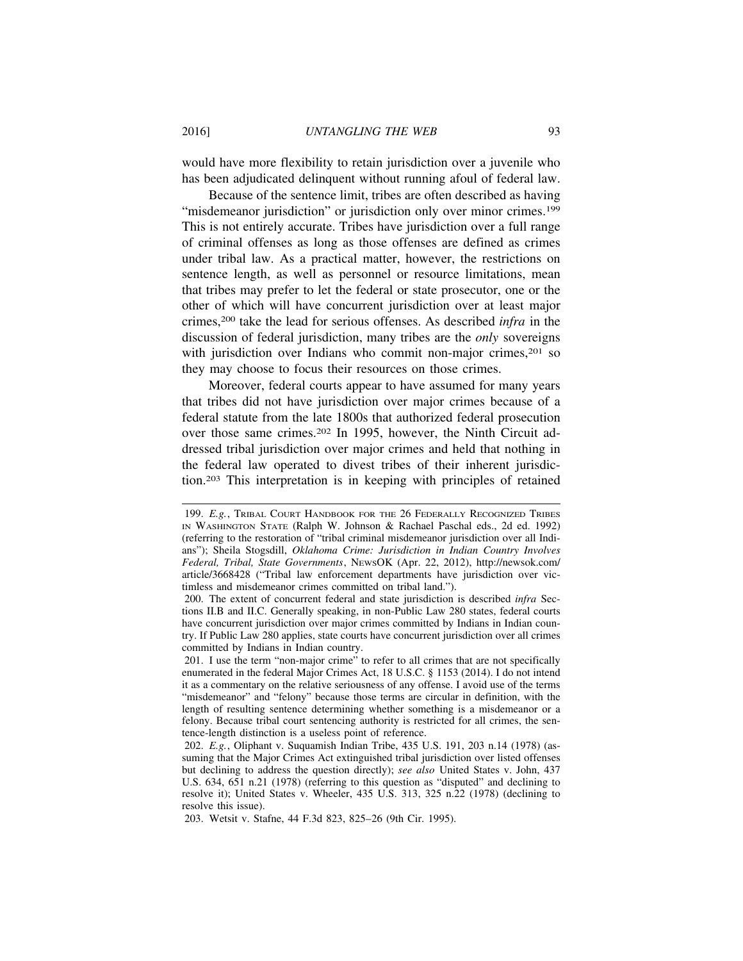would have more flexibility to retain jurisdiction over a juvenile who has been adjudicated delinquent without running afoul of federal law.

Because of the sentence limit, tribes are often described as having "misdemeanor jurisdiction" or jurisdiction only over minor crimes.<sup>199</sup> This is not entirely accurate. Tribes have jurisdiction over a full range of criminal offenses as long as those offenses are defined as crimes under tribal law. As a practical matter, however, the restrictions on sentence length, as well as personnel or resource limitations, mean that tribes may prefer to let the federal or state prosecutor, one or the other of which will have concurrent jurisdiction over at least major crimes,200 take the lead for serious offenses. As described *infra* in the discussion of federal jurisdiction, many tribes are the *only* sovereigns with jurisdiction over Indians who commit non-major crimes,<sup>201</sup> so they may choose to focus their resources on those crimes.

Moreover, federal courts appear to have assumed for many years that tribes did not have jurisdiction over major crimes because of a federal statute from the late 1800s that authorized federal prosecution over those same crimes.202 In 1995, however, the Ninth Circuit addressed tribal jurisdiction over major crimes and held that nothing in the federal law operated to divest tribes of their inherent jurisdiction.203 This interpretation is in keeping with principles of retained

<sup>199.</sup> *E.g.*, TRIBAL COURT HANDBOOK FOR THE 26 FEDERALLY RECOGNIZED TRIBES IN WASHINGTON STATE (Ralph W. Johnson & Rachael Paschal eds., 2d ed. 1992) (referring to the restoration of "tribal criminal misdemeanor jurisdiction over all Indians"); Sheila Stogsdill, *Oklahoma Crime: Jurisdiction in Indian Country Involves Federal, Tribal, State Governments*, NEWSOK (Apr. 22, 2012), http://newsok.com/ article/3668428 ("Tribal law enforcement departments have jurisdiction over victimless and misdemeanor crimes committed on tribal land.").

<sup>200.</sup> The extent of concurrent federal and state jurisdiction is described *infra* Sections II.B and II.C. Generally speaking, in non-Public Law 280 states, federal courts have concurrent jurisdiction over major crimes committed by Indians in Indian country. If Public Law 280 applies, state courts have concurrent jurisdiction over all crimes committed by Indians in Indian country.

<sup>201.</sup> I use the term "non-major crime" to refer to all crimes that are not specifically enumerated in the federal Major Crimes Act, 18 U.S.C. § 1153 (2014). I do not intend it as a commentary on the relative seriousness of any offense. I avoid use of the terms "misdemeanor" and "felony" because those terms are circular in definition, with the length of resulting sentence determining whether something is a misdemeanor or a felony. Because tribal court sentencing authority is restricted for all crimes, the sentence-length distinction is a useless point of reference.

<sup>202.</sup> *E.g.*, Oliphant v. Suquamish Indian Tribe, 435 U.S. 191, 203 n.14 (1978) (assuming that the Major Crimes Act extinguished tribal jurisdiction over listed offenses but declining to address the question directly); *see also* United States v. John, 437 U.S. 634, 651 n.21 (1978) (referring to this question as "disputed" and declining to resolve it); United States v. Wheeler, 435 U.S. 313, 325 n.22 (1978) (declining to resolve this issue).

<sup>203.</sup> Wetsit v. Stafne, 44 F.3d 823, 825–26 (9th Cir. 1995).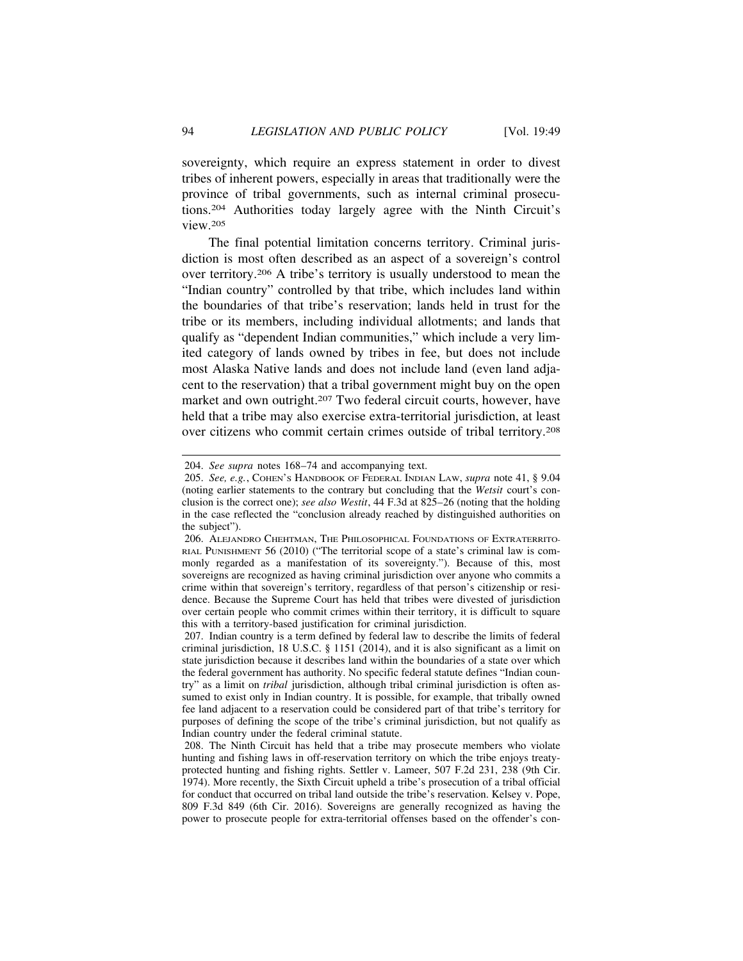sovereignty, which require an express statement in order to divest tribes of inherent powers, especially in areas that traditionally were the province of tribal governments, such as internal criminal prosecutions.204 Authorities today largely agree with the Ninth Circuit's view.205

The final potential limitation concerns territory. Criminal jurisdiction is most often described as an aspect of a sovereign's control over territory.206 A tribe's territory is usually understood to mean the "Indian country" controlled by that tribe, which includes land within the boundaries of that tribe's reservation; lands held in trust for the tribe or its members, including individual allotments; and lands that qualify as "dependent Indian communities," which include a very limited category of lands owned by tribes in fee, but does not include most Alaska Native lands and does not include land (even land adjacent to the reservation) that a tribal government might buy on the open market and own outright.<sup>207</sup> Two federal circuit courts, however, have held that a tribe may also exercise extra-territorial jurisdiction, at least over citizens who commit certain crimes outside of tribal territory.208

<sup>204.</sup> *See supra* notes 168–74 and accompanying text.

<sup>205.</sup> *See, e.g.*, COHEN'S HANDBOOK OF FEDERAL INDIAN LAW, *supra* note 41, § 9.04 (noting earlier statements to the contrary but concluding that the *Wetsit* court's conclusion is the correct one); *see also Westit*, 44 F.3d at 825–26 (noting that the holding in the case reflected the "conclusion already reached by distinguished authorities on the subject").

<sup>206.</sup> ALEJANDRO CHEHTMAN, THE PHILOSOPHICAL FOUNDATIONS OF EXTRATERRITO-RIAL PUNISHMENT 56 (2010) ("The territorial scope of a state's criminal law is commonly regarded as a manifestation of its sovereignty."). Because of this, most sovereigns are recognized as having criminal jurisdiction over anyone who commits a crime within that sovereign's territory, regardless of that person's citizenship or residence. Because the Supreme Court has held that tribes were divested of jurisdiction over certain people who commit crimes within their territory, it is difficult to square this with a territory-based justification for criminal jurisdiction.

<sup>207.</sup> Indian country is a term defined by federal law to describe the limits of federal criminal jurisdiction, 18 U.S.C. § 1151 (2014), and it is also significant as a limit on state jurisdiction because it describes land within the boundaries of a state over which the federal government has authority. No specific federal statute defines "Indian country" as a limit on *tribal* jurisdiction, although tribal criminal jurisdiction is often assumed to exist only in Indian country. It is possible, for example, that tribally owned fee land adjacent to a reservation could be considered part of that tribe's territory for purposes of defining the scope of the tribe's criminal jurisdiction, but not qualify as Indian country under the federal criminal statute.

<sup>208.</sup> The Ninth Circuit has held that a tribe may prosecute members who violate hunting and fishing laws in off-reservation territory on which the tribe enjoys treatyprotected hunting and fishing rights. Settler v. Lameer, 507 F.2d 231, 238 (9th Cir. 1974). More recently, the Sixth Circuit upheld a tribe's prosecution of a tribal official for conduct that occurred on tribal land outside the tribe's reservation. Kelsey v. Pope, 809 F.3d 849 (6th Cir. 2016). Sovereigns are generally recognized as having the power to prosecute people for extra-territorial offenses based on the offender's con-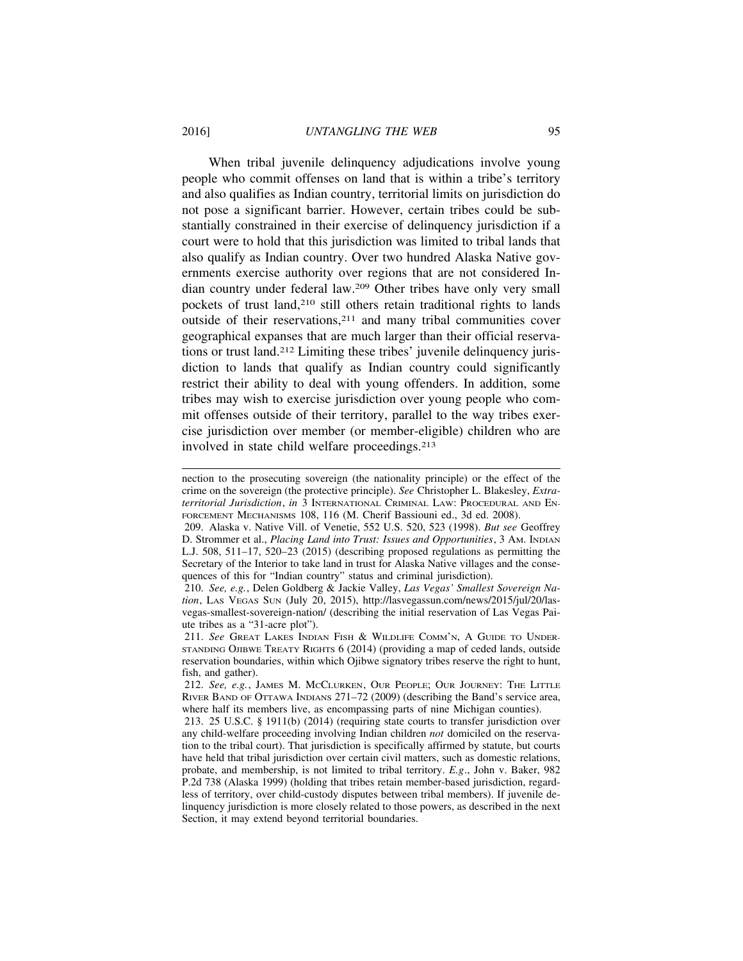When tribal juvenile delinquency adjudications involve young people who commit offenses on land that is within a tribe's territory and also qualifies as Indian country, territorial limits on jurisdiction do not pose a significant barrier. However, certain tribes could be substantially constrained in their exercise of delinquency jurisdiction if a court were to hold that this jurisdiction was limited to tribal lands that also qualify as Indian country. Over two hundred Alaska Native governments exercise authority over regions that are not considered Indian country under federal law.209 Other tribes have only very small pockets of trust land,<sup>210</sup> still others retain traditional rights to lands outside of their reservations,<sup>211</sup> and many tribal communities cover geographical expanses that are much larger than their official reservations or trust land.212 Limiting these tribes' juvenile delinquency jurisdiction to lands that qualify as Indian country could significantly restrict their ability to deal with young offenders. In addition, some tribes may wish to exercise jurisdiction over young people who commit offenses outside of their territory, parallel to the way tribes exercise jurisdiction over member (or member-eligible) children who are involved in state child welfare proceedings.213

nection to the prosecuting sovereign (the nationality principle) or the effect of the crime on the sovereign (the protective principle). *See* Christopher L. Blakesley, *Extraterritorial Jurisdiction*, *in* 3 INTERNATIONAL CRIMINAL LAW: PROCEDURAL AND EN-FORCEMENT MECHANISMS 108, 116 (M. Cherif Bassiouni ed., 3d ed. 2008).

<sup>209.</sup> Alaska v. Native Vill. of Venetie, 552 U.S. 520, 523 (1998). *But see* Geoffrey D. Strommer et al., *Placing Land into Trust: Issues and Opportunities*, 3 AM. INDIAN L.J. 508, 511–17, 520–23 (2015) (describing proposed regulations as permitting the Secretary of the Interior to take land in trust for Alaska Native villages and the consequences of this for "Indian country" status and criminal jurisdiction).

<sup>210.</sup> *See, e.g.*, Delen Goldberg & Jackie Valley, *Las Vegas' Smallest Sovereign Nation*, LAS VEGAS SUN (July 20, 2015), http://lasvegassun.com/news/2015/jul/20/lasvegas-smallest-sovereign-nation/ (describing the initial reservation of Las Vegas Paiute tribes as a "31-acre plot").

<sup>211.</sup> *See* GREAT LAKES INDIAN FISH & WILDLIFE COMM'N, A GUIDE TO UNDER-STANDING OJIBWE TREATY RIGHTS 6 (2014) (providing a map of ceded lands, outside reservation boundaries, within which Ojibwe signatory tribes reserve the right to hunt, fish, and gather).

<sup>212.</sup> *See, e.g.*, JAMES M. MCCLURKEN, OUR PEOPLE; OUR JOURNEY: THE LITTLE RIVER BAND OF OTTAWA INDIANS 271–72 (2009) (describing the Band's service area, where half its members live, as encompassing parts of nine Michigan counties).

<sup>213. 25</sup> U.S.C. § 1911(b) (2014) (requiring state courts to transfer jurisdiction over any child-welfare proceeding involving Indian children *not* domiciled on the reservation to the tribal court). That jurisdiction is specifically affirmed by statute, but courts have held that tribal jurisdiction over certain civil matters, such as domestic relations, probate, and membership, is not limited to tribal territory. *E.g*., John v. Baker, 982 P.2d 738 (Alaska 1999) (holding that tribes retain member-based jurisdiction, regardless of territory, over child-custody disputes between tribal members). If juvenile delinquency jurisdiction is more closely related to those powers, as described in the next Section, it may extend beyond territorial boundaries.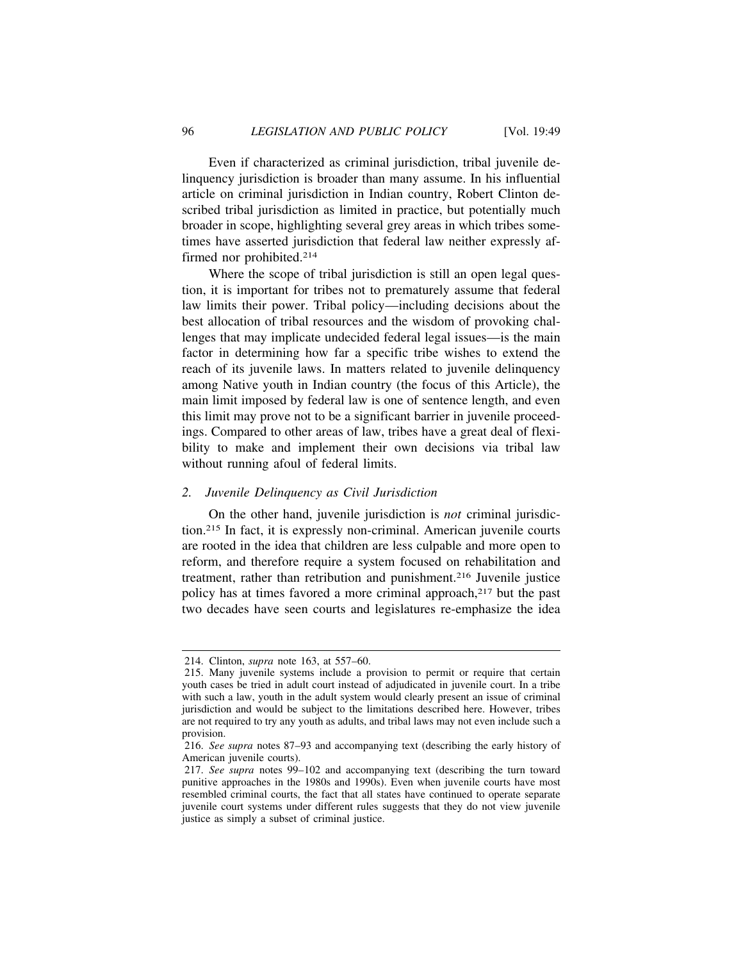Even if characterized as criminal jurisdiction, tribal juvenile delinquency jurisdiction is broader than many assume. In his influential article on criminal jurisdiction in Indian country, Robert Clinton described tribal jurisdiction as limited in practice, but potentially much broader in scope, highlighting several grey areas in which tribes sometimes have asserted jurisdiction that federal law neither expressly affirmed nor prohibited.214

Where the scope of tribal jurisdiction is still an open legal question, it is important for tribes not to prematurely assume that federal law limits their power. Tribal policy—including decisions about the best allocation of tribal resources and the wisdom of provoking challenges that may implicate undecided federal legal issues—is the main factor in determining how far a specific tribe wishes to extend the reach of its juvenile laws. In matters related to juvenile delinquency among Native youth in Indian country (the focus of this Article), the main limit imposed by federal law is one of sentence length, and even this limit may prove not to be a significant barrier in juvenile proceedings. Compared to other areas of law, tribes have a great deal of flexibility to make and implement their own decisions via tribal law without running afoul of federal limits.

#### *2. Juvenile Delinquency as Civil Jurisdiction*

On the other hand, juvenile jurisdiction is *not* criminal jurisdiction.215 In fact, it is expressly non-criminal. American juvenile courts are rooted in the idea that children are less culpable and more open to reform, and therefore require a system focused on rehabilitation and treatment, rather than retribution and punishment.216 Juvenile justice policy has at times favored a more criminal approach,<sup>217</sup> but the past two decades have seen courts and legislatures re-emphasize the idea

<sup>214.</sup> Clinton, *supra* note 163, at 557–60.

<sup>215.</sup> Many juvenile systems include a provision to permit or require that certain youth cases be tried in adult court instead of adjudicated in juvenile court. In a tribe with such a law, youth in the adult system would clearly present an issue of criminal jurisdiction and would be subject to the limitations described here. However, tribes are not required to try any youth as adults, and tribal laws may not even include such a provision.

<sup>216.</sup> *See supra* notes 87–93 and accompanying text (describing the early history of American juvenile courts).

<sup>217.</sup> *See supra* notes 99–102 and accompanying text (describing the turn toward punitive approaches in the 1980s and 1990s). Even when juvenile courts have most resembled criminal courts, the fact that all states have continued to operate separate juvenile court systems under different rules suggests that they do not view juvenile justice as simply a subset of criminal justice.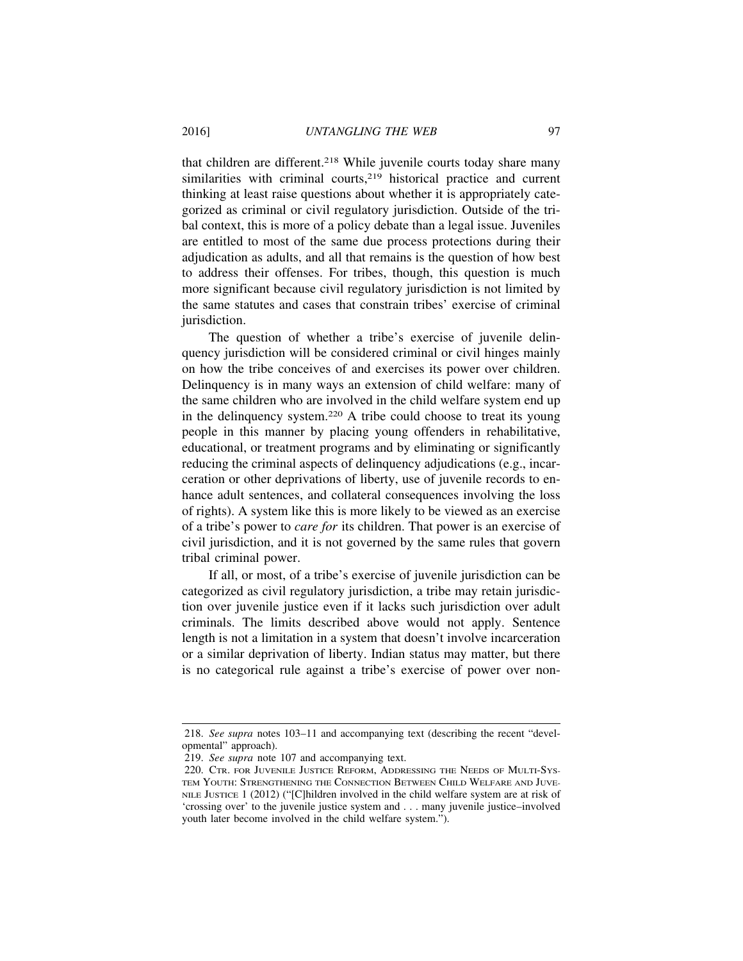that children are different.218 While juvenile courts today share many similarities with criminal courts,<sup>219</sup> historical practice and current thinking at least raise questions about whether it is appropriately categorized as criminal or civil regulatory jurisdiction. Outside of the tribal context, this is more of a policy debate than a legal issue. Juveniles are entitled to most of the same due process protections during their adjudication as adults, and all that remains is the question of how best to address their offenses. For tribes, though, this question is much more significant because civil regulatory jurisdiction is not limited by the same statutes and cases that constrain tribes' exercise of criminal jurisdiction.

The question of whether a tribe's exercise of juvenile delinquency jurisdiction will be considered criminal or civil hinges mainly on how the tribe conceives of and exercises its power over children. Delinquency is in many ways an extension of child welfare: many of the same children who are involved in the child welfare system end up in the delinquency system.220 A tribe could choose to treat its young people in this manner by placing young offenders in rehabilitative, educational, or treatment programs and by eliminating or significantly reducing the criminal aspects of delinquency adjudications (e.g., incarceration or other deprivations of liberty, use of juvenile records to enhance adult sentences, and collateral consequences involving the loss of rights). A system like this is more likely to be viewed as an exercise of a tribe's power to *care for* its children. That power is an exercise of civil jurisdiction, and it is not governed by the same rules that govern tribal criminal power.

If all, or most, of a tribe's exercise of juvenile jurisdiction can be categorized as civil regulatory jurisdiction, a tribe may retain jurisdiction over juvenile justice even if it lacks such jurisdiction over adult criminals. The limits described above would not apply. Sentence length is not a limitation in a system that doesn't involve incarceration or a similar deprivation of liberty. Indian status may matter, but there is no categorical rule against a tribe's exercise of power over non-

<sup>218.</sup> *See supra* notes 103–11 and accompanying text (describing the recent "developmental" approach).

<sup>219.</sup> *See supra* note 107 and accompanying text.

<sup>220.</sup> CTR. FOR JUVENILE JUSTICE REFORM, ADDRESSING THE NEEDS OF MULTI-SYS-TEM YOUTH: STRENGTHENING THE CONNECTION BETWEEN CHILD WELFARE AND JUVE-NILE JUSTICE 1 (2012) ("[C]hildren involved in the child welfare system are at risk of 'crossing over' to the juvenile justice system and . . . many juvenile justice–involved youth later become involved in the child welfare system.").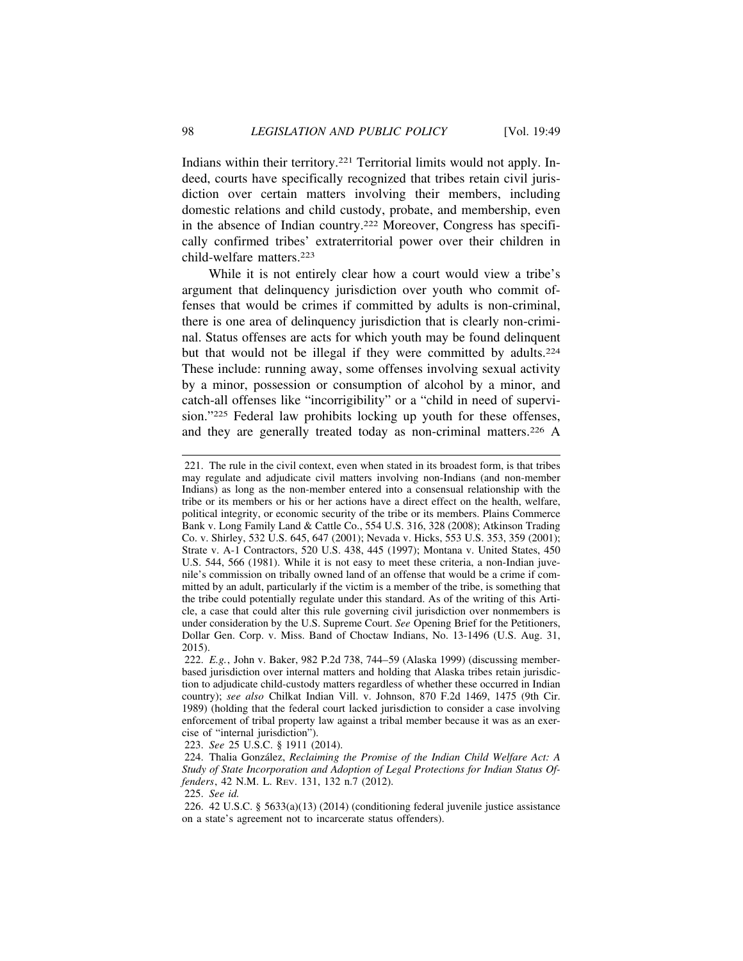Indians within their territory.221 Territorial limits would not apply. Indeed, courts have specifically recognized that tribes retain civil jurisdiction over certain matters involving their members, including domestic relations and child custody, probate, and membership, even in the absence of Indian country.222 Moreover, Congress has specifically confirmed tribes' extraterritorial power over their children in child-welfare matters.223

While it is not entirely clear how a court would view a tribe's argument that delinquency jurisdiction over youth who commit offenses that would be crimes if committed by adults is non-criminal, there is one area of delinquency jurisdiction that is clearly non-criminal. Status offenses are acts for which youth may be found delinquent but that would not be illegal if they were committed by adults.<sup>224</sup> These include: running away, some offenses involving sexual activity by a minor, possession or consumption of alcohol by a minor, and catch-all offenses like "incorrigibility" or a "child in need of supervision."225 Federal law prohibits locking up youth for these offenses, and they are generally treated today as non-criminal matters.<sup>226</sup> A

221. The rule in the civil context, even when stated in its broadest form, is that tribes may regulate and adjudicate civil matters involving non-Indians (and non-member Indians) as long as the non-member entered into a consensual relationship with the tribe or its members or his or her actions have a direct effect on the health, welfare, political integrity, or economic security of the tribe or its members. Plains Commerce Bank v. Long Family Land & Cattle Co., 554 U.S. 316, 328 (2008); Atkinson Trading Co. v. Shirley, 532 U.S. 645, 647 (2001); Nevada v. Hicks, 553 U.S. 353, 359 (2001); Strate v. A-1 Contractors, 520 U.S. 438, 445 (1997); Montana v. United States, 450 U.S. 544, 566 (1981). While it is not easy to meet these criteria, a non-Indian juvenile's commission on tribally owned land of an offense that would be a crime if committed by an adult, particularly if the victim is a member of the tribe, is something that the tribe could potentially regulate under this standard. As of the writing of this Article, a case that could alter this rule governing civil jurisdiction over nonmembers is under consideration by the U.S. Supreme Court. *See* Opening Brief for the Petitioners, Dollar Gen. Corp. v. Miss. Band of Choctaw Indians, No. 13-1496 (U.S. Aug. 31, 2015).

222. *E.g.*, John v. Baker, 982 P.2d 738, 744–59 (Alaska 1999) (discussing memberbased jurisdiction over internal matters and holding that Alaska tribes retain jurisdiction to adjudicate child-custody matters regardless of whether these occurred in Indian country); *see also* Chilkat Indian Vill. v. Johnson, 870 F.2d 1469, 1475 (9th Cir. 1989) (holding that the federal court lacked jurisdiction to consider a case involving enforcement of tribal property law against a tribal member because it was as an exercise of "internal jurisdiction").

223. *See* 25 U.S.C. § 1911 (2014).

<sup>224.</sup> Thalia Gonz´alez, *Reclaiming the Promise of the Indian Child Welfare Act: A Study of State Incorporation and Adoption of Legal Protections for Indian Status Offenders*, 42 N.M. L. REV. 131, 132 n.7 (2012).

<sup>225.</sup> *See id.*

<sup>226. 42</sup> U.S.C. § 5633(a)(13) (2014) (conditioning federal juvenile justice assistance on a state's agreement not to incarcerate status offenders).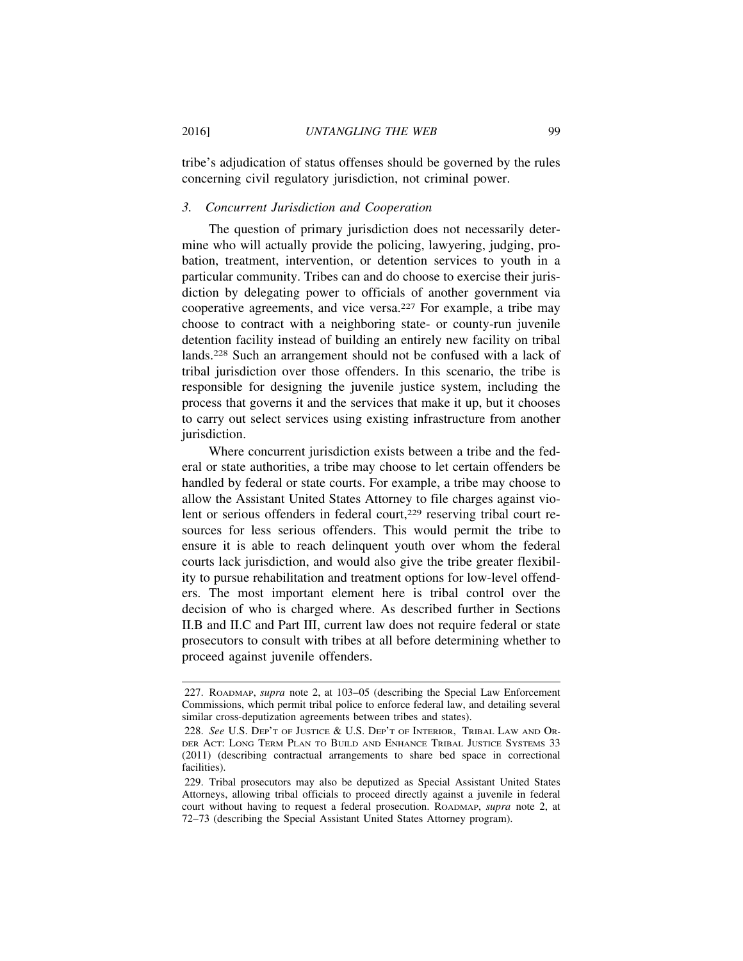tribe's adjudication of status offenses should be governed by the rules concerning civil regulatory jurisdiction, not criminal power.

### *3. Concurrent Jurisdiction and Cooperation*

The question of primary jurisdiction does not necessarily determine who will actually provide the policing, lawyering, judging, probation, treatment, intervention, or detention services to youth in a particular community. Tribes can and do choose to exercise their jurisdiction by delegating power to officials of another government via cooperative agreements, and vice versa.227 For example, a tribe may choose to contract with a neighboring state- or county-run juvenile detention facility instead of building an entirely new facility on tribal lands.228 Such an arrangement should not be confused with a lack of tribal jurisdiction over those offenders. In this scenario, the tribe is responsible for designing the juvenile justice system, including the process that governs it and the services that make it up, but it chooses to carry out select services using existing infrastructure from another jurisdiction.

Where concurrent jurisdiction exists between a tribe and the federal or state authorities, a tribe may choose to let certain offenders be handled by federal or state courts. For example, a tribe may choose to allow the Assistant United States Attorney to file charges against violent or serious offenders in federal court,<sup>229</sup> reserving tribal court resources for less serious offenders. This would permit the tribe to ensure it is able to reach delinquent youth over whom the federal courts lack jurisdiction, and would also give the tribe greater flexibility to pursue rehabilitation and treatment options for low-level offenders. The most important element here is tribal control over the decision of who is charged where. As described further in Sections II.B and II.C and Part III, current law does not require federal or state prosecutors to consult with tribes at all before determining whether to proceed against juvenile offenders.

<sup>227.</sup> ROADMAP, *supra* note 2, at 103–05 (describing the Special Law Enforcement Commissions, which permit tribal police to enforce federal law, and detailing several similar cross-deputization agreements between tribes and states).

<sup>228.</sup> *See* U.S. DEP'T OF JUSTICE & U.S. DEP'T OF INTERIOR, TRIBAL LAW AND OR-DER ACT: LONG TERM PLAN TO BUILD AND ENHANCE TRIBAL JUSTICE SYSTEMS 33 (2011) (describing contractual arrangements to share bed space in correctional facilities).

<sup>229.</sup> Tribal prosecutors may also be deputized as Special Assistant United States Attorneys, allowing tribal officials to proceed directly against a juvenile in federal court without having to request a federal prosecution. ROADMAP, *supra* note 2, at 72–73 (describing the Special Assistant United States Attorney program).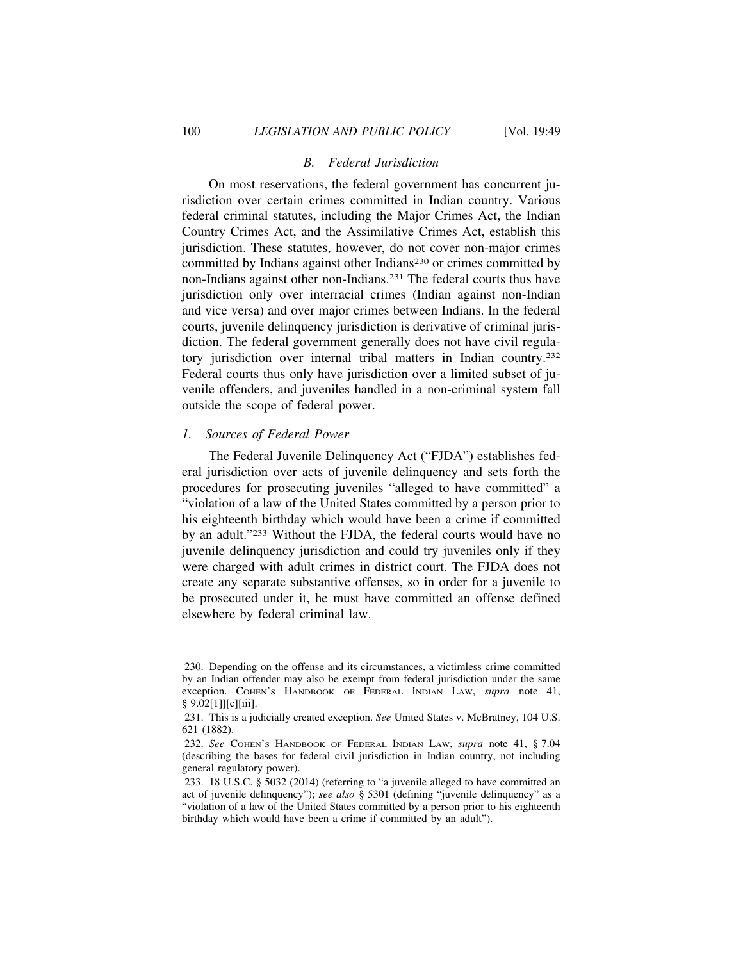# *B. Federal Jurisdiction*

On most reservations, the federal government has concurrent jurisdiction over certain crimes committed in Indian country. Various federal criminal statutes, including the Major Crimes Act, the Indian Country Crimes Act, and the Assimilative Crimes Act, establish this jurisdiction. These statutes, however, do not cover non-major crimes committed by Indians against other Indians<sup>230</sup> or crimes committed by non-Indians against other non-Indians.231 The federal courts thus have jurisdiction only over interracial crimes (Indian against non-Indian and vice versa) and over major crimes between Indians. In the federal courts, juvenile delinquency jurisdiction is derivative of criminal jurisdiction. The federal government generally does not have civil regulatory jurisdiction over internal tribal matters in Indian country.<sup>232</sup> Federal courts thus only have jurisdiction over a limited subset of juvenile offenders, and juveniles handled in a non-criminal system fall outside the scope of federal power.

#### *1. Sources of Federal Power*

The Federal Juvenile Delinquency Act ("FJDA") establishes federal jurisdiction over acts of juvenile delinquency and sets forth the procedures for prosecuting juveniles "alleged to have committed" a "violation of a law of the United States committed by a person prior to his eighteenth birthday which would have been a crime if committed by an adult."233 Without the FJDA, the federal courts would have no juvenile delinquency jurisdiction and could try juveniles only if they were charged with adult crimes in district court. The FJDA does not create any separate substantive offenses, so in order for a juvenile to be prosecuted under it, he must have committed an offense defined elsewhere by federal criminal law.

<sup>230.</sup> Depending on the offense and its circumstances, a victimless crime committed by an Indian offender may also be exempt from federal jurisdiction under the same exception. COHEN'S HANDBOOK OF FEDERAL INDIAN LAW, *supra* note 41, § 9.02[1]][c][iii].

<sup>231.</sup> This is a judicially created exception. *See* United States v. McBratney, 104 U.S. 621 (1882).

<sup>232.</sup> *See* COHEN'S HANDBOOK OF FEDERAL INDIAN LAW, *supra* note 41, § 7.04 (describing the bases for federal civil jurisdiction in Indian country, not including general regulatory power).

<sup>233. 18</sup> U.S.C. § 5032 (2014) (referring to "a juvenile alleged to have committed an act of juvenile delinquency"); *see also* § 5301 (defining "juvenile delinquency" as a "violation of a law of the United States committed by a person prior to his eighteenth birthday which would have been a crime if committed by an adult").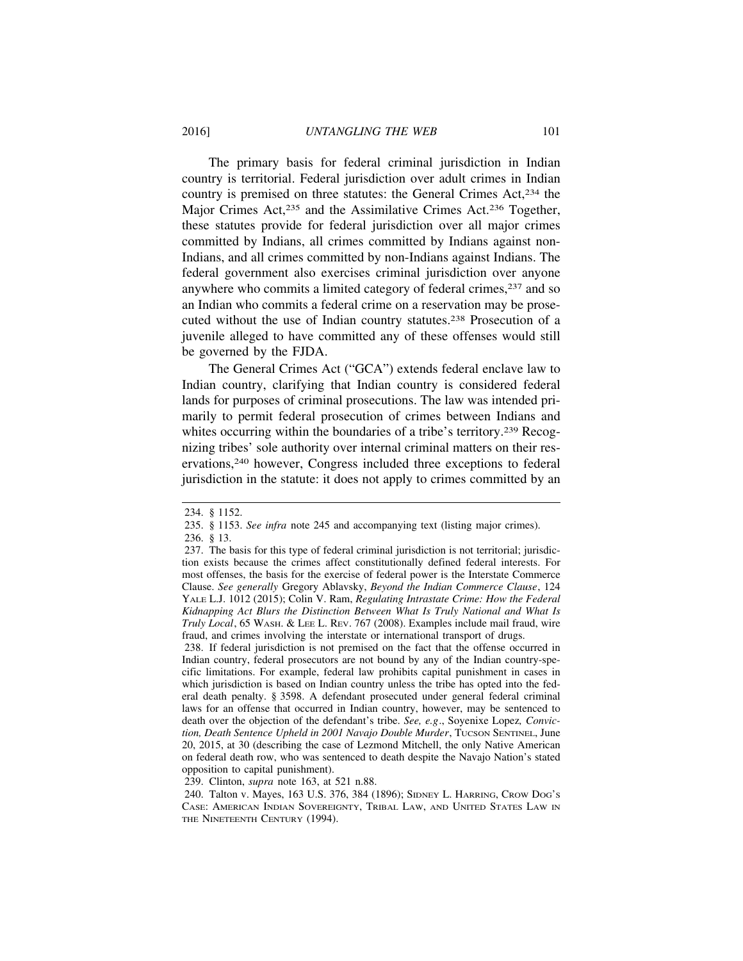The primary basis for federal criminal jurisdiction in Indian country is territorial. Federal jurisdiction over adult crimes in Indian country is premised on three statutes: the General Crimes Act,234 the Major Crimes Act,<sup>235</sup> and the Assimilative Crimes Act.<sup>236</sup> Together, these statutes provide for federal jurisdiction over all major crimes committed by Indians, all crimes committed by Indians against non-Indians, and all crimes committed by non-Indians against Indians. The federal government also exercises criminal jurisdiction over anyone anywhere who commits a limited category of federal crimes,<sup>237</sup> and so an Indian who commits a federal crime on a reservation may be prosecuted without the use of Indian country statutes.238 Prosecution of a juvenile alleged to have committed any of these offenses would still be governed by the FJDA.

The General Crimes Act ("GCA") extends federal enclave law to Indian country, clarifying that Indian country is considered federal lands for purposes of criminal prosecutions. The law was intended primarily to permit federal prosecution of crimes between Indians and whites occurring within the boundaries of a tribe's territory.<sup>239</sup> Recognizing tribes' sole authority over internal criminal matters on their reservations,240 however, Congress included three exceptions to federal jurisdiction in the statute: it does not apply to crimes committed by an

<sup>234. § 1152.</sup>

<sup>235. § 1153.</sup> *See infra* note 245 and accompanying text (listing major crimes).

<sup>236. § 13.</sup>

<sup>237.</sup> The basis for this type of federal criminal jurisdiction is not territorial; jurisdiction exists because the crimes affect constitutionally defined federal interests. For most offenses, the basis for the exercise of federal power is the Interstate Commerce Clause. *See generally* Gregory Ablavsky, *Beyond the Indian Commerce Clause*, 124 YALE L.J. 1012 (2015); Colin V. Ram, *Regulating Intrastate Crime: How the Federal Kidnapping Act Blurs the Distinction Between What Is Truly National and What Is Truly Local*, 65 WASH. & LEE L. REV. 767 (2008). Examples include mail fraud, wire fraud, and crimes involving the interstate or international transport of drugs.

<sup>238.</sup> If federal jurisdiction is not premised on the fact that the offense occurred in Indian country, federal prosecutors are not bound by any of the Indian country-specific limitations. For example, federal law prohibits capital punishment in cases in which jurisdiction is based on Indian country unless the tribe has opted into the federal death penalty. § 3598. A defendant prosecuted under general federal criminal laws for an offense that occurred in Indian country, however, may be sentenced to death over the objection of the defendant's tribe. *See, e.g*., Soyenixe Lopez*, Conviction, Death Sentence Upheld in 2001 Navajo Double Murder*, TUCSON SENTINEL, June 20, 2015, at 30 (describing the case of Lezmond Mitchell, the only Native American on federal death row, who was sentenced to death despite the Navajo Nation's stated opposition to capital punishment).

<sup>239.</sup> Clinton, *supra* note 163, at 521 n.88.

<sup>240.</sup> Talton v. Mayes, 163 U.S. 376, 384 (1896); SIDNEY L. HARRING, CROW DOG'S CASE: AMERICAN INDIAN SOVEREIGNTY, TRIBAL LAW, AND UNITED STATES LAW IN THE NINETEENTH CENTURY (1994).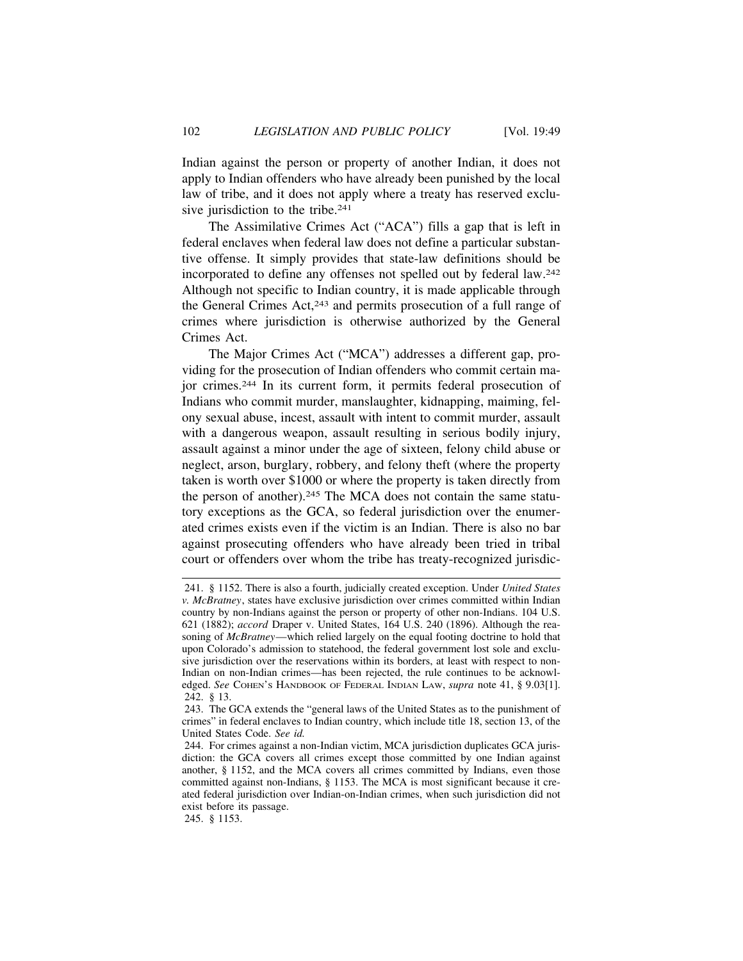Indian against the person or property of another Indian, it does not apply to Indian offenders who have already been punished by the local law of tribe, and it does not apply where a treaty has reserved exclusive jurisdiction to the tribe.<sup>241</sup>

The Assimilative Crimes Act ("ACA") fills a gap that is left in federal enclaves when federal law does not define a particular substantive offense. It simply provides that state-law definitions should be incorporated to define any offenses not spelled out by federal law.242 Although not specific to Indian country, it is made applicable through the General Crimes Act,243 and permits prosecution of a full range of crimes where jurisdiction is otherwise authorized by the General Crimes Act.

The Major Crimes Act ("MCA") addresses a different gap, providing for the prosecution of Indian offenders who commit certain major crimes.244 In its current form, it permits federal prosecution of Indians who commit murder, manslaughter, kidnapping, maiming, felony sexual abuse, incest, assault with intent to commit murder, assault with a dangerous weapon, assault resulting in serious bodily injury, assault against a minor under the age of sixteen, felony child abuse or neglect, arson, burglary, robbery, and felony theft (where the property taken is worth over \$1000 or where the property is taken directly from the person of another).<sup>245</sup> The MCA does not contain the same statutory exceptions as the GCA, so federal jurisdiction over the enumerated crimes exists even if the victim is an Indian. There is also no bar against prosecuting offenders who have already been tried in tribal court or offenders over whom the tribe has treaty-recognized jurisdic-

<sup>241. § 1152.</sup> There is also a fourth, judicially created exception. Under *United States v. McBratney*, states have exclusive jurisdiction over crimes committed within Indian country by non-Indians against the person or property of other non-Indians. 104 U.S. 621 (1882); *accord* Draper v. United States, 164 U.S. 240 (1896). Although the reasoning of *McBratney*—which relied largely on the equal footing doctrine to hold that upon Colorado's admission to statehood, the federal government lost sole and exclusive jurisdiction over the reservations within its borders, at least with respect to non-Indian on non-Indian crimes—has been rejected, the rule continues to be acknowledged. *See* COHEN'S HANDBOOK OF FEDERAL INDIAN LAW, *supra* note 41, § 9.03[1]. 242. § 13.

<sup>243.</sup> The GCA extends the "general laws of the United States as to the punishment of crimes" in federal enclaves to Indian country, which include title 18, section 13, of the United States Code. *See id.*

<sup>244.</sup> For crimes against a non-Indian victim, MCA jurisdiction duplicates GCA jurisdiction: the GCA covers all crimes except those committed by one Indian against another, § 1152, and the MCA covers all crimes committed by Indians, even those committed against non-Indians, § 1153. The MCA is most significant because it created federal jurisdiction over Indian-on-Indian crimes, when such jurisdiction did not exist before its passage.

<sup>245. § 1153.</sup>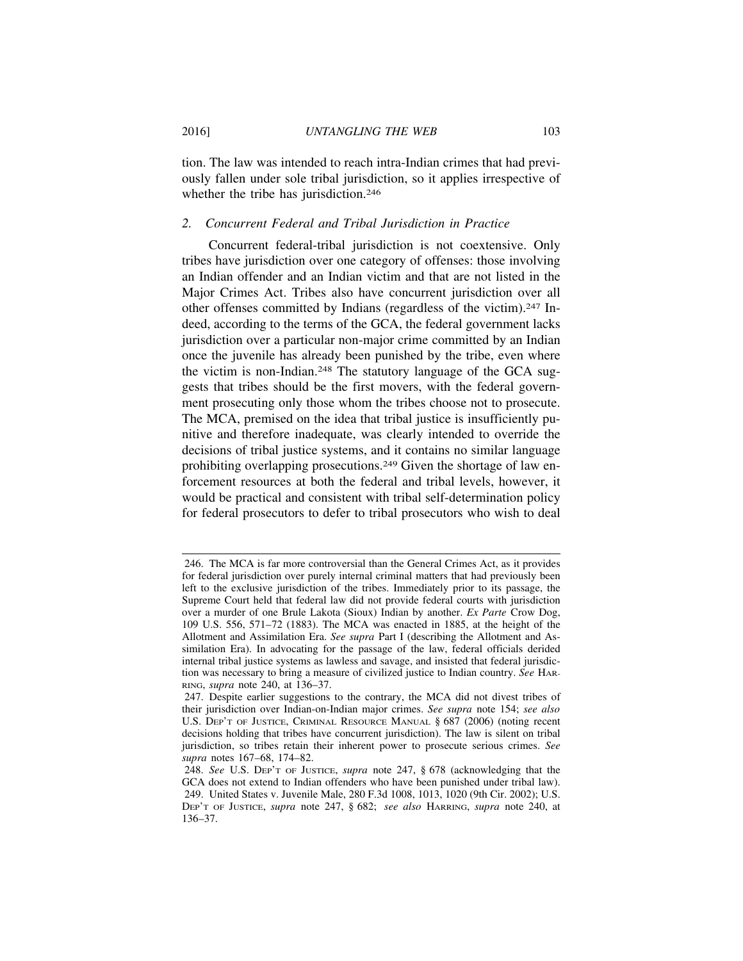tion. The law was intended to reach intra-Indian crimes that had previously fallen under sole tribal jurisdiction, so it applies irrespective of whether the tribe has jurisdiction.<sup>246</sup>

## *2. Concurrent Federal and Tribal Jurisdiction in Practice*

Concurrent federal-tribal jurisdiction is not coextensive. Only tribes have jurisdiction over one category of offenses: those involving an Indian offender and an Indian victim and that are not listed in the Major Crimes Act. Tribes also have concurrent jurisdiction over all other offenses committed by Indians (regardless of the victim).247 Indeed, according to the terms of the GCA, the federal government lacks jurisdiction over a particular non-major crime committed by an Indian once the juvenile has already been punished by the tribe, even where the victim is non-Indian.248 The statutory language of the GCA suggests that tribes should be the first movers, with the federal government prosecuting only those whom the tribes choose not to prosecute. The MCA, premised on the idea that tribal justice is insufficiently punitive and therefore inadequate, was clearly intended to override the decisions of tribal justice systems, and it contains no similar language prohibiting overlapping prosecutions.249 Given the shortage of law enforcement resources at both the federal and tribal levels, however, it would be practical and consistent with tribal self-determination policy for federal prosecutors to defer to tribal prosecutors who wish to deal

<sup>246.</sup> The MCA is far more controversial than the General Crimes Act, as it provides for federal jurisdiction over purely internal criminal matters that had previously been left to the exclusive jurisdiction of the tribes. Immediately prior to its passage, the Supreme Court held that federal law did not provide federal courts with jurisdiction over a murder of one Brule Lakota (Sioux) Indian by another. *Ex Parte* Crow Dog, 109 U.S. 556, 571–72 (1883). The MCA was enacted in 1885, at the height of the Allotment and Assimilation Era. *See supra* Part I (describing the Allotment and Assimilation Era). In advocating for the passage of the law, federal officials derided internal tribal justice systems as lawless and savage, and insisted that federal jurisdiction was necessary to bring a measure of civilized justice to Indian country. *See* HAR-RING, *supra* note 240, at 136–37.

<sup>247.</sup> Despite earlier suggestions to the contrary, the MCA did not divest tribes of their jurisdiction over Indian-on-Indian major crimes. *See supra* note 154; *see also* U.S. DEP'T OF JUSTICE, CRIMINAL RESOURCE MANUAL § 687 (2006) (noting recent decisions holding that tribes have concurrent jurisdiction). The law is silent on tribal jurisdiction, so tribes retain their inherent power to prosecute serious crimes. *See supra* notes 167–68, 174–82.

<sup>248.</sup> *See* U.S. DEP'T OF JUSTICE, *supra* note 247, § 678 (acknowledging that the GCA does not extend to Indian offenders who have been punished under tribal law). 249. United States v. Juvenile Male, 280 F.3d 1008, 1013, 1020 (9th Cir. 2002); U.S. DEP'T OF JUSTICE, *supra* note 247, § 682; *see also* HARRING, *supra* note 240, at 136–37.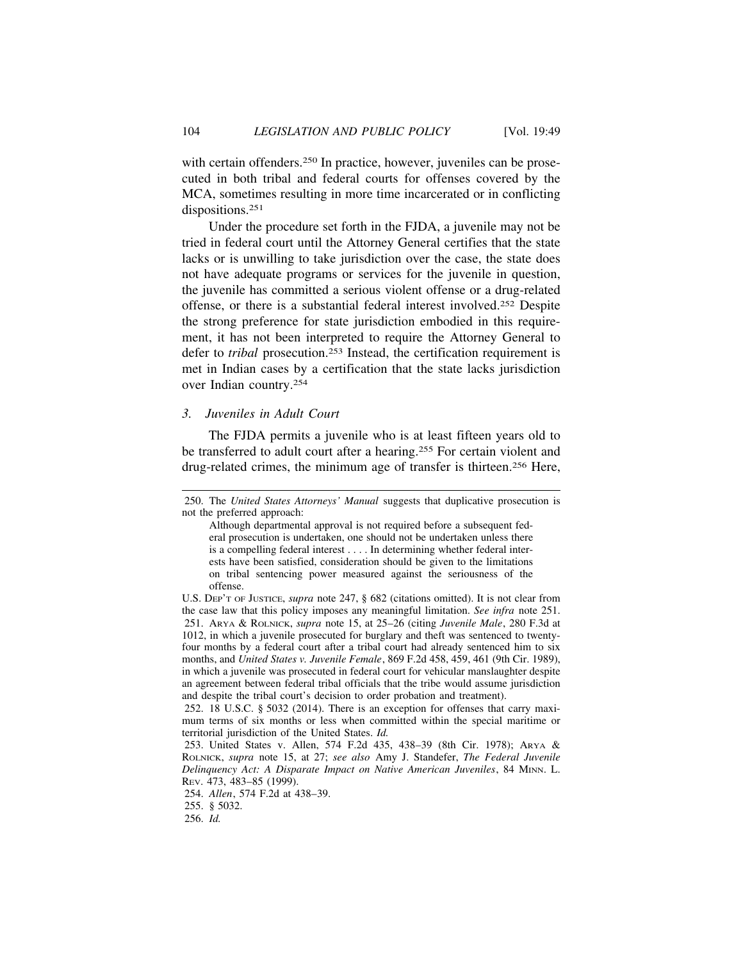with certain offenders.<sup>250</sup> In practice, however, juveniles can be prosecuted in both tribal and federal courts for offenses covered by the MCA, sometimes resulting in more time incarcerated or in conflicting dispositions.<sup>251</sup>

Under the procedure set forth in the FJDA, a juvenile may not be tried in federal court until the Attorney General certifies that the state lacks or is unwilling to take jurisdiction over the case, the state does not have adequate programs or services for the juvenile in question, the juvenile has committed a serious violent offense or a drug-related offense, or there is a substantial federal interest involved.252 Despite the strong preference for state jurisdiction embodied in this requirement, it has not been interpreted to require the Attorney General to defer to *tribal* prosecution.<sup>253</sup> Instead, the certification requirement is met in Indian cases by a certification that the state lacks jurisdiction over Indian country.254

#### *3. Juveniles in Adult Court*

The FJDA permits a juvenile who is at least fifteen years old to be transferred to adult court after a hearing.255 For certain violent and drug-related crimes, the minimum age of transfer is thirteen.256 Here,

<sup>250.</sup> The *United States Attorneys' Manual* suggests that duplicative prosecution is not the preferred approach:

Although departmental approval is not required before a subsequent federal prosecution is undertaken, one should not be undertaken unless there is a compelling federal interest . . . . In determining whether federal interests have been satisfied, consideration should be given to the limitations on tribal sentencing power measured against the seriousness of the offense.

U.S. DEP'T OF JUSTICE, *supra* note 247, § 682 (citations omitted). It is not clear from the case law that this policy imposes any meaningful limitation. *See infra* note 251. 251. ARYA & ROLNICK, *supra* note 15, at 25–26 (citing *Juvenile Male*, 280 F.3d at 1012, in which a juvenile prosecuted for burglary and theft was sentenced to twentyfour months by a federal court after a tribal court had already sentenced him to six months, and *United States v. Juvenile Female*, 869 F.2d 458, 459, 461 (9th Cir. 1989), in which a juvenile was prosecuted in federal court for vehicular manslaughter despite an agreement between federal tribal officials that the tribe would assume jurisdiction and despite the tribal court's decision to order probation and treatment).

<sup>252. 18</sup> U.S.C. § 5032 (2014). There is an exception for offenses that carry maximum terms of six months or less when committed within the special maritime or territorial jurisdiction of the United States. *Id.*

<sup>253.</sup> United States v. Allen, 574 F.2d 435, 438–39 (8th Cir. 1978); ARYA & ROLNICK, *supra* note 15, at 27; *see also* Amy J. Standefer, *The Federal Juvenile Delinquency Act: A Disparate Impact on Native American Juveniles*, 84 MINN. L. REV. 473, 483–85 (1999).

<sup>254.</sup> *Allen*, 574 F.2d at 438–39.

<sup>255. § 5032.</sup>

<sup>256.</sup> *Id.*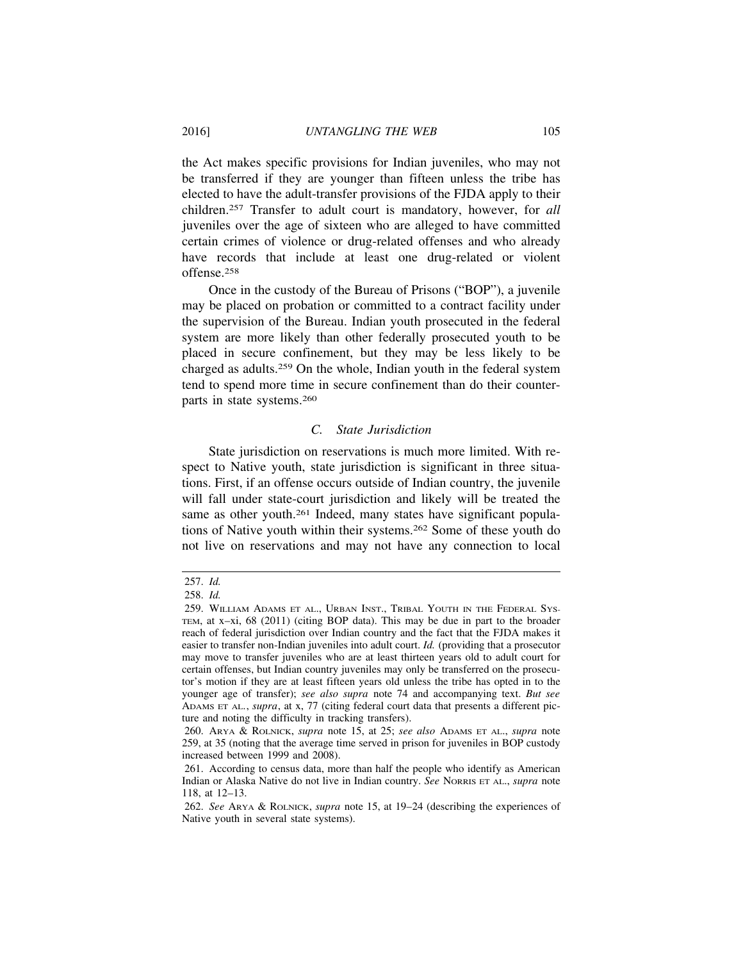the Act makes specific provisions for Indian juveniles, who may not be transferred if they are younger than fifteen unless the tribe has elected to have the adult-transfer provisions of the FJDA apply to their children.257 Transfer to adult court is mandatory, however, for *all* juveniles over the age of sixteen who are alleged to have committed certain crimes of violence or drug-related offenses and who already have records that include at least one drug-related or violent offense.258

Once in the custody of the Bureau of Prisons ("BOP"), a juvenile may be placed on probation or committed to a contract facility under the supervision of the Bureau. Indian youth prosecuted in the federal system are more likely than other federally prosecuted youth to be placed in secure confinement, but they may be less likely to be charged as adults.259 On the whole, Indian youth in the federal system tend to spend more time in secure confinement than do their counterparts in state systems.260

#### *C. State Jurisdiction*

State jurisdiction on reservations is much more limited. With respect to Native youth, state jurisdiction is significant in three situations. First, if an offense occurs outside of Indian country, the juvenile will fall under state-court jurisdiction and likely will be treated the same as other youth.<sup>261</sup> Indeed, many states have significant populations of Native youth within their systems.262 Some of these youth do not live on reservations and may not have any connection to local

<sup>257.</sup> *Id.*

<sup>258.</sup> *Id.*

<sup>259.</sup> WILLIAM ADAMS ET AL., URBAN INST., TRIBAL YOUTH IN THE FEDERAL SYS-TEM, at x–xi, 68 (2011) (citing BOP data). This may be due in part to the broader reach of federal jurisdiction over Indian country and the fact that the FJDA makes it easier to transfer non-Indian juveniles into adult court. *Id.* (providing that a prosecutor may move to transfer juveniles who are at least thirteen years old to adult court for certain offenses, but Indian country juveniles may only be transferred on the prosecutor's motion if they are at least fifteen years old unless the tribe has opted in to the younger age of transfer); *see also supra* note 74 and accompanying text. *But see* ADAMS ET AL., *supra*, at x, 77 (citing federal court data that presents a different picture and noting the difficulty in tracking transfers).

<sup>260.</sup> ARYA & ROLNICK, *supra* note 15, at 25; *see also* ADAMS ET AL., *supra* note 259, at 35 (noting that the average time served in prison for juveniles in BOP custody increased between 1999 and 2008).

<sup>261.</sup> According to census data, more than half the people who identify as American Indian or Alaska Native do not live in Indian country. *See* NORRIS ET AL., *supra* note 118, at 12–13.

<sup>262.</sup> *See* ARYA & ROLNICK, *supra* note 15, at 19–24 (describing the experiences of Native youth in several state systems).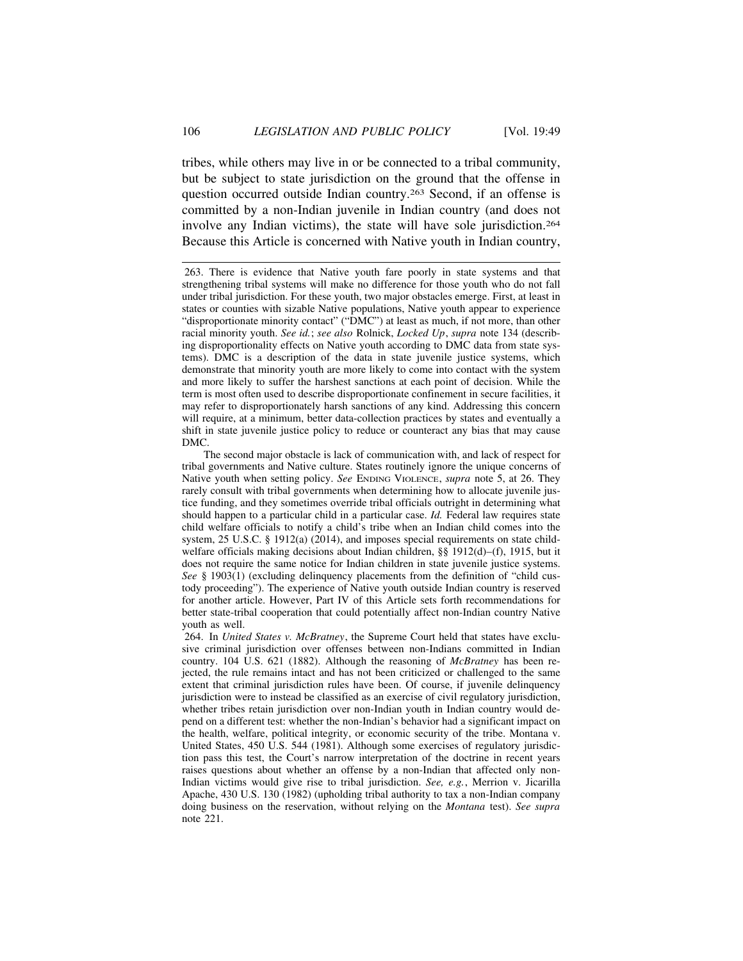tribes, while others may live in or be connected to a tribal community, but be subject to state jurisdiction on the ground that the offense in question occurred outside Indian country.263 Second, if an offense is committed by a non-Indian juvenile in Indian country (and does not involve any Indian victims), the state will have sole jurisdiction.264 Because this Article is concerned with Native youth in Indian country,

263. There is evidence that Native youth fare poorly in state systems and that strengthening tribal systems will make no difference for those youth who do not fall under tribal jurisdiction. For these youth, two major obstacles emerge. First, at least in states or counties with sizable Native populations, Native youth appear to experience "disproportionate minority contact" ("DMC") at least as much, if not more, than other racial minority youth. *See id.*; *see also* Rolnick, *Locked Up*, *supra* note 134 (describing disproportionality effects on Native youth according to DMC data from state systems). DMC is a description of the data in state juvenile justice systems, which demonstrate that minority youth are more likely to come into contact with the system and more likely to suffer the harshest sanctions at each point of decision. While the term is most often used to describe disproportionate confinement in secure facilities, it may refer to disproportionately harsh sanctions of any kind. Addressing this concern will require, at a minimum, better data-collection practices by states and eventually a shift in state juvenile justice policy to reduce or counteract any bias that may cause DMC.

The second major obstacle is lack of communication with, and lack of respect for tribal governments and Native culture. States routinely ignore the unique concerns of Native youth when setting policy. *See* ENDING VIOLENCE, *supra* note 5, at 26. They rarely consult with tribal governments when determining how to allocate juvenile justice funding, and they sometimes override tribal officials outright in determining what should happen to a particular child in a particular case. *Id.* Federal law requires state child welfare officials to notify a child's tribe when an Indian child comes into the system, 25 U.S.C. § 1912(a) (2014), and imposes special requirements on state childwelfare officials making decisions about Indian children, §§ 1912(d)–(f), 1915, but it does not require the same notice for Indian children in state juvenile justice systems. *See* § 1903(1) (excluding delinquency placements from the definition of "child custody proceeding"). The experience of Native youth outside Indian country is reserved for another article. However, Part IV of this Article sets forth recommendations for better state-tribal cooperation that could potentially affect non-Indian country Native youth as well.

264. In *United States v. McBratney*, the Supreme Court held that states have exclusive criminal jurisdiction over offenses between non-Indians committed in Indian country. 104 U.S. 621 (1882). Although the reasoning of *McBratney* has been rejected, the rule remains intact and has not been criticized or challenged to the same extent that criminal jurisdiction rules have been. Of course, if juvenile delinquency jurisdiction were to instead be classified as an exercise of civil regulatory jurisdiction, whether tribes retain jurisdiction over non-Indian youth in Indian country would depend on a different test: whether the non-Indian's behavior had a significant impact on the health, welfare, political integrity, or economic security of the tribe. Montana v. United States, 450 U.S. 544 (1981). Although some exercises of regulatory jurisdiction pass this test, the Court's narrow interpretation of the doctrine in recent years raises questions about whether an offense by a non-Indian that affected only non-Indian victims would give rise to tribal jurisdiction. *See, e.g.*, Merrion v. Jicarilla Apache, 430 U.S. 130 (1982) (upholding tribal authority to tax a non-Indian company doing business on the reservation, without relying on the *Montana* test). *See supra* note 221.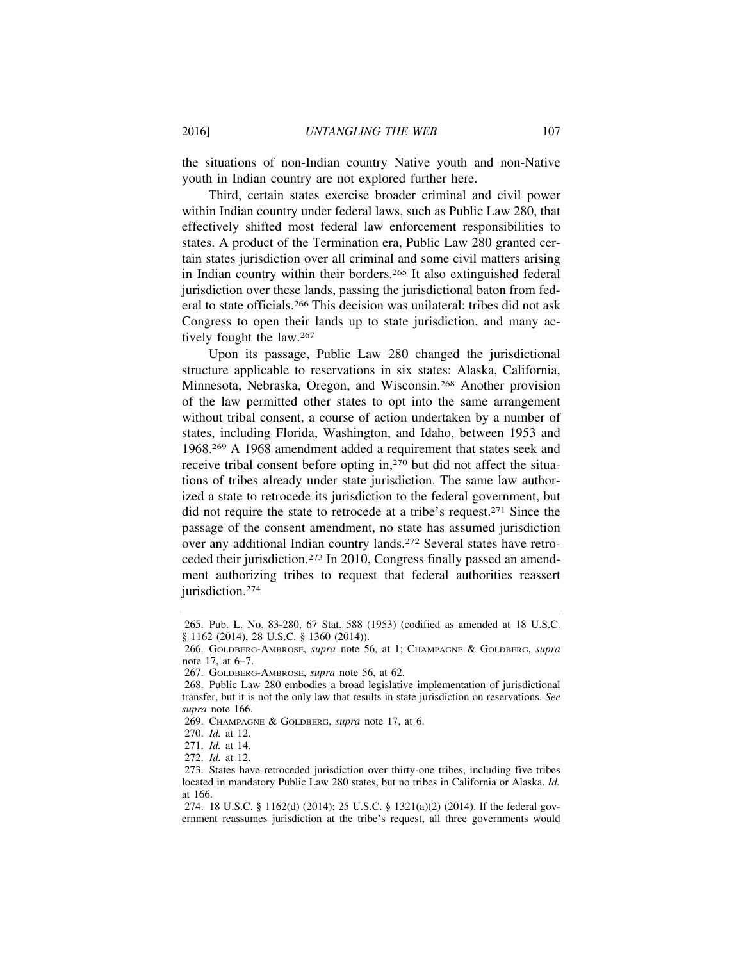the situations of non-Indian country Native youth and non-Native youth in Indian country are not explored further here.

Third, certain states exercise broader criminal and civil power within Indian country under federal laws, such as Public Law 280, that effectively shifted most federal law enforcement responsibilities to states. A product of the Termination era, Public Law 280 granted certain states jurisdiction over all criminal and some civil matters arising in Indian country within their borders.265 It also extinguished federal jurisdiction over these lands, passing the jurisdictional baton from federal to state officials.266 This decision was unilateral: tribes did not ask Congress to open their lands up to state jurisdiction, and many actively fought the law.267

Upon its passage, Public Law 280 changed the jurisdictional structure applicable to reservations in six states: Alaska, California, Minnesota, Nebraska, Oregon, and Wisconsin.268 Another provision of the law permitted other states to opt into the same arrangement without tribal consent, a course of action undertaken by a number of states, including Florida, Washington, and Idaho, between 1953 and 1968.269 A 1968 amendment added a requirement that states seek and receive tribal consent before opting in,270 but did not affect the situations of tribes already under state jurisdiction. The same law authorized a state to retrocede its jurisdiction to the federal government, but did not require the state to retrocede at a tribe's request.271 Since the passage of the consent amendment, no state has assumed jurisdiction over any additional Indian country lands.272 Several states have retroceded their jurisdiction.273 In 2010, Congress finally passed an amendment authorizing tribes to request that federal authorities reassert jurisdiction.<sup>274</sup>

<sup>265.</sup> Pub. L. No. 83-280, 67 Stat. 588 (1953) (codified as amended at 18 U.S.C. § 1162 (2014), 28 U.S.C. § 1360 (2014)).

<sup>266.</sup> GOLDBERG-AMBROSE, *supra* note 56, at 1; CHAMPAGNE & GOLDBERG, *supra* note 17, at 6–7.

<sup>267.</sup> GOLDBERG-AMBROSE, *supra* note 56, at 62.

<sup>268.</sup> Public Law 280 embodies a broad legislative implementation of jurisdictional transfer, but it is not the only law that results in state jurisdiction on reservations. *See supra* note 166.

<sup>269.</sup> CHAMPAGNE & GOLDBERG, *supra* note 17, at 6.

<sup>270.</sup> *Id.* at 12.

<sup>271.</sup> *Id.* at 14.

<sup>272.</sup> *Id.* at 12.

<sup>273.</sup> States have retroceded jurisdiction over thirty-one tribes, including five tribes located in mandatory Public Law 280 states, but no tribes in California or Alaska. *Id.* at 166.

<sup>274. 18</sup> U.S.C. § 1162(d) (2014); 25 U.S.C. § 1321(a)(2) (2014). If the federal government reassumes jurisdiction at the tribe's request, all three governments would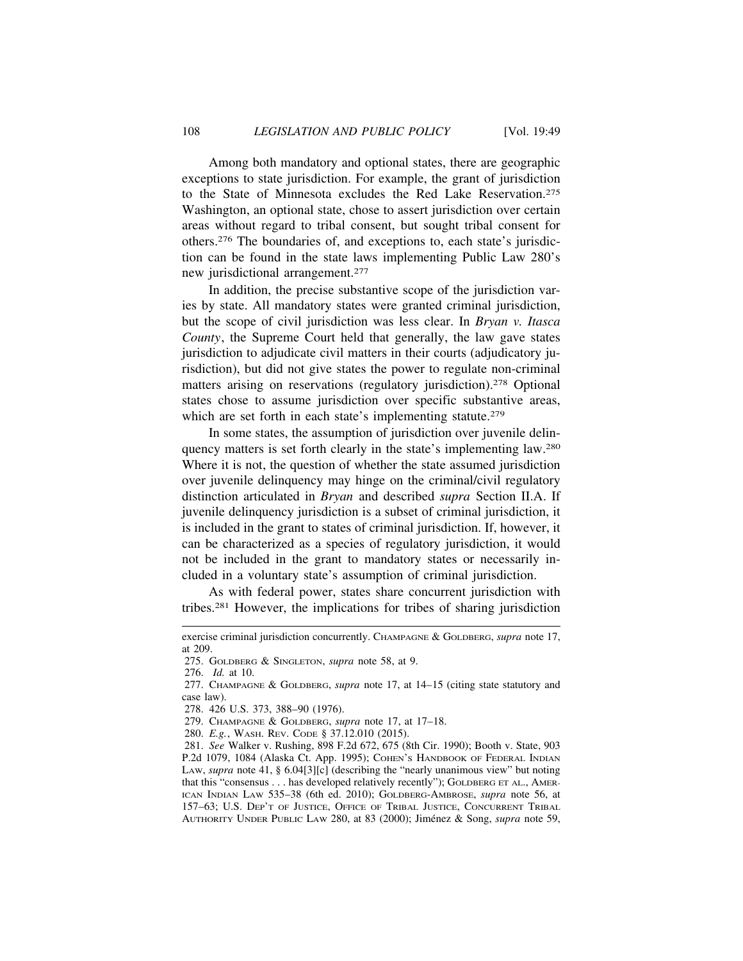Among both mandatory and optional states, there are geographic exceptions to state jurisdiction. For example, the grant of jurisdiction to the State of Minnesota excludes the Red Lake Reservation.275 Washington, an optional state, chose to assert jurisdiction over certain areas without regard to tribal consent, but sought tribal consent for others.276 The boundaries of, and exceptions to, each state's jurisdiction can be found in the state laws implementing Public Law 280's new jurisdictional arrangement.277

In addition, the precise substantive scope of the jurisdiction varies by state. All mandatory states were granted criminal jurisdiction, but the scope of civil jurisdiction was less clear. In *Bryan v. Itasca County*, the Supreme Court held that generally, the law gave states jurisdiction to adjudicate civil matters in their courts (adjudicatory jurisdiction), but did not give states the power to regulate non-criminal matters arising on reservations (regulatory jurisdiction).278 Optional states chose to assume jurisdiction over specific substantive areas, which are set forth in each state's implementing statute.<sup>279</sup>

In some states, the assumption of jurisdiction over juvenile delinquency matters is set forth clearly in the state's implementing law.280 Where it is not, the question of whether the state assumed jurisdiction over juvenile delinquency may hinge on the criminal/civil regulatory distinction articulated in *Bryan* and described *supra* Section II.A. If juvenile delinquency jurisdiction is a subset of criminal jurisdiction, it is included in the grant to states of criminal jurisdiction. If, however, it can be characterized as a species of regulatory jurisdiction, it would not be included in the grant to mandatory states or necessarily included in a voluntary state's assumption of criminal jurisdiction.

As with federal power, states share concurrent jurisdiction with tribes.281 However, the implications for tribes of sharing jurisdiction

exercise criminal jurisdiction concurrently. CHAMPAGNE & GOLDBERG, *supra* note 17, at 209.

<sup>275.</sup> GOLDBERG & SINGLETON, *supra* note 58, at 9.

<sup>276.</sup> *Id.* at 10.

<sup>277.</sup> CHAMPAGNE & GOLDBERG, *supra* note 17, at 14–15 (citing state statutory and case law).

<sup>278. 426</sup> U.S. 373, 388–90 (1976).

<sup>279.</sup> CHAMPAGNE & GOLDBERG, *supra* note 17, at 17–18.

<sup>280.</sup> *E.g.*, WASH. REV. CODE § 37.12.010 (2015).

<sup>281.</sup> *See* Walker v. Rushing, 898 F.2d 672, 675 (8th Cir. 1990); Booth v. State, 903 P.2d 1079, 1084 (Alaska Ct. App. 1995); COHEN's HANDBOOK OF FEDERAL INDIAN LAW, *supra* note 41, § 6.04[3][c] (describing the "nearly unanimous view" but noting that this "consensus . . . has developed relatively recently"); GOLDBERG ET AL., AMER-ICAN INDIAN LAW 535–38 (6th ed. 2010); GOLDBERG-AMBROSE, *supra* note 56, at 157–63; U.S. DEP'T OF JUSTICE, OFFICE OF TRIBAL JUSTICE, CONCURRENT TRIBAL AUTHORITY UNDER PUBLIC LAW 280, at 83 (2000); Jiménez & Song, *supra* note 59,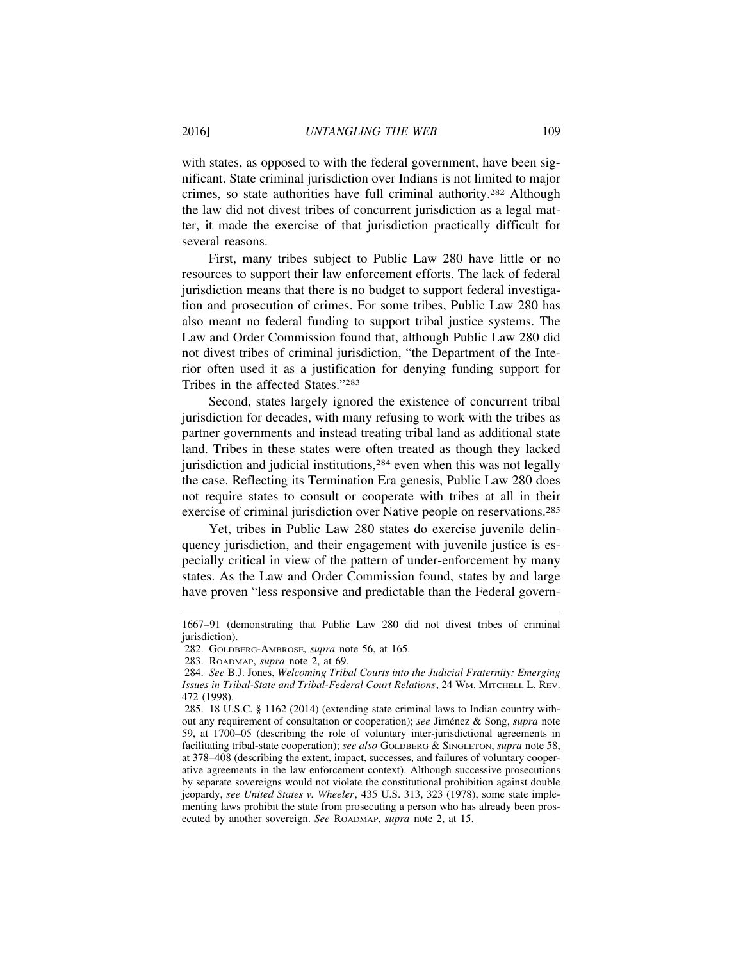with states, as opposed to with the federal government, have been significant. State criminal jurisdiction over Indians is not limited to major crimes, so state authorities have full criminal authority.282 Although the law did not divest tribes of concurrent jurisdiction as a legal matter, it made the exercise of that jurisdiction practically difficult for several reasons.

First, many tribes subject to Public Law 280 have little or no resources to support their law enforcement efforts. The lack of federal jurisdiction means that there is no budget to support federal investigation and prosecution of crimes. For some tribes, Public Law 280 has also meant no federal funding to support tribal justice systems. The Law and Order Commission found that, although Public Law 280 did not divest tribes of criminal jurisdiction, "the Department of the Interior often used it as a justification for denying funding support for Tribes in the affected States."283

Second, states largely ignored the existence of concurrent tribal jurisdiction for decades, with many refusing to work with the tribes as partner governments and instead treating tribal land as additional state land. Tribes in these states were often treated as though they lacked jurisdiction and judicial institutions,284 even when this was not legally the case. Reflecting its Termination Era genesis, Public Law 280 does not require states to consult or cooperate with tribes at all in their exercise of criminal jurisdiction over Native people on reservations.<sup>285</sup>

Yet, tribes in Public Law 280 states do exercise juvenile delinquency jurisdiction, and their engagement with juvenile justice is especially critical in view of the pattern of under-enforcement by many states. As the Law and Order Commission found, states by and large have proven "less responsive and predictable than the Federal govern-

<sup>1667–91 (</sup>demonstrating that Public Law 280 did not divest tribes of criminal jurisdiction).

<sup>282.</sup> GOLDBERG-AMBROSE, *supra* note 56, at 165.

<sup>283.</sup> ROADMAP, *supra* note 2, at 69.

<sup>284.</sup> *See* B.J. Jones, *Welcoming Tribal Courts into the Judicial Fraternity: Emerging Issues in Tribal-State and Tribal-Federal Court Relations*, 24 WM. MITCHELL L. REV. 472 (1998).

<sup>285. 18</sup> U.S.C. § 1162 (2014) (extending state criminal laws to Indian country without any requirement of consultation or cooperation); *see* Jiménez & Song, *supra* note 59, at 1700–05 (describing the role of voluntary inter-jurisdictional agreements in facilitating tribal-state cooperation); *see also* GOLDBERG & SINGLETON, *supra* note 58, at 378–408 (describing the extent, impact, successes, and failures of voluntary cooperative agreements in the law enforcement context). Although successive prosecutions by separate sovereigns would not violate the constitutional prohibition against double jeopardy, *see United States v. Wheeler*, 435 U.S. 313, 323 (1978), some state implementing laws prohibit the state from prosecuting a person who has already been prosecuted by another sovereign. *See* ROADMAP, *supra* note 2, at 15.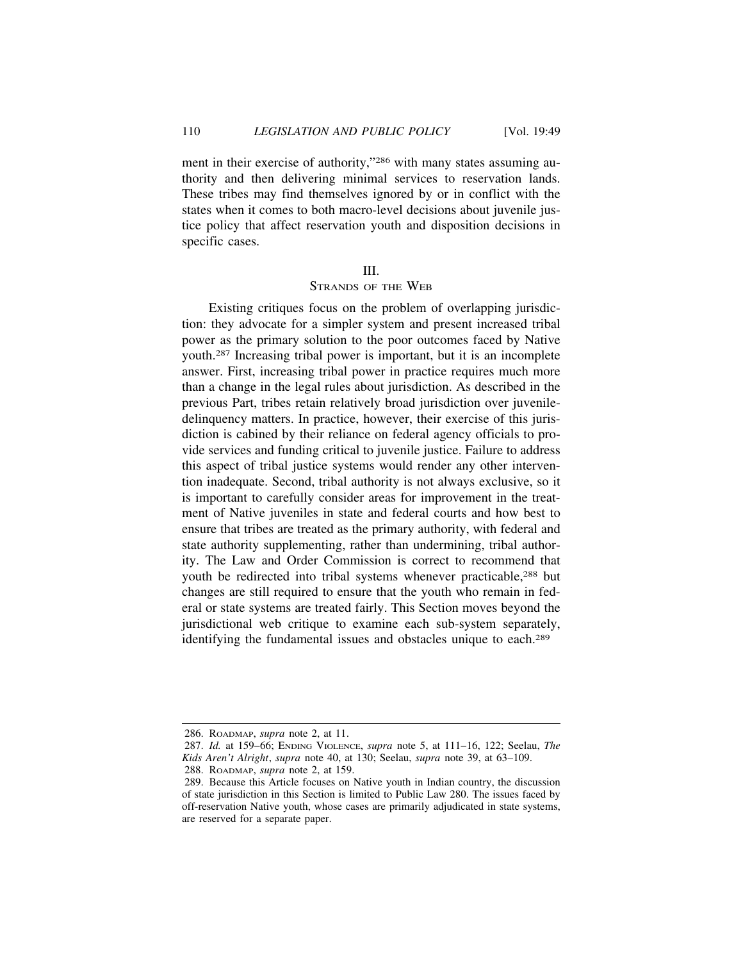ment in their exercise of authority,"286 with many states assuming authority and then delivering minimal services to reservation lands. These tribes may find themselves ignored by or in conflict with the states when it comes to both macro-level decisions about juvenile justice policy that affect reservation youth and disposition decisions in specific cases.

#### III.

#### STRANDS OF THE WEB

Existing critiques focus on the problem of overlapping jurisdiction: they advocate for a simpler system and present increased tribal power as the primary solution to the poor outcomes faced by Native youth.287 Increasing tribal power is important, but it is an incomplete answer. First, increasing tribal power in practice requires much more than a change in the legal rules about jurisdiction. As described in the previous Part, tribes retain relatively broad jurisdiction over juveniledelinquency matters. In practice, however, their exercise of this jurisdiction is cabined by their reliance on federal agency officials to provide services and funding critical to juvenile justice. Failure to address this aspect of tribal justice systems would render any other intervention inadequate. Second, tribal authority is not always exclusive, so it is important to carefully consider areas for improvement in the treatment of Native juveniles in state and federal courts and how best to ensure that tribes are treated as the primary authority, with federal and state authority supplementing, rather than undermining, tribal authority. The Law and Order Commission is correct to recommend that youth be redirected into tribal systems whenever practicable,288 but changes are still required to ensure that the youth who remain in federal or state systems are treated fairly. This Section moves beyond the jurisdictional web critique to examine each sub-system separately, identifying the fundamental issues and obstacles unique to each.<sup>289</sup>

288. ROADMAP, *supra* note 2, at 159.

<sup>286.</sup> ROADMAP, *supra* note 2, at 11.

<sup>287.</sup> *Id.* at 159–66; ENDING VIOLENCE, *supra* note 5, at 111–16, 122; Seelau, *The Kids Aren't Alright*, *supra* note 40, at 130; Seelau, *supra* note 39, at 63–109.

<sup>289.</sup> Because this Article focuses on Native youth in Indian country, the discussion of state jurisdiction in this Section is limited to Public Law 280. The issues faced by off-reservation Native youth, whose cases are primarily adjudicated in state systems, are reserved for a separate paper.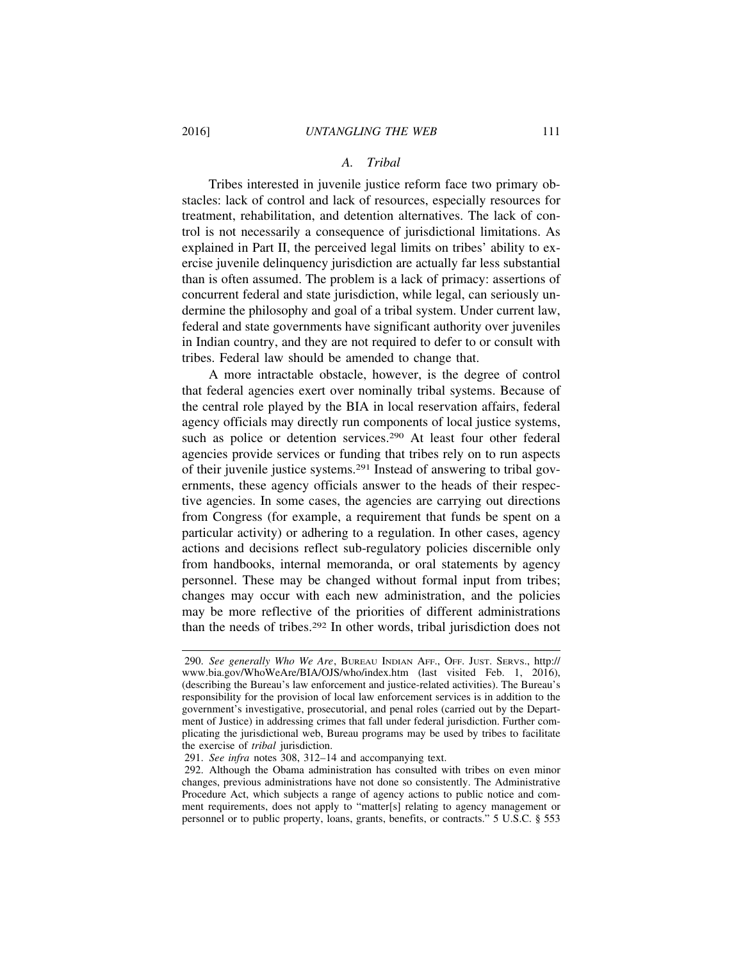## *A. Tribal*

Tribes interested in juvenile justice reform face two primary obstacles: lack of control and lack of resources, especially resources for treatment, rehabilitation, and detention alternatives. The lack of control is not necessarily a consequence of jurisdictional limitations. As explained in Part II, the perceived legal limits on tribes' ability to exercise juvenile delinquency jurisdiction are actually far less substantial than is often assumed. The problem is a lack of primacy: assertions of concurrent federal and state jurisdiction, while legal, can seriously undermine the philosophy and goal of a tribal system. Under current law, federal and state governments have significant authority over juveniles in Indian country, and they are not required to defer to or consult with tribes. Federal law should be amended to change that.

A more intractable obstacle, however, is the degree of control that federal agencies exert over nominally tribal systems. Because of the central role played by the BIA in local reservation affairs, federal agency officials may directly run components of local justice systems, such as police or detention services.<sup>290</sup> At least four other federal agencies provide services or funding that tribes rely on to run aspects of their juvenile justice systems.291 Instead of answering to tribal governments, these agency officials answer to the heads of their respective agencies. In some cases, the agencies are carrying out directions from Congress (for example, a requirement that funds be spent on a particular activity) or adhering to a regulation. In other cases, agency actions and decisions reflect sub-regulatory policies discernible only from handbooks, internal memoranda, or oral statements by agency personnel. These may be changed without formal input from tribes; changes may occur with each new administration, and the policies may be more reflective of the priorities of different administrations than the needs of tribes.292 In other words, tribal jurisdiction does not

<sup>290.</sup> *See generally Who We Are*, BUREAU INDIAN AFF., OFF. JUST. SERVS., http:// www.bia.gov/WhoWeAre/BIA/OJS/who/index.htm (last visited Feb. 1, 2016), (describing the Bureau's law enforcement and justice-related activities). The Bureau's responsibility for the provision of local law enforcement services is in addition to the government's investigative, prosecutorial, and penal roles (carried out by the Department of Justice) in addressing crimes that fall under federal jurisdiction. Further complicating the jurisdictional web, Bureau programs may be used by tribes to facilitate the exercise of *tribal* jurisdiction.

<sup>291.</sup> *See infra* notes 308, 312–14 and accompanying text.

<sup>292.</sup> Although the Obama administration has consulted with tribes on even minor changes, previous administrations have not done so consistently. The Administrative Procedure Act, which subjects a range of agency actions to public notice and comment requirements, does not apply to "matter[s] relating to agency management or personnel or to public property, loans, grants, benefits, or contracts." 5 U.S.C. § 553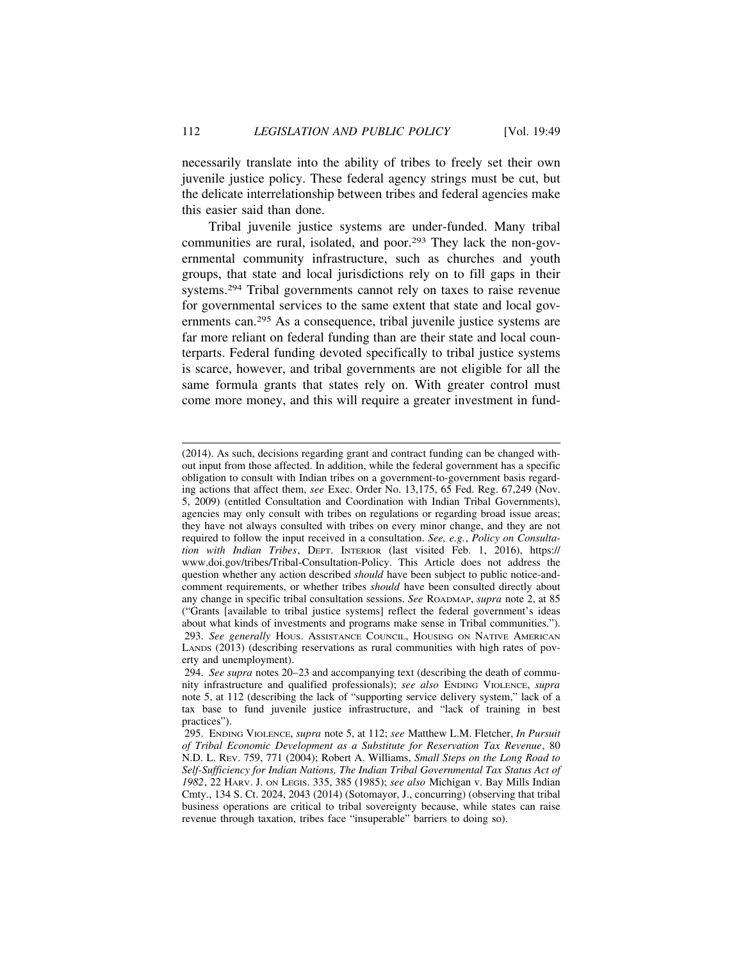necessarily translate into the ability of tribes to freely set their own juvenile justice policy. These federal agency strings must be cut, but the delicate interrelationship between tribes and federal agencies make this easier said than done.

Tribal juvenile justice systems are under-funded. Many tribal communities are rural, isolated, and poor.293 They lack the non-governmental community infrastructure, such as churches and youth groups, that state and local jurisdictions rely on to fill gaps in their systems.294 Tribal governments cannot rely on taxes to raise revenue for governmental services to the same extent that state and local governments can.295 As a consequence, tribal juvenile justice systems are far more reliant on federal funding than are their state and local counterparts. Federal funding devoted specifically to tribal justice systems is scarce, however, and tribal governments are not eligible for all the same formula grants that states rely on. With greater control must come more money, and this will require a greater investment in fund-

<sup>(2014).</sup> As such, decisions regarding grant and contract funding can be changed without input from those affected. In addition, while the federal government has a specific obligation to consult with Indian tribes on a government-to-government basis regarding actions that affect them, *see* Exec. Order No. 13,175, 65 Fed. Reg. 67,249 (Nov. 5, 2009) (entitled Consultation and Coordination with Indian Tribal Governments), agencies may only consult with tribes on regulations or regarding broad issue areas; they have not always consulted with tribes on every minor change, and they are not required to follow the input received in a consultation. *See, e.g.*, *Policy on Consultation with Indian Tribes*, DEPT. INTERIOR (last visited Feb. 1, 2016), https:// www.doi.gov/tribes/Tribal-Consultation-Policy. This Article does not address the question whether any action described *should* have been subject to public notice-andcomment requirements, or whether tribes *should* have been consulted directly about any change in specific tribal consultation sessions. *See* ROADMAP, *supra* note 2, at 85 ("Grants [available to tribal justice systems] reflect the federal government's ideas about what kinds of investments and programs make sense in Tribal communities."). 293. *See generally* HOUS. ASSISTANCE COUNCIL, HOUSING ON NATIVE AMERICAN LANDS (2013) (describing reservations as rural communities with high rates of poverty and unemployment).

<sup>294.</sup> *See supra* notes 20–23 and accompanying text (describing the death of community infrastructure and qualified professionals); *see also* ENDING VIOLENCE, *supra* note 5, at 112 (describing the lack of "supporting service delivery system," lack of a tax base to fund juvenile justice infrastructure, and "lack of training in best practices").

<sup>295.</sup> ENDING VIOLENCE, *supra* note 5, at 112; *see* Matthew L.M. Fletcher, *In Pursuit of Tribal Economic Development as a Substitute for Reservation Tax Revenue*, 80 N.D. L. REV. 759, 771 (2004); Robert A. Williams, *Small Steps on the Long Road to Self-Sufficiency for Indian Nations, The Indian Tribal Governmental Tax Status Act of 1982*, 22 HARV. J. ON LEGIS. 335, 385 (1985); *see also* Michigan v. Bay Mills Indian Cmty., 134 S. Ct. 2024, 2043 (2014) (Sotomayor, J., concurring) (observing that tribal business operations are critical to tribal sovereignty because, while states can raise revenue through taxation, tribes face "insuperable" barriers to doing so).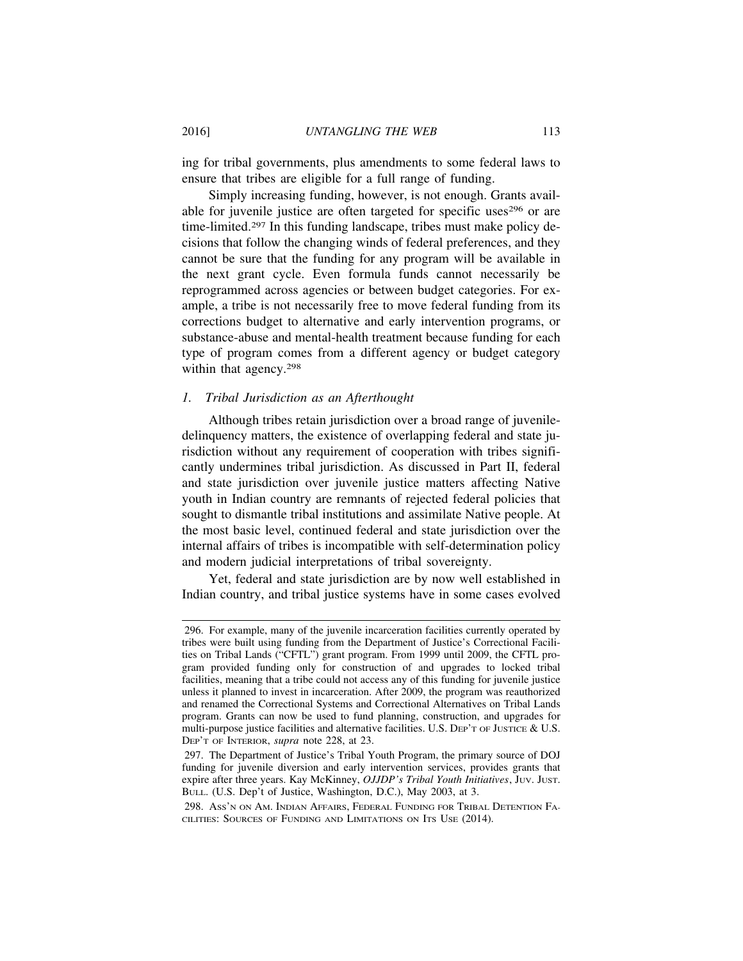ing for tribal governments, plus amendments to some federal laws to ensure that tribes are eligible for a full range of funding.

Simply increasing funding, however, is not enough. Grants available for juvenile justice are often targeted for specific uses<sup>296</sup> or are time-limited.297 In this funding landscape, tribes must make policy decisions that follow the changing winds of federal preferences, and they cannot be sure that the funding for any program will be available in the next grant cycle. Even formula funds cannot necessarily be reprogrammed across agencies or between budget categories. For example, a tribe is not necessarily free to move federal funding from its corrections budget to alternative and early intervention programs, or substance-abuse and mental-health treatment because funding for each type of program comes from a different agency or budget category within that agency.<sup>298</sup>

### *1. Tribal Jurisdiction as an Afterthought*

Although tribes retain jurisdiction over a broad range of juveniledelinquency matters, the existence of overlapping federal and state jurisdiction without any requirement of cooperation with tribes significantly undermines tribal jurisdiction. As discussed in Part II, federal and state jurisdiction over juvenile justice matters affecting Native youth in Indian country are remnants of rejected federal policies that sought to dismantle tribal institutions and assimilate Native people. At the most basic level, continued federal and state jurisdiction over the internal affairs of tribes is incompatible with self-determination policy and modern judicial interpretations of tribal sovereignty.

Yet, federal and state jurisdiction are by now well established in Indian country, and tribal justice systems have in some cases evolved

<sup>296.</sup> For example, many of the juvenile incarceration facilities currently operated by tribes were built using funding from the Department of Justice's Correctional Facilities on Tribal Lands ("CFTL") grant program. From 1999 until 2009, the CFTL program provided funding only for construction of and upgrades to locked tribal facilities, meaning that a tribe could not access any of this funding for juvenile justice unless it planned to invest in incarceration. After 2009, the program was reauthorized and renamed the Correctional Systems and Correctional Alternatives on Tribal Lands program. Grants can now be used to fund planning, construction, and upgrades for multi-purpose justice facilities and alternative facilities. U.S. DEP'T OF JUSTICE & U.S. DEP'T OF INTERIOR, *supra* note 228, at 23.

<sup>297.</sup> The Department of Justice's Tribal Youth Program, the primary source of DOJ funding for juvenile diversion and early intervention services, provides grants that expire after three years. Kay McKinney, *OJJDP's Tribal Youth Initiatives*, Juv. Just. BULL. (U.S. Dep't of Justice, Washington, D.C.), May 2003, at 3.

<sup>298.</sup> ASS'N ON AM. INDIAN AFFAIRS, FEDERAL FUNDING FOR TRIBAL DETENTION FA-CILITIES: SOURCES OF FUNDING AND LIMITATIONS ON ITS USE (2014).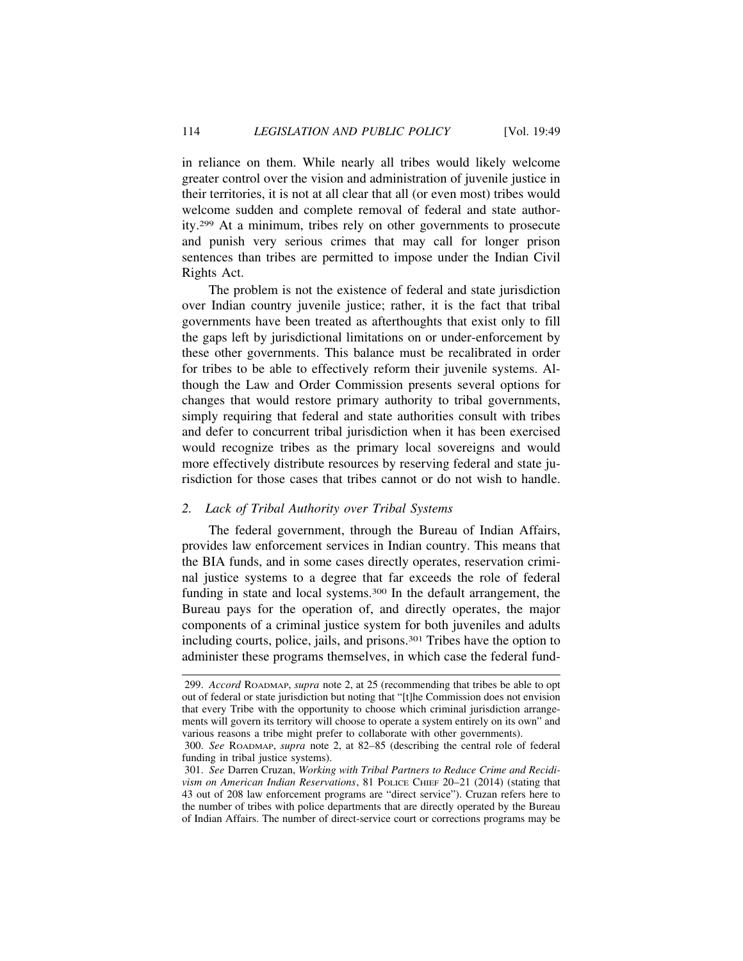in reliance on them. While nearly all tribes would likely welcome greater control over the vision and administration of juvenile justice in their territories, it is not at all clear that all (or even most) tribes would welcome sudden and complete removal of federal and state authority.299 At a minimum, tribes rely on other governments to prosecute and punish very serious crimes that may call for longer prison sentences than tribes are permitted to impose under the Indian Civil Rights Act.

The problem is not the existence of federal and state jurisdiction over Indian country juvenile justice; rather, it is the fact that tribal governments have been treated as afterthoughts that exist only to fill the gaps left by jurisdictional limitations on or under-enforcement by these other governments. This balance must be recalibrated in order for tribes to be able to effectively reform their juvenile systems. Although the Law and Order Commission presents several options for changes that would restore primary authority to tribal governments, simply requiring that federal and state authorities consult with tribes and defer to concurrent tribal jurisdiction when it has been exercised would recognize tribes as the primary local sovereigns and would more effectively distribute resources by reserving federal and state jurisdiction for those cases that tribes cannot or do not wish to handle.

### *2. Lack of Tribal Authority over Tribal Systems*

The federal government, through the Bureau of Indian Affairs, provides law enforcement services in Indian country. This means that the BIA funds, and in some cases directly operates, reservation criminal justice systems to a degree that far exceeds the role of federal funding in state and local systems.300 In the default arrangement, the Bureau pays for the operation of, and directly operates, the major components of a criminal justice system for both juveniles and adults including courts, police, jails, and prisons.301 Tribes have the option to administer these programs themselves, in which case the federal fund-

<sup>299.</sup> *Accord* ROADMAP, *supra* note 2, at 25 (recommending that tribes be able to opt out of federal or state jurisdiction but noting that "[t]he Commission does not envision that every Tribe with the opportunity to choose which criminal jurisdiction arrangements will govern its territory will choose to operate a system entirely on its own" and various reasons a tribe might prefer to collaborate with other governments).

<sup>300.</sup> *See* ROADMAP, *supra* note 2, at 82–85 (describing the central role of federal funding in tribal justice systems).

<sup>301.</sup> *See* Darren Cruzan, *Working with Tribal Partners to Reduce Crime and Recidivism on American Indian Reservations*, 81 POLICE CHIEF 20–21 (2014) (stating that 43 out of 208 law enforcement programs are "direct service"). Cruzan refers here to the number of tribes with police departments that are directly operated by the Bureau of Indian Affairs. The number of direct-service court or corrections programs may be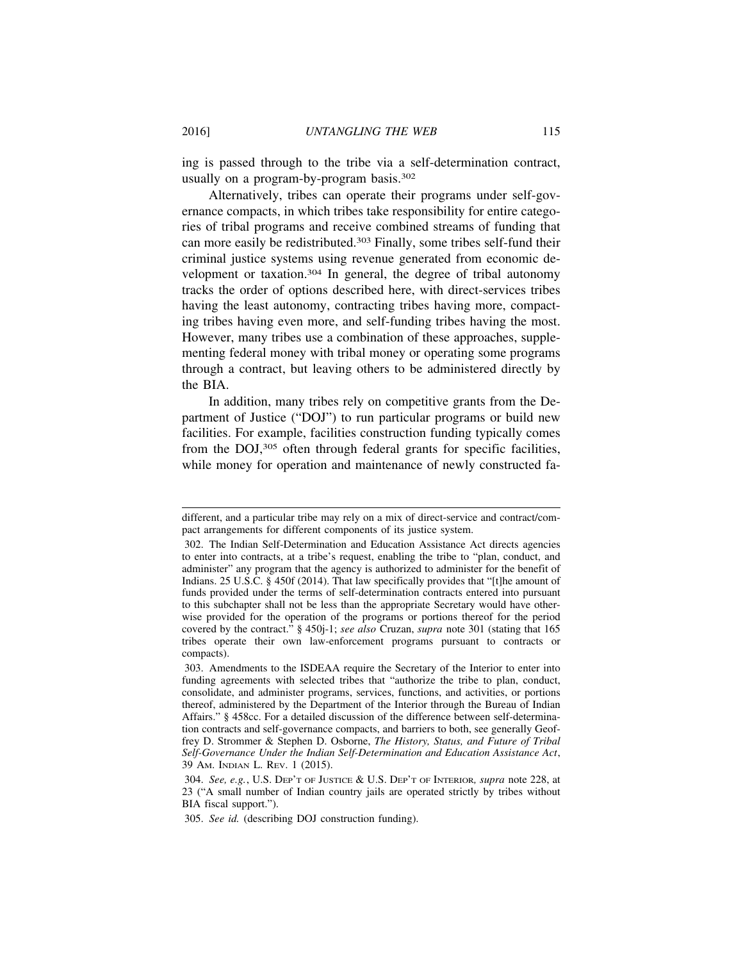ing is passed through to the tribe via a self-determination contract, usually on a program-by-program basis.<sup>302</sup>

Alternatively, tribes can operate their programs under self-governance compacts, in which tribes take responsibility for entire categories of tribal programs and receive combined streams of funding that can more easily be redistributed.303 Finally, some tribes self-fund their criminal justice systems using revenue generated from economic development or taxation.304 In general, the degree of tribal autonomy tracks the order of options described here, with direct-services tribes having the least autonomy, contracting tribes having more, compacting tribes having even more, and self-funding tribes having the most. However, many tribes use a combination of these approaches, supplementing federal money with tribal money or operating some programs through a contract, but leaving others to be administered directly by the BIA.

In addition, many tribes rely on competitive grants from the Department of Justice ("DOJ") to run particular programs or build new facilities. For example, facilities construction funding typically comes from the DOJ,305 often through federal grants for specific facilities, while money for operation and maintenance of newly constructed fa-

different, and a particular tribe may rely on a mix of direct-service and contract/compact arrangements for different components of its justice system.

<sup>302.</sup> The Indian Self-Determination and Education Assistance Act directs agencies to enter into contracts, at a tribe's request, enabling the tribe to "plan, conduct, and administer" any program that the agency is authorized to administer for the benefit of Indians. 25 U.S.C. § 450f (2014). That law specifically provides that "[t]he amount of funds provided under the terms of self-determination contracts entered into pursuant to this subchapter shall not be less than the appropriate Secretary would have otherwise provided for the operation of the programs or portions thereof for the period covered by the contract." § 450j-1; *see also* Cruzan, *supra* note 301 (stating that 165 tribes operate their own law-enforcement programs pursuant to contracts or compacts).

<sup>303.</sup> Amendments to the ISDEAA require the Secretary of the Interior to enter into funding agreements with selected tribes that "authorize the tribe to plan, conduct, consolidate, and administer programs, services, functions, and activities, or portions thereof, administered by the Department of the Interior through the Bureau of Indian Affairs." § 458cc. For a detailed discussion of the difference between self-determination contracts and self-governance compacts, and barriers to both, see generally Geoffrey D. Strommer & Stephen D. Osborne, *The History, Status, and Future of Tribal Self-Governance Under the Indian Self-Determination and Education Assistance Act*, 39 AM. INDIAN L. REV. 1 (2015).

<sup>304.</sup> *See, e.g.*, U.S. DEP'T OF JUSTICE & U.S. DEP'T OF INTERIOR*, supra* note 228, at 23 ("A small number of Indian country jails are operated strictly by tribes without BIA fiscal support.").

<sup>305.</sup> *See id.* (describing DOJ construction funding).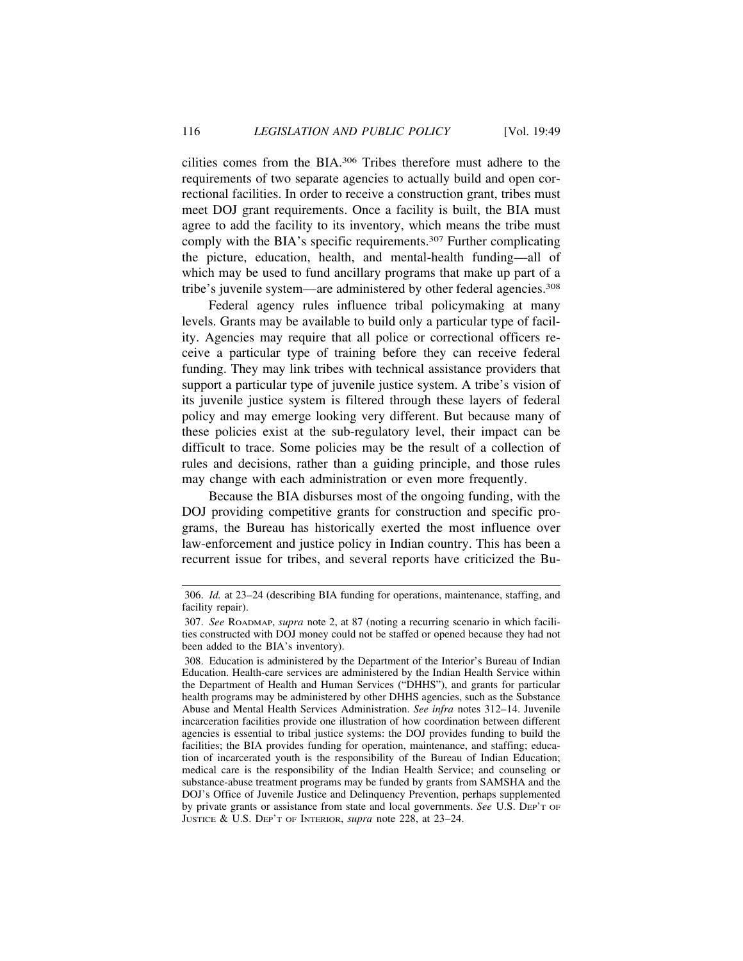cilities comes from the BIA.306 Tribes therefore must adhere to the requirements of two separate agencies to actually build and open correctional facilities. In order to receive a construction grant, tribes must meet DOJ grant requirements. Once a facility is built, the BIA must agree to add the facility to its inventory, which means the tribe must comply with the BIA's specific requirements.<sup>307</sup> Further complicating the picture, education, health, and mental-health funding—all of which may be used to fund ancillary programs that make up part of a tribe's juvenile system—are administered by other federal agencies.308

Federal agency rules influence tribal policymaking at many levels. Grants may be available to build only a particular type of facility. Agencies may require that all police or correctional officers receive a particular type of training before they can receive federal funding. They may link tribes with technical assistance providers that support a particular type of juvenile justice system. A tribe's vision of its juvenile justice system is filtered through these layers of federal policy and may emerge looking very different. But because many of these policies exist at the sub-regulatory level, their impact can be difficult to trace. Some policies may be the result of a collection of rules and decisions, rather than a guiding principle, and those rules may change with each administration or even more frequently.

Because the BIA disburses most of the ongoing funding, with the DOJ providing competitive grants for construction and specific programs, the Bureau has historically exerted the most influence over law-enforcement and justice policy in Indian country. This has been a recurrent issue for tribes, and several reports have criticized the Bu-

<sup>306.</sup> *Id.* at 23–24 (describing BIA funding for operations, maintenance, staffing, and facility repair).

<sup>307.</sup> *See* ROADMAP, *supra* note 2, at 87 (noting a recurring scenario in which facilities constructed with DOJ money could not be staffed or opened because they had not been added to the BIA's inventory).

<sup>308.</sup> Education is administered by the Department of the Interior's Bureau of Indian Education. Health-care services are administered by the Indian Health Service within the Department of Health and Human Services ("DHHS"), and grants for particular health programs may be administered by other DHHS agencies, such as the Substance Abuse and Mental Health Services Administration. *See infra* notes 312–14. Juvenile incarceration facilities provide one illustration of how coordination between different agencies is essential to tribal justice systems: the DOJ provides funding to build the facilities; the BIA provides funding for operation, maintenance, and staffing; education of incarcerated youth is the responsibility of the Bureau of Indian Education; medical care is the responsibility of the Indian Health Service; and counseling or substance-abuse treatment programs may be funded by grants from SAMSHA and the DOJ's Office of Juvenile Justice and Delinquency Prevention, perhaps supplemented by private grants or assistance from state and local governments. *See* U.S. DEP'T OF JUSTICE & U.S. DEP'T OF INTERIOR, *supra* note 228, at 23–24.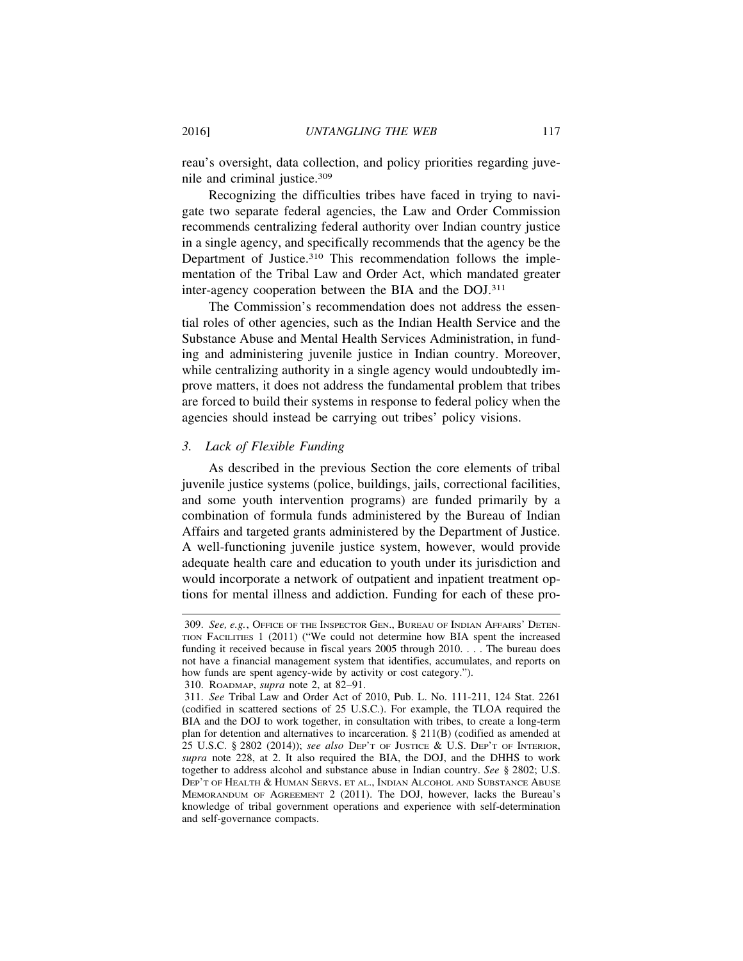reau's oversight, data collection, and policy priorities regarding juvenile and criminal justice.309

Recognizing the difficulties tribes have faced in trying to navigate two separate federal agencies, the Law and Order Commission recommends centralizing federal authority over Indian country justice in a single agency, and specifically recommends that the agency be the Department of Justice.310 This recommendation follows the implementation of the Tribal Law and Order Act, which mandated greater inter-agency cooperation between the BIA and the DOJ.311

The Commission's recommendation does not address the essential roles of other agencies, such as the Indian Health Service and the Substance Abuse and Mental Health Services Administration, in funding and administering juvenile justice in Indian country. Moreover, while centralizing authority in a single agency would undoubtedly improve matters, it does not address the fundamental problem that tribes are forced to build their systems in response to federal policy when the agencies should instead be carrying out tribes' policy visions.

### *3. Lack of Flexible Funding*

As described in the previous Section the core elements of tribal juvenile justice systems (police, buildings, jails, correctional facilities, and some youth intervention programs) are funded primarily by a combination of formula funds administered by the Bureau of Indian Affairs and targeted grants administered by the Department of Justice. A well-functioning juvenile justice system, however, would provide adequate health care and education to youth under its jurisdiction and would incorporate a network of outpatient and inpatient treatment options for mental illness and addiction. Funding for each of these pro-

<sup>309.</sup> *See, e.g.*, OFFICE OF THE INSPECTOR GEN., BUREAU OF INDIAN AFFAIRS' DETEN-TION FACILITIES 1 (2011) ("We could not determine how BIA spent the increased funding it received because in fiscal years 2005 through 2010. . . . The bureau does not have a financial management system that identifies, accumulates, and reports on how funds are spent agency-wide by activity or cost category.").

<sup>310.</sup> ROADMAP, *supra* note 2, at 82–91.

<sup>311.</sup> *See* Tribal Law and Order Act of 2010, Pub. L. No. 111-211, 124 Stat. 2261 (codified in scattered sections of 25 U.S.C.). For example, the TLOA required the BIA and the DOJ to work together, in consultation with tribes, to create a long-term plan for detention and alternatives to incarceration. § 211(B) (codified as amended at 25 U.S.C. § 2802 (2014)); *see also* DEP'T OF JUSTICE & U.S. DEP'T OF INTERIOR, *supra* note 228, at 2. It also required the BIA, the DOJ, and the DHHS to work together to address alcohol and substance abuse in Indian country. *See* § 2802; U.S. DEP'T OF HEALTH & HUMAN SERVS. ET AL., INDIAN ALCOHOL AND SUBSTANCE ABUSE MEMORANDUM OF AGREEMENT 2 (2011). The DOJ, however, lacks the Bureau's knowledge of tribal government operations and experience with self-determination and self-governance compacts.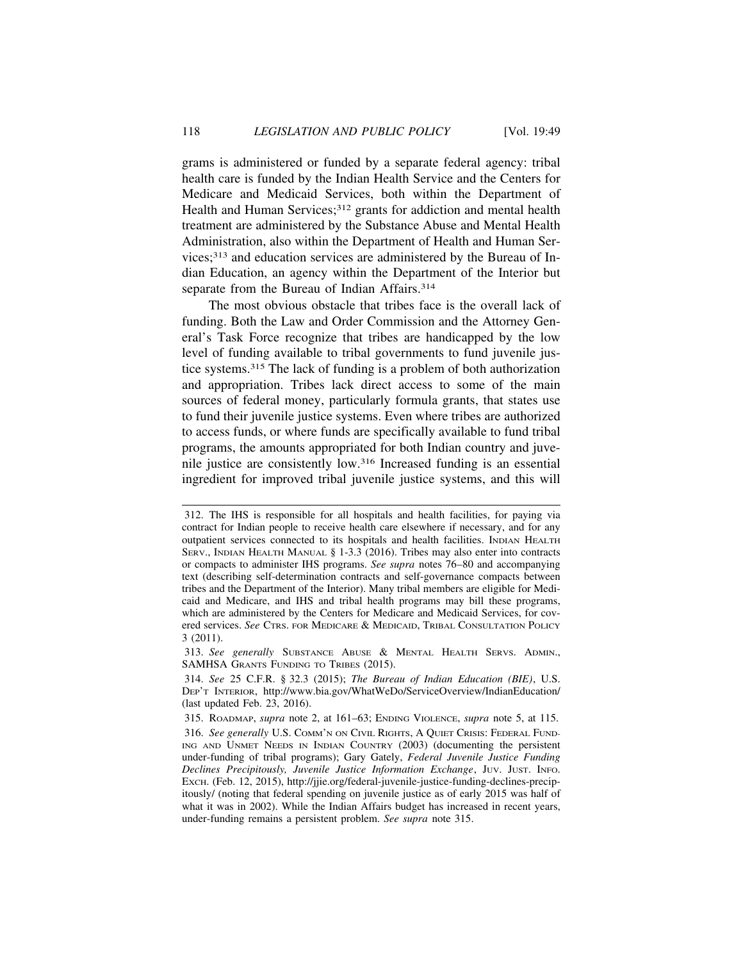grams is administered or funded by a separate federal agency: tribal health care is funded by the Indian Health Service and the Centers for Medicare and Medicaid Services, both within the Department of Health and Human Services;<sup>312</sup> grants for addiction and mental health treatment are administered by the Substance Abuse and Mental Health Administration, also within the Department of Health and Human Services;313 and education services are administered by the Bureau of Indian Education, an agency within the Department of the Interior but separate from the Bureau of Indian Affairs.<sup>314</sup>

The most obvious obstacle that tribes face is the overall lack of funding. Both the Law and Order Commission and the Attorney General's Task Force recognize that tribes are handicapped by the low level of funding available to tribal governments to fund juvenile justice systems.315 The lack of funding is a problem of both authorization and appropriation. Tribes lack direct access to some of the main sources of federal money, particularly formula grants, that states use to fund their juvenile justice systems. Even where tribes are authorized to access funds, or where funds are specifically available to fund tribal programs, the amounts appropriated for both Indian country and juvenile justice are consistently low.316 Increased funding is an essential ingredient for improved tribal juvenile justice systems, and this will

<sup>312.</sup> The IHS is responsible for all hospitals and health facilities, for paying via contract for Indian people to receive health care elsewhere if necessary, and for any outpatient services connected to its hospitals and health facilities. INDIAN HEALTH SERV., INDIAN HEALTH MANUAL § 1-3.3 (2016). Tribes may also enter into contracts or compacts to administer IHS programs. *See supra* notes 76–80 and accompanying text (describing self-determination contracts and self-governance compacts between tribes and the Department of the Interior). Many tribal members are eligible for Medicaid and Medicare, and IHS and tribal health programs may bill these programs, which are administered by the Centers for Medicare and Medicaid Services, for covered services. *See* CTRS. FOR MEDICARE & MEDICAID, TRIBAL CONSULTATION POLICY 3 (2011).

<sup>313.</sup> *See generally* SUBSTANCE ABUSE & MENTAL HEALTH SERVS. ADMIN., SAMHSA GRANTS FUNDING TO TRIBES (2015).

<sup>314.</sup> *See* 25 C.F.R. § 32.3 (2015); *The Bureau of Indian Education (BIE)*, U.S. DEP'T INTERIOR, http://www.bia.gov/WhatWeDo/ServiceOverview/IndianEducation/ (last updated Feb. 23, 2016).

<sup>315.</sup> ROADMAP, *supra* note 2, at 161–63; ENDING VIOLENCE, *supra* note 5, at 115.

<sup>316.</sup> *See generally* U.S. COMM'N ON CIVIL RIGHTS, A QUIET CRISIS: FEDERAL FUND-ING AND UNMET NEEDS IN INDIAN COUNTRY (2003) (documenting the persistent under-funding of tribal programs); Gary Gately, *Federal Juvenile Justice Funding Declines Precipitously, Juvenile Justice Information Exchange*, JUV. JUST. INFO. EXCH. (Feb. 12, 2015), http://jjie.org/federal-juvenile-justice-funding-declines-precipitously/ (noting that federal spending on juvenile justice as of early 2015 was half of what it was in 2002). While the Indian Affairs budget has increased in recent years, under-funding remains a persistent problem. *See supra* note 315.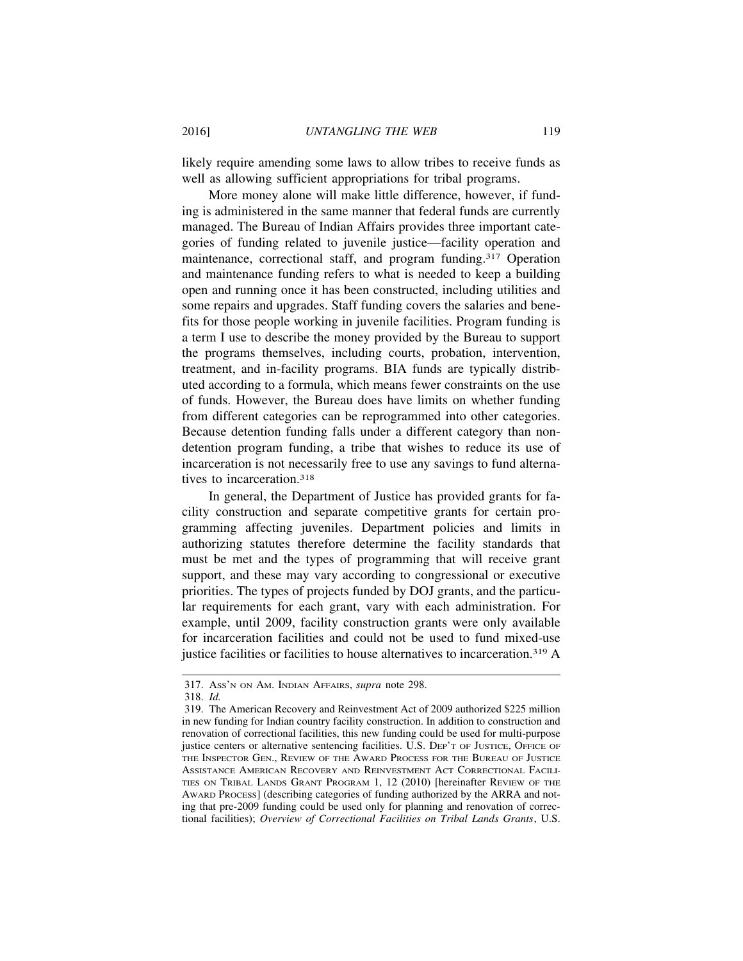likely require amending some laws to allow tribes to receive funds as well as allowing sufficient appropriations for tribal programs.

More money alone will make little difference, however, if funding is administered in the same manner that federal funds are currently managed. The Bureau of Indian Affairs provides three important categories of funding related to juvenile justice—facility operation and maintenance, correctional staff, and program funding.317 Operation and maintenance funding refers to what is needed to keep a building open and running once it has been constructed, including utilities and some repairs and upgrades. Staff funding covers the salaries and benefits for those people working in juvenile facilities. Program funding is a term I use to describe the money provided by the Bureau to support the programs themselves, including courts, probation, intervention, treatment, and in-facility programs. BIA funds are typically distributed according to a formula, which means fewer constraints on the use of funds. However, the Bureau does have limits on whether funding from different categories can be reprogrammed into other categories. Because detention funding falls under a different category than nondetention program funding, a tribe that wishes to reduce its use of incarceration is not necessarily free to use any savings to fund alternatives to incarceration.318

In general, the Department of Justice has provided grants for facility construction and separate competitive grants for certain programming affecting juveniles. Department policies and limits in authorizing statutes therefore determine the facility standards that must be met and the types of programming that will receive grant support, and these may vary according to congressional or executive priorities. The types of projects funded by DOJ grants, and the particular requirements for each grant, vary with each administration. For example, until 2009, facility construction grants were only available for incarceration facilities and could not be used to fund mixed-use justice facilities or facilities to house alternatives to incarceration.319 A

<sup>317.</sup> ASS'N ON AM. INDIAN AFFAIRS, *supra* note 298.

<sup>318.</sup> *Id.*

<sup>319.</sup> The American Recovery and Reinvestment Act of 2009 authorized \$225 million in new funding for Indian country facility construction. In addition to construction and renovation of correctional facilities, this new funding could be used for multi-purpose justice centers or alternative sentencing facilities. U.S. DEP'T OF JUSTICE, OFFICE OF THE INSPECTOR GEN., REVIEW OF THE AWARD PROCESS FOR THE BUREAU OF JUSTICE ASSISTANCE AMERICAN RECOVERY AND REINVESTMENT ACT CORRECTIONAL FACILI-TIES ON TRIBAL LANDS GRANT PROGRAM 1, 12 (2010) [hereinafter REVIEW OF THE AWARD PROCESS] (describing categories of funding authorized by the ARRA and noting that pre-2009 funding could be used only for planning and renovation of correctional facilities); *Overview of Correctional Facilities on Tribal Lands Grants*, U.S.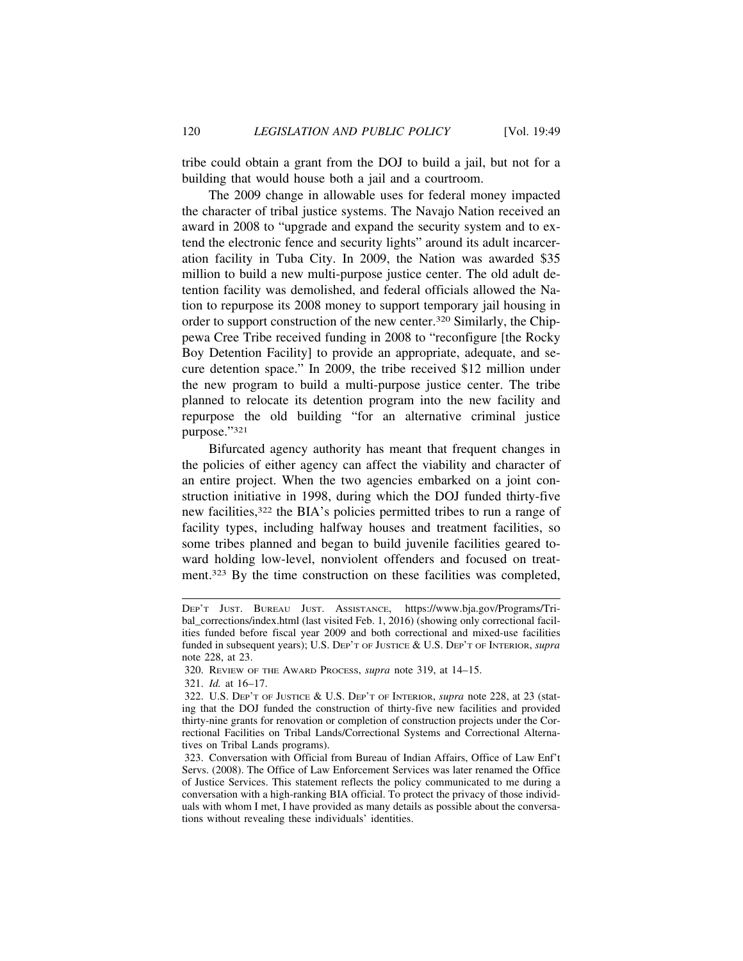tribe could obtain a grant from the DOJ to build a jail, but not for a building that would house both a jail and a courtroom.

The 2009 change in allowable uses for federal money impacted the character of tribal justice systems. The Navajo Nation received an award in 2008 to "upgrade and expand the security system and to extend the electronic fence and security lights" around its adult incarceration facility in Tuba City. In 2009, the Nation was awarded \$35 million to build a new multi-purpose justice center. The old adult detention facility was demolished, and federal officials allowed the Nation to repurpose its 2008 money to support temporary jail housing in order to support construction of the new center.320 Similarly, the Chippewa Cree Tribe received funding in 2008 to "reconfigure [the Rocky Boy Detention Facility] to provide an appropriate, adequate, and secure detention space." In 2009, the tribe received \$12 million under the new program to build a multi-purpose justice center. The tribe planned to relocate its detention program into the new facility and repurpose the old building "for an alternative criminal justice purpose."321

Bifurcated agency authority has meant that frequent changes in the policies of either agency can affect the viability and character of an entire project. When the two agencies embarked on a joint construction initiative in 1998, during which the DOJ funded thirty-five new facilities,322 the BIA's policies permitted tribes to run a range of facility types, including halfway houses and treatment facilities, so some tribes planned and began to build juvenile facilities geared toward holding low-level, nonviolent offenders and focused on treatment.323 By the time construction on these facilities was completed,

DEP'T JUST. BUREAU JUST. ASSISTANCE, https://www.bja.gov/Programs/Tribal\_corrections/index.html (last visited Feb. 1, 2016) (showing only correctional facilities funded before fiscal year 2009 and both correctional and mixed-use facilities funded in subsequent years); U.S. DEP'T OF JUSTICE & U.S. DEP'T OF INTERIOR, *supra* note 228, at 23.

<sup>320.</sup> REVIEW OF THE AWARD PROCESS, *supra* note 319, at 14–15.

<sup>321.</sup> *Id.* at 16–17.

<sup>322.</sup> U.S. DEP'T OF JUSTICE & U.S. DEP'T OF INTERIOR, *supra* note 228, at 23 (stating that the DOJ funded the construction of thirty-five new facilities and provided thirty-nine grants for renovation or completion of construction projects under the Correctional Facilities on Tribal Lands/Correctional Systems and Correctional Alternatives on Tribal Lands programs).

<sup>323.</sup> Conversation with Official from Bureau of Indian Affairs, Office of Law Enf't Servs. (2008). The Office of Law Enforcement Services was later renamed the Office of Justice Services. This statement reflects the policy communicated to me during a conversation with a high-ranking BIA official. To protect the privacy of those individuals with whom I met, I have provided as many details as possible about the conversations without revealing these individuals' identities.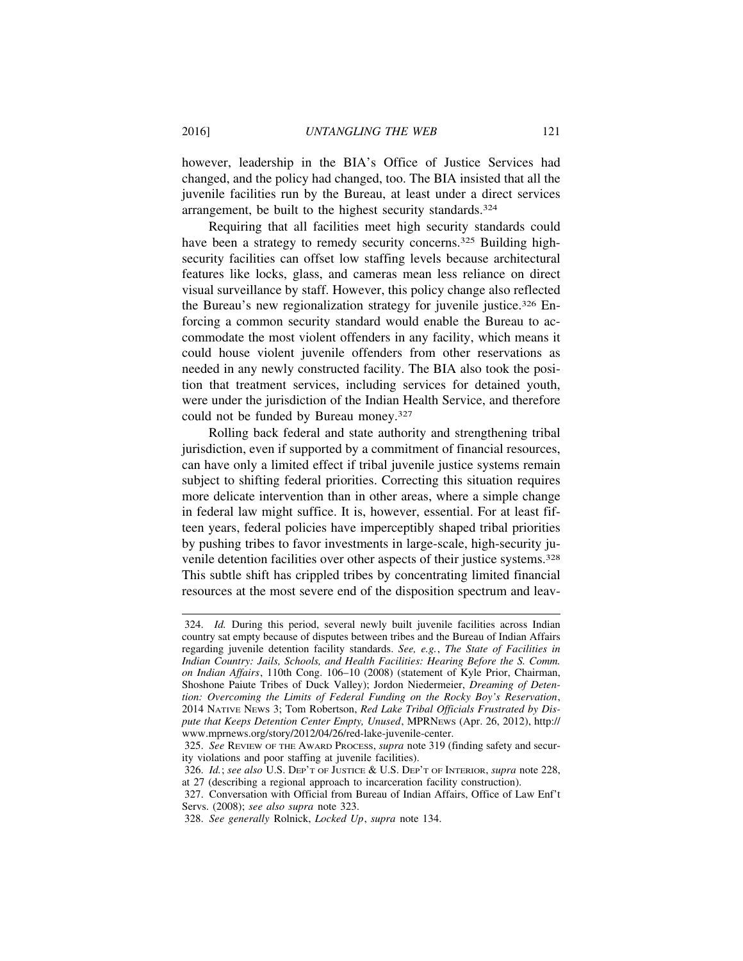however, leadership in the BIA's Office of Justice Services had changed, and the policy had changed, too. The BIA insisted that all the juvenile facilities run by the Bureau, at least under a direct services arrangement, be built to the highest security standards.<sup>324</sup>

Requiring that all facilities meet high security standards could have been a strategy to remedy security concerns.<sup>325</sup> Building highsecurity facilities can offset low staffing levels because architectural features like locks, glass, and cameras mean less reliance on direct visual surveillance by staff. However, this policy change also reflected the Bureau's new regionalization strategy for juvenile justice.326 Enforcing a common security standard would enable the Bureau to accommodate the most violent offenders in any facility, which means it could house violent juvenile offenders from other reservations as needed in any newly constructed facility. The BIA also took the position that treatment services, including services for detained youth, were under the jurisdiction of the Indian Health Service, and therefore could not be funded by Bureau money.327

Rolling back federal and state authority and strengthening tribal jurisdiction, even if supported by a commitment of financial resources, can have only a limited effect if tribal juvenile justice systems remain subject to shifting federal priorities. Correcting this situation requires more delicate intervention than in other areas, where a simple change in federal law might suffice. It is, however, essential. For at least fifteen years, federal policies have imperceptibly shaped tribal priorities by pushing tribes to favor investments in large-scale, high-security juvenile detention facilities over other aspects of their justice systems.328 This subtle shift has crippled tribes by concentrating limited financial resources at the most severe end of the disposition spectrum and leav-

<sup>324.</sup> *Id.* During this period, several newly built juvenile facilities across Indian country sat empty because of disputes between tribes and the Bureau of Indian Affairs regarding juvenile detention facility standards. *See, e.g.*, *The State of Facilities in Indian Country: Jails, Schools, and Health Facilities: Hearing Before the S. Comm. on Indian Affairs*, 110th Cong. 106–10 (2008) (statement of Kyle Prior, Chairman, Shoshone Paiute Tribes of Duck Valley); Jordon Niedermeier, *Dreaming of Detention: Overcoming the Limits of Federal Funding on the Rocky Boy's Reservation*, 2014 NATIVE NEWS 3; Tom Robertson, *Red Lake Tribal Officials Frustrated by Dispute that Keeps Detention Center Empty, Unused*, MPRNEWS (Apr. 26, 2012), http:// www.mprnews.org/story/2012/04/26/red-lake-juvenile-center.

<sup>325.</sup> *See* REVIEW OF THE AWARD PROCESS, *supra* note 319 (finding safety and security violations and poor staffing at juvenile facilities).

<sup>326.</sup> *Id.*; *see also* U.S. DEP'T OF JUSTICE & U.S. DEP'T OF INTERIOR, *supra* note 228, at 27 (describing a regional approach to incarceration facility construction).

<sup>327.</sup> Conversation with Official from Bureau of Indian Affairs, Office of Law Enf't Servs. (2008); *see also supra* note 323.

<sup>328.</sup> *See generally* Rolnick, *Locked Up*, *supra* note 134.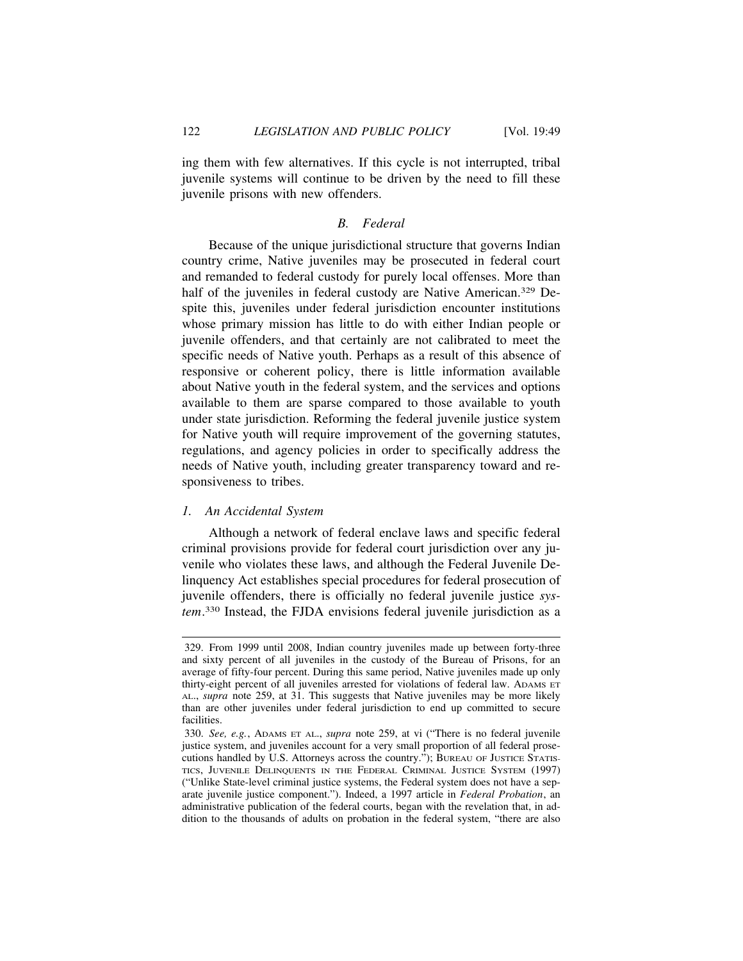ing them with few alternatives. If this cycle is not interrupted, tribal juvenile systems will continue to be driven by the need to fill these juvenile prisons with new offenders.

### *B. Federal*

Because of the unique jurisdictional structure that governs Indian country crime, Native juveniles may be prosecuted in federal court and remanded to federal custody for purely local offenses. More than half of the juveniles in federal custody are Native American.<sup>329</sup> Despite this, juveniles under federal jurisdiction encounter institutions whose primary mission has little to do with either Indian people or juvenile offenders, and that certainly are not calibrated to meet the specific needs of Native youth. Perhaps as a result of this absence of responsive or coherent policy, there is little information available about Native youth in the federal system, and the services and options available to them are sparse compared to those available to youth under state jurisdiction. Reforming the federal juvenile justice system for Native youth will require improvement of the governing statutes, regulations, and agency policies in order to specifically address the needs of Native youth, including greater transparency toward and responsiveness to tribes.

# *1. An Accidental System*

Although a network of federal enclave laws and specific federal criminal provisions provide for federal court jurisdiction over any juvenile who violates these laws, and although the Federal Juvenile Delinquency Act establishes special procedures for federal prosecution of juvenile offenders, there is officially no federal juvenile justice *system*. 330 Instead, the FJDA envisions federal juvenile jurisdiction as a

<sup>329.</sup> From 1999 until 2008, Indian country juveniles made up between forty-three and sixty percent of all juveniles in the custody of the Bureau of Prisons, for an average of fifty-four percent. During this same period, Native juveniles made up only thirty-eight percent of all juveniles arrested for violations of federal law. ADAMS ET AL., *supra* note 259, at 31. This suggests that Native juveniles may be more likely than are other juveniles under federal jurisdiction to end up committed to secure facilities.

<sup>330.</sup> *See, e.g.*, ADAMS ET AL., *supra* note 259, at vi ("There is no federal juvenile justice system, and juveniles account for a very small proportion of all federal prosecutions handled by U.S. Attorneys across the country."); BUREAU OF JUSTICE STATIS-TICS, JUVENILE DELINQUENTS IN THE FEDERAL CRIMINAL JUSTICE SYSTEM (1997) ("Unlike State-level criminal justice systems, the Federal system does not have a separate juvenile justice component."). Indeed, a 1997 article in *Federal Probation*, an administrative publication of the federal courts, began with the revelation that, in addition to the thousands of adults on probation in the federal system, "there are also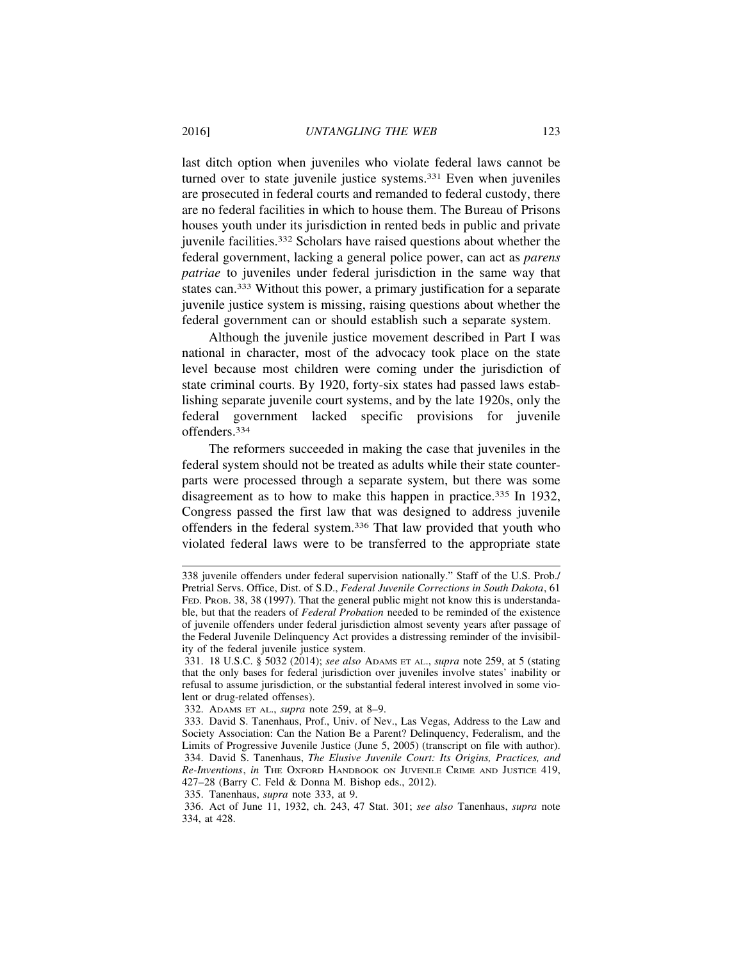last ditch option when juveniles who violate federal laws cannot be turned over to state juvenile justice systems.331 Even when juveniles are prosecuted in federal courts and remanded to federal custody, there are no federal facilities in which to house them. The Bureau of Prisons houses youth under its jurisdiction in rented beds in public and private juvenile facilities.332 Scholars have raised questions about whether the federal government, lacking a general police power, can act as *parens patriae* to juveniles under federal jurisdiction in the same way that states can.333 Without this power, a primary justification for a separate juvenile justice system is missing, raising questions about whether the federal government can or should establish such a separate system.

Although the juvenile justice movement described in Part I was national in character, most of the advocacy took place on the state level because most children were coming under the jurisdiction of state criminal courts. By 1920, forty-six states had passed laws establishing separate juvenile court systems, and by the late 1920s, only the federal government lacked specific provisions for juvenile offenders.334

The reformers succeeded in making the case that juveniles in the federal system should not be treated as adults while their state counterparts were processed through a separate system, but there was some disagreement as to how to make this happen in practice.<sup>335</sup> In 1932, Congress passed the first law that was designed to address juvenile offenders in the federal system.336 That law provided that youth who violated federal laws were to be transferred to the appropriate state

332. ADAMS ET AL., *supra* note 259, at 8–9.

335. Tanenhaus, *supra* note 333, at 9.

<sup>338</sup> juvenile offenders under federal supervision nationally." Staff of the U.S. Prob./ Pretrial Servs. Office, Dist. of S.D., *Federal Juvenile Corrections in South Dakota*, 61 FED. PROB. 38, 38 (1997). That the general public might not know this is understandable, but that the readers of *Federal Probation* needed to be reminded of the existence of juvenile offenders under federal jurisdiction almost seventy years after passage of the Federal Juvenile Delinquency Act provides a distressing reminder of the invisibility of the federal juvenile justice system.

<sup>331. 18</sup> U.S.C. § 5032 (2014); *see also* ADAMS ET AL., *supra* note 259, at 5 (stating that the only bases for federal jurisdiction over juveniles involve states' inability or refusal to assume jurisdiction, or the substantial federal interest involved in some violent or drug-related offenses).

<sup>333.</sup> David S. Tanenhaus, Prof., Univ. of Nev., Las Vegas, Address to the Law and Society Association: Can the Nation Be a Parent? Delinquency, Federalism, and the Limits of Progressive Juvenile Justice (June 5, 2005) (transcript on file with author). 334. David S. Tanenhaus, *The Elusive Juvenile Court: Its Origins, Practices, and Re-Inventions*, *in* THE OXFORD HANDBOOK ON JUVENILE CRIME AND JUSTICE 419, 427–28 (Barry C. Feld & Donna M. Bishop eds., 2012).

<sup>336.</sup> Act of June 11, 1932, ch. 243, 47 Stat. 301; *see also* Tanenhaus, *supra* note 334, at 428.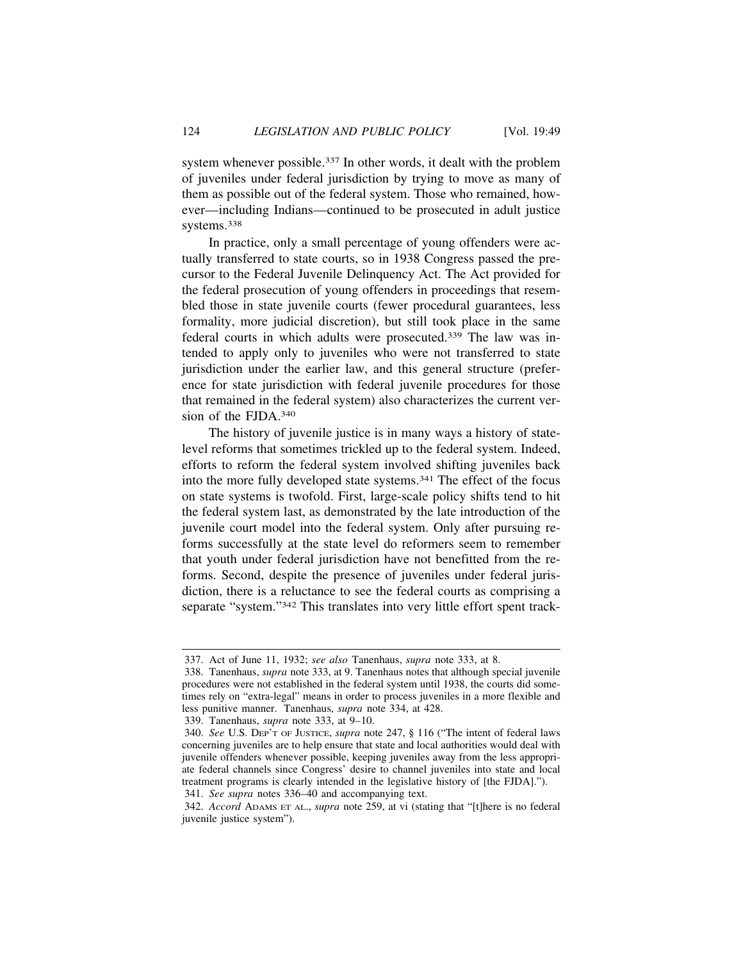system whenever possible.337 In other words, it dealt with the problem of juveniles under federal jurisdiction by trying to move as many of them as possible out of the federal system. Those who remained, however—including Indians—continued to be prosecuted in adult justice systems.338

In practice, only a small percentage of young offenders were actually transferred to state courts, so in 1938 Congress passed the precursor to the Federal Juvenile Delinquency Act. The Act provided for the federal prosecution of young offenders in proceedings that resembled those in state juvenile courts (fewer procedural guarantees, less formality, more judicial discretion), but still took place in the same federal courts in which adults were prosecuted.339 The law was intended to apply only to juveniles who were not transferred to state jurisdiction under the earlier law, and this general structure (preference for state jurisdiction with federal juvenile procedures for those that remained in the federal system) also characterizes the current version of the FJDA.340

The history of juvenile justice is in many ways a history of statelevel reforms that sometimes trickled up to the federal system. Indeed, efforts to reform the federal system involved shifting juveniles back into the more fully developed state systems.341 The effect of the focus on state systems is twofold. First, large-scale policy shifts tend to hit the federal system last, as demonstrated by the late introduction of the juvenile court model into the federal system. Only after pursuing reforms successfully at the state level do reformers seem to remember that youth under federal jurisdiction have not benefitted from the reforms. Second, despite the presence of juveniles under federal jurisdiction, there is a reluctance to see the federal courts as comprising a separate "system."342 This translates into very little effort spent track-

339. Tanenhaus, *supra* note 333, at 9–10.

<sup>337.</sup> Act of June 11, 1932; *see also* Tanenhaus, *supra* note 333, at 8.

<sup>338.</sup> Tanenhaus, *supra* note 333, at 9. Tanenhaus notes that although special juvenile procedures were not established in the federal system until 1938, the courts did sometimes rely on "extra-legal" means in order to process juveniles in a more flexible and less punitive manner. Tanenhaus, *supra* note 334, at 428.

<sup>340.</sup> *See* U.S. DEP'T OF JUSTICE, *supra* note 247, § 116 ("The intent of federal laws concerning juveniles are to help ensure that state and local authorities would deal with juvenile offenders whenever possible, keeping juveniles away from the less appropriate federal channels since Congress' desire to channel juveniles into state and local treatment programs is clearly intended in the legislative history of [the FJDA]."). 341. *See supra* notes 336–40 and accompanying text.

<sup>342.</sup> *Accord* ADAMS ET AL., *supra* note 259, at vi (stating that "[t]here is no federal juvenile justice system").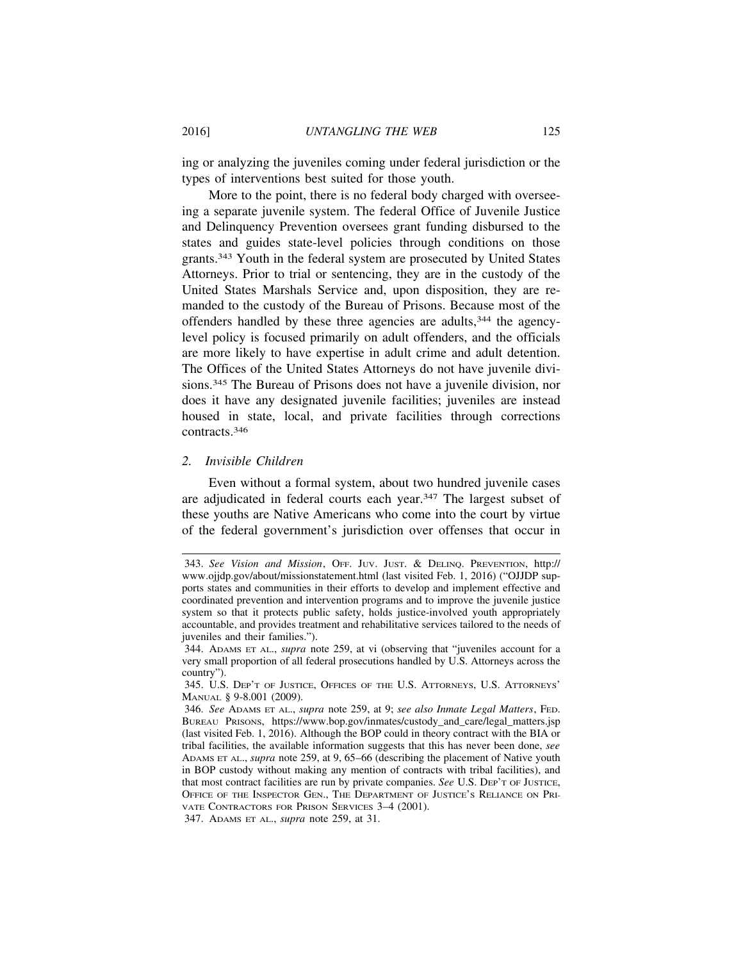ing or analyzing the juveniles coming under federal jurisdiction or the types of interventions best suited for those youth.

More to the point, there is no federal body charged with overseeing a separate juvenile system. The federal Office of Juvenile Justice and Delinquency Prevention oversees grant funding disbursed to the states and guides state-level policies through conditions on those grants.343 Youth in the federal system are prosecuted by United States Attorneys. Prior to trial or sentencing, they are in the custody of the United States Marshals Service and, upon disposition, they are remanded to the custody of the Bureau of Prisons. Because most of the offenders handled by these three agencies are adults,344 the agencylevel policy is focused primarily on adult offenders, and the officials are more likely to have expertise in adult crime and adult detention. The Offices of the United States Attorneys do not have juvenile divisions.345 The Bureau of Prisons does not have a juvenile division, nor does it have any designated juvenile facilities; juveniles are instead housed in state, local, and private facilities through corrections contracts.346

#### *2. Invisible Children*

Even without a formal system, about two hundred juvenile cases are adjudicated in federal courts each year.347 The largest subset of these youths are Native Americans who come into the court by virtue of the federal government's jurisdiction over offenses that occur in

<sup>343.</sup> *See Vision and Mission*, OFF. JUV. JUST. & DELINQ. PREVENTION, http:// www.ojjdp.gov/about/missionstatement.html (last visited Feb. 1, 2016) ("OJJDP supports states and communities in their efforts to develop and implement effective and coordinated prevention and intervention programs and to improve the juvenile justice system so that it protects public safety, holds justice-involved youth appropriately accountable, and provides treatment and rehabilitative services tailored to the needs of juveniles and their families.").

<sup>344.</sup> ADAMS ET AL., *supra* note 259, at vi (observing that "juveniles account for a very small proportion of all federal prosecutions handled by U.S. Attorneys across the country").

<sup>345.</sup> U.S. DEP'T OF JUSTICE, OFFICES OF THE U.S. ATTORNEYS, U.S. ATTORNEYS' MANUAL § 9-8.001 (2009).

<sup>346.</sup> *See* ADAMS ET AL., *supra* note 259, at 9; *see also Inmate Legal Matters*, FED. BUREAU PRISONS, https://www.bop.gov/inmates/custody\_and\_care/legal\_matters.jsp (last visited Feb. 1, 2016). Although the BOP could in theory contract with the BIA or tribal facilities, the available information suggests that this has never been done, *see* ADAMS ET AL., *supra* note 259, at 9, 65–66 (describing the placement of Native youth in BOP custody without making any mention of contracts with tribal facilities), and that most contract facilities are run by private companies. *See* U.S. DEP'T OF JUSTICE, OFFICE OF THE INSPECTOR GEN., THE DEPARTMENT OF JUSTICE'S RELIANCE ON PRI-VATE CONTRACTORS FOR PRISON SERVICES 3–4 (2001).

<sup>347.</sup> ADAMS ET AL., *supra* note 259, at 31.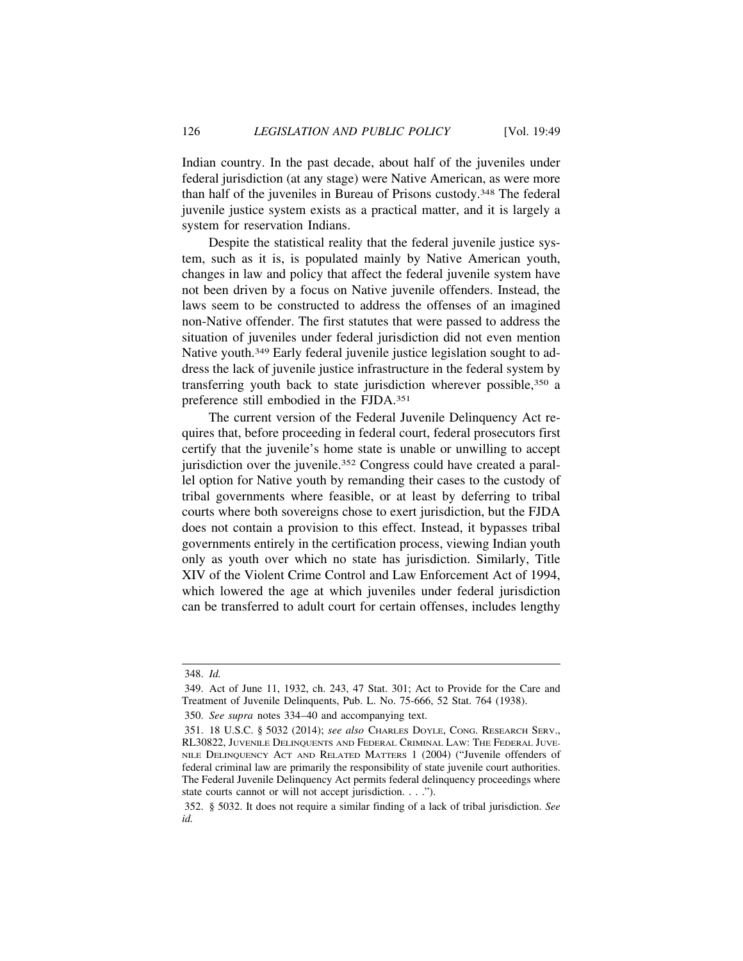Indian country. In the past decade, about half of the juveniles under federal jurisdiction (at any stage) were Native American, as were more than half of the juveniles in Bureau of Prisons custody.348 The federal juvenile justice system exists as a practical matter, and it is largely a system for reservation Indians.

Despite the statistical reality that the federal juvenile justice system, such as it is, is populated mainly by Native American youth, changes in law and policy that affect the federal juvenile system have not been driven by a focus on Native juvenile offenders. Instead, the laws seem to be constructed to address the offenses of an imagined non-Native offender. The first statutes that were passed to address the situation of juveniles under federal jurisdiction did not even mention Native youth.349 Early federal juvenile justice legislation sought to address the lack of juvenile justice infrastructure in the federal system by transferring youth back to state jurisdiction wherever possible,350 a preference still embodied in the FJDA.351

The current version of the Federal Juvenile Delinquency Act requires that, before proceeding in federal court, federal prosecutors first certify that the juvenile's home state is unable or unwilling to accept jurisdiction over the juvenile.352 Congress could have created a parallel option for Native youth by remanding their cases to the custody of tribal governments where feasible, or at least by deferring to tribal courts where both sovereigns chose to exert jurisdiction, but the FJDA does not contain a provision to this effect. Instead, it bypasses tribal governments entirely in the certification process, viewing Indian youth only as youth over which no state has jurisdiction. Similarly, Title XIV of the Violent Crime Control and Law Enforcement Act of 1994, which lowered the age at which juveniles under federal jurisdiction can be transferred to adult court for certain offenses, includes lengthy

<sup>348.</sup> *Id.*

<sup>349.</sup> Act of June 11, 1932, ch. 243, 47 Stat. 301; Act to Provide for the Care and Treatment of Juvenile Delinquents, Pub. L. No. 75-666, 52 Stat. 764 (1938).

<sup>350.</sup> *See supra* notes 334–40 and accompanying text.

<sup>351. 18</sup> U.S.C. § 5032 (2014); *see also* CHARLES DOYLE, CONG. RESEARCH SERV., RL30822, JUVENILE DELINQUENTS AND FEDERAL CRIMINAL LAW: THE FEDERAL JUVE-NILE DELINQUENCY ACT AND RELATED MATTERS 1 (2004) ("Juvenile offenders of federal criminal law are primarily the responsibility of state juvenile court authorities. The Federal Juvenile Delinquency Act permits federal delinquency proceedings where state courts cannot or will not accept jurisdiction. . . .").

<sup>352. § 5032.</sup> It does not require a similar finding of a lack of tribal jurisdiction. *See id.*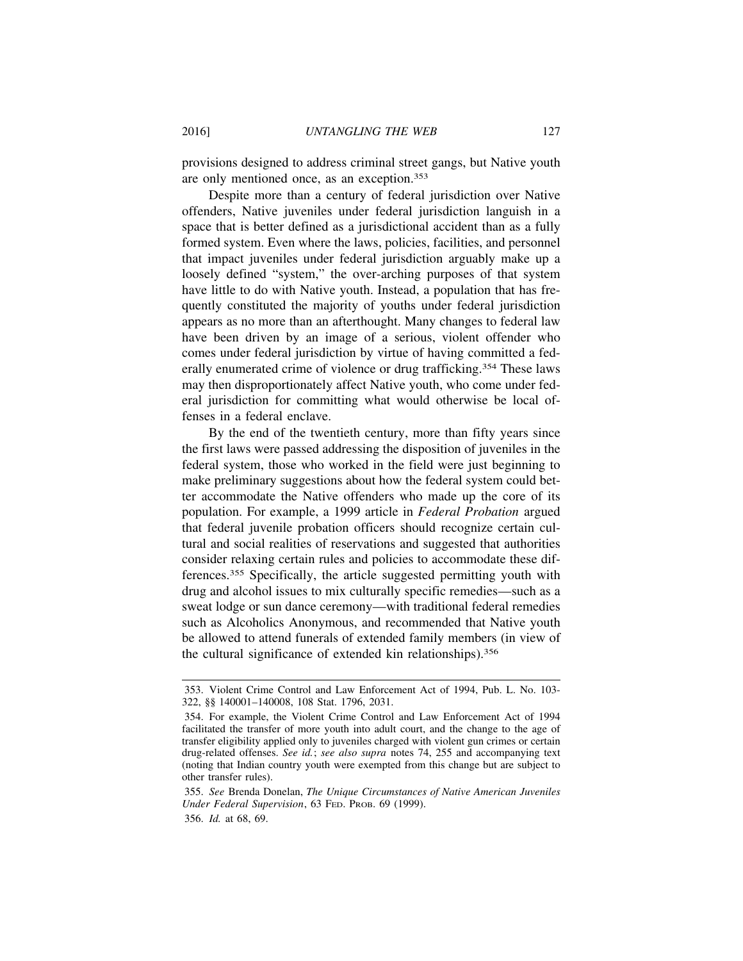provisions designed to address criminal street gangs, but Native youth are only mentioned once, as an exception.353

Despite more than a century of federal jurisdiction over Native offenders, Native juveniles under federal jurisdiction languish in a space that is better defined as a jurisdictional accident than as a fully formed system. Even where the laws, policies, facilities, and personnel that impact juveniles under federal jurisdiction arguably make up a loosely defined "system," the over-arching purposes of that system have little to do with Native youth. Instead, a population that has frequently constituted the majority of youths under federal jurisdiction appears as no more than an afterthought. Many changes to federal law have been driven by an image of a serious, violent offender who comes under federal jurisdiction by virtue of having committed a federally enumerated crime of violence or drug trafficking.<sup>354</sup> These laws may then disproportionately affect Native youth, who come under federal jurisdiction for committing what would otherwise be local offenses in a federal enclave.

By the end of the twentieth century, more than fifty years since the first laws were passed addressing the disposition of juveniles in the federal system, those who worked in the field were just beginning to make preliminary suggestions about how the federal system could better accommodate the Native offenders who made up the core of its population. For example, a 1999 article in *Federal Probation* argued that federal juvenile probation officers should recognize certain cultural and social realities of reservations and suggested that authorities consider relaxing certain rules and policies to accommodate these differences.355 Specifically, the article suggested permitting youth with drug and alcohol issues to mix culturally specific remedies—such as a sweat lodge or sun dance ceremony—with traditional federal remedies such as Alcoholics Anonymous, and recommended that Native youth be allowed to attend funerals of extended family members (in view of the cultural significance of extended kin relationships).356

<sup>353.</sup> Violent Crime Control and Law Enforcement Act of 1994, Pub. L. No. 103- 322, §§ 140001–140008, 108 Stat. 1796, 2031.

<sup>354.</sup> For example, the Violent Crime Control and Law Enforcement Act of 1994 facilitated the transfer of more youth into adult court, and the change to the age of transfer eligibility applied only to juveniles charged with violent gun crimes or certain drug-related offenses. *See id.*; *see also supra* notes 74, 255 and accompanying text (noting that Indian country youth were exempted from this change but are subject to other transfer rules).

<sup>355.</sup> *See* Brenda Donelan, *The Unique Circumstances of Native American Juveniles Under Federal Supervision*, 63 FED. PROB. 69 (1999). 356. *Id.* at 68, 69.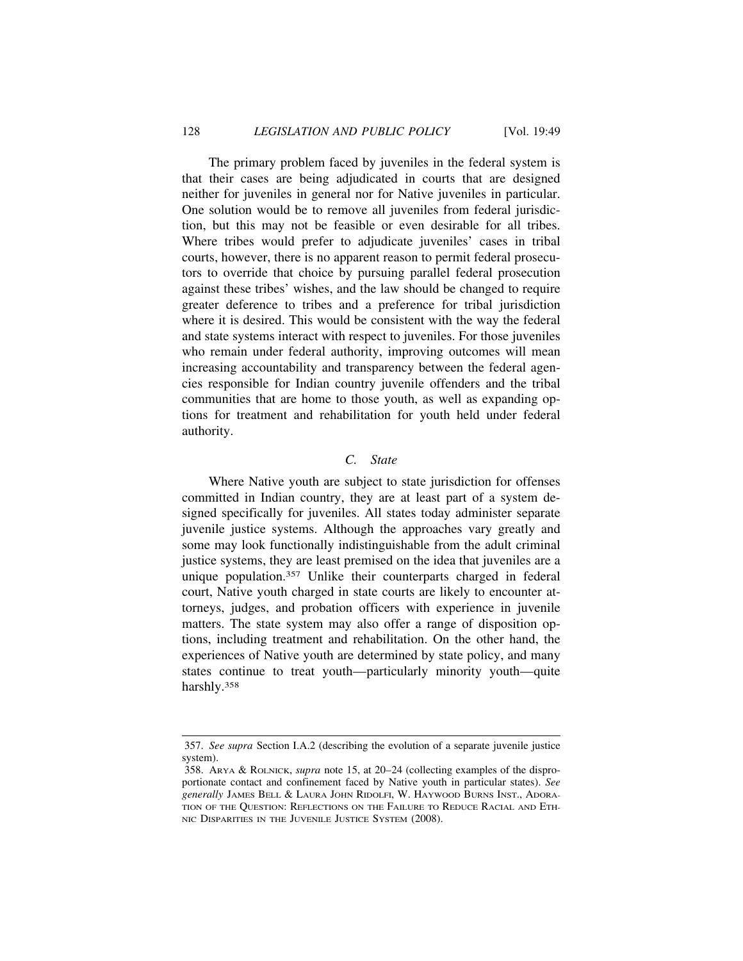The primary problem faced by juveniles in the federal system is that their cases are being adjudicated in courts that are designed neither for juveniles in general nor for Native juveniles in particular. One solution would be to remove all juveniles from federal jurisdiction, but this may not be feasible or even desirable for all tribes. Where tribes would prefer to adjudicate juveniles' cases in tribal courts, however, there is no apparent reason to permit federal prosecutors to override that choice by pursuing parallel federal prosecution against these tribes' wishes, and the law should be changed to require greater deference to tribes and a preference for tribal jurisdiction where it is desired. This would be consistent with the way the federal and state systems interact with respect to juveniles. For those juveniles who remain under federal authority, improving outcomes will mean increasing accountability and transparency between the federal agencies responsible for Indian country juvenile offenders and the tribal communities that are home to those youth, as well as expanding options for treatment and rehabilitation for youth held under federal authority.

#### *C. State*

Where Native youth are subject to state jurisdiction for offenses committed in Indian country, they are at least part of a system designed specifically for juveniles. All states today administer separate juvenile justice systems. Although the approaches vary greatly and some may look functionally indistinguishable from the adult criminal justice systems, they are least premised on the idea that juveniles are a unique population.357 Unlike their counterparts charged in federal court, Native youth charged in state courts are likely to encounter attorneys, judges, and probation officers with experience in juvenile matters. The state system may also offer a range of disposition options, including treatment and rehabilitation. On the other hand, the experiences of Native youth are determined by state policy, and many states continue to treat youth—particularly minority youth—quite harshly.358

<sup>357.</sup> *See supra* Section I.A.2 (describing the evolution of a separate juvenile justice system).

<sup>358.</sup> ARYA & ROLNICK, *supra* note 15, at 20–24 (collecting examples of the disproportionate contact and confinement faced by Native youth in particular states). *See generally* JAMES BELL & LAURA JOHN RIDOLFI, W. HAYWOOD BURNS INST., ADORA-TION OF THE QUESTION: REFLECTIONS ON THE FAILURE TO REDUCE RACIAL AND ETH-NIC DISPARITIES IN THE JUVENILE JUSTICE SYSTEM (2008).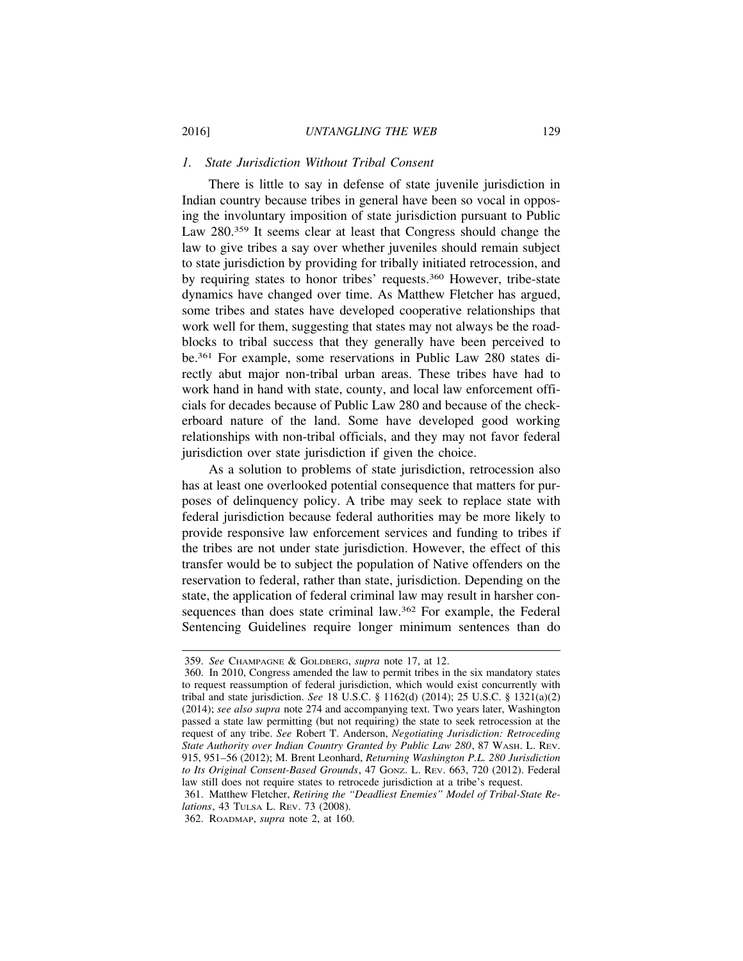# *1. State Jurisdiction Without Tribal Consent*

There is little to say in defense of state juvenile jurisdiction in Indian country because tribes in general have been so vocal in opposing the involuntary imposition of state jurisdiction pursuant to Public Law 280.<sup>359</sup> It seems clear at least that Congress should change the law to give tribes a say over whether juveniles should remain subject to state jurisdiction by providing for tribally initiated retrocession, and by requiring states to honor tribes' requests.360 However, tribe-state dynamics have changed over time. As Matthew Fletcher has argued, some tribes and states have developed cooperative relationships that work well for them, suggesting that states may not always be the roadblocks to tribal success that they generally have been perceived to be.361 For example, some reservations in Public Law 280 states directly abut major non-tribal urban areas. These tribes have had to work hand in hand with state, county, and local law enforcement officials for decades because of Public Law 280 and because of the checkerboard nature of the land. Some have developed good working relationships with non-tribal officials, and they may not favor federal jurisdiction over state jurisdiction if given the choice.

As a solution to problems of state jurisdiction, retrocession also has at least one overlooked potential consequence that matters for purposes of delinquency policy. A tribe may seek to replace state with federal jurisdiction because federal authorities may be more likely to provide responsive law enforcement services and funding to tribes if the tribes are not under state jurisdiction. However, the effect of this transfer would be to subject the population of Native offenders on the reservation to federal, rather than state, jurisdiction. Depending on the state, the application of federal criminal law may result in harsher consequences than does state criminal law.362 For example, the Federal Sentencing Guidelines require longer minimum sentences than do

361. Matthew Fletcher, *Retiring the "Deadliest Enemies" Model of Tribal-State Relations*, 43 TULSA L. REV. 73 (2008).

362. ROADMAP, *supra* note 2, at 160.

<sup>359.</sup> *See* CHAMPAGNE & GOLDBERG, *supra* note 17, at 12.

<sup>360.</sup> In 2010, Congress amended the law to permit tribes in the six mandatory states to request reassumption of federal jurisdiction, which would exist concurrently with tribal and state jurisdiction. *See* 18 U.S.C. § 1162(d) (2014); 25 U.S.C. § 1321(a)(2) (2014); *see also supra* note 274 and accompanying text. Two years later, Washington passed a state law permitting (but not requiring) the state to seek retrocession at the request of any tribe. *See* Robert T. Anderson, *Negotiating Jurisdiction: Retroceding State Authority over Indian Country Granted by Public Law 280*, 87 WASH. L. REV. 915, 951–56 (2012); M. Brent Leonhard, *Returning Washington P.L. 280 Jurisdiction to Its Original Consent-Based Grounds*, 47 GONZ. L. REV. 663, 720 (2012). Federal law still does not require states to retrocede jurisdiction at a tribe's request.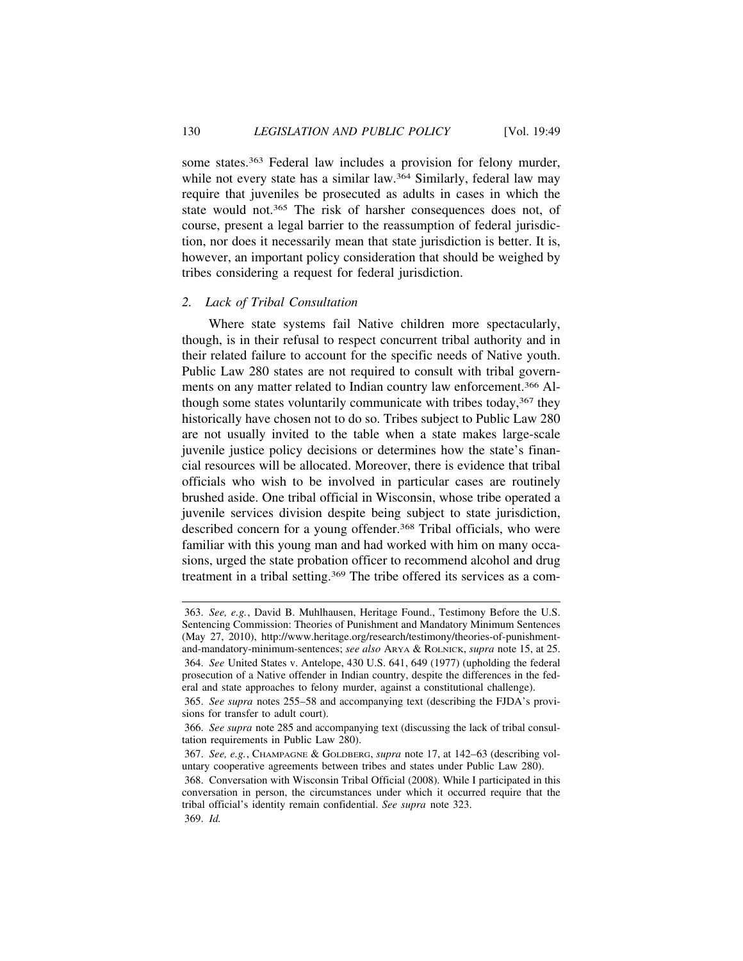some states.363 Federal law includes a provision for felony murder, while not every state has a similar law.<sup>364</sup> Similarly, federal law may require that juveniles be prosecuted as adults in cases in which the state would not.365 The risk of harsher consequences does not, of course, present a legal barrier to the reassumption of federal jurisdiction, nor does it necessarily mean that state jurisdiction is better. It is, however, an important policy consideration that should be weighed by tribes considering a request for federal jurisdiction.

### *2. Lack of Tribal Consultation*

Where state systems fail Native children more spectacularly, though, is in their refusal to respect concurrent tribal authority and in their related failure to account for the specific needs of Native youth. Public Law 280 states are not required to consult with tribal governments on any matter related to Indian country law enforcement.366 Although some states voluntarily communicate with tribes today,<sup>367</sup> they historically have chosen not to do so. Tribes subject to Public Law 280 are not usually invited to the table when a state makes large-scale juvenile justice policy decisions or determines how the state's financial resources will be allocated. Moreover, there is evidence that tribal officials who wish to be involved in particular cases are routinely brushed aside. One tribal official in Wisconsin, whose tribe operated a juvenile services division despite being subject to state jurisdiction, described concern for a young offender.<sup>368</sup> Tribal officials, who were familiar with this young man and had worked with him on many occasions, urged the state probation officer to recommend alcohol and drug treatment in a tribal setting.<sup>369</sup> The tribe offered its services as a com-

<sup>363.</sup> *See, e.g.*, David B. Muhlhausen, Heritage Found., Testimony Before the U.S. Sentencing Commission: Theories of Punishment and Mandatory Minimum Sentences (May 27, 2010), http://www.heritage.org/research/testimony/theories-of-punishmentand-mandatory-minimum-sentences; *see also* ARYA & ROLNICK, *supra* note 15, at 25. 364. *See* United States v. Antelope, 430 U.S. 641, 649 (1977) (upholding the federal prosecution of a Native offender in Indian country, despite the differences in the federal and state approaches to felony murder, against a constitutional challenge).

<sup>365.</sup> *See supra* notes 255–58 and accompanying text (describing the FJDA's provisions for transfer to adult court).

<sup>366.</sup> *See supra* note 285 and accompanying text (discussing the lack of tribal consultation requirements in Public Law 280).

<sup>367.</sup> *See, e.g.*, CHAMPAGNE & GOLDBERG, *supra* note 17, at 142–63 (describing voluntary cooperative agreements between tribes and states under Public Law 280).

<sup>368.</sup> Conversation with Wisconsin Tribal Official (2008). While I participated in this conversation in person, the circumstances under which it occurred require that the tribal official's identity remain confidential. *See supra* note 323.

<sup>369.</sup> *Id.*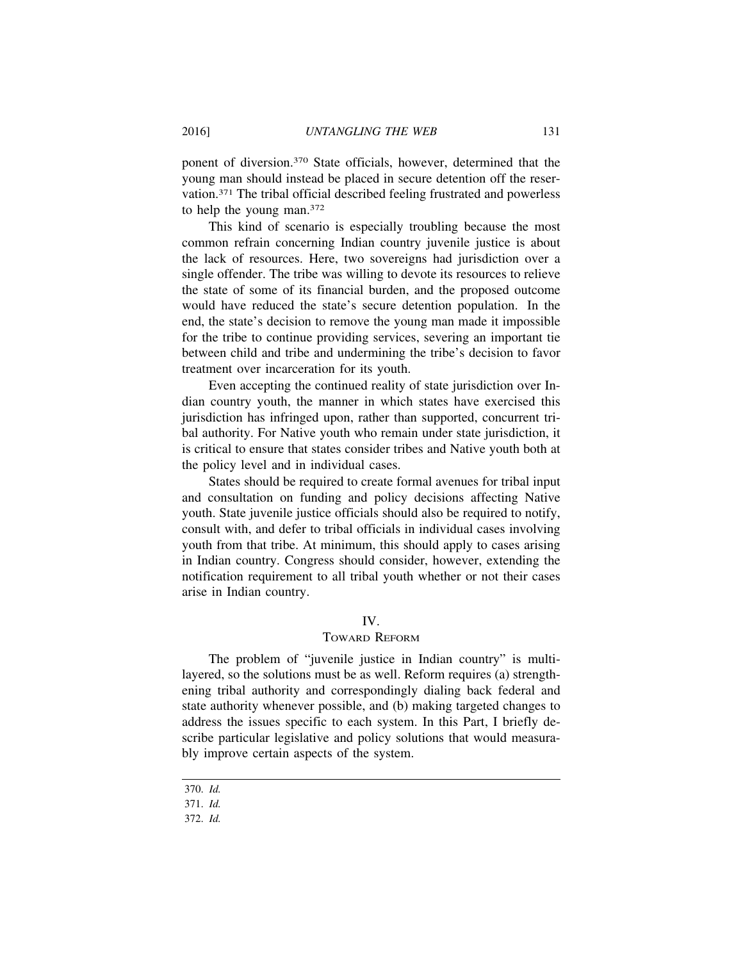ponent of diversion.370 State officials, however, determined that the young man should instead be placed in secure detention off the reservation.371 The tribal official described feeling frustrated and powerless to help the young man.372

This kind of scenario is especially troubling because the most common refrain concerning Indian country juvenile justice is about the lack of resources. Here, two sovereigns had jurisdiction over a single offender. The tribe was willing to devote its resources to relieve the state of some of its financial burden, and the proposed outcome would have reduced the state's secure detention population. In the end, the state's decision to remove the young man made it impossible for the tribe to continue providing services, severing an important tie between child and tribe and undermining the tribe's decision to favor treatment over incarceration for its youth.

Even accepting the continued reality of state jurisdiction over Indian country youth, the manner in which states have exercised this jurisdiction has infringed upon, rather than supported, concurrent tribal authority. For Native youth who remain under state jurisdiction, it is critical to ensure that states consider tribes and Native youth both at the policy level and in individual cases.

States should be required to create formal avenues for tribal input and consultation on funding and policy decisions affecting Native youth. State juvenile justice officials should also be required to notify, consult with, and defer to tribal officials in individual cases involving youth from that tribe. At minimum, this should apply to cases arising in Indian country. Congress should consider, however, extending the notification requirement to all tribal youth whether or not their cases arise in Indian country.

# IV.

#### TOWARD REFORM

The problem of "juvenile justice in Indian country" is multilayered, so the solutions must be as well. Reform requires (a) strengthening tribal authority and correspondingly dialing back federal and state authority whenever possible, and (b) making targeted changes to address the issues specific to each system. In this Part, I briefly describe particular legislative and policy solutions that would measurably improve certain aspects of the system.

370. *Id.*

371. *Id.*

372. *Id.*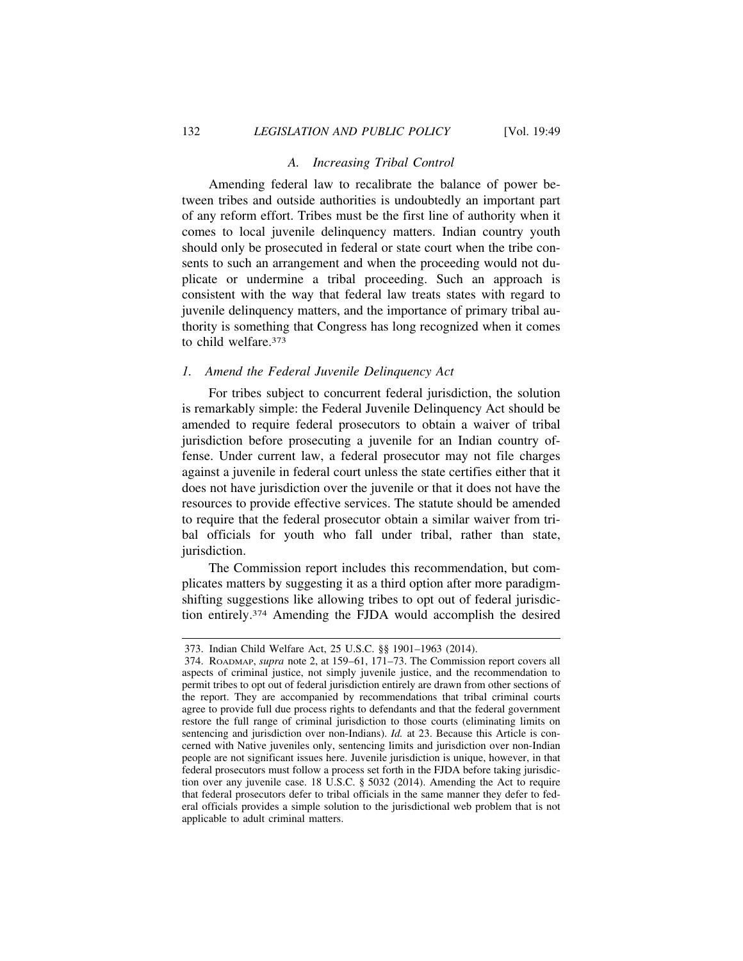# *A. Increasing Tribal Control*

Amending federal law to recalibrate the balance of power between tribes and outside authorities is undoubtedly an important part of any reform effort. Tribes must be the first line of authority when it comes to local juvenile delinquency matters. Indian country youth should only be prosecuted in federal or state court when the tribe consents to such an arrangement and when the proceeding would not duplicate or undermine a tribal proceeding. Such an approach is consistent with the way that federal law treats states with regard to juvenile delinquency matters, and the importance of primary tribal authority is something that Congress has long recognized when it comes to child welfare.373

#### *1. Amend the Federal Juvenile Delinquency Act*

For tribes subject to concurrent federal jurisdiction, the solution is remarkably simple: the Federal Juvenile Delinquency Act should be amended to require federal prosecutors to obtain a waiver of tribal jurisdiction before prosecuting a juvenile for an Indian country offense. Under current law, a federal prosecutor may not file charges against a juvenile in federal court unless the state certifies either that it does not have jurisdiction over the juvenile or that it does not have the resources to provide effective services. The statute should be amended to require that the federal prosecutor obtain a similar waiver from tribal officials for youth who fall under tribal, rather than state, jurisdiction.

The Commission report includes this recommendation, but complicates matters by suggesting it as a third option after more paradigmshifting suggestions like allowing tribes to opt out of federal jurisdiction entirely.374 Amending the FJDA would accomplish the desired

<sup>373.</sup> Indian Child Welfare Act, 25 U.S.C. §§ 1901–1963 (2014).

<sup>374.</sup> ROADMAP, *supra* note 2, at 159–61, 171–73. The Commission report covers all aspects of criminal justice, not simply juvenile justice, and the recommendation to permit tribes to opt out of federal jurisdiction entirely are drawn from other sections of the report. They are accompanied by recommendations that tribal criminal courts agree to provide full due process rights to defendants and that the federal government restore the full range of criminal jurisdiction to those courts (eliminating limits on sentencing and jurisdiction over non-Indians). *Id.* at 23. Because this Article is concerned with Native juveniles only, sentencing limits and jurisdiction over non-Indian people are not significant issues here. Juvenile jurisdiction is unique, however, in that federal prosecutors must follow a process set forth in the FJDA before taking jurisdiction over any juvenile case. 18 U.S.C. § 5032 (2014). Amending the Act to require that federal prosecutors defer to tribal officials in the same manner they defer to federal officials provides a simple solution to the jurisdictional web problem that is not applicable to adult criminal matters.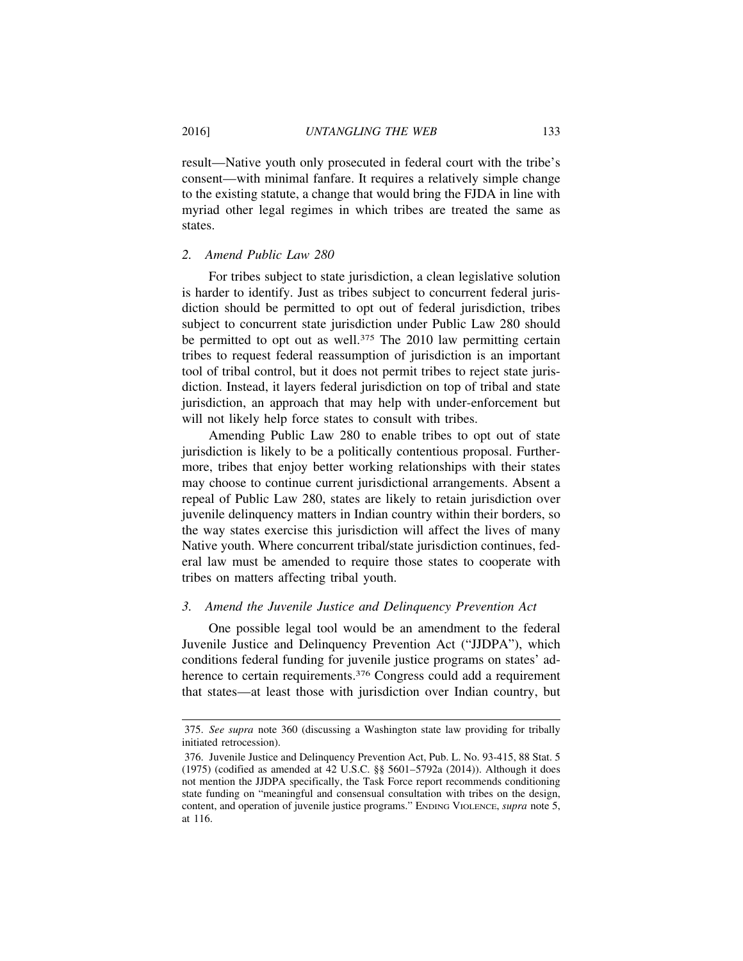result—Native youth only prosecuted in federal court with the tribe's consent—with minimal fanfare. It requires a relatively simple change to the existing statute, a change that would bring the FJDA in line with myriad other legal regimes in which tribes are treated the same as states.

## *2. Amend Public Law 280*

For tribes subject to state jurisdiction, a clean legislative solution is harder to identify. Just as tribes subject to concurrent federal jurisdiction should be permitted to opt out of federal jurisdiction, tribes subject to concurrent state jurisdiction under Public Law 280 should be permitted to opt out as well.<sup>375</sup> The 2010 law permitting certain tribes to request federal reassumption of jurisdiction is an important tool of tribal control, but it does not permit tribes to reject state jurisdiction. Instead, it layers federal jurisdiction on top of tribal and state jurisdiction, an approach that may help with under-enforcement but will not likely help force states to consult with tribes.

Amending Public Law 280 to enable tribes to opt out of state jurisdiction is likely to be a politically contentious proposal. Furthermore, tribes that enjoy better working relationships with their states may choose to continue current jurisdictional arrangements. Absent a repeal of Public Law 280, states are likely to retain jurisdiction over juvenile delinquency matters in Indian country within their borders, so the way states exercise this jurisdiction will affect the lives of many Native youth. Where concurrent tribal/state jurisdiction continues, federal law must be amended to require those states to cooperate with tribes on matters affecting tribal youth.

# *3. Amend the Juvenile Justice and Delinquency Prevention Act*

One possible legal tool would be an amendment to the federal Juvenile Justice and Delinquency Prevention Act ("JJDPA"), which conditions federal funding for juvenile justice programs on states' adherence to certain requirements.<sup>376</sup> Congress could add a requirement that states—at least those with jurisdiction over Indian country, but

<sup>375.</sup> *See supra* note 360 (discussing a Washington state law providing for tribally initiated retrocession).

<sup>376.</sup> Juvenile Justice and Delinquency Prevention Act, Pub. L. No. 93-415, 88 Stat. 5 (1975) (codified as amended at 42 U.S.C. §§ 5601–5792a (2014)). Although it does not mention the JJDPA specifically, the Task Force report recommends conditioning state funding on "meaningful and consensual consultation with tribes on the design, content, and operation of juvenile justice programs." ENDING VIOLENCE, *supra* note 5, at 116.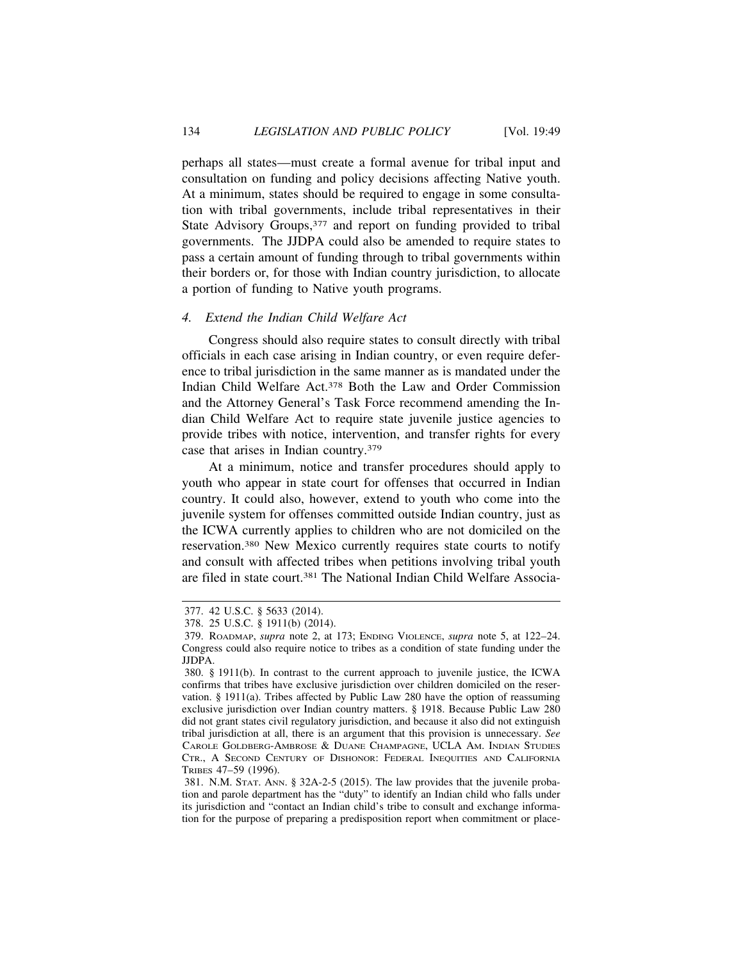perhaps all states—must create a formal avenue for tribal input and consultation on funding and policy decisions affecting Native youth. At a minimum, states should be required to engage in some consultation with tribal governments, include tribal representatives in their State Advisory Groups, 377 and report on funding provided to tribal governments. The JJDPA could also be amended to require states to pass a certain amount of funding through to tribal governments within their borders or, for those with Indian country jurisdiction, to allocate a portion of funding to Native youth programs.

#### *4. Extend the Indian Child Welfare Act*

Congress should also require states to consult directly with tribal officials in each case arising in Indian country, or even require deference to tribal jurisdiction in the same manner as is mandated under the Indian Child Welfare Act.378 Both the Law and Order Commission and the Attorney General's Task Force recommend amending the Indian Child Welfare Act to require state juvenile justice agencies to provide tribes with notice, intervention, and transfer rights for every case that arises in Indian country.379

At a minimum, notice and transfer procedures should apply to youth who appear in state court for offenses that occurred in Indian country. It could also, however, extend to youth who come into the juvenile system for offenses committed outside Indian country, just as the ICWA currently applies to children who are not domiciled on the reservation.380 New Mexico currently requires state courts to notify and consult with affected tribes when petitions involving tribal youth are filed in state court.381 The National Indian Child Welfare Associa-

<sup>377. 42</sup> U.S.C. § 5633 (2014).

<sup>378. 25</sup> U.S.C. § 1911(b) (2014).

<sup>379.</sup> ROADMAP, *supra* note 2, at 173; ENDING VIOLENCE, *supra* note 5, at 122–24. Congress could also require notice to tribes as a condition of state funding under the JJDPA.

<sup>380. § 1911(</sup>b). In contrast to the current approach to juvenile justice, the ICWA confirms that tribes have exclusive jurisdiction over children domiciled on the reservation. § 1911(a). Tribes affected by Public Law 280 have the option of reassuming exclusive jurisdiction over Indian country matters. § 1918. Because Public Law 280 did not grant states civil regulatory jurisdiction, and because it also did not extinguish tribal jurisdiction at all, there is an argument that this provision is unnecessary. *See* CAROLE GOLDBERG-AMBROSE & DUANE CHAMPAGNE, UCLA AM. INDIAN STUDIES CTR., A SECOND CENTURY OF DISHONOR: FEDERAL INEQUITIES AND CALIFORNIA TRIBES 47–59 (1996).

<sup>381.</sup> N.M. STAT. ANN. § 32A-2-5 (2015). The law provides that the juvenile probation and parole department has the "duty" to identify an Indian child who falls under its jurisdiction and "contact an Indian child's tribe to consult and exchange information for the purpose of preparing a predisposition report when commitment or place-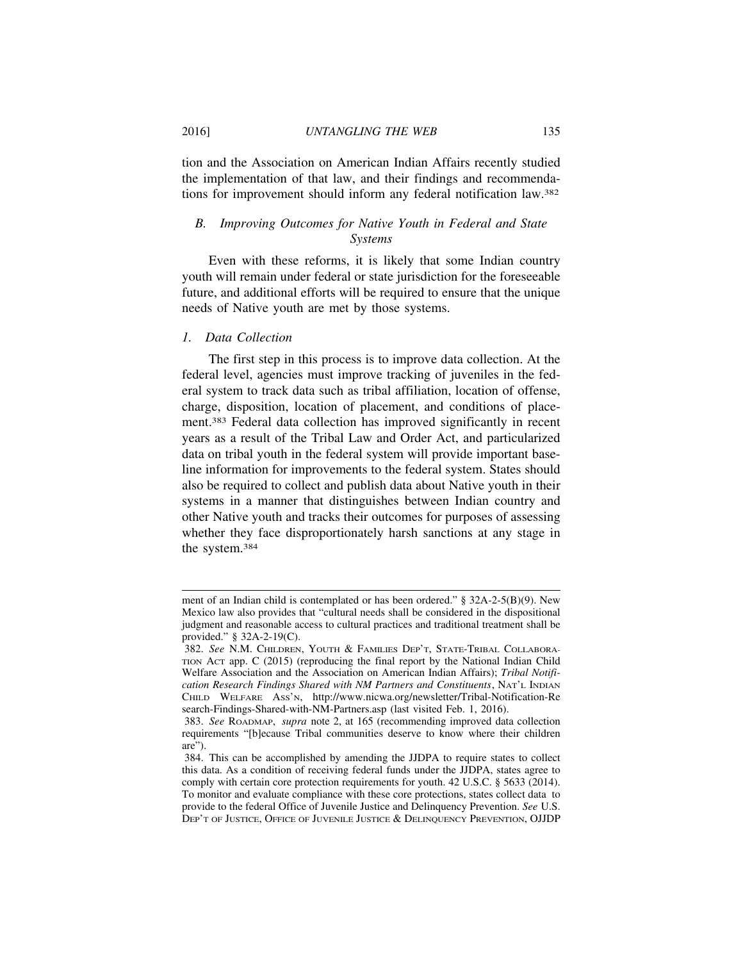tion and the Association on American Indian Affairs recently studied the implementation of that law, and their findings and recommendations for improvement should inform any federal notification law.382

# *B. Improving Outcomes for Native Youth in Federal and State Systems*

Even with these reforms, it is likely that some Indian country youth will remain under federal or state jurisdiction for the foreseeable future, and additional efforts will be required to ensure that the unique needs of Native youth are met by those systems.

# *1. Data Collection*

The first step in this process is to improve data collection. At the federal level, agencies must improve tracking of juveniles in the federal system to track data such as tribal affiliation, location of offense, charge, disposition, location of placement, and conditions of placement.383 Federal data collection has improved significantly in recent years as a result of the Tribal Law and Order Act, and particularized data on tribal youth in the federal system will provide important baseline information for improvements to the federal system. States should also be required to collect and publish data about Native youth in their systems in a manner that distinguishes between Indian country and other Native youth and tracks their outcomes for purposes of assessing whether they face disproportionately harsh sanctions at any stage in the system.384

ment of an Indian child is contemplated or has been ordered." § 32A-2-5(B)(9). New Mexico law also provides that "cultural needs shall be considered in the dispositional judgment and reasonable access to cultural practices and traditional treatment shall be provided." § 32A-2-19(C).

<sup>382.</sup> *See* N.M. CHILDREN, YOUTH & FAMILIES DEP'T, STATE-TRIBAL COLLABORA-TION ACT app. C (2015) (reproducing the final report by the National Indian Child Welfare Association and the Association on American Indian Affairs); *Tribal Notification Research Findings Shared with NM Partners and Constituents*, NAT'L INDIAN CHILD WELFARE ASS'N, http://www.nicwa.org/newsletter/Tribal-Notification-Re search-Findings-Shared-with-NM-Partners.asp (last visited Feb. 1, 2016).

<sup>383.</sup> *See* ROADMAP, *supra* note 2, at 165 (recommending improved data collection requirements "[b]ecause Tribal communities deserve to know where their children are").

<sup>384.</sup> This can be accomplished by amending the JJDPA to require states to collect this data. As a condition of receiving federal funds under the JJDPA, states agree to comply with certain core protection requirements for youth. 42 U.S.C. § 5633 (2014). To monitor and evaluate compliance with these core protections, states collect data to provide to the federal Office of Juvenile Justice and Delinquency Prevention. *See* U.S. DEP'T OF JUSTICE, OFFICE OF JUVENILE JUSTICE & DELINQUENCY PREVENTION, OJJDP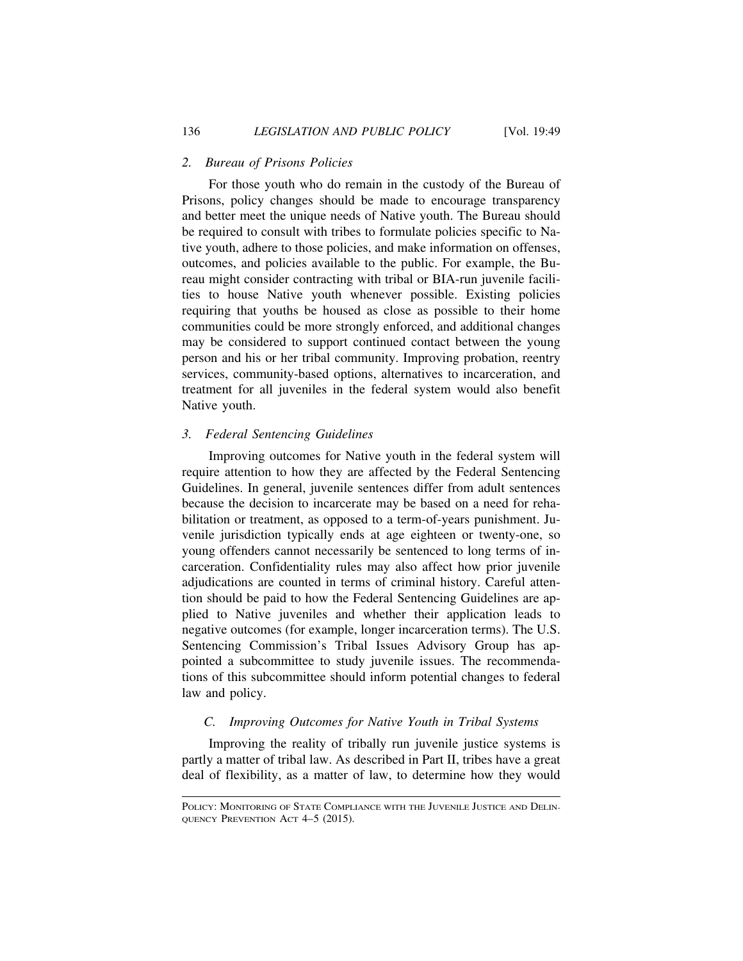# *2. Bureau of Prisons Policies*

For those youth who do remain in the custody of the Bureau of Prisons, policy changes should be made to encourage transparency and better meet the unique needs of Native youth. The Bureau should be required to consult with tribes to formulate policies specific to Native youth, adhere to those policies, and make information on offenses, outcomes, and policies available to the public. For example, the Bureau might consider contracting with tribal or BIA-run juvenile facilities to house Native youth whenever possible. Existing policies requiring that youths be housed as close as possible to their home communities could be more strongly enforced, and additional changes may be considered to support continued contact between the young person and his or her tribal community. Improving probation, reentry services, community-based options, alternatives to incarceration, and treatment for all juveniles in the federal system would also benefit Native youth.

# *3. Federal Sentencing Guidelines*

Improving outcomes for Native youth in the federal system will require attention to how they are affected by the Federal Sentencing Guidelines. In general, juvenile sentences differ from adult sentences because the decision to incarcerate may be based on a need for rehabilitation or treatment, as opposed to a term-of-years punishment. Juvenile jurisdiction typically ends at age eighteen or twenty-one, so young offenders cannot necessarily be sentenced to long terms of incarceration. Confidentiality rules may also affect how prior juvenile adjudications are counted in terms of criminal history. Careful attention should be paid to how the Federal Sentencing Guidelines are applied to Native juveniles and whether their application leads to negative outcomes (for example, longer incarceration terms). The U.S. Sentencing Commission's Tribal Issues Advisory Group has appointed a subcommittee to study juvenile issues. The recommendations of this subcommittee should inform potential changes to federal law and policy.

# *C. Improving Outcomes for Native Youth in Tribal Systems*

Improving the reality of tribally run juvenile justice systems is partly a matter of tribal law. As described in Part II, tribes have a great deal of flexibility, as a matter of law, to determine how they would

POLICY: MONITORING OF STATE COMPLIANCE WITH THE JUVENILE JUSTICE AND DELIN-QUENCY PREVENTION ACT 4–5 (2015).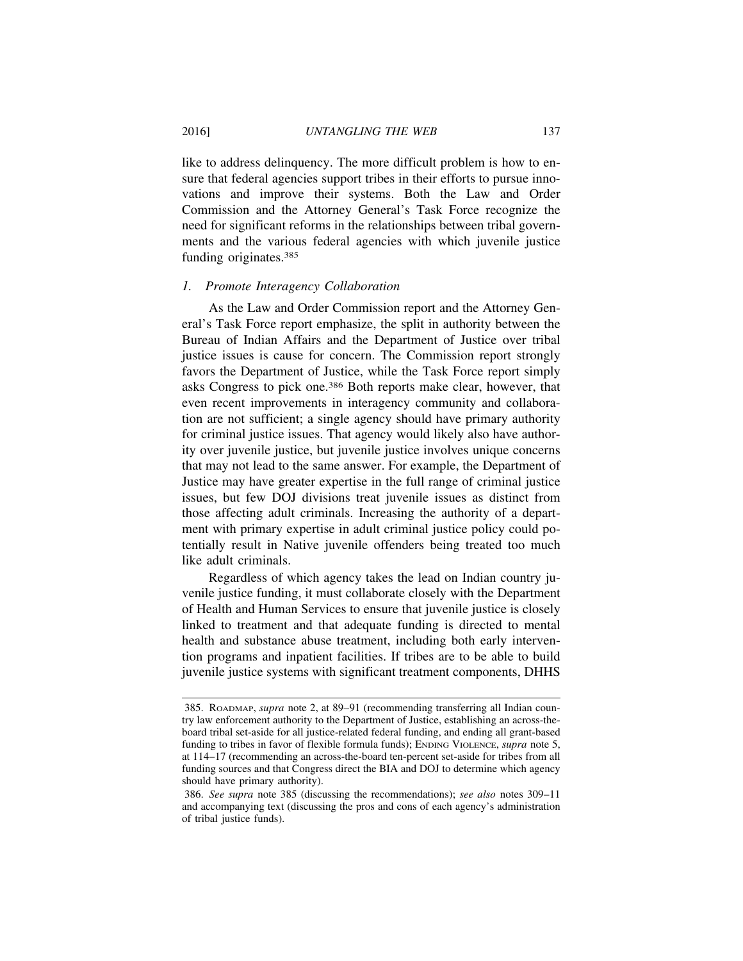like to address delinquency. The more difficult problem is how to ensure that federal agencies support tribes in their efforts to pursue innovations and improve their systems. Both the Law and Order Commission and the Attorney General's Task Force recognize the need for significant reforms in the relationships between tribal governments and the various federal agencies with which juvenile justice funding originates.385

## *1. Promote Interagency Collaboration*

As the Law and Order Commission report and the Attorney General's Task Force report emphasize, the split in authority between the Bureau of Indian Affairs and the Department of Justice over tribal justice issues is cause for concern. The Commission report strongly favors the Department of Justice, while the Task Force report simply asks Congress to pick one.386 Both reports make clear, however, that even recent improvements in interagency community and collaboration are not sufficient; a single agency should have primary authority for criminal justice issues. That agency would likely also have authority over juvenile justice, but juvenile justice involves unique concerns that may not lead to the same answer. For example, the Department of Justice may have greater expertise in the full range of criminal justice issues, but few DOJ divisions treat juvenile issues as distinct from those affecting adult criminals. Increasing the authority of a department with primary expertise in adult criminal justice policy could potentially result in Native juvenile offenders being treated too much like adult criminals.

Regardless of which agency takes the lead on Indian country juvenile justice funding, it must collaborate closely with the Department of Health and Human Services to ensure that juvenile justice is closely linked to treatment and that adequate funding is directed to mental health and substance abuse treatment, including both early intervention programs and inpatient facilities. If tribes are to be able to build juvenile justice systems with significant treatment components, DHHS

<sup>385.</sup> ROADMAP, *supra* note 2, at 89–91 (recommending transferring all Indian country law enforcement authority to the Department of Justice, establishing an across-theboard tribal set-aside for all justice-related federal funding, and ending all grant-based funding to tribes in favor of flexible formula funds); ENDING VIOLENCE, *supra* note 5, at 114–17 (recommending an across-the-board ten-percent set-aside for tribes from all funding sources and that Congress direct the BIA and DOJ to determine which agency should have primary authority).

<sup>386.</sup> *See supra* note 385 (discussing the recommendations); *see also* notes 309–11 and accompanying text (discussing the pros and cons of each agency's administration of tribal justice funds).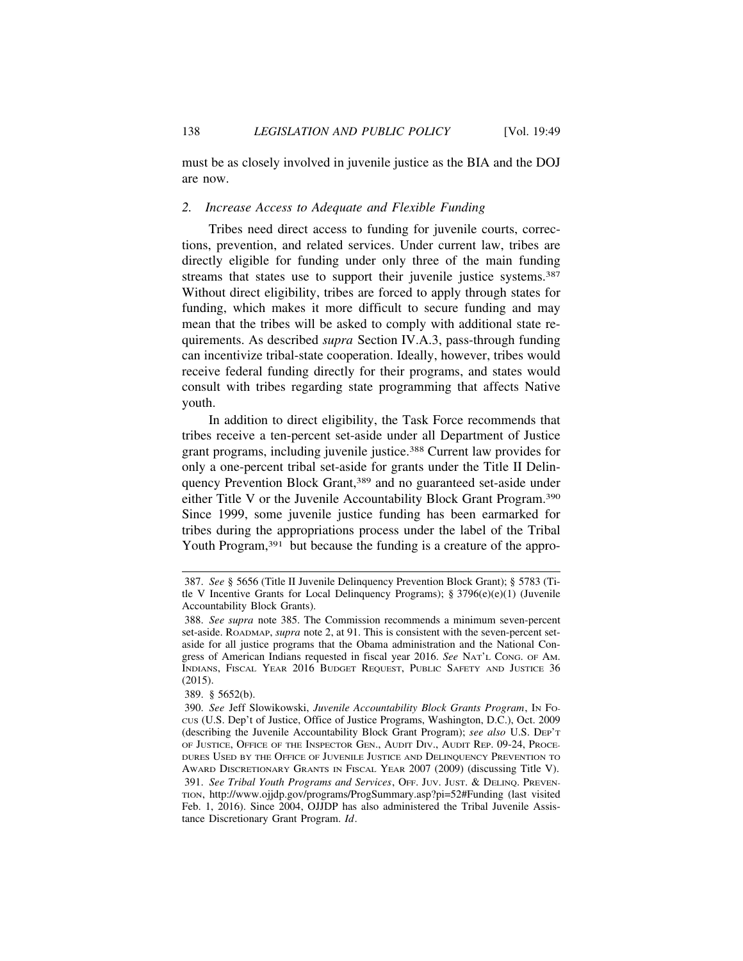must be as closely involved in juvenile justice as the BIA and the DOJ are now.

# *2. Increase Access to Adequate and Flexible Funding*

Tribes need direct access to funding for juvenile courts, corrections, prevention, and related services. Under current law, tribes are directly eligible for funding under only three of the main funding streams that states use to support their juvenile justice systems.<sup>387</sup> Without direct eligibility, tribes are forced to apply through states for funding, which makes it more difficult to secure funding and may mean that the tribes will be asked to comply with additional state requirements. As described *supra* Section IV.A.3, pass-through funding can incentivize tribal-state cooperation. Ideally, however, tribes would receive federal funding directly for their programs, and states would consult with tribes regarding state programming that affects Native youth.

In addition to direct eligibility, the Task Force recommends that tribes receive a ten-percent set-aside under all Department of Justice grant programs, including juvenile justice.388 Current law provides for only a one-percent tribal set-aside for grants under the Title II Delinquency Prevention Block Grant,<sup>389</sup> and no guaranteed set-aside under either Title V or the Juvenile Accountability Block Grant Program.390 Since 1999, some juvenile justice funding has been earmarked for tribes during the appropriations process under the label of the Tribal Youth Program,<sup>391</sup> but because the funding is a creature of the appro-

<sup>387.</sup> *See* § 5656 (Title II Juvenile Delinquency Prevention Block Grant); § 5783 (Title V Incentive Grants for Local Delinquency Programs); § 3796(e)(e)(1) (Juvenile Accountability Block Grants).

<sup>388.</sup> *See supra* note 385. The Commission recommends a minimum seven-percent set-aside. ROADMAP, *supra* note 2, at 91. This is consistent with the seven-percent setaside for all justice programs that the Obama administration and the National Congress of American Indians requested in fiscal year 2016. *See* NAT'L CONG. OF AM. INDIANS, FISCAL YEAR 2016 BUDGET REQUEST, PUBLIC SAFETY AND JUSTICE 36 (2015).

<sup>389. § 5652(</sup>b).

<sup>390.</sup> *See* Jeff Slowikowski, *Juvenile Accountability Block Grants Program*, IN FOcus (U.S. Dep't of Justice, Office of Justice Programs, Washington, D.C.), Oct. 2009 (describing the Juvenile Accountability Block Grant Program); *see also* U.S. DEP'T OF JUSTICE, OFFICE OF THE INSPECTOR GEN., AUDIT DIV., AUDIT REP. 09-24, PROCE-DURES USED BY THE OFFICE OF JUVENILE JUSTICE AND DELINQUENCY PREVENTION TO AWARD DISCRETIONARY GRANTS IN FISCAL YEAR 2007 (2009) (discussing Title V). 391. *See Tribal Youth Programs and Services*, OFF. JUV. JUST. & DELINQ. PREVEN-TION, http://www.ojjdp.gov/programs/ProgSummary.asp?pi=52#Funding (last visited Feb. 1, 2016). Since 2004, OJJDP has also administered the Tribal Juvenile Assistance Discretionary Grant Program. *Id*.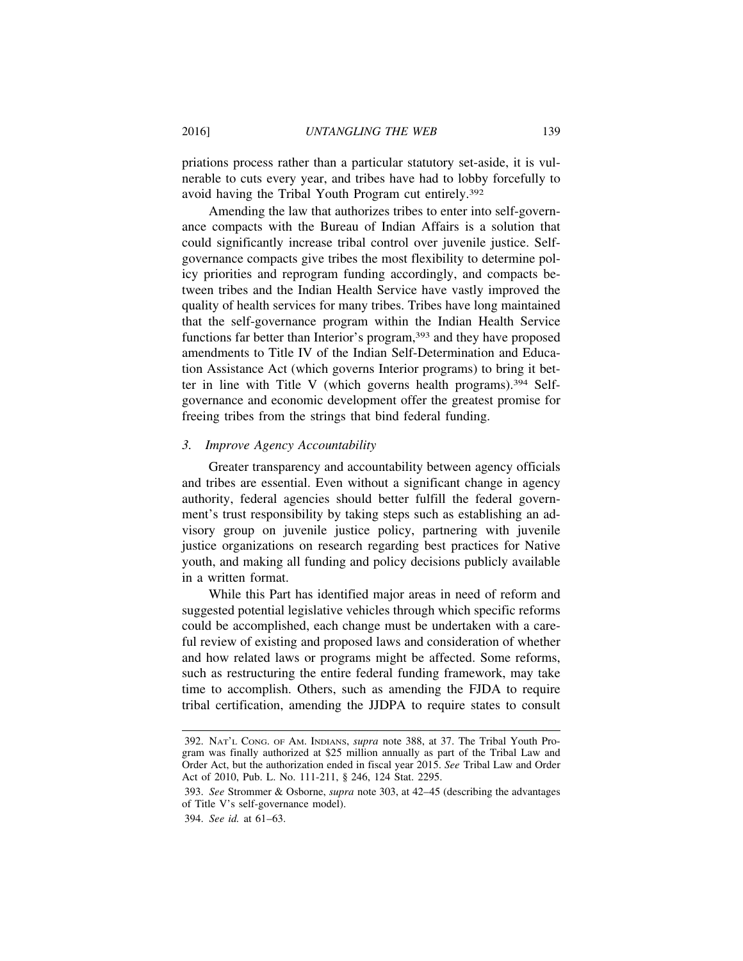priations process rather than a particular statutory set-aside, it is vulnerable to cuts every year, and tribes have had to lobby forcefully to avoid having the Tribal Youth Program cut entirely.392

Amending the law that authorizes tribes to enter into self-governance compacts with the Bureau of Indian Affairs is a solution that could significantly increase tribal control over juvenile justice. Selfgovernance compacts give tribes the most flexibility to determine policy priorities and reprogram funding accordingly, and compacts between tribes and the Indian Health Service have vastly improved the quality of health services for many tribes. Tribes have long maintained that the self-governance program within the Indian Health Service functions far better than Interior's program,<sup>393</sup> and they have proposed amendments to Title IV of the Indian Self-Determination and Education Assistance Act (which governs Interior programs) to bring it better in line with Title V (which governs health programs).394 Selfgovernance and economic development offer the greatest promise for freeing tribes from the strings that bind federal funding.

# *3. Improve Agency Accountability*

Greater transparency and accountability between agency officials and tribes are essential. Even without a significant change in agency authority, federal agencies should better fulfill the federal government's trust responsibility by taking steps such as establishing an advisory group on juvenile justice policy, partnering with juvenile justice organizations on research regarding best practices for Native youth, and making all funding and policy decisions publicly available in a written format.

While this Part has identified major areas in need of reform and suggested potential legislative vehicles through which specific reforms could be accomplished, each change must be undertaken with a careful review of existing and proposed laws and consideration of whether and how related laws or programs might be affected. Some reforms, such as restructuring the entire federal funding framework, may take time to accomplish. Others, such as amending the FJDA to require tribal certification, amending the JJDPA to require states to consult

394. *See id.* at 61–63.

<sup>392.</sup> NAT'L CONG. OF AM. INDIANS, *supra* note 388, at 37. The Tribal Youth Program was finally authorized at \$25 million annually as part of the Tribal Law and Order Act, but the authorization ended in fiscal year 2015. *See* Tribal Law and Order Act of 2010, Pub. L. No. 111-211, § 246, 124 Stat. 2295.

<sup>393.</sup> *See* Strommer & Osborne, *supra* note 303, at 42–45 (describing the advantages of Title V's self-governance model).